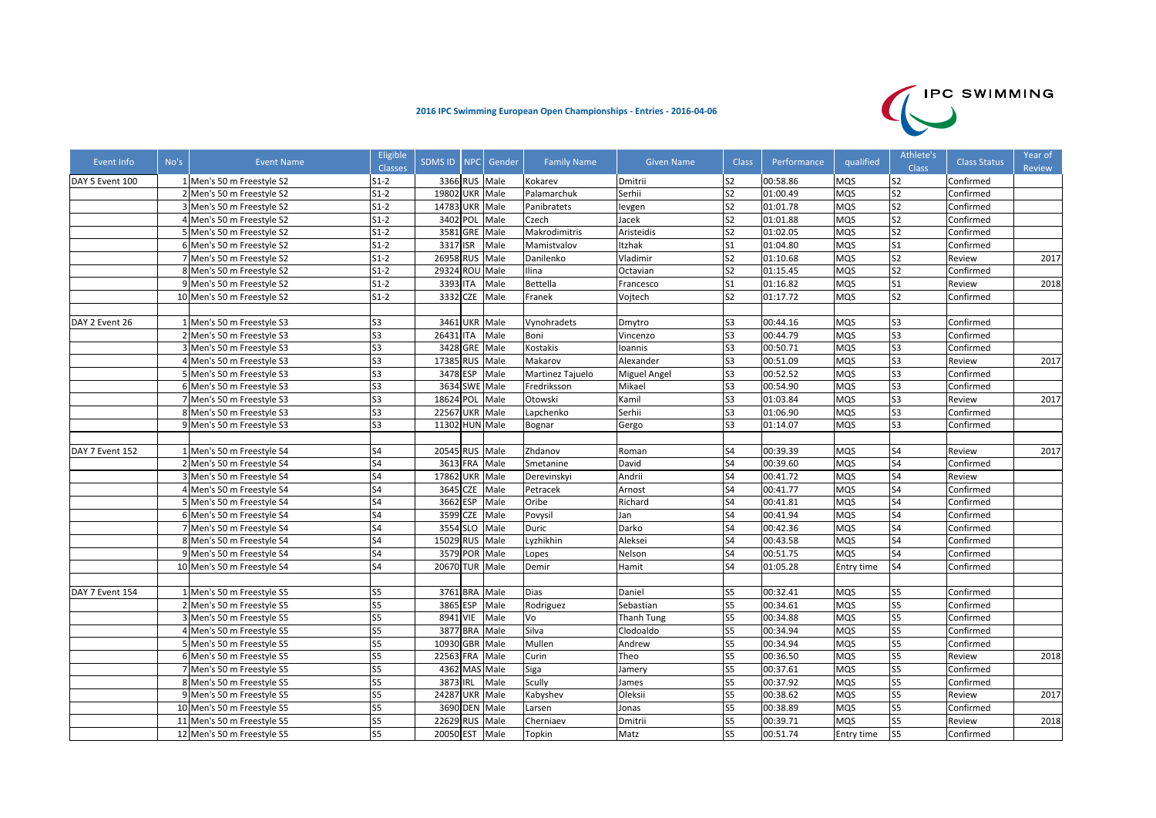## **2016 IPC Swimming European Open Championships ‐ Entries ‐ 2016‐04‐06**



| Event Info      | No's | Event Name                 | Eligible<br><b>Classes</b> | SDMS ID   NPC   Gender |               |      | <b>Family Name</b> | <b>Given Name</b> | <b>Class</b>   | Performance | qualified  | Athlete's<br><b>Class</b> | <b>Class Status</b> | Year of<br>Review |
|-----------------|------|----------------------------|----------------------------|------------------------|---------------|------|--------------------|-------------------|----------------|-------------|------------|---------------------------|---------------------|-------------------|
| DAY 5 Event 100 |      | 1 Men's 50 m Freestyle S2  | $S1-2$                     |                        | 3366 RUS Male |      | Kokarev            | Dmitrii           | S <sub>2</sub> | 00:58.86    | <b>MQS</b> | S <sub>2</sub>            | Confirmed           |                   |
|                 |      | 2 Men's 50 m Freestyle S2  | $S1-2$                     | 19802 UKR Male         |               |      | Palamarchuk        | Serhii            | S <sub>2</sub> | 01:00.49    | <b>MQS</b> | S <sub>2</sub>            | Confirmed           |                   |
|                 |      | 3 Men's 50 m Freestyle S2  | $S1-2$                     | 14783 UKR Male         |               |      | Panibratets        | levgen            | S <sub>2</sub> | 01:01.78    | <b>MQS</b> | S <sub>2</sub>            | Confirmed           |                   |
|                 |      | 4 Men's 50 m Freestyle S2  | $S1-2$                     |                        | 3402 POL      | Male | Czech              | Jacek             | S <sub>2</sub> | 01:01.88    | <b>MQS</b> | S <sub>2</sub>            | Confirmed           |                   |
|                 |      | 5 Men's 50 m Freestyle S2  | $S1-2$                     |                        | 3581 GRE Male |      | Makrodimitris      | Aristeidis        | S <sub>2</sub> | 01:02.05    | <b>MQS</b> | S <sub>2</sub>            | Confirmed           |                   |
|                 |      | 6 Men's 50 m Freestyle S2  | $S1-2$                     | 3317 ISR               |               | Male | Mamistvalov        | Itzhak            | S <sub>1</sub> | 01:04.80    | <b>MQS</b> | S <sub>1</sub>            | Confirmed           |                   |
|                 |      | 7 Men's 50 m Freestyle S2  | $S1-2$                     | 26958 RUS              |               | Male | Danilenko          | Vladimir          | S <sub>2</sub> | 01:10.68    | <b>MQS</b> | S <sub>2</sub>            | Review              | 2017              |
|                 |      | 8 Men's 50 m Freestyle S2  | $S1-2$                     | 29324 ROU Male         |               |      | Ilina              | Octavian          | S <sub>2</sub> | 01:15.45    | <b>MQS</b> | S <sub>2</sub>            | Confirmed           |                   |
|                 |      | 9 Men's 50 m Freestyle S2  | $S1-2$                     | 3393 ITA               |               | Male | <b>Bettella</b>    | Francesco         | S <sub>1</sub> | 01:16.82    | <b>MQS</b> | S <sub>1</sub>            | Review              | 2018              |
|                 |      | 10 Men's 50 m Freestyle S2 | $S1-2$                     |                        | 3332 CZE      | Male | Franek             | Vojtech           | S <sub>2</sub> | 01:17.72    | <b>MQS</b> | S <sub>2</sub>            | Confirmed           |                   |
|                 |      |                            |                            |                        |               |      |                    |                   |                |             |            |                           |                     |                   |
| DAY 2 Event 26  |      | 1 Men's 50 m Freestyle S3  | S3                         | 3461 UKR               |               | Male | Vynohradets        | Dmytro            | S <sub>3</sub> | 00:44.16    | <b>MQS</b> | S <sub>3</sub>            | Confirmed           |                   |
|                 |      | 2 Men's 50 m Freestyle S3  | S3                         | 26431 ITA              |               | Male | Boni               | Vincenzo          | S <sub>3</sub> | 00:44.79    | <b>MQS</b> | S <sub>3</sub>            | Confirmed           |                   |
|                 |      | 3 Men's 50 m Freestyle S3  | S3                         |                        | 3428 GRE Male |      | Kostakis           | Ioannis           | S <sub>3</sub> | 00:50.71    | <b>MQS</b> | S <sub>3</sub>            | Confirmed           |                   |
|                 |      | 4 Men's 50 m Freestyle S3  | S3                         | 17385 RUS Male         |               |      | Makarov            | Alexander         | S <sub>3</sub> | 00:51.09    | <b>MQS</b> | S <sub>3</sub>            | Review              | 2017              |
|                 |      | 5 Men's 50 m Freestyle S3  | S3                         | 3478 ESP               |               | Male | Martinez Tajuelo   | Miguel Angel      | S <sub>3</sub> | 00:52.52    | <b>MQS</b> | S <sub>3</sub>            | Confirmed           |                   |
|                 |      | 6 Men's 50 m Freestyle S3  | S <sub>3</sub>             |                        | 3634 SWE Male |      | Fredriksson        | Mikael            | S <sub>3</sub> | 00:54.90    | <b>MQS</b> | S <sub>3</sub>            | Confirmed           |                   |
|                 |      | 7 Men's 50 m Freestyle S3  | S3                         | 18624 POL Male         |               |      | Otowski            | Kamil             | S <sub>3</sub> | 01:03.84    | <b>MQS</b> | S <sub>3</sub>            | Review              | 2017              |
|                 |      | 8 Men's 50 m Freestyle S3  | S3                         | 22567 UKR Male         |               |      | Lapchenko          | Serhii            | S <sub>3</sub> | 01:06.90    | <b>MQS</b> | S <sub>3</sub>            | Confirmed           |                   |
|                 |      | 9 Men's 50 m Freestyle S3  | S3                         | 11302 HUN Male         |               |      | Bognar             | Gergo             | S <sub>3</sub> | 01:14.07    | <b>MQS</b> | S <sub>3</sub>            | Confirmed           |                   |
|                 |      |                            |                            |                        |               |      |                    |                   |                |             |            |                           |                     |                   |
| DAY 7 Event 152 |      | 1 Men's 50 m Freestyle S4  | S4                         | 20545 RUS Male         |               |      | Zhdanov            | Roman             | S <sub>4</sub> | 00:39.39    | <b>MQS</b> | <b>S4</b>                 | Review              | 2017              |
|                 |      | 2 Men's 50 m Freestyle S4  | S <sub>4</sub>             |                        | 3613 FRA      | Male | Smetanine          | David             | S <sub>4</sub> | 00:39.60    | <b>MQS</b> | S <sub>4</sub>            | Confirmed           |                   |
|                 |      | 3 Men's 50 m Freestyle S4  | S4                         | 17862 UKR Male         |               |      | Derevinskyi        | Andrii            | S <sub>4</sub> | 00:41.72    | <b>MQS</b> | S <sub>4</sub>            | Review              |                   |
|                 |      | 4 Men's 50 m Freestyle S4  | S4                         |                        | 3645 CZE      | Male | Petracek           | Arnost            | S4             | 00:41.77    | <b>MQS</b> | S <sub>4</sub>            | Confirmed           |                   |
|                 |      | 5 Men's 50 m Freestyle S4  | S <sub>4</sub>             | 3662 ESP               |               | Male | Oribe              | Richard           | S <sub>4</sub> | 00:41.81    | <b>MQS</b> | S <sub>4</sub>            | Confirmed           |                   |
|                 |      | 6 Men's 50 m Freestyle S4  | S4                         |                        | 3599 CZE      | Male | Povysil            | Jan               | S4             | 00:41.94    | <b>MQS</b> | S <sub>4</sub>            | Confirmed           |                   |
|                 |      | 7 Men's 50 m Freestyle S4  | S <sub>4</sub>             |                        | 3554 SLO      | Male | Duric              | Darko             | S <sub>4</sub> | 00:42.36    | <b>MQS</b> | S <sub>4</sub>            | Confirmed           |                   |
|                 |      | 8 Men's 50 m Freestyle S4  | S <sub>4</sub>             | 15029 RUS Male         |               |      | Lyzhikhin          | Aleksei           | S <sub>4</sub> | 00:43.58    | <b>MQS</b> | S <sub>4</sub>            | Confirmed           |                   |
|                 |      | 9 Men's 50 m Freestyle S4  | S4                         |                        | 3579 POR Male |      | Lopes              | Nelson            | S <sub>4</sub> | 00:51.75    | <b>MQS</b> | <b>S4</b>                 | Confirmed           |                   |
|                 |      | 10 Men's 50 m Freestyle S4 | S4                         | 20670 TUR              |               | Male | Demir              | Hamit             | S <sub>4</sub> | 01:05.28    | Entry time | S <sub>4</sub>            | Confirmed           |                   |
|                 |      |                            |                            |                        |               |      |                    |                   |                |             |            |                           |                     |                   |
| DAY 7 Event 154 |      | 1 Men's 50 m Freestyle S5  | S5                         |                        | 3761 BRA Male |      | Dias               | Daniel            | S <sub>5</sub> | 00:32.41    | <b>MQS</b> | S <sub>5</sub>            | Confirmed           |                   |
|                 |      | 2 Men's 50 m Freestyle S5  | S5                         |                        | 3865 ESP      | Male | Rodriguez          | Sebastian         | S <sub>5</sub> | 00:34.61    | <b>MQS</b> | S <sub>5</sub>            | Confirmed           |                   |
|                 |      | 3 Men's 50 m Freestyle S5  | S5                         | 8941 VIE               |               | Male | Vo                 | <b>Thanh Tung</b> | S <sub>5</sub> | 00:34.88    | <b>MQS</b> | S <sub>5</sub>            | Confirmed           |                   |
|                 |      | 4 Men's 50 m Freestyle S5  | S5                         |                        | 3877 BRA Male |      | Silva              | Clodoaldo         | S <sub>5</sub> | 00:34.94    | <b>MQS</b> | S <sub>5</sub>            | Confirmed           |                   |
|                 |      | 5 Men's 50 m Freestyle S5  | S5                         | 10930 GBR Male         |               |      | Mullen             | Andrew            | S <sub>5</sub> | 00:34.94    | <b>MQS</b> | S <sub>5</sub>            | Confirmed           |                   |
|                 |      | 6 Men's 50 m Freestyle S5  | S5                         | 22563 FRA              |               | Male | Curin              | Theo              | S <sub>5</sub> | 00:36.50    | <b>MQS</b> | S <sub>5</sub>            | Review              | 2018              |
|                 |      | 7 Men's 50 m Freestyle S5  | S5                         |                        | 4362 MAS Male |      | Siga               | Jamery            | S <sub>5</sub> | 00:37.61    | <b>MQS</b> | S <sub>5</sub>            | Confirmed           |                   |
|                 |      | 8 Men's 50 m Freestyle S5  | S5                         | 3873 IRL               |               | Male | Scully             | James             | S <sub>5</sub> | 00:37.92    | <b>MQS</b> | S <sub>5</sub>            | Confirmed           |                   |
|                 |      | 9 Men's 50 m Freestyle S5  | S5                         | 24287 UKR Male         |               |      | Kabyshev           | Oleksii           | S <sub>5</sub> | 00:38.62    | <b>MOS</b> | S <sub>5</sub>            | Review              | 2017              |
|                 |      | 10 Men's 50 m Freestyle S5 | S5                         |                        | 3690 DEN Male |      | Larsen             | Jonas             | S <sub>5</sub> | 00:38.89    | <b>MQS</b> | S <sub>5</sub>            | Confirmed           |                   |
|                 |      | 11 Men's 50 m Freestyle S5 | S5                         | 22629 RUS              |               | Male | Cherniaev          | Dmitrii           | S <sub>5</sub> | 00:39.71    | MQS        | S <sub>5</sub>            | Review              | 2018              |
|                 |      | 12 Men's 50 m Freestyle S5 | S5                         | 20050 EST              |               | Male | Topkin             | Matz              | S5             | 00:51.74    | Entry time | S5                        | Confirmed           |                   |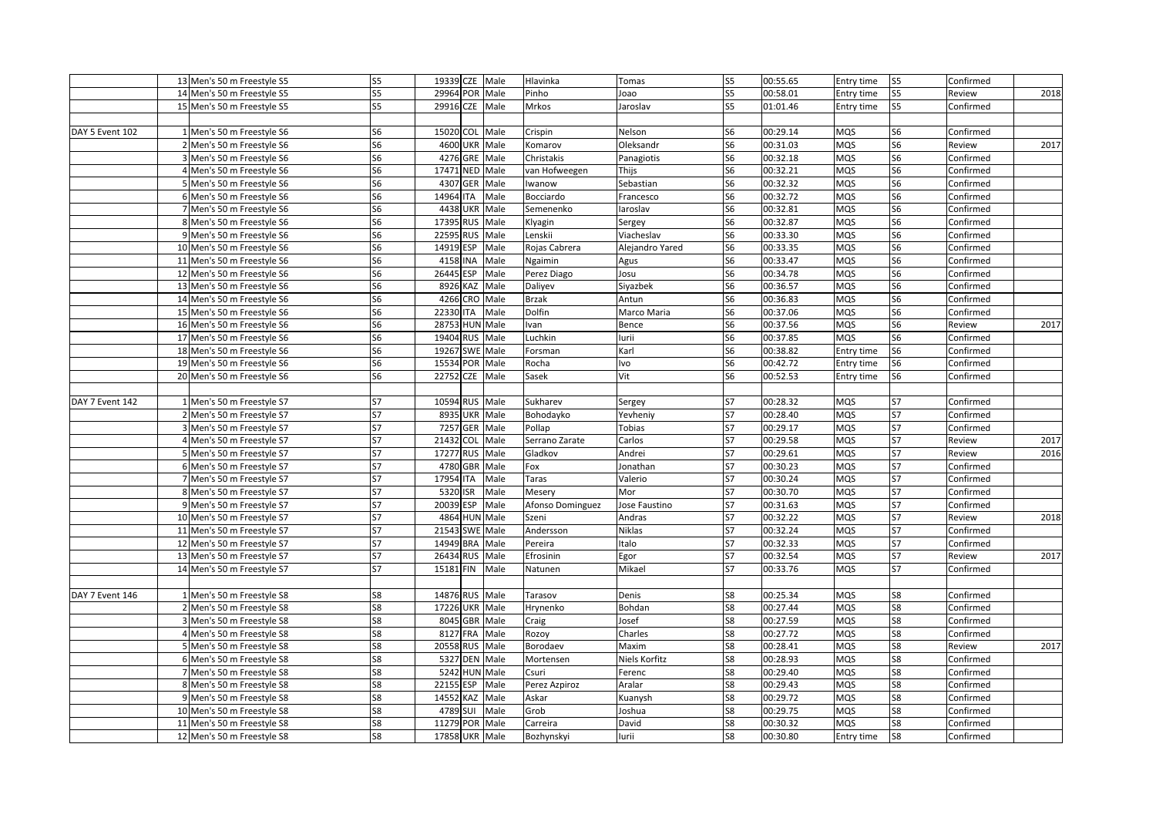|                 | 13 Men's 50 m Freestyle S5                               | S <sub>5</sub> | 19339 CZE Male                  |      | Hlavinka               | Tomas            | S5             | 00:55.65             | Entry time | S <sub>5</sub>           | Confirmed              |      |
|-----------------|----------------------------------------------------------|----------------|---------------------------------|------|------------------------|------------------|----------------|----------------------|------------|--------------------------|------------------------|------|
|                 | 14 Men's 50 m Freestyle S5                               | S5             | 29964 POR Male                  |      | Pinho                  | Joao             | S <sub>5</sub> | 00:58.01             | Entry time | S5                       | Review                 | 2018 |
|                 | 15 Men's 50 m Freestyle S5                               | S <sub>5</sub> | 29916 CZE                       | Male | Mrkos                  | Jaroslav         | S5             | 01:01.46             | Entry time | S <sub>5</sub>           | Confirmed              |      |
|                 |                                                          |                |                                 |      |                        |                  |                |                      |            |                          |                        |      |
| DAY 5 Event 102 | 1 Men's 50 m Freestyle S6                                | S <sub>6</sub> | 15020 COL                       | Male | Crispin                | Nelson           | S6             | 00:29.14             | MQS        | S6                       | Confirmed              |      |
|                 | 2 Men's 50 m Freestyle S6                                | S <sub>6</sub> | 4600 UKR                        | Male | Komarov                | Oleksandr        | S6             | 00:31.03             | MQS        | S6                       | Review                 | 2017 |
|                 | 3 Men's 50 m Freestyle S6                                | S <sub>6</sub> | 4276 GRE Male                   |      | Christakis             | Panagiotis       | S6             | 00:32.18             | MQS        | S6                       | Confirmed              |      |
|                 | 4 Men's 50 m Freestyle S6                                | S <sub>6</sub> | 17471 NED                       | Male | van Hofweegen          | Thijs            | S <sub>6</sub> | 00:32.21             | MQS        | S <sub>6</sub>           | Confirmed              |      |
|                 | 5 Men's 50 m Freestyle S6                                | S <sub>6</sub> | 4307 GER                        | Male | Iwanow                 | Sebastian        | S6             | 00:32.32             | <b>MQS</b> | S6                       | Confirmed              |      |
|                 | 6 Men's 50 m Freestyle S6                                | S <sub>6</sub> | 14964 ITA                       | Male | Bocciardo              | Francesco        | S <sub>6</sub> | 00:32.72             | MQS        | S <sub>6</sub>           | Confirmed              |      |
|                 | 7 Men's 50 m Freestyle S6                                | S <sub>6</sub> | 4438 UKR                        | Male | Semenenko              | laroslav         | S6             | 00:32.81             | MQS        | S <sub>6</sub>           | Confirmed              |      |
|                 | 8 Men's 50 m Freestyle S6                                | S <sub>6</sub> | 17395 RUS Male                  |      | Klyagin                | Sergey           | S6             | 00:32.87             | MQS        | S <sub>6</sub>           | Confirmed              |      |
|                 | 9 Men's 50 m Freestyle S6                                | S <sub>6</sub> | 22595 RUS                       | Male | Lenskii                | Viacheslav       | S6             | 00:33.30             | MQS        | S6                       | Confirmed              |      |
|                 | 10 Men's 50 m Freestyle S6                               | S <sub>6</sub> | 14919 ESP                       | Male | Rojas Cabrera          | Alejandro Yared  | S6             | 00:33.35             | MQS        | S6                       | Confirmed              |      |
|                 | 11 Men's 50 m Freestyle S6                               | S <sub>6</sub> | 4158 INA                        | Male | Ngaimin                | Agus             | S6             | 00:33.47             | MQS        | S6                       | Confirmed              |      |
|                 | 12 Men's 50 m Freestyle S6                               | S <sub>6</sub> | 26445 ESP                       | Male | Perez Diago            | Josu             | S <sub>6</sub> | 00:34.78             | MQS        | S6                       | Confirmed              |      |
|                 | 13 Men's 50 m Freestyle S6                               | S <sub>6</sub> | 8926 KAZ                        | Male | Daliyev                | Siyazbek         | S6             | 00:36.57             | MQS        | S6                       | Confirmed              |      |
|                 | 14 Men's 50 m Freestyle S6                               | S <sub>6</sub> | 4266 CRO                        | Male | Brzak                  | Antun            | S <sub>6</sub> | 00:36.83             | MQS        | S6                       | Confirmed              |      |
|                 | 15 Men's 50 m Freestyle S6                               | S <sub>6</sub> | 22330 ITA                       | Male | Dolfin                 | Marco Maria      | S6             | 00:37.06             | MQS        | S6                       | Confirmed              |      |
|                 | 16 Men's 50 m Freestyle S6                               | S6             | 28753 HUN Male                  |      | Ivan                   | Bence            | S6             | 00:37.56             | MQS        | S6                       | Review                 | 2017 |
|                 | 17 Men's 50 m Freestyle S6                               | S <sub>6</sub> | 19404 RUS Male                  |      | Luchkin                | lurii            | S6             | 00:37.85             | MQS        | S6                       | Confirmed              |      |
|                 | 18 Men's 50 m Freestyle S6                               | S6             | 19267 SWE Male                  |      | Forsman                | Karl             | S6             | 00:38.82             | Entry time | S6                       | Confirmed              |      |
|                 | 19 Men's 50 m Freestyle S6                               | S <sub>6</sub> | 15534 POR Male                  |      | Rocha                  | lvo              | S6             | 00:42.72             | Entry time | S6                       | Confirmed              |      |
|                 | 20 Men's 50 m Freestyle S6                               | S <sub>6</sub> | 22752 CZE                       | Male | Sasek                  | Vit              | S6             | 00:52.53             | Entry time | S6                       | Confirmed              |      |
|                 |                                                          |                |                                 |      |                        |                  |                |                      |            |                          |                        |      |
| DAY 7 Event 142 | 1 Men's 50 m Freestyle S7                                | S7             | 10594 RUS                       | Male | Sukharev               | Sergey           | S7             | 00:28.32             | MQS        | S7                       | Confirmed              |      |
|                 | 2 Men's 50 m Freestyle S7                                | S7             | 8935 UKR Male                   |      | Bohodayko              | Yevheniy         | S7             | 00:28.40             | MQS        | S7                       | Confirmed              |      |
|                 | 3 Men's 50 m Freestyle S7                                | S7             | 7257 GER Male                   |      | Pollap                 | Tobias           | S7             | 00:29.17             | MQS        | S7                       | Confirmed              |      |
|                 | 4 Men's 50 m Freestyle S7                                | S7             | 21432 COL                       | Male | Serrano Zarate         | Carlos           | S7             | 00:29.58             | MQS        | S7                       | Review                 | 2017 |
|                 | 5 Men's 50 m Freestyle S7                                | S7             | 17277 RUS Male                  |      | Gladkov                | Andrei           | S7             | 00:29.61             | MQS        | S7                       | Review                 | 2016 |
|                 | 6 Men's 50 m Freestyle S7                                | S7             | 4780 GBR                        | Male | Fox                    | Jonathan         | S7             | 00:30.23             | MQS        | S7                       | Confirmed              |      |
|                 | 7 Men's 50 m Freestyle S7                                | S7             | 17954 ITA                       | Male | Taras                  | Valerio          | S7             | 00:30.24             | MQS        | S7                       | Confirmed              |      |
|                 | 8 Men's 50 m Freestyle S7                                | S7             | 5320 ISR                        | Male | Mesery                 | Mor              | S7             | 00:30.70             | MQS        | $\overline{\mathsf{S}7}$ | Confirmed              |      |
|                 | 9 Men's 50 m Freestyle S7                                | S7             | 20039 ESP                       | Male | Afonso Dominguez       | Jose Faustino    | S7             | 00:31.63             | MQS        | S7                       | Confirmed              |      |
|                 | 10 Men's 50 m Freestyle S7                               | S7             | 4864 HUN Male                   |      | Szeni                  | Andras           | S7             | 00:32.22             | MQS        | S7                       | Review                 | 2018 |
|                 | 11 Men's 50 m Freestyle S7                               | S7             | 21543 SWE Male                  |      | Andersson              | Niklas           | S7             | 00:32.24             | MQS        | S7                       | Confirmed              |      |
|                 | 12 Men's 50 m Freestyle S7                               | S7             | 14949 BRA Male                  |      | Pereira                | Italo            | S7             | 00:32.33             | MQS        | $\overline{\mathsf{S}7}$ | Confirmed              |      |
|                 | 13 Men's 50 m Freestyle S7                               | S7             | 26434 RUS                       | Male | Efrosinin              | Egor             | S7             | 00:32.54             | MQS        | S7                       | Review                 | 2017 |
|                 | 14 Men's 50 m Freestyle S7                               | S7             | 15181 FIN                       | Male | Natunen                | Mikael           | <b>S7</b>      | 00:33.76             | MQS        | <b>S7</b>                | Confirmed              |      |
|                 |                                                          |                |                                 |      |                        |                  |                |                      |            |                          |                        |      |
| DAY 7 Event 146 | 1 Men's 50 m Freestyle S8                                | S8             | 14876 RUS Male                  |      | Tarasov                | Denis            | S8<br>S8       | 00:25.34             | <b>MQS</b> | S8                       | Confirmed              |      |
|                 | 2 Men's 50 m Freestyle S8                                | S8             | 17226 UKR Male<br>8045 GBR Male |      | Hrynenko               | Bohdan           |                | 00:27.44<br>00:27.59 | MQS<br>MQS | S8<br>S8                 | Confirmed              |      |
|                 | 3 Men's 50 m Freestyle S8<br>4 Men's 50 m Freestyle S8   | S8<br>S8       | 8127 FRA                        | Male | Craig<br>Rozoy         | Josef<br>Charles | S8<br>S8       | 00:27.72             | MQS        | S8                       | Confirmed<br>Confirmed |      |
|                 |                                                          |                | 20558 RUS                       | Male |                        | Maxim            | S8             | 00:28.41             | MQS        | S8                       | Review                 | 2017 |
|                 | 5 Men's 50 m Freestyle S8                                | S8<br>S8       |                                 |      | Borodaev               |                  | S8             |                      |            | S8                       |                        |      |
|                 | 6 Men's 50 m Freestyle S8                                | S8             | 5327 DEN Male<br>5242 HUN Male  |      | Mortensen<br>Csuri     | Niels Korfitz    | S8             | 00:28.93<br>00:29.40 | MQS<br>MQS | S8                       | Confirmed              |      |
|                 | 7 Men's 50 m Freestyle S8                                | S8             | 22155 ESP                       | Male |                        | Ferenc           | S8             |                      | MQS        | S8                       | Confirmed              |      |
|                 | 8 Men's 50 m Freestyle S8                                | S8             | 14552 KAZ                       | Male | Perez Azpiroz<br>Askar | Aralar           | S8             | 00:29.43<br>00:29.72 | MQS        | S8                       | Confirmed<br>Confirmed |      |
|                 | 9 Men's 50 m Freestyle S8                                | S8             | 4789 SUI                        | Male | Grob                   | Kuanysh          | S8             | 00:29.75             | MQS        | S8                       | Confirmed              |      |
|                 | 10 Men's 50 m Freestyle S8<br>11 Men's 50 m Freestyle S8 | S8             | 11279 POR Male                  |      | Carreira               | Joshua<br>David  | S8             | 00:30.32             | MQS        | S8                       | Confirmed              |      |
|                 | 12 Men's 50 m Freestyle S8                               | S8             | 17858 UKR Male                  |      |                        | lurii            | S8             | 00:30.80             |            | S8                       | Confirmed              |      |
|                 |                                                          |                |                                 |      | Bozhynskyi             |                  |                |                      | Entry time |                          |                        |      |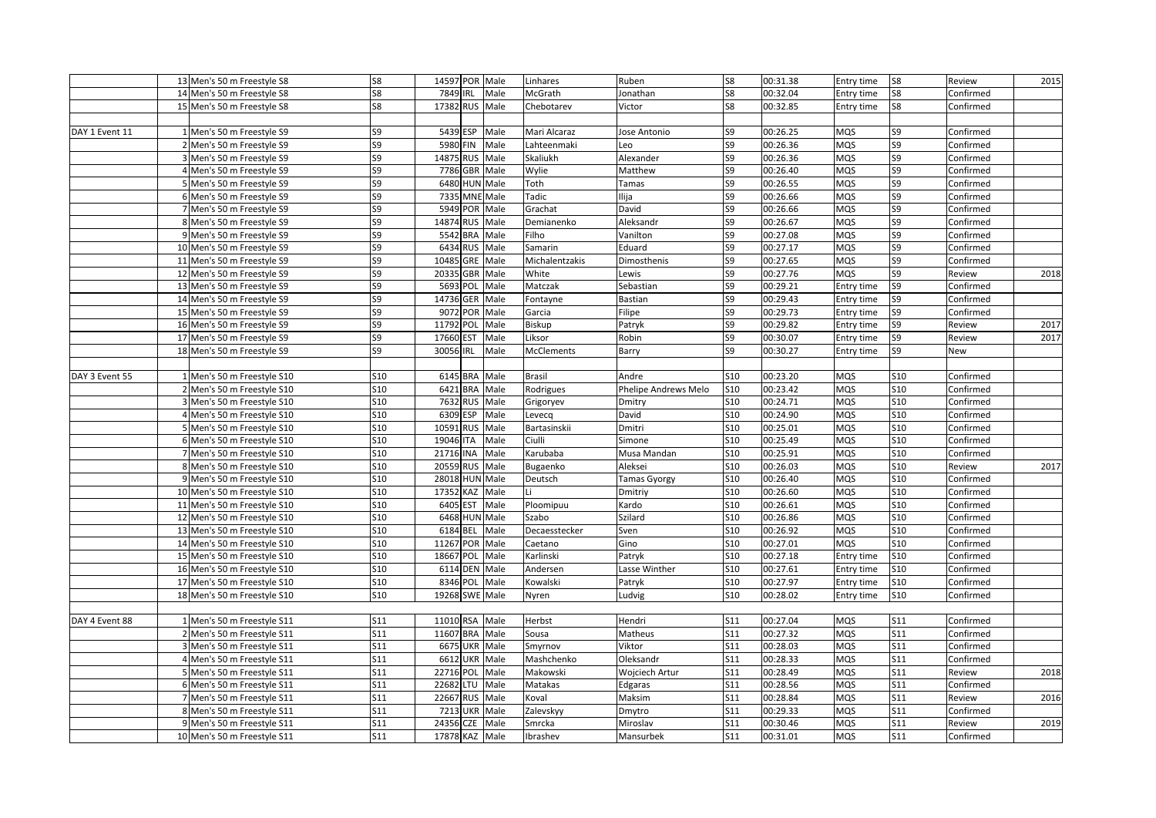|                | 13 Men's 50 m Freestyle S8  | S8         | 14597 POR Male      |      | Linhares          | Ruben                | S8              | 00:31.38 | Entry time | S8         | Review    | 2015 |
|----------------|-----------------------------|------------|---------------------|------|-------------------|----------------------|-----------------|----------|------------|------------|-----------|------|
|                | 14 Men's 50 m Freestyle S8  | S8         | 7849 IRL            | Male | McGrath           | Jonathan             | S8              | 00:32.04 | Entry time | S8         | Confirmed |      |
|                | 15 Men's 50 m Freestyle S8  | S8         | 17382 RUS Male      |      | Chebotarev        | Victor               | S8              | 00:32.85 | Entry time | S8         | Confirmed |      |
|                |                             |            |                     |      |                   |                      |                 |          |            |            |           |      |
| DAY 1 Event 11 | 1 Men's 50 m Freestyle S9   | S9         | 5439 ESP            | Male | Mari Alcaraz      | Jose Antonio         | S9              | 00:26.25 | <b>MQS</b> | S9         | Confirmed |      |
|                | 2 Men's 50 m Freestyle S9   | S9         | 5980 FIN            | Male | Lahteenmaki       | Leo                  | S9              | 00:26.36 | <b>MQS</b> | S9         | Confirmed |      |
|                | 3 Men's 50 m Freestyle S9   | S9         | 14875 RUS           | Male | Skaliukh          | Alexander            | S9              | 00:26.36 | MQS        | S9         | Confirmed |      |
|                | 4 Men's 50 m Freestyle S9   | S9         | 7786 GBR Male       |      | Wylie             | Matthew              | S9              | 00:26.40 | <b>MQS</b> | S9         | Confirmed |      |
|                | 5 Men's 50 m Freestyle S9   | S9         | 6480 HUN Male       |      | Toth              | Tamas                | S9              | 00:26.55 | <b>MQS</b> | S9         | Confirmed |      |
|                | 6 Men's 50 m Freestyle S9   | S9         | 7335 MNE Male       |      | Tadic             | lija                 | S9              | 00:26.66 | <b>MQS</b> | S9         | Confirmed |      |
|                | 7 Men's 50 m Freestyle S9   | S9         | 5949 POR            | Male | Grachat           | David                | S9              | 00:26.66 | <b>MQS</b> | S9         | Confirmed |      |
|                | 8 Men's 50 m Freestyle S9   | S9         | 14874 RUS Male      |      | Demianenko        | Aleksandr            | S9              | 00:26.67 | <b>MQS</b> | S9         | Confirmed |      |
|                | 9 Men's 50 m Freestyle S9   | S9         | 5542 BRA            | Male | Filho             | Vanilton             | S9              | 00:27.08 | <b>MQS</b> | S9         | Confirmed |      |
|                | 10 Men's 50 m Freestyle S9  | S9         | 6434 RUS Male       |      | Samarin           | Eduard               | S9              | 00:27.17 | <b>MQS</b> | S9         | Confirmed |      |
|                | 11 Men's 50 m Freestyle S9  | S9         | 10485 GRE           | Male | Michalentzakis    | Dimosthenis          | S9              | 00:27.65 | MQS        | S9         | Confirmed |      |
|                | 12 Men's 50 m Freestyle S9  | S9         | 20335 GBR Male      |      | White             | Lewis                | S9              | 00:27.76 | <b>MQS</b> | S9         | Review    | 2018 |
|                | 13 Men's 50 m Freestyle S9  | S9         | 5693<br>POL         | Male | Matczak           | Sebastian            | S9              | 00:29.21 | Entry time | S9         | Confirmed |      |
|                | 14 Men's 50 m Freestyle S9  | S9         | 14736<br>GER        | Male | Fontayne          | Bastian              | S9              | 00:29.43 | Entry time | S9         | Confirmed |      |
|                | 15 Men's 50 m Freestyle S9  | S9         | 9072 POR            | Male | Garcia            | Filipe               | S9              | 00:29.73 | Entry time | S9         | Confirmed |      |
|                | 16 Men's 50 m Freestyle S9  | S9         | 11792 POL           | Male | Biskup            | Patryk               | S9              | 00:29.82 | Entry time | S9         | Review    | 2017 |
|                | 17 Men's 50 m Freestyle S9  | S9         | 17660<br>EST        | Male | Liksor            | Robin                | S9              | 00:30.07 | Entry time | S9         | Review    | 2017 |
|                | 18 Men's 50 m Freestyle S9  | S9         | 30056 IRL           | Male | <b>McClements</b> | Barry                | S9              | 00:30.27 | Entry time | S9         | New       |      |
|                |                             |            |                     |      |                   |                      |                 |          |            |            |           |      |
| DAY 3 Event 55 | 1 Men's 50 m Freestyle S10  | <b>S10</b> | 6145 BRA Male       |      | Brasil            | Andre                | <b>S10</b>      | 00:23.20 | <b>MQS</b> | <b>S10</b> | Confirmed |      |
|                | 2 Men's 50 m Freestyle S10  | <b>S10</b> | 6421 BRA Male       |      | Rodrigues         | Phelipe Andrews Melo | <b>S10</b>      | 00:23.42 | <b>MQS</b> | <b>S10</b> | Confirmed |      |
|                | 3 Men's 50 m Freestyle S10  | <b>S10</b> | 7632 RUS            | Male | Grigoryev         | Dmitry               | <b>S10</b>      | 00:24.71 | <b>MQS</b> | <b>S10</b> | Confirmed |      |
|                | 4 Men's 50 m Freestyle S10  | S10        | 6309 ESP            | Male | Levecq            | David                | S10             | 00:24.90 | <b>MQS</b> | <b>S10</b> | Confirmed |      |
|                | 5 Men's 50 m Freestyle S10  | <b>S10</b> | 10591 RUS Male      |      | Bartasinskii      | Dmitri               | <b>S10</b>      | 00:25.01 | <b>MQS</b> | <b>S10</b> | Confirmed |      |
|                | 6 Men's 50 m Freestyle S10  | S10        | 19046 ITA           | Male | Ciulli            | Simone               | <b>S10</b>      | 00:25.49 | <b>MQS</b> | <b>S10</b> | Confirmed |      |
|                | 7 Men's 50 m Freestyle S10  | S10        | 21716 INA           | Male | Karubaba          | Musa Mandan          | <b>S10</b>      | 00:25.91 | <b>MQS</b> | <b>S10</b> | Confirmed |      |
|                | 8 Men's 50 m Freestyle S10  | <b>S10</b> | <b>RUS</b><br>20559 | Male | Bugaenko          | Aleksei              | S10             | 00:26.03 | MQS        | S10        | Review    | 2017 |
|                | 9 Men's 50 m Freestyle S10  | <b>S10</b> | 28018 HUN Male      |      | Deutsch           | Tamas Gyorgy         | S10             | 00:26.40 | <b>MQS</b> | <b>S10</b> | Confirmed |      |
|                | 10 Men's 50 m Freestyle S10 | S10        | 17352<br>KAZ        | Male | Li                | Dmitriy              | S <sub>10</sub> | 00:26.60 | <b>MQS</b> | S10        | Confirmed |      |
|                | 11 Men's 50 m Freestyle S10 | <b>S10</b> | 6405 EST            | Male | Ploomipuu         | Kardo                | <b>S10</b>      | 00:26.61 | <b>MQS</b> | <b>S10</b> | Confirmed |      |
|                | 12 Men's 50 m Freestyle S10 | <b>S10</b> | 6468 HUN Male       |      | Szabo             | Szilard              | <b>S10</b>      | 00:26.86 | <b>MQS</b> | <b>S10</b> | Confirmed |      |
|                | 13 Men's 50 m Freestyle S10 | S10        | 6184 BEL            | Male | Decaesstecker     | Sven                 | S10             | 00:26.92 | <b>MQS</b> | <b>S10</b> | Confirmed |      |
|                | 14 Men's 50 m Freestyle S10 | <b>S10</b> | 11267 POR Male      |      | Caetano           | Gino                 | S10             | 00:27.01 | <b>MQS</b> | S10        | Confirmed |      |
|                | 15 Men's 50 m Freestyle S10 | <b>S10</b> | 18667 POL Male      |      | Karlinski         | Patryk               | <b>S10</b>      | 00:27.18 | Entry time | <b>S10</b> | Confirmed |      |
|                | 16 Men's 50 m Freestyle S10 | <b>S10</b> | 6114 DEN Male       |      | Andersen          | Lasse Winther        | S10             | 00:27.61 | Entry time | S10        | Confirmed |      |
|                | 17 Men's 50 m Freestyle S10 | S10        | 8346 POL            | Male | Kowalski          | Patryk               | S10             | 00:27.97 | Entry time | S10        | Confirmed |      |
|                | 18 Men's 50 m Freestyle S10 | <b>S10</b> | 19268 SWE Male      |      | Nyren             | udvig                | <b>S10</b>      | 00:28.02 | Entry time | S10        | Confirmed |      |
|                |                             |            |                     |      |                   |                      |                 |          |            |            |           |      |
| DAY 4 Event 88 | 1 Men's 50 m Freestyle S11  | S11        | 11010 RSA Male      |      | Herbst            | Hendri               | S11             | 00:27.04 | <b>MQS</b> | S11        | Confirmed |      |
|                | 2 Men's 50 m Freestyle S11  | S11        | 11607 BRA Male      |      | Sousa             | Matheus              | S11             | 00:27.32 | <b>MQS</b> | S11        | Confirmed |      |
|                | 3 Men's 50 m Freestyle S11  | S11        | 6675 UKR Male       |      | Smyrnov           | Viktor               | S11             | 00:28.03 | <b>MQS</b> | S11        | Confirmed |      |
|                | 4 Men's 50 m Freestyle S11  | S11        | 6612 UKR Male       |      | Mashchenko        | Oleksandr            | S11             | 00:28.33 | <b>MQS</b> | S11        | Confirmed |      |
|                | 5 Men's 50 m Freestyle S11  | S11        | 22716 POL           | Male | Makowski          | Wojciech Artur       | S11             | 00:28.49 | MQS        | S11        | Review    | 2018 |
|                | 6 Men's 50 m Freestyle S11  | S11        | 22682 LTU           | Male | Matakas           | Edgaras              | S11             | 00:28.56 | <b>MQS</b> | S11        | Confirmed |      |
|                | 7 Men's 50 m Freestyle S11  | S11        | 22667 RUS           | Male | Koval             | Maksim               | S11             | 00:28.84 | <b>MQS</b> | S11        | Review    | 2016 |
|                | 8 Men's 50 m Freestyle S11  | S11        | <b>7213 UKR</b>     | Male | Zalevskyy         | Dmytro               | S11             | 00:29.33 | <b>MQS</b> | <b>S11</b> | Confirmed |      |
|                | 9 Men's 50 m Freestyle S11  | S11        | 24356<br><b>CZE</b> | Male | Smrcka            | Miroslav             | S11             | 00:30.46 | <b>MQS</b> | S11        | Review    | 2019 |
|                | 10 Men's 50 m Freestyle S11 | S11        | 17878 KAZ Male      |      | Ibrashev          | Mansurbek            | S11             | 00:31.01 | <b>MQS</b> | S11        | Confirmed |      |
|                |                             |            |                     |      |                   |                      |                 |          |            |            |           |      |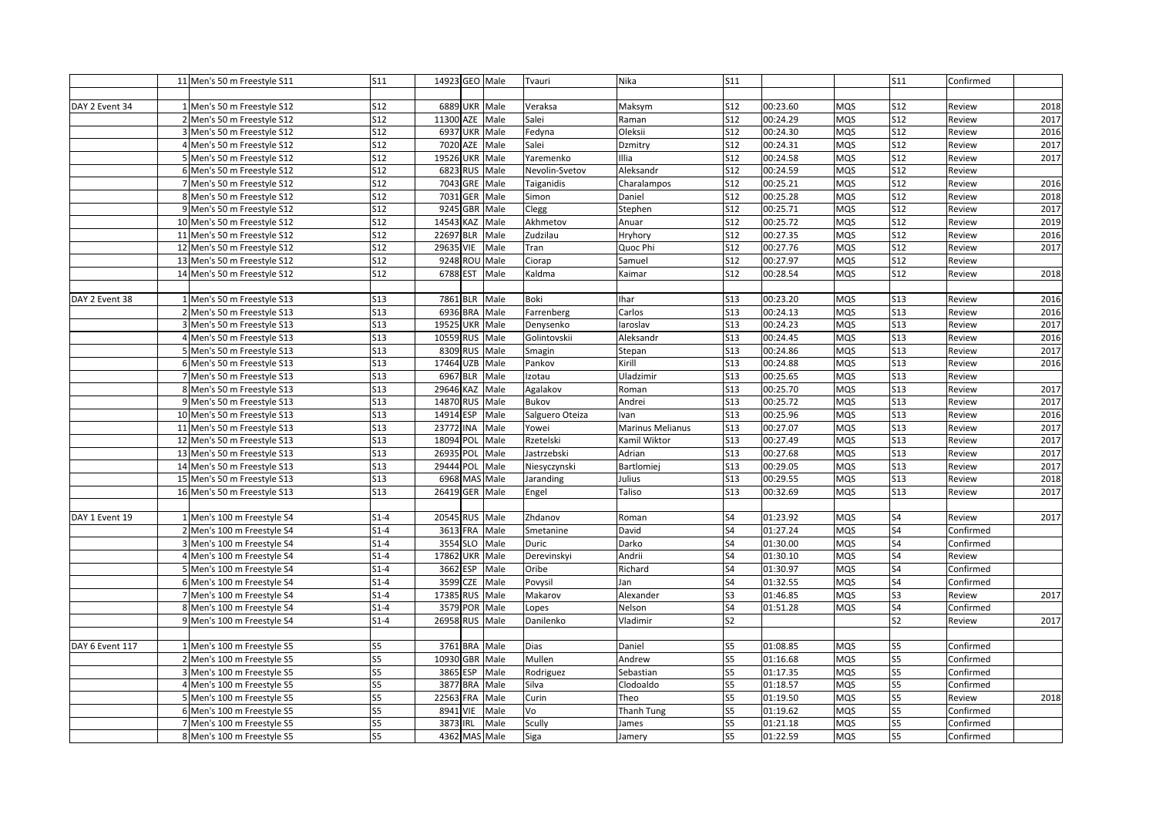|                 | 11 Men's 50 m Freestyle S11    | S11             | 14923 GEO Male |     |               | Tvauri          | <b>Nika</b>      | S11                      |          |            | S11            | Confirmed |      |
|-----------------|--------------------------------|-----------------|----------------|-----|---------------|-----------------|------------------|--------------------------|----------|------------|----------------|-----------|------|
|                 |                                |                 |                |     |               |                 |                  |                          |          |            |                |           |      |
| DAY 2 Event 34  | 1 Men's 50 m Freestyle S12     | S12             | 6889 UKR       |     | Male          | Veraksa         | Maksym           | S12                      | 00:23.60 | <b>MQS</b> | S12            | Review    | 2018 |
|                 | 2 Men's 50 m Freestyle S12     | <b>S12</b>      | 11300 AZE Male |     |               | Salei           | Raman            | S12                      | 00:24.29 | <b>MQS</b> | S12            | Review    | 2017 |
|                 | 3 Men's 50 m Freestyle S12     | <b>S12</b>      | 6937 UKR       |     | Male          | Fedyna          | Oleksii          | <b>S12</b>               | 00:24.30 | <b>MQS</b> | S12            | Review    | 2016 |
|                 | Men's 50 m Freestyle S12       | <b>S12</b>      | 7020 AZE       |     | Male          | Salei           | Dzmitry          | S12                      | 00:24.31 | MQS        | S12            | Review    | 2017 |
|                 | 5 Men's 50 m Freestyle S12     | <b>S12</b>      | 19526 UKR      |     | Male          | Yaremenko       | <b>Illia</b>     | <b>S12</b>               | 00:24.58 | <b>MQS</b> | S12            | Review    | 2017 |
|                 | 6 Men's 50 m Freestyle S12     | <b>S12</b>      | 6823 RUS       |     | Male          | Nevolin-Svetov  | Aleksandr        | <b>S12</b>               | 00:24.59 | <b>MQS</b> | S12            | Review    |      |
|                 | 7 Men's 50 m Freestyle S12     | <b>S12</b>      | 7043 GRE       |     | Male          | Taiganidis      | Charalampos      | S12                      | 00:25.21 | <b>MQS</b> | S12            | Review    | 2016 |
|                 | 8 Men's 50 m Freestyle S12     | <b>S12</b>      | 7031 GER       |     | Male          | Simon           | Daniel           | S12                      | 00:25.28 | <b>MQS</b> | <b>S12</b>     | Review    | 2018 |
|                 | 9 Men's 50 m Freestyle S12     | <b>S12</b>      | 9245 GBR       |     | Male          | Clegg           | Stephen          | <b>S12</b>               | 00:25.71 | <b>MQS</b> | <b>S12</b>     | Review    | 2017 |
|                 | 10 Men's 50 m Freestyle S12    | <b>S12</b>      | 14543 KAZ Male |     |               | Akhmetov        | Anuar            | S12                      | 00:25.72 | <b>MQS</b> | S12            | Review    | 2019 |
|                 | 11 Men's 50 m Freestyle S12    | <b>S12</b>      | 22697 BLR      |     | Male          | Zudzilau        | Hryhory          | S12                      | 00:27.35 | MQS        | S12            | Review    | 2016 |
|                 | 12 Men's 50 m Freestyle S12    | <b>S12</b>      | 29635 VIE      |     | Male          | Tran            | Quoc Phi         | S12                      | 00:27.76 | MQS        | S12            | Review    | 2017 |
|                 | 13 Men's 50 m Freestyle S12    | S12             | 9248 ROU       |     | Male          | Ciorap          | Samuel           | S12                      | 00:27.97 | <b>MQS</b> | S12            | Review    |      |
|                 | 14 Men's 50 m Freestyle S12    | S <sub>12</sub> | 6788 EST       |     | Male          | Kaldma          | Kaimar           | S12                      | 00:28.54 | <b>MQS</b> | S12            | Review    | 2018 |
|                 |                                |                 |                |     |               |                 |                  |                          |          |            |                |           |      |
| DAY 2 Event 38  | 1 Men's 50 m Freestyle S13     | <b>S13</b>      | 7861 BLR       |     | Male          | Boki            | <b>Ihar</b>      | S13                      | 00:23.20 | <b>MQS</b> | S13            | Review    | 2016 |
|                 | 2 Men's 50 m Freestyle S13     | <b>S13</b>      |                |     | 6936 BRA Male | Farrenberg      | Carlos           | S13                      | 00:24.13 | <b>MQS</b> | S13            | Review    | 2016 |
|                 | 3 Men's 50 m Freestyle S13     | <b>S13</b>      | 19525 UKR      |     | Male          | Denysenko       | aroslav          | S13                      | 00:24.23 | <b>MQS</b> | S13            | Review    | 2017 |
|                 | 4 Men's 50 m Freestyle S13     | <b>S13</b>      | 10559 RUS Male |     |               | Golintovskii    | Aleksandr        | S13                      | 00:24.45 | <b>MQS</b> | S13            | Review    | 2016 |
|                 | 5 Men's 50 m Freestyle S13     | <b>S13</b>      | 8309 RUS       |     | Male          | Smagin          | Stepan           | S13                      | 00:24.86 | MQS        | S13            | Review    | 2017 |
|                 | 6 Men's 50 m Freestyle S13     | <b>S13</b>      | 17464 UZB      |     | Male          | Pankov          | Kirill           | S13                      | 00:24.88 | <b>MQS</b> | S13            | Review    | 2016 |
|                 | 7 Men's 50 m Freestyle S13     | <b>S13</b>      | 6967 BLR       |     | Male          | Izotau          | Uladzimir        | <b>S13</b>               | 00:25.65 | <b>MQS</b> | S13            | Review    |      |
|                 | 8 Men's 50 m Freestyle S13     | <b>S13</b>      | 29646 KAZ      |     | Male          | Agalakov        | Roman            | S13                      | 00:25.70 | <b>MQS</b> | <b>S13</b>     | Review    | 2017 |
|                 | 9 Men's 50 m Freestyle S13     | <b>S13</b>      | 14870 RUS      |     | Male          | Bukov           | Andrei           | S13                      | 00:25.72 | <b>MQS</b> | S13            | Review    | 2017 |
|                 | 10 Men's 50 m Freestyle S13    | <b>S13</b>      | 14914 ESP      |     | Male          | Salguero Oteiza | lvan             | S13                      | 00:25.96 | <b>MQS</b> | S13            | Review    | 2016 |
|                 | 11 Men's 50 m Freestyle S13    | <b>S13</b>      | 23772 INA      |     | Male          | Yowei           | Marinus Melianus | S13                      | 00:27.07 | <b>MQS</b> | S13            | Review    | 2017 |
|                 | 12 Men's 50 m Freestyle S13    | <b>S13</b>      | 18094 POL      |     | Male          | Rzetelski       | Kamil Wiktor     | S13                      | 00:27.49 | MQS        | S13            | Review    | 2017 |
|                 | 13 Men's 50 m Freestyle S13    | <b>S13</b>      | 26935          | POL | Male          | Jastrzebski     | Adrian           | <b>S13</b>               | 00:27.68 | <b>MQS</b> | S13            | Review    | 2017 |
|                 | Men's 50 m Freestyle S13<br>14 | <b>S13</b>      | 29444 POL      |     | Male          | Niesyczynski    | Bartlomiej       | S13                      | 00:29.05 | <b>MQS</b> | S13            | Review    | 2017 |
|                 | 15 Men's 50 m Freestyle S13    | <b>S13</b>      | 6968 MAS       |     | Male          | Jaranding       | Julius           | <b>S13</b>               | 00:29.55 | <b>MQS</b> | <b>S13</b>     | Review    | 2018 |
|                 | 16 Men's 50 m Freestyle S13    | <b>S13</b>      | 26419 GER      |     | Male          | Engel           | Taliso           | $\overline{513}$         | 00:32.69 | <b>MQS</b> | S13            | Review    | 2017 |
|                 |                                |                 |                |     |               |                 |                  |                          |          |            |                |           |      |
| DAY 1 Event 19  | 1 Men's 100 m Freestyle S4     | $S1-4$          | 20545 RUS Male |     |               | Zhdanov         | Roman            | S4                       | 01:23.92 | <b>MQS</b> | S4             | Review    | 2017 |
|                 | 2 Men's 100 m Freestyle S4     | $S1-4$          | 3613 FRA       |     | Male          | Smetanine       | David            | S4                       | 01:27.24 | <b>MQS</b> | S4             | Confirmed |      |
|                 | 3 Men's 100 m Freestyle S4     | $S1-4$          | 3554 SLO       |     | Male          | Duric           | Darko            | $\overline{\mathsf{S4}}$ | 01:30.00 | <b>MQS</b> | S4             | Confirmed |      |
|                 | 4 Men's 100 m Freestyle S4     | $S1-4$          | 17862 UKR      |     | Male          | Derevinskyi     | Andrii           | S <sub>4</sub>           | 01:30.10 | MQS        | S4             | Review    |      |
|                 | 5 Men's 100 m Freestyle S4     | $S1-4$          | 3662 ESP       |     | Male          | Oribe           | Richard          | S4                       | 01:30.97 | <b>MQS</b> | S4             | Confirmed |      |
|                 | 6 Men's 100 m Freestyle S4     | $S1-4$          | 3599 CZE       |     | Male          | Povysil         | Jan              | S4                       | 01:32.55 | <b>MQS</b> | S <sub>4</sub> | Confirmed |      |
|                 | 7 Men's 100 m Freestyle S4     | $S1-4$          | 17385 RUS      |     | Male          | Makarov         | Alexander        | S3                       | 01:46.85 | <b>MQS</b> | S3             | Review    | 2017 |
|                 | 8 Men's 100 m Freestyle S4     | $S1-4$          | 3579 POR       |     | Male          | Lopes           | Nelson           | S4                       | 01:51.28 | <b>MQS</b> | S4             | Confirmed |      |
|                 | 9 Men's 100 m Freestyle S4     | $S1-4$          | 26958 RUS      |     | Male          | Danilenko       | Vladimir         | S <sub>2</sub>           |          |            | S <sub>2</sub> | Review    | 2017 |
|                 |                                |                 |                |     |               |                 |                  |                          |          |            |                |           |      |
| DAY 6 Event 117 | 1 Men's 100 m Freestyle S5     | S5              | 3761 BRA       |     | Male          | Dias            | Daniel           | S5                       | 01:08.85 | MQS        | S5             | Confirmed |      |
|                 | 2 Men's 100 m Freestyle S5     | S <sub>5</sub>  | 10930 GBR      |     | Male          | Mullen          | Andrew           | S5                       | 01:16.68 | <b>MQS</b> | S5             | Confirmed |      |
|                 | 3 Men's 100 m Freestyle S5     | S <sub>5</sub>  | 3865 ESP       |     | Male          | Rodriguez       | Sebastian        | S5                       | 01:17.35 | <b>MQS</b> | S5             | Confirmed |      |
|                 | 4 Men's 100 m Freestyle S5     | S <sub>5</sub>  | 3877 BRA       |     | Male          | Silva           | Clodoaldo        | S5                       | 01:18.57 | <b>MQS</b> | S5             | Confirmed |      |
|                 | 5 Men's 100 m Freestyle S5     | S <sub>5</sub>  | 22563 FRA      |     | Male          | Curin           | Theo             | S5                       | 01:19.50 | <b>MQS</b> | S5             | Review    | 2018 |
|                 | 6 Men's 100 m Freestyle S5     | S5              | 8941 VIE       |     | Male          | Vo              | Thanh Tung       | S5                       | 01:19.62 | <b>MQS</b> | S5             | Confirmed |      |
|                 | 7 Men's 100 m Freestyle S5     | S5              | 3873 IRL       |     | Male          | Scully          | James            | S5                       | 01:21.18 | <b>MQS</b> | S5             | Confirmed |      |
|                 | 8 Men's 100 m Freestyle S5     | S5              |                |     | 4362 MAS Male | Siga            | Jamery           | S5                       | 01:22.59 | <b>MQS</b> | S5             | Confirmed |      |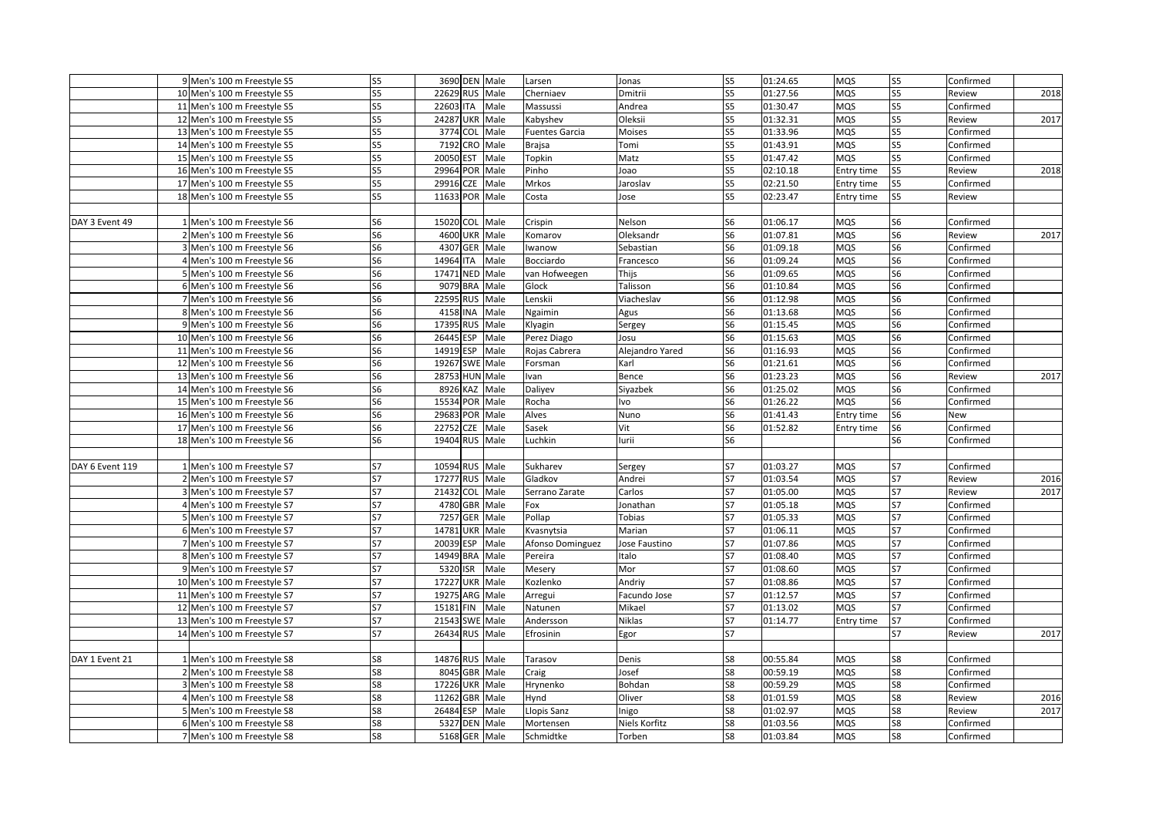|                 | 9 Men's 100 m Freestyle S5  | S <sub>5</sub> |                  | 3690 DEN Male | Larsen                | Jonas           | S <sub>5</sub> | 01:24.65 | <b>MQS</b> | S <sub>5</sub>           | Confirmed |      |
|-----------------|-----------------------------|----------------|------------------|---------------|-----------------------|-----------------|----------------|----------|------------|--------------------------|-----------|------|
|                 | 10 Men's 100 m Freestyle S5 | S5             | 22629 RUS Male   |               | Cherniaev             | Dmitrii         | S5             | 01:27.56 | MQS        | S5                       | Review    | 2018 |
|                 | 11 Men's 100 m Freestyle S5 | S <sub>5</sub> | 22603 ITA        | Male          | Massussi              | Andrea          | S5             | 01:30.47 | MQS        | S5                       | Confirmed |      |
|                 | 12 Men's 100 m Freestyle S5 | S5             | 24287 UKR Male   |               | Kabyshev              | Oleksii         | S <sub>5</sub> | 01:32.31 | MQS        | S5                       | Review    | 2017 |
|                 | 13 Men's 100 m Freestyle S5 | S <sub>5</sub> | 3774 COL         | Male          | <b>Fuentes Garcia</b> | Moises          | S5             | 01:33.96 | MQS        | S5                       | Confirmed |      |
|                 | 14 Men's 100 m Freestyle S5 | S5             | 7192 CRO         | Male          | Brajsa                | Tomi            | S5             | 01:43.91 | MQS        | S5                       | Confirmed |      |
|                 | 15 Men's 100 m Freestyle S5 | S <sub>5</sub> | 20050 EST        | Male          | Topkin                | Matz            | S5             | 01:47.42 | MQS        | S5                       | Confirmed |      |
|                 | 16 Men's 100 m Freestyle S5 | S5             | 29964 POR        | Male          | Pinho                 | Joao            | S5             | 02:10.18 | Entry time | S5                       | Review    | 2018 |
|                 | 17 Men's 100 m Freestyle S5 | S <sub>5</sub> | 29916 CZE        | Male          | Mrkos                 | Jaroslav        | S <sub>5</sub> | 02:21.50 | Entry time | S5                       | Confirmed |      |
|                 | 18 Men's 100 m Freestyle S5 | S <sub>5</sub> | 11633 POR        | Male          | Costa                 | Jose            | S5             | 02:23.47 | Entry time | S5                       | Review    |      |
|                 |                             |                |                  |               |                       |                 |                |          |            |                          |           |      |
| DAY 3 Event 49  | 1 Men's 100 m Freestyle S6  | S <sub>6</sub> | 15020 COL Male   |               | Crispin               | Nelson          | S6             | 01:06.17 | MQS        | S <sub>6</sub>           | Confirmed |      |
|                 | 2 Men's 100 m Freestyle S6  | S <sub>6</sub> | 4600 UKR Male    |               | Komarov               | Oleksandr       | S6             | 01:07.81 | MQS        | S <sub>6</sub>           | Review    | 2017 |
|                 | 3 Men's 100 m Freestyle S6  | S <sub>6</sub> | 4307 GER Male    |               | Iwanow                | Sebastian       | S6             | 01:09.18 | MQS        | S6                       | Confirmed |      |
|                 | 4 Men's 100 m Freestyle S6  | S <sub>6</sub> | 14964 ITA        | Male          | Bocciardo             | Francesco       | S6             | 01:09.24 | MQS        | S6                       | Confirmed |      |
|                 | 5 Men's 100 m Freestyle S6  | S <sub>6</sub> | 17471 NED Male   |               | van Hofweegen         | Thijs           | S <sub>6</sub> | 01:09.65 | MQS        | S6                       | Confirmed |      |
|                 | 6 Men's 100 m Freestyle S6  | S <sub>6</sub> | 9079 BRA         | Male          | Glock                 | Talisson        | S6             | 01:10.84 | MQS        | S6                       | Confirmed |      |
|                 | 7 Men's 100 m Freestyle S6  | S <sub>6</sub> | 22595 RUS        | Male          | Lenskii               | Viacheslav      | S6             | 01:12.98 | MQS        | S6                       | Confirmed |      |
|                 | 8 Men's 100 m Freestyle S6  | S <sub>6</sub> | 4158 INA         | Male          | Ngaimin               | Agus            | S6             | 01:13.68 | MQS        | S6                       | Confirmed |      |
|                 | 9 Men's 100 m Freestyle S6  | S6             | 17395 RUS        | Male          | Klyagin               | Sergey          | S6             | 01:15.45 | MQS        | S6                       | Confirmed |      |
|                 | 10 Men's 100 m Freestyle S6 | S <sub>6</sub> | 26445 ESP        | Male          | Perez Diago           | Josu            | S6             | 01:15.63 | MQS        | S6                       | Confirmed |      |
|                 | 11 Men's 100 m Freestyle S6 | S6             | 14919 ESP        | Male          | Rojas Cabrera         | Alejandro Yared | S6             | 01:16.93 | MQS        | S6                       | Confirmed |      |
|                 | 12 Men's 100 m Freestyle S6 | S <sub>6</sub> | 19267 SWE Male   |               | Forsman               | Karl            | S6             | 01:21.61 | MQS        | S6                       | Confirmed |      |
|                 | 13 Men's 100 m Freestyle S6 | S <sub>6</sub> | 28753 HUN Male   |               | Ivan                  | Bence           | S6             | 01:23.23 | MQS        | S6                       | Review    | 2017 |
|                 | 14 Men's 100 m Freestyle S6 | S <sub>6</sub> | 8926 KAZ         | Male          | Daliyev               | Siyazbek        | S <sub>6</sub> | 01:25.02 | MQS        | S6                       | Confirmed |      |
|                 | 15 Men's 100 m Freestyle S6 | S <sub>6</sub> | 15534 POR        | Male          | Rocha                 | lvo             | S6             | 01:26.22 | MQS        | S <sub>6</sub>           | Confirmed |      |
|                 | 16 Men's 100 m Freestyle S6 | S <sub>6</sub> | 29683 POR Male   |               | Alves                 | Nuno            | S6             | 01:41.43 | Entry time | S6                       | New       |      |
|                 | 17 Men's 100 m Freestyle S6 | S <sub>6</sub> | 22752 CZE        | Male          | Sasek                 | Vit             | S6             | 01:52.82 | Entry time | S6                       | Confirmed |      |
|                 | 18 Men's 100 m Freestyle S6 | S6             | 19404 RUS Male   |               | Luchkin               | urii            | S6             |          |            | S6                       | Confirmed |      |
|                 |                             |                |                  |               |                       |                 |                |          |            |                          |           |      |
| DAY 6 Event 119 | 1 Men's 100 m Freestyle S7  | S7             | 10594 RUS Male   |               | Sukharev              | Sergey          | S7             | 01:03.27 | MQS        | S7                       | Confirmed |      |
|                 | 2 Men's 100 m Freestyle S7  | S7             | 17277 RUS Male   |               | Gladkov               | Andrei          | S7             | 01:03.54 | MQS        | S7                       | Review    | 2016 |
|                 | 3 Men's 100 m Freestyle S7  | S7             | 21432 COL        | Male          | Serrano Zarate        | Carlos          | S7             | 01:05.00 | MQS        | $\overline{\mathsf{S}7}$ | Review    | 2017 |
|                 | 4 Men's 100 m Freestyle S7  | S7             | 4780 GBR Male    |               | Fox                   | Jonathan        | S7             | 01:05.18 | MQS        | S7                       | Confirmed |      |
|                 | 5 Men's 100 m Freestyle S7  | S7             | 7257 GER Male    |               | Pollap                | Tobias          | S7             | 01:05.33 | MQS        | S7                       | Confirmed |      |
|                 | 6 Men's 100 m Freestyle S7  | S7             | 14781 UKR Male   |               | Kvasnytsia            | Marian          | S7             | 01:06.11 | MQS        | S7                       | Confirmed |      |
|                 | 7 Men's 100 m Freestyle S7  | S7             | 20039 ESP        | Male          | Afonso Dominguez      | Jose Faustino   | S7             | 01:07.86 | MQS        | S7                       | Confirmed |      |
|                 | 8 Men's 100 m Freestyle S7  | S7             | 14949 BRA        | Male          | Pereira               | Italo           | S7             | 01:08.40 | MQS        | S7                       | Confirmed |      |
|                 | 9 Men's 100 m Freestyle S7  | S7             | 5320 ISR         | Male          | Mesery                | Mor             | S7             | 01:08.60 | MQS        | S7                       | Confirmed |      |
|                 | 10 Men's 100 m Freestyle S7 | S7             | <b>17227 UKR</b> | Male          | Kozlenko              | Andriy          | S7             | 01:08.86 | MQS        | S7                       | Confirmed |      |
|                 | 11 Men's 100 m Freestyle S7 | S7             | 19275 ARG        | Male          | Arregui               | Facundo Jose    | S7             | 01:12.57 | MQS        | <b>S7</b>                | Confirmed |      |
|                 | 12 Men's 100 m Freestyle S7 | S7             | 15181 FIN        | Male          | Natunen               | Mikael          | S7             | 01:13.02 | MQS        | <b>S7</b>                | Confirmed |      |
|                 | 13 Men's 100 m Freestyle S7 | S7             | 21543 SWE Male   |               | Andersson             | Niklas          | S7             | 01:14.77 | Entry time | <b>S7</b>                | Confirmed |      |
|                 | 14 Men's 100 m Freestyle S7 | S7             | 26434 RUS Male   |               | Efrosinin             |                 | S7             |          |            | S7                       | Review    | 2017 |
|                 |                             |                |                  |               |                       | Egor            |                |          |            |                          |           |      |
|                 |                             | S8             |                  |               |                       |                 |                |          |            |                          |           |      |
| DAY 1 Event 21  | 1 Men's 100 m Freestyle S8  |                | 14876 RUS Male   |               | Tarasov               | Denis           | S8             | 00:55.84 | MQS        | S8                       | Confirmed |      |
|                 | 2 Men's 100 m Freestyle S8  | S8             | 8045 GBR         | Male          | Craig                 | Josef           | S8             | 00:59.19 | MQS        | S8                       | Confirmed |      |
|                 | 3 Men's 100 m Freestyle S8  | S8             | 17226 UKR        | Male          | Hrynenko              | Bohdan          | S8             | 00:59.29 | MQS        | S8                       | Confirmed |      |
|                 | 4 Men's 100 m Freestyle S8  | S8             | 11262 GBR        | Male          | Hynd                  | Oliver          | S8             | 01:01.59 | <b>MQS</b> | S8                       | Review    | 2016 |
|                 | 5 Men's 100 m Freestyle S8  | S8             | 26484 ESP        | Male          | Llopis Sanz           | Inigo           | S8             | 01:02.97 | MQS        | S8                       | Review    | 2017 |
|                 | 6 Men's 100 m Freestyle S8  | S8             | 5327 DEN Male    |               | Mortensen             | Niels Korfitz   | S8             | 01:03.56 | MQS        | S8                       | Confirmed |      |
|                 | 7 Men's 100 m Freestyle S8  | S8             |                  | 5168 GER Male | Schmidtke             | Torben          | S8             | 01:03.84 | MQS        | S8                       | Confirmed |      |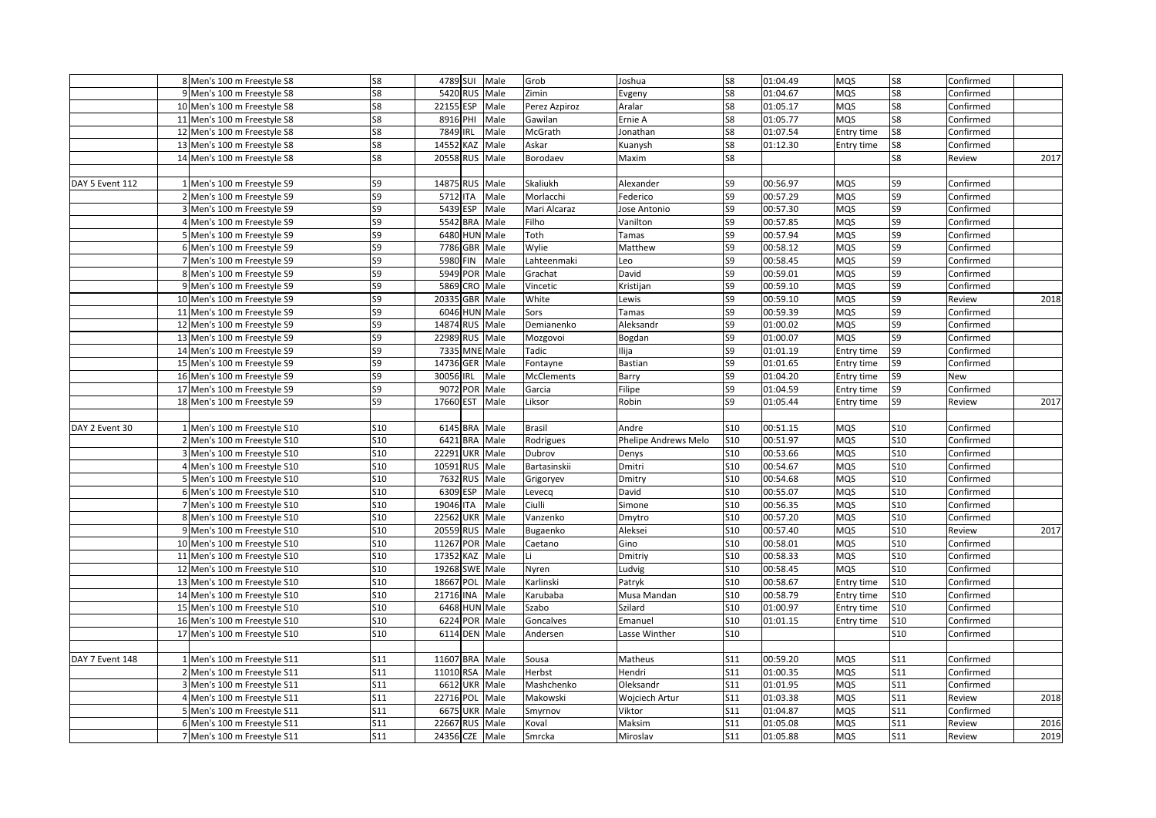|                 | 8 Men's 100 m Freestyle S8   | S8         | 4789 SUI Male      |          | Grob              | Joshua               | S8              | 01:04.49 | <b>MQS</b> | S8         | Confirmed |      |
|-----------------|------------------------------|------------|--------------------|----------|-------------------|----------------------|-----------------|----------|------------|------------|-----------|------|
|                 | 9 Men's 100 m Freestyle S8   | S8         | 5420 RUS           | Male     | Zimin             | Evgeny               | S8              | 01:04.67 | <b>MQS</b> | S8         | Confirmed |      |
|                 | 10 Men's 100 m Freestyle S8  | S8         | 22155 ESP          | Male     | Perez Azpiroz     | Aralar               | S8              | 01:05.17 | MQS        | S8         | Confirmed |      |
|                 | 11 Men's 100 m Freestyle S8  | S8         | 8916 PHI           | Male     | Gawilan           | Ernie A              | S8              | 01:05.77 | <b>MQS</b> | S8         | Confirmed |      |
|                 | 12 Men's 100 m Freestyle S8  | S8         | 7849<br><b>IRL</b> | Male     | McGrath           | Jonathan             | S8              | 01:07.54 | Entry time | S8         | Confirmed |      |
|                 | 13 Men's 100 m Freestyle S8  | S8         | 14552 KAZ          | Male     | Askar             | Kuanysh              | S8              | 01:12.30 | Entry time | S8         | Confirmed |      |
|                 | 14 Men's 100 m Freestyle S8  | S8         | 20558 RUS          | Male     | Borodaev          | Maxim                | S <sub>8</sub>  |          |            | S8         | Review    | 2017 |
|                 |                              |            |                    |          |                   |                      |                 |          |            |            |           |      |
| DAY 5 Event 112 | 1 Men's 100 m Freestyle S9   | S9         | 14875 RUS          | Male     | Skaliukh          | Alexander            | S9              | 00:56.97 | <b>MQS</b> | S9         | Confirmed |      |
|                 | 2 Men's 100 m Freestyle S9   | S9         | 5712 ITA           | Male     | Morlacchi         | ederico              | S9              | 00:57.29 | <b>MQS</b> | S9         | Confirmed |      |
|                 | 3 Men's 100 m Freestyle S9   | S9         | 5439 ESP           | Male     | Mari Alcaraz      | Jose Antonio         | S9              | 00:57.30 | <b>MQS</b> | S9         | Confirmed |      |
|                 | 4 Men's 100 m Freestyle S9   | S9         | 5542 BRA Male      |          | Filho             | Vanilton             | S9              | 00:57.85 | <b>MQS</b> | S9         | Confirmed |      |
|                 | Men's 100 m Freestyle S9     | S9         | 6480 HUN Male      |          | Toth              | Tamas                | S9              | 00:57.94 | <b>MQS</b> | S9         | Confirmed |      |
|                 | 6 Men's 100 m Freestyle S9   | S9         | 7786 GBR Male      |          | Wylie             | Matthew              | S9              | 00:58.12 | <b>MQS</b> | S9         | Confirmed |      |
|                 | 7 Men's 100 m Freestyle S9   | S9         | 5980 FIN           | Male     | Lahteenmaki       | Leo                  | S9              | 00:58.45 | <b>MQS</b> | S9         | Confirmed |      |
|                 | 8 Men's 100 m Freestyle S9   | S9         | 5949 POR Male      |          | Grachat           | David                | S9              | 00:59.01 | <b>MQS</b> | S9         | Confirmed |      |
|                 |                              | S9         | 5869               | CRO Male | Vincetic          |                      | S9              | 00:59.10 | <b>MQS</b> | S9         |           |      |
|                 | 9 Men's 100 m Freestyle S9   | S9         |                    |          |                   | Kristijan            | S9              | 00:59.10 |            | S9         | Confirmed |      |
|                 | 10 Men's 100 m Freestyle S9  |            | 20335 GBR Male     |          | White             | .ewis                |                 |          | <b>MQS</b> | S9         | Review    | 2018 |
|                 | 11 Men's 100 m Freestyle S9  | S9         | 6046 HUN Male      |          | Sors              | Tamas                | S9              | 00:59.39 | <b>MQS</b> |            | Confirmed |      |
|                 | 12 Men's 100 m Freestyle S9  | S9         | 14874 RUS Male     |          | Demianenko        | Aleksandr            | S9              | 01:00.02 | <b>MQS</b> | S9         | Confirmed |      |
|                 | 13 Men's 100 m Freestyle S9  | S9         | 22989<br>RUS Male  |          | Mozgovoi          | Bogdan               | S9              | 01:00.07 | <b>MQS</b> | S9         | Confirmed |      |
|                 | 14 Men's 100 m Freestyle S9  | S9         | 7335 MNE Male      |          | Tadic             | lija                 | S9              | 01:01.19 | Entry time | S9         | Confirmed |      |
|                 | 15 Men's 100 m Freestyle S9  | S9         | 14736<br>GER       | Male     | Fontayne          | <b>Bastian</b>       | S9              | 01:01.65 | Entry time | S9         | Confirmed |      |
|                 | 16 Men's 100 m Freestyle S9  | S9         | IRL<br>30056       | Male     | <b>McClements</b> | Barry                | S9              | 01:04.20 | Entry time | S9         | New       |      |
|                 | 17 Men's 100 m Freestyle S9  | S9         | 9072 POR           | Male     | Garcia            | Filipe               | S9              | 01:04.59 | Entry time | S9         | Confirmed |      |
|                 | 18 Men's 100 m Freestyle S9  | S9         | 17660 EST          | Male     | Liksor            | Robin                | S9              | 01:05.44 | Entry time | S9         | Review    | 2017 |
|                 |                              |            |                    |          |                   |                      |                 |          |            |            |           |      |
| DAY 2 Event 30  | 1 Men's 100 m Freestyle S10  | S10        | 6145 BRA Male      |          | Brasil            | Andre                | S10             | 00:51.15 | <b>MQS</b> | <b>S10</b> | Confirmed |      |
|                 | 2 Men's 100 m Freestyle S10  | S10        | 6421 BRA Male      |          | Rodrigues         | Phelipe Andrews Melo | S10             | 00:51.97 | MQS        | <b>S10</b> | Confirmed |      |
|                 | 3 Men's 100 m Freestyle S10  | S10        | 22291 UKR Male     |          | Dubrov            | Denys                | S10             | 00:53.66 | <b>MQS</b> | <b>S10</b> | Confirmed |      |
|                 | 4 Men's 100 m Freestyle S10  | S10        | 10591 RUS          | Male     | Bartasinskii      | Dmitri               | <b>S10</b>      | 00:54.67 | <b>MQS</b> | <b>S10</b> | Confirmed |      |
|                 | 5 Men's 100 m Freestyle S10  | S10        | 7632 RUS           | Male     | Grigoryev         | Dmitry               | S10             | 00:54.68 | <b>MQS</b> | <b>S10</b> | Confirmed |      |
|                 | 6 Men's 100 m Freestyle S10  | S10        | 6309 ESP           | Male     | Levecq            | David                | S <sub>10</sub> | 00:55.07 | <b>MQS</b> | <b>S10</b> | Confirmed |      |
|                 | 7 Men's 100 m Freestyle S10  | S10        | 19046 ITA          | Male     | Ciulli            | Simone               | S10             | 00:56.35 | <b>MQS</b> | <b>S10</b> | Confirmed |      |
|                 | 8 Men's 100 m Freestyle S10  | S10        | 22562 UKR Male     |          | Vanzenko          | Dmytro               | S10             | 00:57.20 | <b>MQS</b> | <b>S10</b> | Confirmed |      |
|                 | 9 Men's 100 m Freestyle S10  | <b>S10</b> | 20559 RUS Male     |          | Bugaenko          | Aleksei              | <b>S10</b>      | 00:57.40 | <b>MQS</b> | <b>S10</b> | Review    | 2017 |
|                 | 10 Men's 100 m Freestyle S10 | <b>S10</b> | POR Male<br>11267  |          | Caetano           | Gino                 | S10             | 00:58.01 | MQS        | <b>S10</b> | Confirmed |      |
|                 | 11 Men's 100 m Freestyle S10 | S10        | 17352 KAZ          | Male     | Ιi                | Dmitriy              | S <sub>10</sub> | 00:58.33 | <b>MQS</b> | S10        | Confirmed |      |
|                 | 12 Men's 100 m Freestyle S10 | S10        | 19268 SWE          | Male     | Nyren             | udvig                | S10             | 00:58.45 | <b>MQS</b> | S10        | Confirmed |      |
|                 | 13 Men's 100 m Freestyle S10 | S10        | 18667 POL          | Male     | Karlinski         | Patryk               | S <sub>10</sub> | 00:58.67 | Entry time | <b>S10</b> | Confirmed |      |
|                 | 14 Men's 100 m Freestyle S10 | S10        | 21716 INA          | Male     | Karubaba          | Musa Mandan          | S10             | 00:58.79 | Entry time | S10        | Confirmed |      |
|                 | 15 Men's 100 m Freestyle S10 | <b>S10</b> | 6468 HUN Male      |          | Szabo             | Szilard              | S10             | 01:00.97 | Entry time | S10        | Confirmed |      |
|                 | 16 Men's 100 m Freestyle S10 | S10        | 6224 POR Male      |          | Goncalves         | Emanuel              | S10             | 01:01.15 | Entry time | S10        | Confirmed |      |
|                 | 17 Men's 100 m Freestyle S10 | S10        | 6114 DEN Male      |          | Andersen          | Lasse Winther        | S10             |          |            | S10        | Confirmed |      |
|                 |                              |            |                    |          |                   |                      |                 |          |            |            |           |      |
| DAY 7 Event 148 | 1 Men's 100 m Freestyle S11  | S11        | 11607 BRA Male     |          | Sousa             | Matheus              | S11             | 00:59.20 | <b>MQS</b> | <b>S11</b> | Confirmed |      |
|                 | 2 Men's 100 m Freestyle S11  | S11        | 11010 RSA          | Male     | Herbst            | Hendri               | S11             | 01:00.35 | <b>MQS</b> | S11        | Confirmed |      |
|                 | 3 Men's 100 m Freestyle S11  | <b>S11</b> | 6612 UKR Male      |          | Mashchenko        | Oleksandr            | S11             | 01:01.95 | <b>MQS</b> | S11        | Confirmed |      |
|                 | 4 Men's 100 m Freestyle S11  | S11        | 22716 POL          | Male     | Makowski          | Wojciech Artur       | S11             | 01:03.38 | <b>MQS</b> | S11        | Review    | 2018 |
|                 | 5 Men's 100 m Freestyle S11  | S11        | 6675 UKR Male      |          | Smyrnov           | Viktor               | S11             | 01:04.87 | <b>MQS</b> | S11        | Confirmed |      |
|                 | 6 Men's 100 m Freestyle S11  | S11        | 22667 RUS Male     |          | Koval             | Maksim               | S11             | 01:05.08 | <b>MQS</b> | S11        | Review    | 2016 |
|                 | 7 Men's 100 m Freestyle S11  | S11        | 24356 CZE          | Male     | Smrcka            | Miroslav             | S11             | 01:05.88 | MQS        | <b>S11</b> | Review    | 2019 |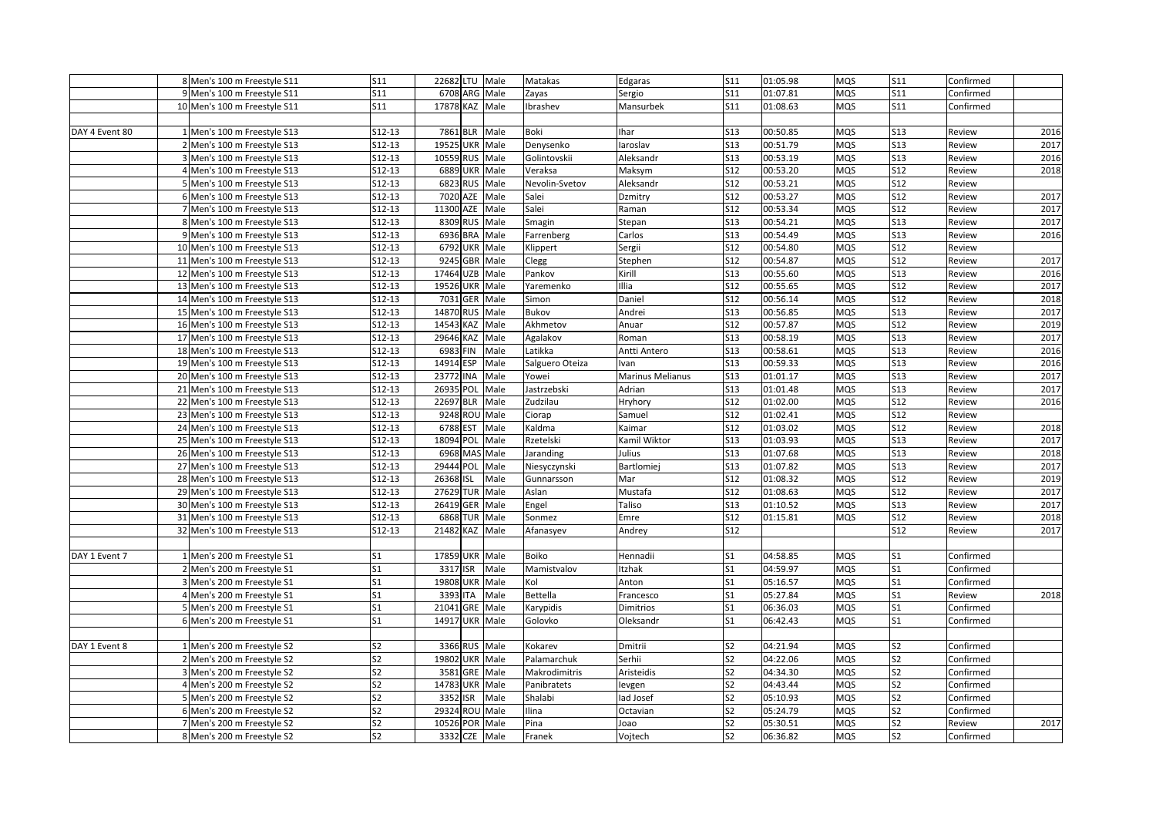|                | 8 Men's 100 m Freestyle S11  | S11                 |           | 22682 LTU Male |                 | Matakas         | Edgaras          | S11            | 01:05.98 | <b>MQS</b> | S11            | Confirmed |      |
|----------------|------------------------------|---------------------|-----------|----------------|-----------------|-----------------|------------------|----------------|----------|------------|----------------|-----------|------|
|                | 9 Men's 100 m Freestyle S11  | S11                 |           | 6708 ARG Male  |                 | Zayas           | Sergio           | S11            | 01:07.81 | <b>MOS</b> | S11            | Confirmed |      |
|                | 10 Men's 100 m Freestyle S11 | S11                 |           | 17878 KAZ Male |                 | Ibrashev        | Mansurbek        | S11            | 01:08.63 | <b>MOS</b> | S11            | Confirmed |      |
|                |                              |                     |           |                |                 |                 |                  |                |          |            |                |           |      |
| DAY 4 Event 80 | 1 Men's 100 m Freestyle S13  | $S12-13$            |           | 7861 BLR Male  |                 | Boki            | <b>Ihar</b>      | S13            | 00:50.85 | MQS        | <b>S13</b>     | Review    | 2016 |
|                | 2 Men's 100 m Freestyle S13  | $S12-13$            |           | 19525 UKR Male |                 | Denysenko       | aroslav          | S13            | 00:51.79 | MQS        | S13            | Review    | 2017 |
|                | 3 Men's 100 m Freestyle S13  | $S12-13$            |           | 10559 RUS Male |                 | Golintovskii    | Aleksandr        | S13            | 00:53.19 | MQS        | <b>S13</b>     | Review    | 2016 |
|                | 4 Men's 100 m Freestyle S13  | $S12-13$            |           | 6889 UKR Male  |                 | Veraksa         | Maksym           | <b>S12</b>     | 00:53.20 | MQS        | S12            | Review    | 2018 |
|                | 5 Men's 100 m Freestyle S13  | $S12-13$            |           | 6823 RUS       | Male            | Nevolin-Svetov  | Aleksandr        | <b>S12</b>     | 00:53.21 | <b>MQS</b> | <b>S12</b>     | Review    |      |
|                | 6 Men's 100 m Freestyle S13  | $S12-13$            |           | 7020 AZE       | Male            | Salei           | Dzmitry          | <b>S12</b>     | 00:53.27 | MQS        | <b>S12</b>     | Review    | 2017 |
|                | 7 Men's 100 m Freestyle S13  | $S12-13$            |           | 11300 AZE      | Male            | Salei           | Raman            | <b>S12</b>     | 00:53.34 | MQS        | <b>S12</b>     | Review    | 2017 |
|                | 8 Men's 100 m Freestyle S13  | $S12-13$            |           | 8309 RUS Male  |                 | Smagin          | Stepan           | <b>S13</b>     | 00:54.21 | MQS        | S13            | Review    | 2017 |
|                | 9 Men's 100 m Freestyle S13  | $S12-13$            |           | 6936 BRA       | Male            | Farrenberg      | Carlos           | S13            | 00:54.49 | MQS        | S13            | Review    | 2016 |
|                | 10 Men's 100 m Freestyle S13 | S12-13              |           | 6792 UKR Male  |                 | <b>Klippert</b> | Sergii           | S12            | 00:54.80 | MQS        | <b>S12</b>     | Review    |      |
|                | 11 Men's 100 m Freestyle S13 | $S12-13$            |           | 9245 GBR Male  |                 | Clegg           | Stephen          | S12            | 00:54.87 | MQS        | S12            | Review    | 2017 |
|                | 12 Men's 100 m Freestyle S13 | S12-13              |           | 17464 UZB Male |                 | Pankov          | Kirill           | S13            | 00:55.60 | <b>MQS</b> | S13            | Review    | 2016 |
|                | 13 Men's 100 m Freestyle S13 | S12-13              |           | 19526 UKR Male |                 | Yaremenko       | Illia            | S12            | 00:55.65 | MQS        | S12            | Review    | 2017 |
|                | 14 Men's 100 m Freestyle S13 | S12-13              | 7031      |                | GER Male        | Simon           | Daniel           | S12            | 00:56.14 | MQS        | <b>S12</b>     | Review    | 2018 |
|                | 15 Men's 100 m Freestyle S13 | S12-13              |           | 14870 RUS Male |                 | Bukov           | Andrei           | S13            | 00:56.85 | MQS        | <b>S13</b>     | Review    | 2017 |
|                | 16 Men's 100 m Freestyle S13 | $S12-13$            |           | 14543 KAZ Male |                 | Akhmetov        | Anuar            | S12            | 00:57.87 | MQS        | <b>S12</b>     | Review    | 2019 |
|                | 17 Men's 100 m Freestyle S13 | S12-13              |           | 29646 KAZ Male |                 | Agalakov        | Roman            | S13            | 00:58.19 | MQS        | <b>S13</b>     | Review    | 2017 |
|                | 18 Men's 100 m Freestyle S13 | $S12-13$            |           | 6983 FIN       | Male            | Latikka         | Antti Antero     | S13            | 00:58.61 | MQS        | S13            | Review    | 2016 |
|                | 19 Men's 100 m Freestyle S13 | S12-13              |           | 14914 ESP Male |                 | Salguero Oteiza | Ivan             | S13            | 00:59.33 | <b>MQS</b> | <b>S13</b>     | Review    | 2016 |
|                | 20 Men's 100 m Freestyle S13 | S12-13              | 23772 INA |                | Male            | Yowei           | Marinus Melianus | S13            | 01:01.17 | <b>MQS</b> | S13            | Review    | 2017 |
|                | 21 Men's 100 m Freestyle S13 | S12-13              | 26935 POL |                | Male            | Jastrzebski     | Adrian           | S13            | 01:01.48 | <b>MQS</b> | <b>S13</b>     | Review    | 2017 |
|                | 22 Men's 100 m Freestyle S13 | $S12-13$            |           | 22697 BLR Male |                 | Zudzilau        | Hryhory          | <b>S12</b>     | 01:02.00 | <b>MQS</b> | <b>S12</b>     | Review    | 2016 |
|                | 23 Men's 100 m Freestyle S13 | S12-13              |           | 9248 ROU Male  |                 | Ciorap          | Samuel           | S12            | 01:02.41 | MQS        | <b>S12</b>     | Review    |      |
|                | 24 Men's 100 m Freestyle S13 | $S12-13$            |           | 6788 EST Male  |                 | Kaldma          | Kaimar           | S12            | 01:03.02 | MQS        | <b>S12</b>     | Review    | 2018 |
|                | 25 Men's 100 m Freestyle S13 | S12-13              |           | 18094 POL Male |                 | Rzetelski       | Kamil Wiktor     | S13            | 01:03.93 | MQS        | <b>S13</b>     | Review    | 2017 |
|                | 26 Men's 100 m Freestyle S13 | $S12-13$            |           | 6968 MAS Male  |                 | Jaranding       | Julius           | S13            | 01:07.68 | <b>MQS</b> | S13            | Review    | 2018 |
|                | 27 Men's 100 m Freestyle S13 | $512 - 13$          |           | 29444 POL Male |                 | Niesyczynski    | Bartlomiej       | S13            | 01:07.82 | <b>MQS</b> | <b>S13</b>     | Review    | 2017 |
|                | 28 Men's 100 m Freestyle S13 | S12-13              | 26368     | <b>ISL</b>     | Male            | Gunnarsson      | Mar              | S12            | 01:08.32 | <b>MQS</b> | <b>S12</b>     | Review    | 2019 |
|                | 29 Men's 100 m Freestyle S13 | $\overline{512-13}$ |           | 27629 TUR Male |                 | Aslan           | Mustafa          | S12            | 01:08.63 | MQS        | <b>S12</b>     | Review    | 2017 |
|                | 30 Men's 100 m Freestyle S13 | S12-13              |           | 26419 GER Male |                 | Engel           | Taliso           | S13            | 01:10.52 | MQS        | S13            | Review    | 2017 |
|                | 31 Men's 100 m Freestyle S13 | $S12-13$            |           | 6868 TUR Male  |                 | Sonmez          | Emre             | S12            | 01:15.81 | MQS        | <b>S12</b>     | Review    | 2018 |
|                | 32 Men's 100 m Freestyle S13 | $S12-13$            |           | 21482 KAZ Male |                 | Afanasyev       | Andrey           | S12            |          |            | <b>S12</b>     | Review    | 2017 |
|                |                              |                     |           |                |                 |                 |                  |                |          |            |                |           |      |
| DAY 1 Event 7  | 1 Men's 200 m Freestyle S1   | S <sub>1</sub>      |           | 17859 UKR Male |                 | Boiko           | Hennadii         | S <sub>1</sub> | 04:58.85 | <b>MQS</b> | S <sub>1</sub> | Confirmed |      |
|                | 2 Men's 200 m Freestyle S1   | S <sub>1</sub>      |           | 3317 ISR Male  |                 | Mamistvalov     | Itzhak           | S <sub>1</sub> | 04:59.97 | MQS        | S <sub>1</sub> | Confirmed |      |
|                | 3 Men's 200 m Freestyle S1   | S <sub>1</sub>      |           | 19808 UKR Male |                 | Kol             | Anton            | S <sub>1</sub> | 05:16.57 | <b>MQS</b> | S <sub>1</sub> | Confirmed |      |
|                | 4 Men's 200 m Freestyle S1   | S <sub>1</sub>      | 3393      | <b>ITA</b>     | Male            | <b>Bettella</b> | Francesco        | S <sub>1</sub> | 05:27.84 | MQS        | S <sub>1</sub> | Review    | 2018 |
|                | 5 Men's 200 m Freestyle S1   | S <sub>1</sub>      |           | 21041 GRE Male |                 | Karypidis       | Dimitrios        | S <sub>1</sub> | 06:36.03 | MQS        | S <sub>1</sub> | Confirmed |      |
|                | 6 Men's 200 m Freestyle S1   | S <sub>1</sub>      |           | 14917 UKR Male |                 | Golovko         | Oleksandr        | S <sub>1</sub> | 06:42.43 | MQS        | S <sub>1</sub> | Confirmed |      |
|                |                              |                     |           |                |                 |                 |                  |                |          |            |                |           |      |
| DAY 1 Event 8  | 1 Men's 200 m Freestyle S2   | S2                  |           | 3366 RUS Male  |                 | Kokarev         | Dmitrii          | S2             | 04:21.94 | MQS        | S <sub>2</sub> | Confirmed |      |
|                | 2 Men's 200 m Freestyle S2   | S <sub>2</sub>      |           | 19802 UKR Male |                 | Palamarchuk     | Serhii           | S <sub>2</sub> | 04:22.06 | MQS        | S <sub>2</sub> | Confirmed |      |
|                | 3 Men's 200 m Freestyle S2   | S <sub>2</sub>      | 3581      |                | <b>GRE</b> Male | Makrodimitris   | Aristeidis       | S <sub>2</sub> | 04:34.30 | MQS        | S <sub>2</sub> | Confirmed |      |
|                | 4 Men's 200 m Freestyle S2   | S2                  |           | 14783 UKR Male |                 | Panibratets     | levgen           | S <sub>2</sub> | 04:43.44 | MQS        | S <sub>2</sub> | Confirmed |      |
|                | 5 Men's 200 m Freestyle S2   | S <sub>2</sub>      | 3352      | ISR            | Male            | Shalabi         | lad Josef        | S <sub>2</sub> | 05:10.93 | MQS        | S <sub>2</sub> | Confirmed |      |
|                | 6 Men's 200 m Freestyle S2   | S <sub>2</sub>      |           | 29324 ROU Male |                 | Ilina           | Octavian         | S <sub>2</sub> | 05:24.79 | MQS        | S <sub>2</sub> | Confirmed |      |
|                | 7 Men's 200 m Freestyle S2   | S <sub>2</sub>      |           | 10526 POR Male |                 | Pina            | Joao             | S <sub>2</sub> | 05:30.51 | MQS        | S <sub>2</sub> | Review    | 2017 |
|                | 8 Men's 200 m Freestyle S2   | S2                  |           | 3332 CZE Male  |                 | Franek          | Vojtech          | S <sub>2</sub> | 06:36.82 | MQS        | S <sub>2</sub> | Confirmed |      |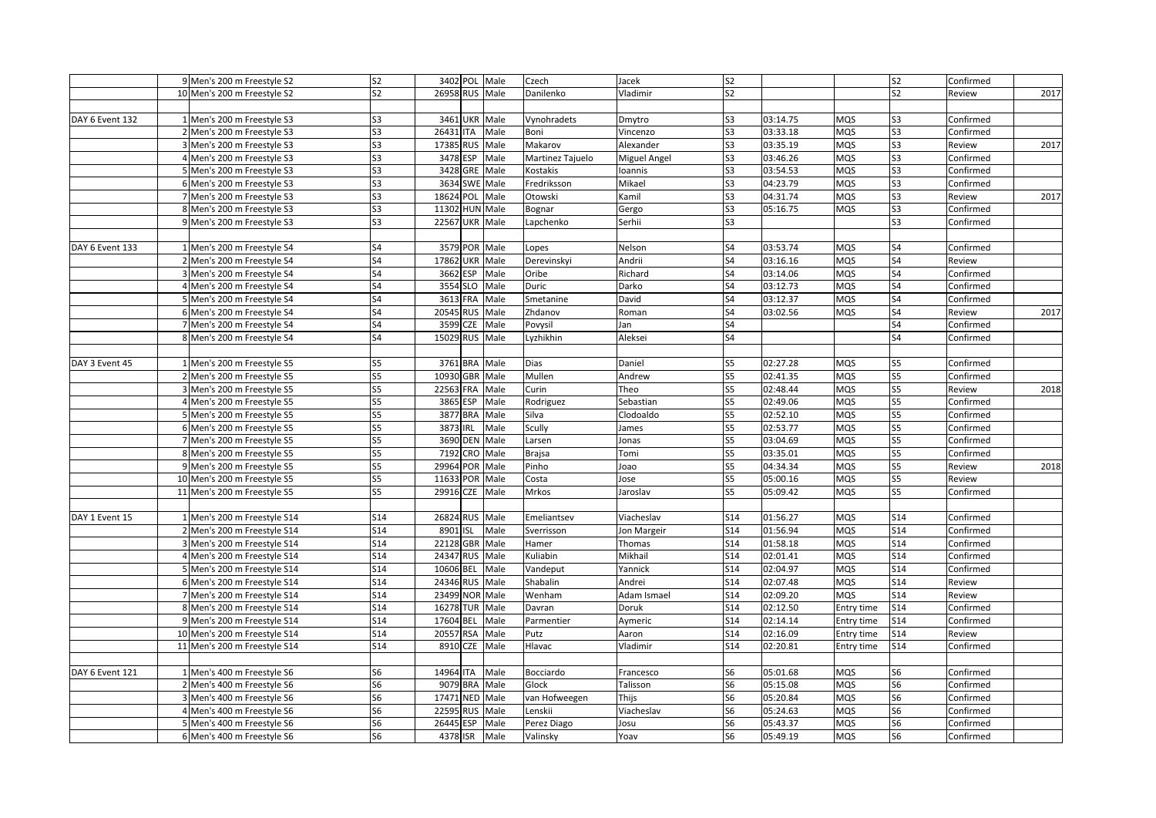|                 | 9 Men's 200 m Freestyle S2   | S <sub>2</sub> | 3402 POL Male  |      | Czech            | Jacek        | S <sub>2</sub>  |          |            | S <sub>2</sub> | Confirmed |      |
|-----------------|------------------------------|----------------|----------------|------|------------------|--------------|-----------------|----------|------------|----------------|-----------|------|
|                 | 10 Men's 200 m Freestyle S2  | S <sub>2</sub> | 26958 RUS Male |      | Danilenko        | Vladimir     | S2              |          |            | S <sub>2</sub> | Review    | 2017 |
|                 |                              |                |                |      |                  |              |                 |          |            |                |           |      |
| DAY 6 Event 132 | 1 Men's 200 m Freestyle S3   | S <sub>3</sub> | 3461 UKR Male  |      | Vynohradets      | Dmytro       | S <sub>3</sub>  | 03:14.75 | MQS        | S <sub>3</sub> | Confirmed |      |
|                 | 2 Men's 200 m Freestyle S3   | S <sub>3</sub> | 26431 ITA      | Male | Boni             | Vincenzo     | S3              | 03:33.18 | MQS        | S <sub>3</sub> | Confirmed |      |
|                 | 3 Men's 200 m Freestyle S3   | S3             | 17385 RUS      | Male | Makarov          | Alexander    | S <sub>3</sub>  | 03:35.19 | MQS        | S3             | Review    | 2017 |
|                 | 4 Men's 200 m Freestyle S3   | S <sub>3</sub> | 3478 ESP       | Male | Martinez Tajuelo | Miguel Angel | S3              | 03:46.26 | MQS        | S3             | Confirmed |      |
|                 | 5 Men's 200 m Freestyle S3   | S <sub>3</sub> | 3428 GRE       | Male | Kostakis         | loannis      | S <sub>3</sub>  | 03:54.53 | MQS        | S3             | Confirmed |      |
|                 | 6 Men's 200 m Freestyle S3   | S <sub>3</sub> | 3634 SWE       | Male | Fredriksson      | Mikael       | S <sub>3</sub>  | 04:23.79 | MQS        | S3             | Confirmed |      |
|                 | 7 Men's 200 m Freestyle S3   | S <sub>3</sub> | 18624 POL      | Male | Otowski          | Kamil        | S3              | 04:31.74 | MQS        | S3             | Review    | 2017 |
|                 | 8 Men's 200 m Freestyle S3   | S <sub>3</sub> | 11302 HUN Male |      | Bognar           | Gergo        | S <sub>3</sub>  | 05:16.75 | MQS        | S <sub>3</sub> | Confirmed |      |
|                 | 9 Men's 200 m Freestyle S3   | S <sub>3</sub> | 22567 UKR Male |      | Lapchenko        | Serhii       | S3              |          |            | S <sub>3</sub> | Confirmed |      |
|                 |                              |                |                |      |                  |              |                 |          |            |                |           |      |
| DAY 6 Event 133 | 1 Men's 200 m Freestyle S4   | S4             | 3579 POR Male  |      | Lopes            | Nelson       | S4              | 03:53.74 | MQS        | S4             | Confirmed |      |
|                 | 2 Men's 200 m Freestyle S4   | S4             | 17862 UKR      | Male | Derevinskyi      | Andrii       | S <sub>4</sub>  | 03:16.16 | MQS        | S4             | Review    |      |
|                 | 3 Men's 200 m Freestyle S4   | S4             | 3662 ESP       | Male | Oribe            | Richard      | S4              | 03:14.06 | MQS        | S4             | Confirmed |      |
|                 | 4 Men's 200 m Freestyle S4   | S4             | 3554 SLO       | Male | Duric            | Darko        | S4              | 03:12.73 | MQS        | S <sub>4</sub> | Confirmed |      |
|                 | 5 Men's 200 m Freestyle S4   | S4             | 3613 FRA       | Male | Smetanine        | David        | S4              | 03:12.37 | <b>MQS</b> | S4             | Confirmed |      |
|                 | 6 Men's 200 m Freestyle S4   | S4             | 20545 RUS Male |      | Zhdanov          | Roman        | S4              | 03:02.56 | <b>MQS</b> | S4             | Review    | 2017 |
|                 | 7 Men's 200 m Freestyle S4   | S4             | 3599 CZE       | Male | Povysil          | Jan          | S4              |          |            | S4             | Confirmed |      |
|                 | 8 Men's 200 m Freestyle S4   | S4             | 15029 RUS Male |      | Lyzhikhin        | Aleksei      | S4              |          |            | S4             | Confirmed |      |
|                 |                              |                |                |      |                  |              |                 |          |            |                |           |      |
| DAY 3 Event 45  | 1 Men's 200 m Freestyle S5   | S5             | 3761 BRA       | Male | Dias             | Daniel       | S5              | 02:27.28 | MQS        | S5             | Confirmed |      |
|                 | 2 Men's 200 m Freestyle S5   | S5             | 10930 GBR      | Male | Mullen           | Andrew       | S5              | 02:41.35 | MQS        | S <sub>5</sub> | Confirmed |      |
|                 | 3 Men's 200 m Freestyle S5   | S5             | 22563 FRA      | Male | Curin            | Theo         | S5              | 02:48.44 | MQS        | S5             | Review    | 2018 |
|                 | 4 Men's 200 m Freestyle S5   | S <sub>5</sub> | 3865 ESP       | Male | Rodriguez        | Sebastian    | S5              | 02:49.06 | MQS        | S5             | Confirmed |      |
|                 | 5 Men's 200 m Freestyle S5   | S5             | 3877 BRA       | Male | Silva            | Clodoaldo    | S5              | 02:52.10 | MQS        | S5             | Confirmed |      |
|                 | 6 Men's 200 m Freestyle S5   | S5             | 3873 IRL       | Male | Scully           | James        | S5              | 02:53.77 | MQS        | S5             | Confirmed |      |
|                 | 7 Men's 200 m Freestyle S5   | S5             | 3690 DEN Male  |      | Larsen           | Jonas        | S5              | 03:04.69 | MQS        | S5             | Confirmed |      |
|                 | 8 Men's 200 m Freestyle S5   | S5             | 7192 CRO       | Male | <b>Brajsa</b>    | Tomi         | S <sub>5</sub>  | 03:35.01 | MQS        | S5             | Confirmed |      |
|                 | 9 Men's 200 m Freestyle S5   | S5             | 29964 POR      | Male | Pinho            | Joao         | S5              | 04:34.34 | MQS        | S5             | Review    | 2018 |
|                 | 10 Men's 200 m Freestyle S5  | S5             | 11633 POR      | Male | Costa            | Jose         | S5              | 05:00.16 | MQS        | S5             | Review    |      |
|                 | 11 Men's 200 m Freestyle S5  | S5             | 29916 CZE      | Male | Mrkos            | Jaroslav     | S5              | 05:09.42 | MQS        | S5             | Confirmed |      |
|                 |                              |                |                |      |                  |              |                 |          |            |                |           |      |
| DAY 1 Event 15  | 1 Men's 200 m Freestyle S14  | S14            | 26824 RUS Male |      | Emeliantsev      | Viacheslav   | S14             | 01:56.27 | MQS        | <b>S14</b>     | Confirmed |      |
|                 | 2 Men's 200 m Freestyle S14  | S14            | 8901 ISL       | Male | Sverrisson       | Jon Margeir  | S14             | 01:56.94 | MQS        | S14            | Confirmed |      |
|                 | 3 Men's 200 m Freestyle S14  | <b>S14</b>     | 22128 GBR Male |      | Hamer            | Thomas       | S14             | 01:58.18 | MQS        | <b>S14</b>     | Confirmed |      |
|                 | 4 Men's 200 m Freestyle S14  | S14            | 24347 RUS      | Male | Kuliabin         | Mikhail      | S <sub>14</sub> | 02:01.41 | MQS        | <b>S14</b>     | Confirmed |      |
|                 | 5 Men's 200 m Freestyle S14  | S14            | 10606 BEL      | Male | Vandeput         | Yannick      | S <sub>14</sub> | 02:04.97 | MQS        | <b>S14</b>     | Confirmed |      |
|                 | 6 Men's 200 m Freestyle S14  | <b>S14</b>     | 24346 RUS      | Male | Shabalin         | Andrei       | S <sub>14</sub> | 02:07.48 | MQS        | <b>S14</b>     | Review    |      |
|                 | 7 Men's 200 m Freestyle S14  | S14            | 23499 NOR Male |      | Wenham           | Adam Ismael  | S14             | 02:09.20 | MQS        | <b>S14</b>     | Review    |      |
|                 | 8 Men's 200 m Freestyle S14  | <b>S14</b>     | 16278 TUR      | Male | Davran           | Doruk        | <b>S14</b>      | 02:12.50 | Entry time | <b>S14</b>     | Confirmed |      |
|                 | 9 Men's 200 m Freestyle S14  | S14            | 17604 BEL      | Male | Parmentier       | Aymeric      | S14             | 02:14.14 | Entry time | S14            | Confirmed |      |
|                 | 10 Men's 200 m Freestyle S14 | <b>S14</b>     | 20557 RSA      | Male | Putz             | Aaron        | S14             | 02:16.09 | Entry time | S14            | Review    |      |
|                 | 11 Men's 200 m Freestyle S14 | <b>S14</b>     | 8910 CZE       | Male | Hlavac           | Vladimir     | S <sub>14</sub> | 02:20.81 | Entry time | S14            | Confirmed |      |
|                 |                              |                |                |      |                  |              |                 |          |            |                |           |      |
| DAY 6 Event 121 | 1 Men's 400 m Freestyle S6   | S <sub>6</sub> | 14964 ITA      | Male | Bocciardo        | Francesco    | S6              | 05:01.68 | MQS        | S6             | Confirmed |      |
|                 | 2 Men's 400 m Freestyle S6   | S <sub>6</sub> | 9079 BRA       | Male | Glock            | Talisson     | S <sub>6</sub>  | 05:15.08 | MQS        | S6             | Confirmed |      |
|                 | 3 Men's 400 m Freestyle S6   | S <sub>6</sub> | 17471 NED      | Male | van Hofweegen    | Thijs        | S6              | 05:20.84 | MQS        | S <sub>6</sub> | Confirmed |      |
|                 | 4 Men's 400 m Freestyle S6   | S6             | 22595 RUS      | Male | Lenskii          | Viacheslav   | S6              | 05:24.63 | MQS        | S6             | Confirmed |      |
|                 | 5 Men's 400 m Freestyle S6   | S <sub>6</sub> | 26445 ESP      | Male | Perez Diago      | Josu         | S6              | 05:43.37 | MQS        | S6             | Confirmed |      |
|                 | 6 Men's 400 m Freestyle S6   | S <sub>6</sub> | 4378 ISR       | Male | Valinsky         | Yoav         | S6              | 05:49.19 | MQS        | S6             | Confirmed |      |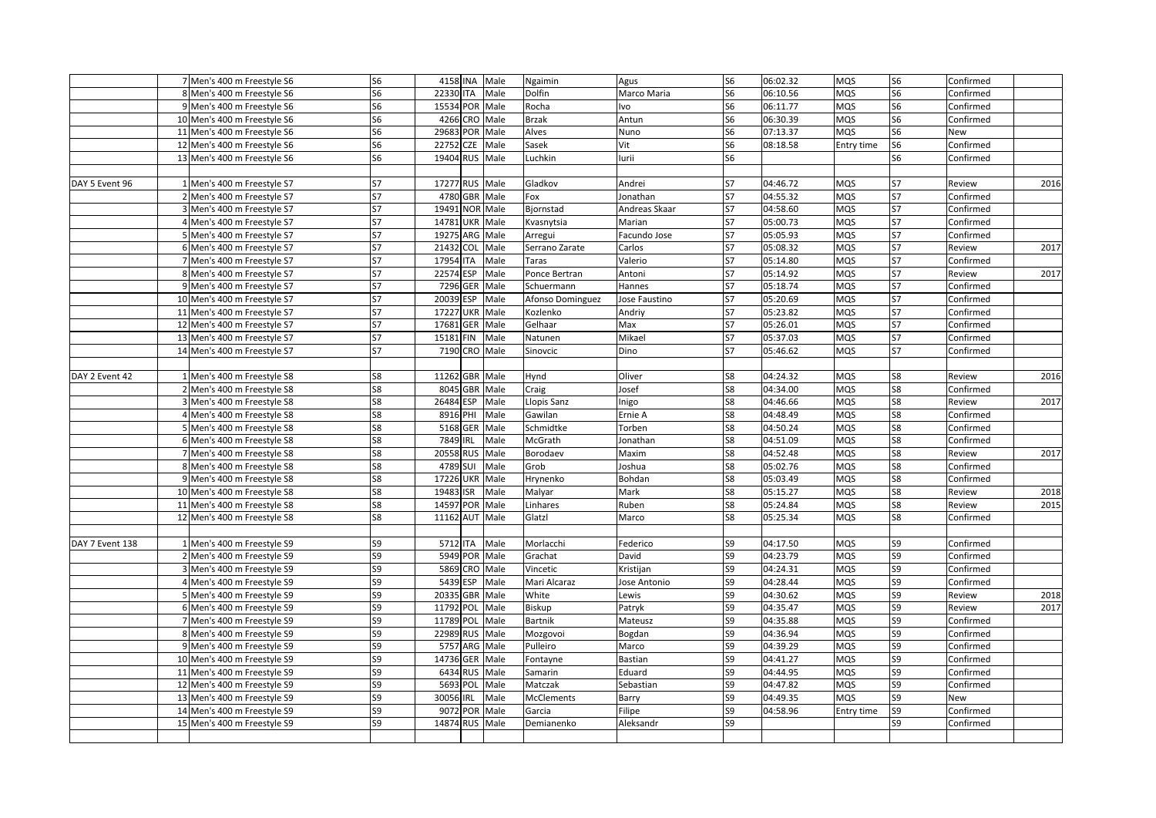|                 | 7 Men's 400 m Freestyle S6  | S <sub>6</sub> |                | 4158 INA Male | Ngaimin           | Agus          | S <sub>6</sub> | 06:02.32 | <b>MQS</b> | S <sub>6</sub> | Confirmed |      |
|-----------------|-----------------------------|----------------|----------------|---------------|-------------------|---------------|----------------|----------|------------|----------------|-----------|------|
|                 | 8 Men's 400 m Freestyle S6  | S <sub>6</sub> | 22330 ITA      | Male          | Dolfin            | Marco Maria   | S6             | 06:10.56 | MQS        | S <sub>6</sub> | Confirmed |      |
|                 | 9 Men's 400 m Freestyle S6  | S <sub>6</sub> | 15534 POR Male |               | Rocha             | <b>VO</b>     | S <sub>6</sub> | 06:11.77 | MQS        | S <sub>6</sub> | Confirmed |      |
|                 | 10 Men's 400 m Freestyle S6 | S <sub>6</sub> | 4266 CRO Male  |               | <b>Brzak</b>      | Antun         | S <sub>6</sub> | 06:30.39 | MQS        | S <sub>6</sub> | Confirmed |      |
|                 | 11 Men's 400 m Freestyle S6 | S <sub>6</sub> | 29683 POR Male |               | Alves             | Nuno          | S6             | 07:13.37 | MQS        | S6             | New       |      |
|                 | 12 Men's 400 m Freestyle S6 | S <sub>6</sub> | 22752 CZE      | Male          | Sasek             | Vit           | S6             | 08:18.58 | Entry time | S6             | Confirmed |      |
|                 | 13 Men's 400 m Freestyle S6 | S <sub>6</sub> | 19404 RUS      | Male          | Luchkin           | lurii         | S6             |          |            | S6             | Confirmed |      |
|                 |                             |                |                |               |                   |               |                |          |            |                |           |      |
| DAY 5 Event 96  | 1 Men's 400 m Freestyle S7  | S7             | 17277 RUS      | Male          | Gladkov           | Andrei        | S7             | 04:46.72 | MQS        | S7             | Review    | 2016 |
|                 | 2 Men's 400 m Freestyle S7  | S7             | 4780 GBR       | Male          | Fox               | Jonathan      | S7             | 04:55.32 | MQS        | <b>S7</b>      | Confirmed |      |
|                 | 3 Men's 400 m Freestyle S7  | S7             | 19491 NOR Male |               | Bjornstad         | Andreas Skaar | S7             | 04:58.60 | MQS        | <b>S7</b>      | Confirmed |      |
|                 | 4 Men's 400 m Freestyle S7  | S7             | 14781 UKR Male |               | Kvasnytsia        | Marian        | <b>S7</b>      | 05:00.73 | MQS        | <b>S7</b>      | Confirmed |      |
|                 | 5 Men's 400 m Freestyle S7  | S7             | 19275 ARG Male |               | Arregui           | Facundo Jose  | S7             | 05:05.93 | MQS        | S7             | Confirmed |      |
|                 | 6 Men's 400 m Freestyle S7  | S7             | 21432 COL      | Male          | Serrano Zarate    | Carlos        | S7             | 05:08.32 | MQS        | S7             | Review    | 2017 |
|                 | 7 Men's 400 m Freestyle S7  | S7             | 17954 ITA      | Male          | Taras             | Valerio       | <b>S7</b>      | 05:14.80 | MQS        | <b>S7</b>      | Confirmed |      |
|                 | 8 Men's 400 m Freestyle S7  | S7             | 22574 ESP      | Male          | Ponce Bertran     | Antoni        | S7             | 05:14.92 | MQS        | <b>S7</b>      | Review    | 2017 |
|                 | 9 Men's 400 m Freestyle S7  | S7             | 7296 GER       | Male          | Schuermann        | Hannes        | <b>S7</b>      | 05:18.74 | MQS        | S7             | Confirmed |      |
|                 | 10 Men's 400 m Freestyle S7 | S7             | 20039 ESP      | Male          | Afonso Dominguez  | Jose Faustino | S7             | 05:20.69 | MQS        | S7             | Confirmed |      |
|                 | 11 Men's 400 m Freestyle S7 | S7             | 17227 UKR      | Male          | Kozlenko          | Andriy        | S7             | 05:23.82 | MQS        | <b>S7</b>      | Confirmed |      |
|                 | 12 Men's 400 m Freestyle S7 | S7             | 17681 GER      | Male          | Gelhaar           | Max           | S7             | 05:26.01 | MQS        | <b>S7</b>      | Confirmed |      |
|                 | 13 Men's 400 m Freestyle S7 | S7             | 15181 FIN      | Male          | Natunen           | Mikael        | S7             | 05:37.03 | MQS        | S7             | Confirmed |      |
|                 | 14 Men's 400 m Freestyle S7 | S7             | 7190 CRO Male  |               | Sinovcic          | Dino          | S7             | 05:46.62 | <b>MQS</b> | S7             | Confirmed |      |
|                 |                             |                |                |               |                   |               |                |          |            |                |           |      |
| DAY 2 Event 42  | 1 Men's 400 m Freestyle S8  | S8             | 11262 GBR      | Male          | Hynd              | Oliver        | S8             | 04:24.32 | <b>MQS</b> | S8             | Review    | 2016 |
|                 | 2 Men's 400 m Freestyle S8  | S8             | 8045 GBR       | Male          | Craig             | Josef         | S8             | 04:34.00 | MQS        | S8             | Confirmed |      |
|                 | 3 Men's 400 m Freestyle S8  | S8             | 26484 ESP      | Male          | Llopis Sanz       | Inigo         | S8             | 04:46.66 | MQS        | S8             | Review    | 2017 |
|                 | 4 Men's 400 m Freestyle S8  | S8             | 8916 PHI       | Male          | Gawilan           | Ernie A       | S8             | 04:48.49 | MQS        | S8             | Confirmed |      |
|                 | 5 Men's 400 m Freestyle S8  | S8             | 5168 GER       | Male          | Schmidtke         | Torben        | S8             | 04:50.24 | MQS        | S8             | Confirmed |      |
|                 | 6 Men's 400 m Freestyle S8  | S8             | 7849 IRL       | Male          | McGrath           | Jonathan      | S8             | 04:51.09 | MQS        | S8             | Confirmed |      |
|                 | 7 Men's 400 m Freestyle S8  | S8             | 20558 RUS Male |               | Borodaev          | Maxim         | S8             | 04:52.48 | MQS        | 58             | Review    | 2017 |
|                 | 8 Men's 400 m Freestyle S8  | S8             | 4789 SUI       | Male          | Grob              | Joshua        | S8             | 05:02.76 | MQS        | S8             | Confirmed |      |
|                 | 9 Men's 400 m Freestyle S8  | S8             | 17226 UKR      | Male          | Hrynenko          | Bohdan        | S8             | 05:03.49 | MQS        | S8             | Confirmed |      |
|                 | 10 Men's 400 m Freestyle S8 | S8             | 19483 ISR      | Male          | Malyar            | Mark          | S8             | 05:15.27 | MQS        | S8             | Review    | 2018 |
|                 | 11 Men's 400 m Freestyle S8 | S8             | 14597 POR      | Male          | Linhares          | Ruben         | S8             | 05:24.84 | MQS        | S8             | Review    | 2015 |
|                 | 12 Men's 400 m Freestyle S8 | S8             | 11162 AUT      | Male          | Glatzl            | Marco         | S8             | 05:25.34 | MQS        | S8             | Confirmed |      |
|                 |                             |                |                |               |                   |               |                |          |            |                |           |      |
| DAY 7 Event 138 | 1 Men's 400 m Freestyle S9  | S9             | 5712 ITA       | Male          | Morlacchi         | Federico      | S9             | 04:17.50 | MQS        | S9             | Confirmed |      |
|                 | 2 Men's 400 m Freestyle S9  | S9             | 5949 POR Male  |               | Grachat           | David         | S9             | 04:23.79 | MQS        | S9             | Confirmed |      |
|                 | 3 Men's 400 m Freestyle S9  | S9             | 5869 CRO Male  |               | Vincetic          | Kristijan     | S9             | 04:24.31 | MQS        | S9             | Confirmed |      |
|                 | 4 Men's 400 m Freestyle S9  | S9             | 5439 ESP       | Male          | Mari Alcaraz      | Jose Antonio  | S <sub>9</sub> | 04:28.44 | MQS        | S9             | Confirmed |      |
|                 | 5 Men's 400 m Freestyle S9  | S9             | 20335 GBR      | Male          | White             | Lewis         | S9             | 04:30.62 | MQS        | S9             | Review    | 2018 |
|                 | 6 Men's 400 m Freestyle S9  | S9             | 11792 POL      | Male          | Biskup            | Patryk        | S9             | 04:35.47 | MQS        | S9             | Review    | 2017 |
|                 | 7 Men's 400 m Freestyle S9  | S9             | 11789 POL      | Male          | <b>Bartnik</b>    | Mateusz       | S9             | 04:35.88 | MQS        | S9             | Confirmed |      |
|                 | 8 Men's 400 m Freestyle S9  | S9             | 22989 RUS Male |               | Mozgovoi          | Bogdan        | S9             | 04:36.94 | <b>MQS</b> | S9             | Confirmed |      |
|                 | 9 Men's 400 m Freestyle S9  | S9             | 5757 ARG Male  |               | Pulleiro          | Marco         | S9             | 04:39.29 | MQS        | S9             | Confirmed |      |
|                 | 10 Men's 400 m Freestyle S9 | S9             | 14736 GER      | Male          | Fontayne          | Bastian       | S9             | 04:41.27 | MQS        | S9             | Confirmed |      |
|                 | 11 Men's 400 m Freestyle S9 | S9             | 6434 RUS       | Male          | Samarin           | Eduard        | S9             | 04:44.95 | MQS        | S9             | Confirmed |      |
|                 | 12 Men's 400 m Freestyle S9 | S9             | 5693 POL       | Male          | Matczak           | Sebastian     | S9             | 04:47.82 | MQS        | S9             | Confirmed |      |
|                 | 13 Men's 400 m Freestyle S9 | S9             | 30056 IRL      | Male          | <b>McClements</b> | Barry         | S9             | 04:49.35 | MQS        | S9             | New       |      |
|                 | 14 Men's 400 m Freestyle S9 | S9             | 9072 POR       | Male          | Garcia            | Filipe        | S9             | 04:58.96 | Entry time | S9             | Confirmed |      |
|                 | 15 Men's 400 m Freestyle S9 | S9             | 14874 RUS      | Male          | Demianenko        | Aleksandr     | S9             |          |            | S9             | Confirmed |      |
|                 |                             |                |                |               |                   |               |                |          |            |                |           |      |
|                 |                             |                |                |               |                   |               |                |          |            |                |           |      |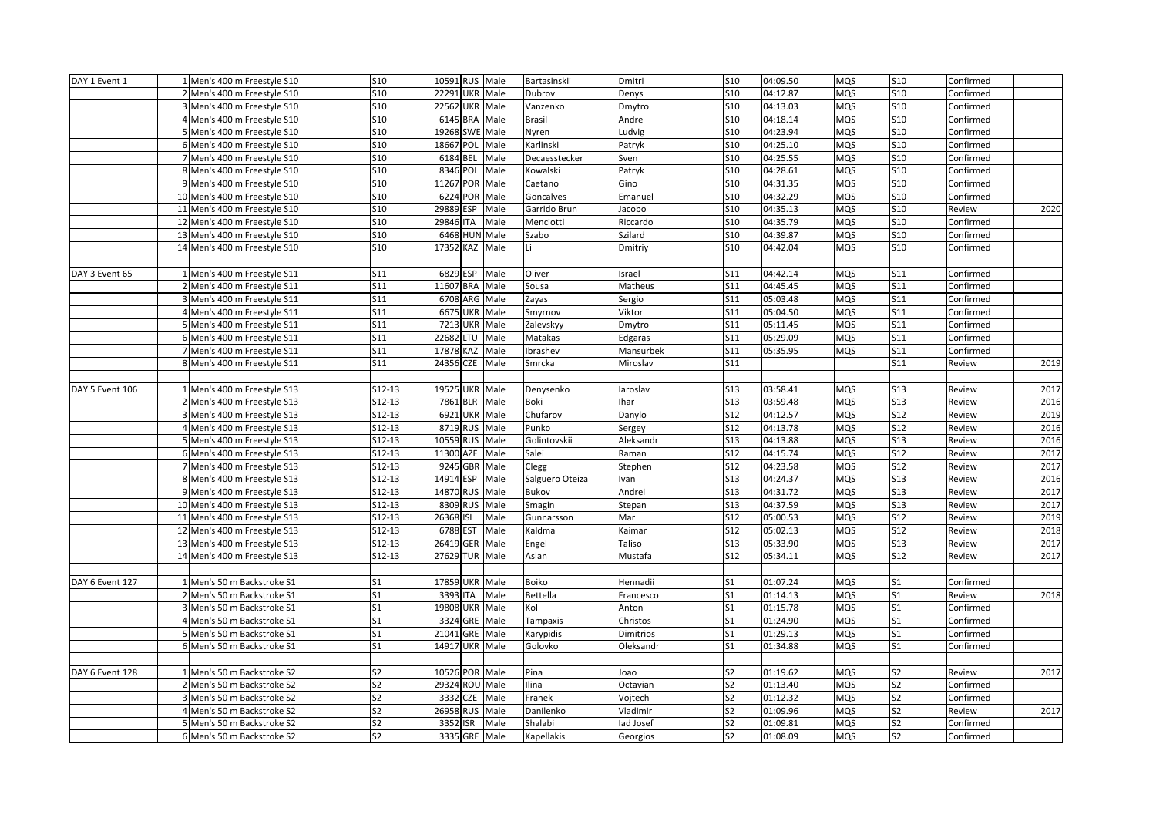| DAY 1 Event 1   | 1 Men's 400 m Freestyle S10  | S10             | 10591 RUS Male |                    | Bartasinskii    | Dmitri    | <b>S10</b>      | 04:09.50 | <b>MQS</b> | <b>S10</b>      | Confirmed |      |
|-----------------|------------------------------|-----------------|----------------|--------------------|-----------------|-----------|-----------------|----------|------------|-----------------|-----------|------|
|                 | 2 Men's 400 m Freestyle S10  | S10             |                | 22291 UKR Male     | Dubrov          | Denys     | <b>S10</b>      | 04:12.87 | <b>MQS</b> | <b>S10</b>      | Confirmed |      |
|                 | 3 Men's 400 m Freestyle S10  | S <sub>10</sub> |                | 22562 UKR Male     | Vanzenko        | Dmytro    | S <sub>10</sub> | 04:13.03 | <b>MQS</b> | S <sub>10</sub> | Confirmed |      |
|                 | 4 Men's 400 m Freestyle S10  | S10             |                | 6145 BRA Male      | Brasil          | Andre     | S10             | 04:18.14 | <b>MQS</b> | <b>S10</b>      | Confirmed |      |
|                 | 5 Men's 400 m Freestyle S10  | <b>S10</b>      |                | 19268 SWE Male     | Nyren           | udvig     | <b>S10</b>      | 04:23.94 | <b>MQS</b> | <b>S10</b>      | Confirmed |      |
|                 | 6 Men's 400 m Freestyle S10  | S10             | 18667 POL      | Male               | Karlinski       | Patryk    | <b>S10</b>      | 04:25.10 | MQS        | S10             | Confirmed |      |
|                 | 7 Men's 400 m Freestyle S10  | <b>S10</b>      | 6184 BEL       | Male               | Decaesstecker   | Sven      | <b>S10</b>      | 04:25.55 | MQS        | S10             | Confirmed |      |
|                 | 8 Men's 400 m Freestyle S10  | <b>S10</b>      | 8346 POL       | Male               | Kowalski        | Patryk    | S <sub>10</sub> | 04:28.61 | <b>MQS</b> | <b>S10</b>      | Confirmed |      |
|                 | 9 Men's 400 m Freestyle S10  | S10             | 11267 POR      | Male               | Caetano         | Gino      | S10             | 04:31.35 | <b>MQS</b> | <b>S10</b>      | Confirmed |      |
|                 | 10 Men's 400 m Freestyle S10 | <b>S10</b>      | 6224 POR       | Male               | Goncalves       | Emanuel   | <b>S10</b>      | 04:32.29 | <b>MQS</b> | S10             | Confirmed |      |
|                 | 11 Men's 400 m Freestyle S10 | <b>S10</b>      | 29889 ESP      | Male               | Garrido Brun    | Jacobo    | S10             | 04:35.13 | <b>MQS</b> | <b>S10</b>      | Review    | 2020 |
|                 | 12 Men's 400 m Freestyle S10 | <b>S10</b>      | 29846 ITA      | Male               | Menciotti       | Riccardo  | <b>S10</b>      | 04:35.79 | <b>MQS</b> | <b>S10</b>      | Confirmed |      |
|                 | 13 Men's 400 m Freestyle S10 | S10             |                | 6468 HUN Male      | Szabo           | Szilard   | S10             | 04:39.87 | <b>MQS</b> | <b>S10</b>      | Confirmed |      |
|                 | 14 Men's 400 m Freestyle S10 | <b>S10</b>      | 17352 KAZ      | Male               |                 | Dmitriy   | <b>S10</b>      | 04:42.04 | MQS        | <b>S10</b>      | Confirmed |      |
|                 |                              |                 |                |                    |                 |           |                 |          |            |                 |           |      |
| DAY 3 Event 65  | 1 Men's 400 m Freestyle S11  | S11             |                | 6829 ESP Male      | Oliver          | Israel    | S11             | 04:42.14 | <b>MQS</b> | S11             | Confirmed |      |
|                 | 2 Men's 400 m Freestyle S11  | S11             | 11607 BRA      | Male               | Sousa           | Matheus   | S11             | 04:45.45 | <b>MQS</b> | <b>S11</b>      | Confirmed |      |
|                 | 3 Men's 400 m Freestyle S11  | S11             |                | 6708 ARG Male      | Zayas           | Sergio    | S11             | 05:03.48 | <b>MQS</b> | S11             | Confirmed |      |
|                 | 4 Men's 400 m Freestyle S11  | S11             |                | 6675 UKR Male      | Smyrnov         | Viktor    | S11             | 05:04.50 | <b>MQS</b> | S11             | Confirmed |      |
|                 | 5 Men's 400 m Freestyle S11  | S11             |                | 7213 UKR Male      | Zalevskyy       | Dmytro    | S11             | 05:11.45 | <b>MQS</b> | S11             | Confirmed |      |
|                 | 6 Men's 400 m Freestyle S11  | <b>S11</b>      |                | 22682 LTU Male     | Matakas         | Edgaras   | S11             | 05:29.09 | <b>MQS</b> | <b>S11</b>      | Confirmed |      |
|                 | 7 Men's 400 m Freestyle S11  | S11             | 17878 KAZ      | Male               | brashev         | Mansurbek | S11             | 05:35.95 | <b>MQS</b> | <b>S11</b>      | Confirmed |      |
|                 | 8 Men's 400 m Freestyle S11  | S11             | 24356 CZE      | Male               | Smrcka          | Miroslav  | S11             |          |            | S11             | Review    | 2019 |
|                 |                              |                 |                |                    |                 |           |                 |          |            |                 |           |      |
| DAY 5 Event 106 | 1 Men's 400 m Freestyle S13  | S12-13          |                | 19525 UKR Male     | Denysenko       | aroslav   | S13             | 03:58.41 | <b>MQS</b> | <b>S13</b>      | Review    | 2017 |
|                 | 2 Men's 400 m Freestyle S13  | $S12-13$        | 7861 BLR       | Male               | Boki            | har       | S13             | 03:59.48 | <b>MQS</b> | <b>S13</b>      | Review    | 2016 |
|                 | 3 Men's 400 m Freestyle S13  | S12-13          |                | 6921 UKR Male      | Chufarov        | Danylo    | S12             | 04:12.57 | <b>MQS</b> | <b>S12</b>      | Review    | 2019 |
|                 | 4 Men's 400 m Freestyle S13  | S12-13          |                | 8719 RUS Male      | Punko           | Sergey    | S12             | 04:13.78 | <b>MQS</b> | <b>S12</b>      | Review    | 2016 |
|                 | 5 Men's 400 m Freestyle S13  | S12-13          |                | 10559 RUS Male     | Golintovskii    | Aleksandr | S13             | 04:13.88 | MQS        | <b>S13</b>      | Review    | 2016 |
|                 | 6 Men's 400 m Freestyle S13  | S12-13          | 11300          | AZE<br>Male        | Salei           | Raman     | S12             | 04:15.74 | <b>MQS</b> | S12             | Review    | 2017 |
|                 | 7 Men's 400 m Freestyle S13  | S12-13          |                | 9245 GBR Male      | Clegg           | Stephen   | S12             | 04:23.58 | <b>MQS</b> | <b>S12</b>      | Review    | 2017 |
|                 | 8 Men's 400 m Freestyle S13  | S12-13          | 14914 ESP      | Male               | Salguero Oteiza | van       | S13             | 04:24.37 | <b>MQS</b> | <b>S13</b>      | Review    | 2016 |
|                 | 9 Men's 400 m Freestyle S13  | S12-13          | 14870          | Male<br><b>RUS</b> | Bukov           | Andrei    | S13             | 04:31.72 | <b>MQS</b> | <b>S13</b>      | Review    | 2017 |
|                 | 10 Men's 400 m Freestyle S13 | S12-13          |                | 8309 RUS Male      | Smagin          | Stepan    | S13             | 04:37.59 | <b>MQS</b> | <b>S13</b>      | Review    | 2017 |
|                 | 11 Men's 400 m Freestyle S13 | $S12-13$        | 26368 ISL      | Male               | Gunnarsson      | Mar       | S12             | 05:00.53 | <b>MQS</b> | <b>S12</b>      | Review    | 2019 |
|                 | 12 Men's 400 m Freestyle S13 | $S12-13$        |                | 6788 EST Male      | Kaldma          | Kaimar    | S12             | 05:02.13 | <b>MQS</b> | S12             | Review    | 2018 |
|                 | 13 Men's 400 m Freestyle S13 | $S12-13$        | 26419          | <b>GER</b> Male    | Engel           | Taliso    | <b>S13</b>      | 05:33.90 | MQS        | <b>S13</b>      | Review    | 2017 |
|                 | 14 Men's 400 m Freestyle S13 | $S12-13$        | 27629 TUR      | Male               | Aslan           | Mustafa   | S <sub>12</sub> | 05:34.11 | <b>MQS</b> | <b>S12</b>      | Review    | 2017 |
|                 |                              |                 |                |                    |                 |           |                 |          |            |                 |           |      |
| DAY 6 Event 127 | 1 Men's 50 m Backstroke S1   | S <sub>1</sub>  |                | 17859 UKR Male     | Boiko           | Hennadii  | S <sub>1</sub>  | 01:07.24 | <b>MQS</b> | S <sub>1</sub>  | Confirmed |      |
|                 | 2 Men's 50 m Backstroke S1   | S <sub>1</sub>  | 3393 ITA       | Male               | Bettella        | Francesco | S <sub>1</sub>  | 01:14.13 | <b>MQS</b> | S <sub>1</sub>  | Review    | 2018 |
|                 | 3 Men's 50 m Backstroke S1   | S <sub>1</sub>  |                | 19808 UKR Male     | Kol             | Anton     | S <sub>1</sub>  | 01:15.78 | <b>MQS</b> | S <sub>1</sub>  | Confirmed |      |
|                 | 4 Men's 50 m Backstroke S1   | S1              |                | 3324 GRE Male      | Tampaxis        | Christos  | S1              | 01:24.90 | <b>MQS</b> | S <sub>1</sub>  | Confirmed |      |
|                 | 5 Men's 50 m Backstroke S1   | S <sub>1</sub>  |                | 21041 GRE Male     | Karypidis       | Dimitrios | S <sub>1</sub>  | 01:29.13 | <b>MQS</b> | S <sub>1</sub>  | Confirmed |      |
|                 | 6 Men's 50 m Backstroke S1   | S <sub>1</sub>  | 14917 UKR      | Male               | Golovko         | Oleksandr | S <sub>1</sub>  | 01:34.88 | MQS        | S <sub>1</sub>  | Confirmed |      |
|                 |                              |                 |                |                    |                 |           |                 |          |            |                 |           |      |
| DAY 6 Event 128 | 1 Men's 50 m Backstroke S2   | S <sub>2</sub>  |                | 10526 POR Male     | Pina            | Joao      | S2              | 01:19.62 | <b>MQS</b> | S <sub>2</sub>  | Review    | 2017 |
|                 | 2 Men's 50 m Backstroke S2   | S2              |                | 29324 ROU Male     | Ilina           | Octavian  | S2              | 01:13.40 | <b>MQS</b> | S <sub>2</sub>  | Confirmed |      |
|                 | 3 Men's 50 m Backstroke S2   | S <sub>2</sub>  | 3332           | CZE<br>Male        | Franek          | Vojtech   | S <sub>2</sub>  | 01:12.32 | <b>MQS</b> | S <sub>2</sub>  | Confirmed |      |
|                 | 4 Men's 50 m Backstroke S2   | S2              | 26958          | <b>RUS</b><br>Male | Danilenko       | Vladimir  | S2              | 01:09.96 | <b>MQS</b> | S <sub>2</sub>  | Review    | 2017 |
|                 | Men's 50 m Backstroke S2     | S2              | 3352 ISR       | Male               | Shalabi         | ad Josef  | S <sub>2</sub>  | 01:09.81 | <b>MQS</b> | S <sub>2</sub>  | Confirmed |      |
|                 | 6 Men's 50 m Backstroke S2   | S <sub>2</sub>  |                | 3335 GRE Male      | Kapellakis      | Georgios  | S <sub>2</sub>  | 01:08.09 | MQS        | S <sub>2</sub>  | Confirmed |      |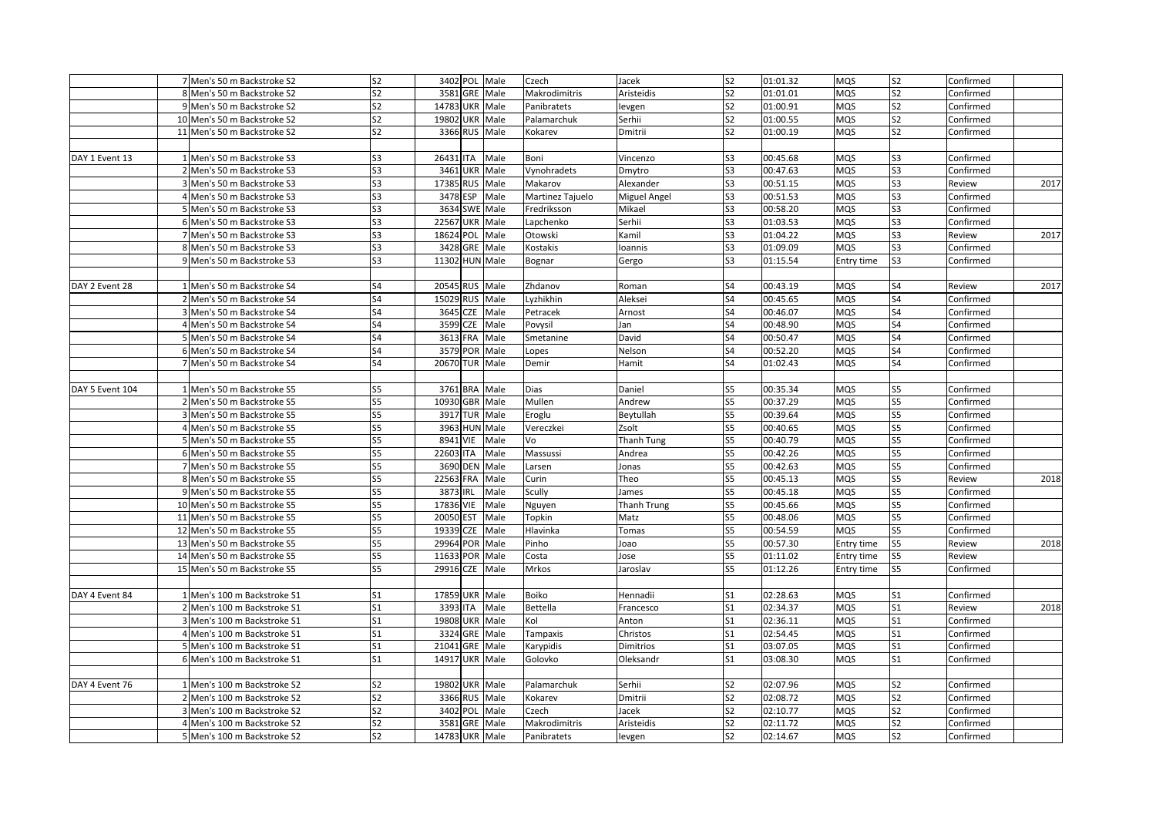|                 | 7 Men's 50 m Backstroke S2  | S <sub>2</sub> |                |               | 3402 POL Male | Czech            | Jacek        | S <sub>2</sub> | 01:01.32 | <b>MQS</b> | S <sub>2</sub>        | Confirmed |      |
|-----------------|-----------------------------|----------------|----------------|---------------|---------------|------------------|--------------|----------------|----------|------------|-----------------------|-----------|------|
|                 | 8 Men's 50 m Backstroke S2  | S <sub>2</sub> |                | 3581 GRE Male |               | Makrodimitris    | Aristeidis   | S <sub>2</sub> | 01:01.01 | MQS        | S <sub>2</sub>        | Confirmed |      |
|                 | 9 Men's 50 m Backstroke S2  | S <sub>2</sub> | 14783 UKR Male |               |               | Panibratets      | levgen       | S <sub>2</sub> | 01:00.91 | MQS        | S <sub>2</sub>        | Confirmed |      |
|                 | 10 Men's 50 m Backstroke S2 | S <sub>2</sub> | 19802 UKR Male |               |               | Palamarchuk      | Serhii       | S <sub>2</sub> | 01:00.55 | MQS        | S <sub>2</sub>        | Confirmed |      |
|                 | 11 Men's 50 m Backstroke S2 | S <sub>2</sub> |                |               | 3366 RUS Male | Kokarev          | Dmitrii      | S <sub>2</sub> | 01:00.19 | MQS        | S <sub>2</sub>        | Confirmed |      |
|                 |                             |                |                |               |               |                  |              |                |          |            |                       |           |      |
| DAY 1 Event 13  | 1 Men's 50 m Backstroke S3  | S <sub>3</sub> | 26431 ITA      |               | Male          | Boni             | Vincenzo     | S3             | 00:45.68 | <b>MQS</b> | S3                    | Confirmed |      |
|                 | 2 Men's 50 m Backstroke S3  | S <sub>3</sub> |                | 3461 UKR      | Male          | Vynohradets      | Dmytro       | S <sub>3</sub> | 00:47.63 | MQS        | S <sub>3</sub>        | Confirmed |      |
|                 | 3 Men's 50 m Backstroke S3  | S <sub>3</sub> | 17385 RUS      |               | Male          | Makarov          | Alexander    | S <sub>3</sub> | 00:51.15 | <b>MQS</b> | S3                    | Review    | 2017 |
|                 | 4 Men's 50 m Backstroke S3  | S <sub>3</sub> |                | 3478 ESP      | Male          | Martinez Tajuelo | Miguel Angel | S3             | 00:51.53 | MQS        | S <sub>3</sub>        | Confirmed |      |
|                 | 5 Men's 50 m Backstroke S3  | S3             |                | 3634 SWE      | Male          | Fredriksson      | Mikael       | S <sub>3</sub> | 00:58.20 | MQS        | S <sub>3</sub>        | Confirmed |      |
|                 | 6 Men's 50 m Backstroke S3  | S <sub>3</sub> | 22567 UKR Male |               |               | Lapchenko        | Serhii       | S3             | 01:03.53 | MQS        | S <sub>3</sub>        | Confirmed |      |
|                 | 7 Men's 50 m Backstroke S3  | S <sub>3</sub> | 18624 POL      |               | Male          | Otowski          | Kamil        | S3             | 01:04.22 | MQS        | S3                    | Review    | 2017 |
|                 | 8 Men's 50 m Backstroke S3  | S <sub>3</sub> |                | 3428 GRE Male |               | Kostakis         | Ioannis      | S3             | 01:09.09 | MQS        | S3                    | Confirmed |      |
|                 | 9 Men's 50 m Backstroke S3  | S <sub>3</sub> | 11302 HUN Male |               |               | Bognar           | Gergo        | S <sub>3</sub> | 01:15.54 | Entry time | S3                    | Confirmed |      |
|                 |                             |                |                |               |               |                  |              |                |          |            |                       |           |      |
| DAY 2 Event 28  | 1 Men's 50 m Backstroke S4  | S <sub>4</sub> | 20545 RUS      |               | Male          | Zhdanov          | Roman        | S4             | 00:43.19 | MQS        | S <sub>4</sub>        | Review    | 2017 |
|                 | 2 Men's 50 m Backstroke S4  | S4             | 15029 RUS Male |               |               | Lyzhikhin        | Aleksei      | S4             | 00:45.65 | MQS        | S4                    | Confirmed |      |
|                 | 3 Men's 50 m Backstroke S4  | S <sub>4</sub> |                | 3645 CZE      | Male          | Petracek         | Arnost       | S <sub>4</sub> | 00:46.07 | MQS        | S <sub>4</sub>        | Confirmed |      |
|                 | 4 Men's 50 m Backstroke S4  | S4             |                | 3599 CZE      | Male          | Povysil          | Jan          | S4             | 00:48.90 | MQS        | S4                    | Confirmed |      |
|                 | 5 Men's 50 m Backstroke S4  | S4             |                | 3613 FRA      | Male          | Smetanine        | David        | S4             | 00:50.47 | MQS        | S4                    | Confirmed |      |
|                 | 6 Men's 50 m Backstroke S4  | S4             |                | 3579 POR      | Male          | Lopes            | Nelson       | S4             | 00:52.20 | MQS        | S4                    | Confirmed |      |
|                 | 7 Men's 50 m Backstroke S4  | S4             | 20670 TUR      |               | Male          | Demir            | Hamit        | S4             | 01:02.43 | MQS        | S4                    | Confirmed |      |
|                 |                             |                |                |               |               |                  |              |                |          |            |                       |           |      |
| DAY 5 Event 104 | 1 Men's 50 m Backstroke S5  | S5             |                | 3761 BRA      | Male          | Dias             | Daniel       | S5             | 00:35.34 | <b>MQS</b> | S5                    | Confirmed |      |
|                 | 2 Men's 50 m Backstroke S5  | S5             | 10930 GBR      |               | Male          | Mullen           | Andrew       | S5             | 00:37.29 | MQS        | S5                    | Confirmed |      |
|                 | 3 Men's 50 m Backstroke S5  | S5             |                | 3917 TUR Male |               | Eroglu           | Beytullah    | S5             | 00:39.64 | MQS        | S5                    | Confirmed |      |
|                 | 4 Men's 50 m Backstroke S5  | S5             |                |               | 3963 HUN Male | Vereczkei        | Zsolt        | S5             | 00:40.65 | MQS        | S5                    | Confirmed |      |
|                 | 5 Men's 50 m Backstroke S5  | S5             |                | 8941 VIE      | Male          | Vo               | Thanh Tung   | S5             | 00:40.79 | MQS        | S5                    | Confirmed |      |
|                 | 6 Men's 50 m Backstroke S5  | S <sub>5</sub> | 22603 ITA      |               | Male          | Massussi         | Andrea       | S5             | 00:42.26 | MQS        | S5                    | Confirmed |      |
|                 | 7 Men's 50 m Backstroke S5  | S5             |                | 3690 DEN      | Male          | Larsen           | Jonas        | S5             | 00:42.63 | MQS        | S5                    | Confirmed |      |
|                 | 8 Men's 50 m Backstroke S5  | S5             | 22563 FRA      |               | Male          | Curin            | Theo         | S5             | 00:45.13 | MQS        | S5                    | Review    | 2018 |
|                 | 9 Men's 50 m Backstroke S5  | S5             | 3873 IRL       |               | Male          | Scully           | James        | S5             | 00:45.18 | MQS        | $\overline{\text{S}}$ | Confirmed |      |
|                 | 10 Men's 50 m Backstroke S5 | S5             | 17836 VIE      |               | Male          | Nguyen           | Thanh Trung  | S5             | 00:45.66 | MQS        | S5                    | Confirmed |      |
|                 | 11 Men's 50 m Backstroke S5 | S5             | 20050 EST      |               | Male          | Topkin           | Matz         | S5             | 00:48.06 | MQS        | S5                    | Confirmed |      |
|                 | 12 Men's 50 m Backstroke S5 | S5             | 19339 CZE      |               | Male          | Hlavinka         | Tomas        | S5             | 00:54.59 | MQS        | S5                    | Confirmed |      |
|                 | 13 Men's 50 m Backstroke S5 | S5             | 29964 POR Male |               |               | Pinho            | Joao         | S5             | 00:57.30 | Entry time | S5                    | Review    | 2018 |
|                 | 14 Men's 50 m Backstroke S5 | S <sub>5</sub> | 11633 POR      |               | Male          | Costa            | Jose         | S5             | 01:11.02 | Entry time | S5                    | Review    |      |
|                 | 15 Men's 50 m Backstroke S5 | S <sub>5</sub> | 29916 CZE      |               | Male          | Mrkos            | Jaroslav     | S5             | 01:12.26 | Entry time | S <sub>5</sub>        | Confirmed |      |
|                 |                             |                |                |               |               |                  |              |                |          |            |                       |           |      |
| DAY 4 Event 84  | 1 Men's 100 m Backstroke S1 | S <sub>1</sub> | 17859 UKR Male |               |               | Boiko            | Hennadii     | S <sub>1</sub> | 02:28.63 | MQS        | S <sub>1</sub>        | Confirmed |      |
|                 | 2 Men's 100 m Backstroke S1 | S <sub>1</sub> | 3393 ITA       |               | Male          | Bettella         | Francesco    | S <sub>1</sub> | 02:34.37 | MQS        | S <sub>1</sub>        | Review    | 2018 |
|                 | 3 Men's 100 m Backstroke S1 | S <sub>1</sub> | 19808 UKR Male |               |               | Kol              | Anton        | S <sub>1</sub> | 02:36.11 | MQS        | S <sub>1</sub>        | Confirmed |      |
|                 | 4 Men's 100 m Backstroke S1 | S <sub>1</sub> |                | 3324 GRE Male |               | <b>Tampaxis</b>  | Christos     | S <sub>1</sub> | 02:54.45 | MQS        | S <sub>1</sub>        | Confirmed |      |
|                 | 5 Men's 100 m Backstroke S1 | S <sub>1</sub> | 21041 GRE      |               | Male          | Karypidis        | Dimitrios    | S <sub>1</sub> | 03:07.05 | MQS        | S <sub>1</sub>        | Confirmed |      |
|                 | 6 Men's 100 m Backstroke S1 | S <sub>1</sub> | 14917 UKR Male |               |               | Golovko          | Oleksandr    | S <sub>1</sub> | 03:08.30 | MQS        | S <sub>1</sub>        | Confirmed |      |
|                 |                             |                |                |               |               |                  |              |                |          |            |                       |           |      |
| DAY 4 Event 76  | 1 Men's 100 m Backstroke S2 | S <sub>2</sub> | 19802 UKR Male |               |               | Palamarchuk      | Serhii       | S2             | 02:07.96 | MQS        | S <sub>2</sub>        | Confirmed |      |
|                 | 2 Men's 100 m Backstroke S2 | S <sub>2</sub> |                |               | 3366 RUS Male | Kokarev          | Dmitrii      | S <sub>2</sub> | 02:08.72 | MQS        | S <sub>2</sub>        | Confirmed |      |
|                 | 3 Men's 100 m Backstroke S2 | S <sub>2</sub> |                | 3402 POL      | Male          | Czech            | Jacek        | S2             | 02:10.77 | MQS        | S <sub>2</sub>        | Confirmed |      |
|                 | 4 Men's 100 m Backstroke S2 | S <sub>2</sub> |                | 3581 GRE Male |               | Makrodimitris    | Aristeidis   | S <sub>2</sub> | 02:11.72 | MQS        | S <sub>2</sub>        | Confirmed |      |
|                 | 5 Men's 100 m Backstroke S2 | S <sub>2</sub> | 14783 UKR Male |               |               | Panibratets      | levgen       | S2             | 02:14.67 | MQS        | S <sub>2</sub>        | Confirmed |      |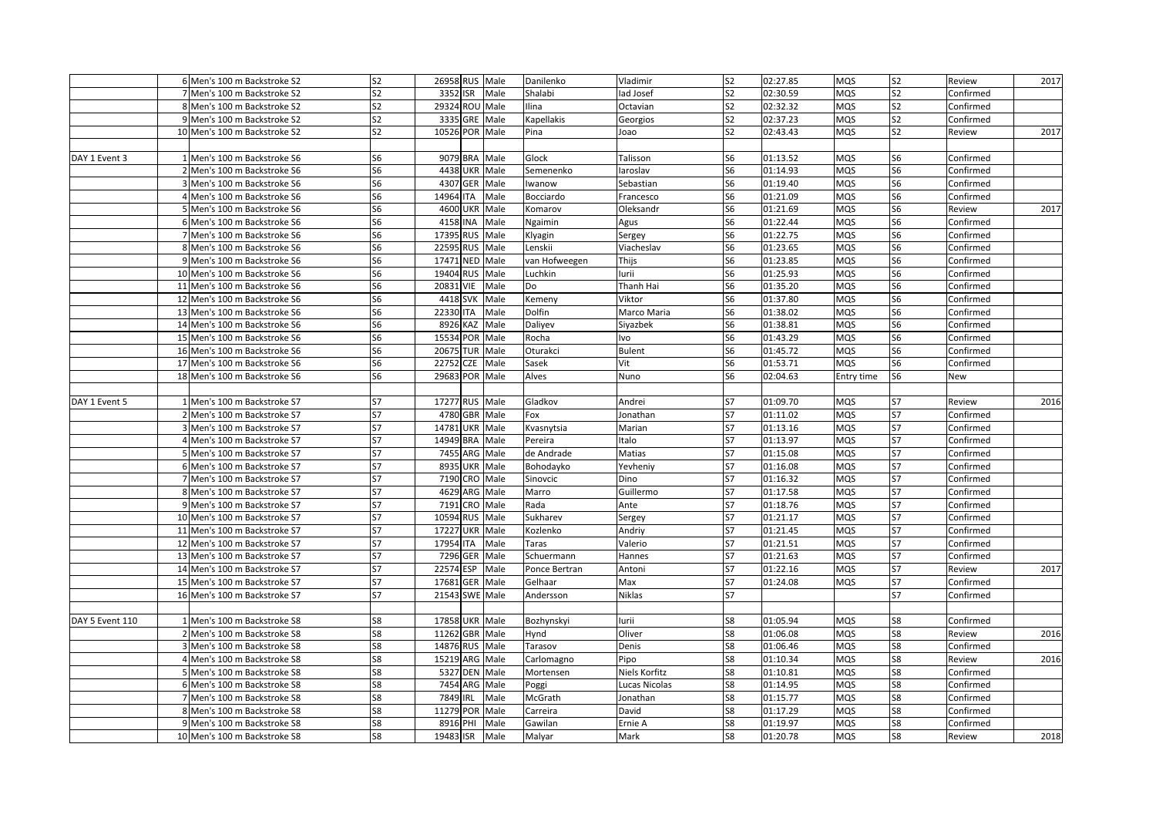|                 | 6 Men's 100 m Backstroke S2  | S <sub>2</sub> |           | 26958 RUS Male                   |                 | Danilenko     | Vladimir             | S <sub>2</sub> | 02:27.85             | MQS               | S <sub>2</sub> | Review              | 2017 |
|-----------------|------------------------------|----------------|-----------|----------------------------------|-----------------|---------------|----------------------|----------------|----------------------|-------------------|----------------|---------------------|------|
|                 | 7 Men's 100 m Backstroke S2  | S <sub>2</sub> |           | 3352 ISR                         | Male            | Shalabi       | lad Josef            | S <sub>2</sub> | 02:30.59             | MQS               | S <sub>2</sub> | Confirmed           |      |
|                 | 8 Men's 100 m Backstroke S2  | S <sub>2</sub> |           | 29324 ROU Male                   |                 | Ilina         | Octavian             | S <sub>2</sub> | 02:32.32             | MQS               | S <sub>2</sub> | Confirmed           |      |
|                 | 9 Men's 100 m Backstroke S2  | S <sub>2</sub> |           | 3335 GRE Male                    |                 | Kapellakis    | Georgios             | S <sub>2</sub> | 02:37.23             | MQS               | S <sub>2</sub> | Confirmed           |      |
|                 | 10 Men's 100 m Backstroke S2 | S <sub>2</sub> |           | 10526 POR Male                   |                 | Pina          | Joao                 | S <sub>2</sub> | 02:43.43             | MQS               | S <sub>2</sub> | Review              | 2017 |
|                 |                              |                |           |                                  |                 |               |                      |                |                      |                   |                |                     |      |
| DAY 1 Event 3   | 1 Men's 100 m Backstroke S6  | S <sub>6</sub> |           | 9079 BRA Male                    |                 | Glock         | Talisson             | S <sub>6</sub> | 01:13.52             | MQS               | S <sub>6</sub> | Confirmed           |      |
|                 | 2 Men's 100 m Backstroke S6  | S <sub>6</sub> |           | 4438 UKR Male                    |                 | Semenenko     | laroslav             | S <sub>6</sub> | 01:14.93             | <b>MQS</b>        | S <sub>6</sub> | Confirmed           |      |
|                 | 3 Men's 100 m Backstroke S6  | S <sub>6</sub> |           | 4307 GER Male                    |                 | Iwanow        | Sebastian            | S <sub>6</sub> | 01:19.40             | MQS               | S <sub>6</sub> | Confirmed           |      |
|                 | 4 Men's 100 m Backstroke S6  | S <sub>6</sub> | 14964 ITA |                                  | Male            | Bocciardo     | Francesco            | S <sub>6</sub> | 01:21.09             | MQS               | S <sub>6</sub> | Confirmed           |      |
|                 | 5 Men's 100 m Backstroke S6  | S <sub>6</sub> |           | 4600 UKR Male                    |                 | Komarov       | Oleksandr            | S <sub>6</sub> | 01:21.69             | <b>MQS</b>        | S <sub>6</sub> | Review              | 2017 |
|                 | 6 Men's 100 m Backstroke S6  | S <sub>6</sub> |           | 4158 INA Male                    |                 | Ngaimin       | Agus                 | S <sub>6</sub> | 01:22.44             | MQS               | S <sub>6</sub> | Confirmed           |      |
|                 | 7 Men's 100 m Backstroke S6  | S <sub>6</sub> |           | 17395 RUS Male                   |                 | Klyagin       | Sergey               | S6             | 01:22.75             | MQS               | S <sub>6</sub> | Confirmed           |      |
|                 | 8 Men's 100 m Backstroke S6  | S6             |           | 22595 RUS Male                   |                 | Lenskii       | Viacheslav           | S6             | 01:23.65             | <b>MQS</b>        | S <sub>6</sub> | Confirmed           |      |
|                 | 9 Men's 100 m Backstroke S6  | S6             |           | 17471 NED Male                   |                 | van Hofweegen | Thijs                | S <sub>6</sub> | 01:23.85             | MQS               | S6             | Confirmed           |      |
|                 | 10 Men's 100 m Backstroke S6 | S <sub>6</sub> | 19404     |                                  | RUS Male        | Luchkin       | lurii                | S6             | 01:25.93             | MQS               | S <sub>6</sub> | Confirmed           |      |
|                 | 11 Men's 100 m Backstroke S6 | S <sub>6</sub> | 20831     | VIE                              | Male            | Do            | Thanh Hai            | S <sub>6</sub> | 01:35.20             | MQS               | S <sub>6</sub> | Confirmed           |      |
|                 | 12 Men's 100 m Backstroke S6 | S <sub>6</sub> |           | 4418 SVK Male                    |                 | Kemeny        | Viktor               | S6             | 01:37.80             | MQS               | S <sub>6</sub> | Confirmed           |      |
|                 | 13 Men's 100 m Backstroke S6 | S <sub>6</sub> | 22330 ITA |                                  | Male            | Dolfin        | Marco Maria          | S <sub>6</sub> | 01:38.02             | MQS               | S <sub>6</sub> | Confirmed           |      |
|                 | 14 Men's 100 m Backstroke S6 | S <sub>6</sub> |           | 8926 KAZ Male                    |                 | Daliyev       | Siyazbek             | S <sub>6</sub> | 01:38.81             | MQS               | S <sub>6</sub> | Confirmed           |      |
|                 | 15 Men's 100 m Backstroke S6 | S <sub>6</sub> |           | 15534 POR Male                   |                 | Rocha         | lvo                  | S <sub>6</sub> | 01:43.29             | MQS               | S <sub>6</sub> | Confirmed           |      |
|                 | 16 Men's 100 m Backstroke S6 | S <sub>6</sub> |           | 20675 TUR Male                   |                 | Oturakci      | <b>Bulent</b>        | S6             | 01:45.72             | <b>MQS</b>        | S6             | Confirmed           |      |
|                 | 17 Men's 100 m Backstroke S6 | S <sub>6</sub> | 22752     | <b>CZE</b>                       | Male            | Sasek         | Vit                  | S <sub>6</sub> | 01:53.71             | MQS               | S <sub>6</sub> | Confirmed           |      |
|                 | 18 Men's 100 m Backstroke S6 | S <sub>6</sub> |           | 29683 POR Male                   |                 | Alves         | Nuno                 | S <sub>6</sub> | 02:04.63             | Entry time        | S <sub>6</sub> | <b>New</b>          |      |
|                 |                              |                |           |                                  |                 |               |                      |                |                      |                   |                |                     |      |
| DAY 1 Event 5   | 1 Men's 100 m Backstroke S7  | S7             |           | 17277 RUS Male                   |                 | Gladkov       | Andrei               | S7             | 01:09.70             | MQS               | S7             | Review              | 2016 |
|                 | 2 Men's 100 m Backstroke S7  | S7             |           | 4780 GBR Male                    |                 | Fox           | Jonathan             | S7             | 01:11.02             | <b>MQS</b>        | S7             | Confirmed           |      |
|                 | 3 Men's 100 m Backstroke S7  | S7             |           | 14781 UKR Male                   |                 | Kvasnytsia    | Marian               | S7             | 01:13.16             | MQS               | S7             | Confirmed           |      |
|                 | 4 Men's 100 m Backstroke S7  | S7             |           | 14949 BRA Male                   |                 | Pereira       | Italo                | S7             | 01:13.97             | MQS               | S7             | Confirmed           |      |
|                 | 5 Men's 100 m Backstroke S7  | S7             |           | 7455 ARG Male                    |                 | de Andrade    | Matias               | S7             | 01:15.08             | MQS               | S7             | Confirmed           |      |
|                 | 6 Men's 100 m Backstroke S7  | S7             | 8935      |                                  | <b>UKR</b> Male | Bohodayko     | Yevheniy             | S7             | 01:16.08             | <b>MQS</b>        | S7             | Confirmed           |      |
|                 | 7 Men's 100 m Backstroke S7  | S7             |           | 7190 CRO Male                    |                 | Sinovcic      | Dino                 | <b>S7</b>      | 01:16.32             | MQS               | S7             | Confirmed           |      |
|                 | 8 Men's 100 m Backstroke S7  | S7             |           | 4629 ARG Male                    |                 | Marro         | Guillermo            | S7             | 01:17.58             | <b>MQS</b>        | S7             | Confirmed           |      |
|                 | 9 Men's 100 m Backstroke S7  | S7             |           | 7191 CRO Male                    |                 | Rada          | Ante                 | S7             | 01:18.76             | <b>MQS</b>        | S7             | Confirmed           |      |
|                 | 10 Men's 100 m Backstroke S7 | S7             |           | 10594 RUS Male                   |                 | Sukharev      | Sergey               | S7             | 01:21.17             | MQS               | S7             | Confirmed           |      |
|                 | 11 Men's 100 m Backstroke S7 | S7             |           | 17227 UKR Male                   |                 | Kozlenko      | Andriy               | S7             | 01:21.45             | MQS               | S7             | Confirmed           |      |
|                 | 12 Men's 100 m Backstroke S7 | S7             | 17954     | <b>ITA</b>                       | Male            | Taras         | Valerio              | S7             | 01:21.51             | MQS               | S7             | Confirmed           |      |
|                 | 13 Men's 100 m Backstroke S7 | S7             | 7296      |                                  | <b>GER Male</b> | Schuermann    | Hannes               | S7             | 01:21.63             | MQS               | S7             | Confirmed           |      |
|                 | 14 Men's 100 m Backstroke S7 | <b>S7</b>      | 22574     | <b>ESP</b>                       | Male            | Ponce Bertran | Antoni               | S7             | 01:22.16             | MQS               | S7             | Review              | 2017 |
|                 | 15 Men's 100 m Backstroke S7 | S7             | 17681     | <b>GER</b>                       | Male            | Gelhaar       | Max                  | S7             | 01:24.08             | MQS               | S7             | Confirmed           |      |
|                 | 16 Men's 100 m Backstroke S7 | <b>S7</b>      |           | 21543 SWE Male                   |                 | Andersson     | <b>Niklas</b>        | S7             |                      |                   | S7             | Confirmed           |      |
|                 |                              |                |           |                                  |                 |               |                      |                |                      |                   |                |                     |      |
| DAY 5 Event 110 | 1 Men's 100 m Backstroke S8  | S8             |           | 17858 UKR Male                   |                 | Bozhynskyi    | lurii                | S8             | 01:05.94             | MQS               | S8             | Confirmed           |      |
|                 | 2 Men's 100 m Backstroke S8  | S8             |           | 11262 GBR Male                   |                 |               | Oliver               | S8             | 01:06.08             | MQS               | S8             | Review              | 2016 |
|                 |                              |                |           |                                  |                 | Hynd          |                      |                |                      |                   |                |                     |      |
|                 | 3 Men's 100 m Backstroke S8  | S8<br>S8       |           | 14876 RUS Male<br>15219 ARG Male |                 | Tarasov       | Denis<br>Pipo        | S8<br>S8       | 01:06.46<br>01:10.34 | MQS<br><b>MQS</b> | S8<br>S8       | Confirmed<br>Review | 2016 |
|                 | 4 Men's 100 m Backstroke S8  | S8             |           |                                  |                 | Carlomagno    |                      | S8             |                      |                   |                |                     |      |
|                 | 5 Men's 100 m Backstroke S8  |                |           | 5327 DEN Male                    |                 | Mortensen     | Niels Korfitz        |                | 01:10.81             | MQS               | S8             | Confirmed           |      |
|                 | 6 Men's 100 m Backstroke S8  | S8             |           | 7454 ARG Male                    |                 | Poggi         | <b>Lucas Nicolas</b> | S8             | 01:14.95             | MQS               | S8             | Confirmed           |      |
|                 | 7 Men's 100 m Backstroke S8  | S8             |           | 7849 IRL                         | Male            | McGrath       | Jonathan             | S8<br>S8       | 01:15.77             | MQS               | S8             | Confirmed           |      |
|                 | 8 Men's 100 m Backstroke S8  | S8             |           | 11279 POR Male                   |                 | Carreira      | David                |                | 01:17.29             | MQS               | S8             | Confirmed           |      |
|                 | 9 Men's 100 m Backstroke S8  | S8             |           | 8916 PHI                         | Male            | Gawilan       | Ernie A              | S8             | 01:19.97             | MQS               | S8             | Confirmed           |      |
|                 | 10 Men's 100 m Backstroke S8 | S8             |           | 19483 ISR                        | Male            | Malyar        | Mark                 | S8             | 01:20.78             | MQS               | S8             | Review              | 2018 |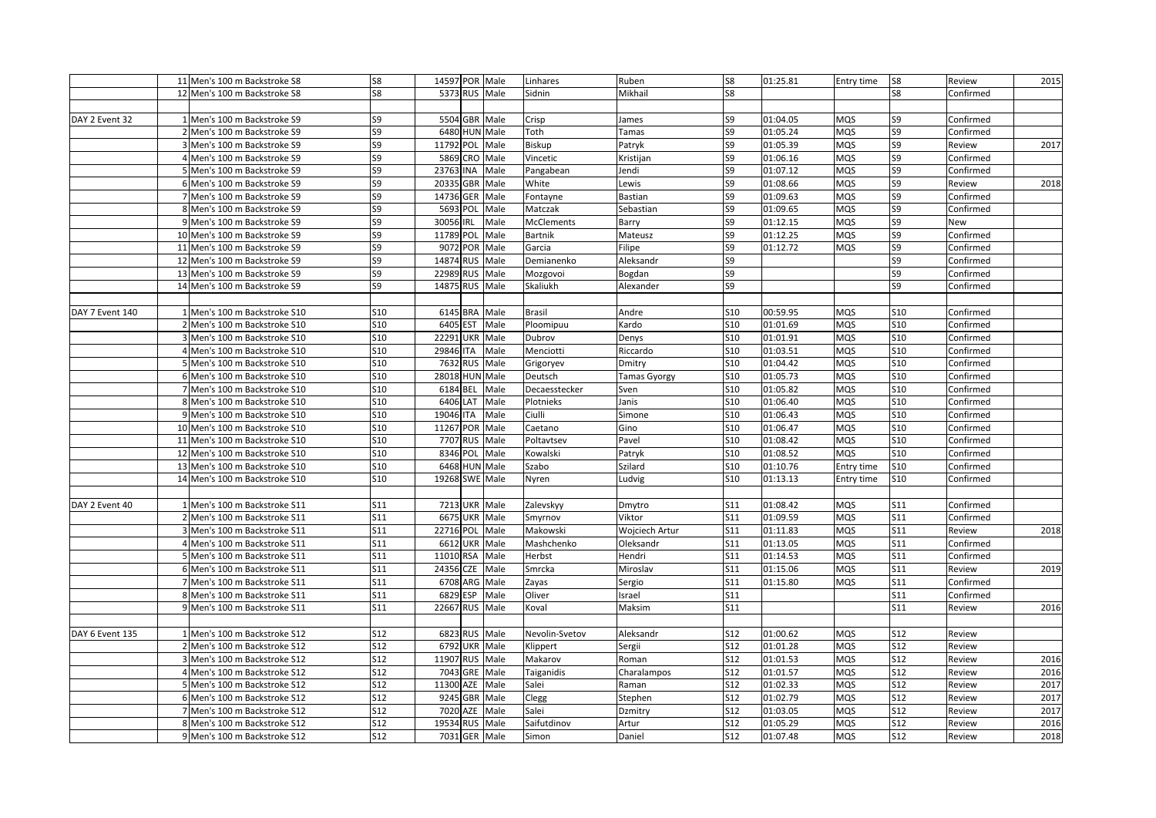|                 | 11 Men's 100 m Backstroke S8  | S8              | 14597 POR Male      |                 | Linhares            | Ruben          | S8                     | 01:25.81 | Entry time               | S8                       | Review              | 2015 |
|-----------------|-------------------------------|-----------------|---------------------|-----------------|---------------------|----------------|------------------------|----------|--------------------------|--------------------------|---------------------|------|
|                 | 12 Men's 100 m Backstroke S8  | S8              | 5373 RUS Male       |                 | Sidnin              | Mikhail        | S8                     |          |                          | S8                       | Confirmed           |      |
|                 |                               |                 |                     |                 |                     |                |                        |          |                          |                          |                     |      |
| DAY 2 Event 32  | 1 Men's 100 m Backstroke S9   | S9              | 5504 GBR Male       |                 | Crisp               | James          | S9                     | 01:04.05 | <b>MQS</b>               | S9                       | Confirmed           |      |
|                 | 2 Men's 100 m Backstroke S9   | S9              | 6480 HUN Male       |                 | Toth                | Tamas          | S9                     | 01:05.24 | <b>MQS</b>               | S9                       | Confirmed           |      |
|                 | 3 Men's 100 m Backstroke S9   | S9              | 11792 POL Male      |                 | Biskup              | Patryk         | S9                     | 01:05.39 | <b>MQS</b>               | S9                       | Review              | 2017 |
|                 | 4 Men's 100 m Backstroke S9   | S9              | 5869                | CRO Male        | Vincetic            | Kristijan      | S9                     | 01:06.16 | MQS                      | S9                       | Confirmed           |      |
|                 | 5 Men's 100 m Backstroke S9   | S9              | 23763 INA           | Male            | Pangabean           | Jendi          | S9                     | 01:07.12 | MQS                      | S9                       | Confirmed           |      |
|                 | 6 Men's 100 m Backstroke S9   | S9              | 20335               | <b>GBR</b> Male | White               | .ewis          | S9                     | 01:08.66 | <b>MQS</b>               | S9                       | Review              | 2018 |
|                 | 7 Men's 100 m Backstroke S9   | S9              | <b>GER</b><br>14736 | Male            | Fontayne            | Bastian        | S9                     | 01:09.63 | <b>MQS</b>               | S9                       | Confirmed           |      |
|                 | 8 Men's 100 m Backstroke S9   | S9              | 5693 POL            | Male            | Matczak             | Sebastian      | S9                     | 01:09.65 | <b>MQS</b>               | S9                       | Confirmed           |      |
|                 | 9 Men's 100 m Backstroke S9   | S9              | 30056<br><b>IRL</b> | Male            | <b>McClements</b>   | Barry          | S9                     | 01:12.15 | <b>MQS</b>               | S9                       | New                 |      |
|                 | 10 Men's 100 m Backstroke S9  | S9              | 11789 POL Male      |                 | Bartnik             | Mateusz        | S9                     | 01:12.25 | <b>MQS</b>               | S9                       | Confirmed           |      |
|                 | 11 Men's 100 m Backstroke S9  | S9              | 9072 POR Male       |                 | Garcia              | Filipe         | S9                     | 01:12.72 | <b>MQS</b>               | S9                       | Confirmed           |      |
|                 | 12 Men's 100 m Backstroke S9  | S9              | 14874 RUS           | Male            | Demianenko          | Aleksandr      | S9                     |          |                          | S9                       | Confirmed           |      |
|                 | 13 Men's 100 m Backstroke S9  | S9              | 22989 RUS Male      |                 | Mozgovoi            | Bogdan         | S9                     |          |                          | S9                       | Confirmed           |      |
|                 | 14 Men's 100 m Backstroke S9  | S9              | 14875 RUS           | Male            | Skaliukh            | Alexander      | S9                     |          |                          | S9                       | Confirmed           |      |
|                 |                               |                 |                     |                 |                     |                |                        |          |                          |                          |                     |      |
| DAY 7 Event 140 | 1 Men's 100 m Backstroke S10  | S10             | 6145 BRA            | Male            | Brasil              | Andre          | S10                    | 00:59.95 | <b>MQS</b>               | <b>S10</b>               | Confirmed           |      |
|                 | 2 Men's 100 m Backstroke S10  | S10             | 6405 EST Male       |                 | Ploomipuu           | Kardo          | S10                    | 01:01.69 | <b>MQS</b>               | <b>S10</b>               | Confirmed           |      |
|                 | 3 Men's 100 m Backstroke S10  | S10             | 22291 UKR Male      |                 | Dubrov              | Denys          | S10                    | 01:01.91 | <b>MQS</b>               | <b>S10</b>               | Confirmed           |      |
|                 | 4 Men's 100 m Backstroke S10  | S10             | 29846 ITA           | Male            | Menciotti           | Riccardo       | S10                    | 01:03.51 | <b>MQS</b>               | <b>S10</b>               | Confirmed           |      |
|                 | 5 Men's 100 m Backstroke S10  | <b>S10</b>      | 7632 RUS Male       |                 | Grigoryev           | Dmitry         | S10                    | 01:04.42 | MQS                      | <b>S10</b>               | Confirmed           |      |
|                 | 6 Men's 100 m Backstroke S10  | S10             | 28018 HUN Male      |                 | Deutsch             | Tamas Gyorgy   | S10                    | 01:05.73 | <b>MQS</b>               | S10                      | Confirmed           |      |
|                 | 7 Men's 100 m Backstroke S10  | S10             | 6184 BEL            | Male            | Decaesstecker       | Sven           | S10                    | 01:05.82 | <b>MQS</b>               | <b>S10</b>               | Confirmed           |      |
|                 | 8 Men's 100 m Backstroke S10  | S10             | 6406 LAT            | Male            | Plotnieks           | Janis          | S10                    | 01:06.40 | <b>MQS</b>               | <b>S10</b>               | Confirmed           |      |
|                 | 9 Men's 100 m Backstroke S10  | S10             | 19046 ITA           | Male            | Ciulli              | Simone         | S10                    | 01:06.43 | <b>MQS</b>               | <b>S10</b>               | Confirmed           |      |
|                 | 10 Men's 100 m Backstroke S10 | <b>S10</b>      | 11267 POR Male      |                 | Caetano             | Gino           | S10                    | 01:06.47 | <b>MQS</b>               | <b>S10</b>               | Confirmed           |      |
|                 | 11 Men's 100 m Backstroke S10 | S10             | 7707 RUS Male       |                 | Poltavtsev          | Pavel          | S10                    | 01:08.42 | <b>MQS</b>               | <b>S10</b>               | Confirmed           |      |
|                 | 12 Men's 100 m Backstroke S10 | <b>S10</b>      | 8346 POL Male       |                 | Kowalski            | Patryk         | S <sub>10</sub>        | 01:08.52 | <b>MQS</b>               | S10                      | Confirmed           |      |
|                 | 13 Men's 100 m Backstroke S10 | S10             | 6468 HUN Male       |                 | Szabo               | Szilard        | S10                    | 01:10.76 | Entry time               | S10                      | Confirmed           |      |
|                 | 14 Men's 100 m Backstroke S10 | S10             | 19268 SWE Male      |                 | Nyren               |                | <b>S10</b>             | 01:13.13 | Entry time               | S10                      | Confirmed           |      |
|                 |                               |                 |                     |                 |                     | Ludvig         |                        |          |                          |                          |                     |      |
| DAY 2 Event 40  | 1 Men's 100 m Backstroke S11  | S11             | 7213 UKR Male       |                 | Zalevskyy           | Dmytro         | S11                    | 01:08.42 | <b>MQS</b>               | S11                      | Confirmed           |      |
|                 | 2 Men's 100 m Backstroke S11  | S11             | 6675 UKR Male       |                 |                     | Viktor         | S11                    | 01:09.59 | <b>MQS</b>               | S11                      | Confirmed           |      |
|                 | 3 Men's 100 m Backstroke S11  | S11             | 22716 POL Male      |                 | Smyrnov<br>Makowski | Wojciech Artur | S11                    | 01:11.83 | <b>MQS</b>               | <b>S11</b>               |                     | 2018 |
|                 | 4 Men's 100 m Backstroke S11  | S <sub>11</sub> | 6612 UKR Male       |                 | Mashchenko          | Oleksandr      | S <sub>11</sub>        | 01:13.05 | <b>MQS</b>               | <b>S11</b>               | Review<br>Confirmed |      |
|                 | 5 Men's 100 m Backstroke S11  | S11             | 11010<br><b>RSA</b> | Male            |                     | Hendri         | S11                    | 01:14.53 |                          |                          | Confirmed           |      |
|                 | 6 Men's 100 m Backstroke S11  | S <sub>11</sub> | 24356 CZE Male      |                 | Herbst<br>Smrcka    | Miroslav       | S11                    | 01:15.06 | <b>MQS</b><br><b>MQS</b> | <b>S11</b><br><b>S11</b> | Review              | 2019 |
|                 |                               |                 | 6708 ARG Male       |                 |                     |                |                        |          |                          |                          |                     |      |
|                 | 7 Men's 100 m Backstroke S11  | S11             | 6829 ESP            |                 | Zayas               | Sergio         | S11                    | 01:15.80 | <b>MQS</b>               | <b>S11</b>               | Confirmed           |      |
|                 | 8 Men's 100 m Backstroke S11  | S11<br>S11      |                     | Male            | Oliver              | srael          | S11<br>S <sub>11</sub> |          |                          | S11                      | Confirmed           |      |
|                 | 9 Men's 100 m Backstroke S11  |                 | 22667 RUS           | Male            | Koval               | Maksim         |                        |          |                          | <b>S11</b>               | Review              | 2016 |
|                 |                               |                 |                     |                 |                     |                |                        |          |                          |                          |                     |      |
| DAY 6 Event 135 | 1 Men's 100 m Backstroke S12  | S12             | 6823 RUS Male       |                 | Nevolin-Svetov      | Aleksandr      | S12                    | 01:00.62 | <b>MQS</b>               | <b>S12</b>               | Review              |      |
|                 | 2 Men's 100 m Backstroke S12  | S12             | 6792 UKR Male       |                 | Klippert            | Sergii         | S12                    | 01:01.28 | MQS                      | <b>S12</b>               | Review              |      |
|                 | 3 Men's 100 m Backstroke S12  | S12             | 11907 RUS Male      |                 | Makarov             | Roman          | S12                    | 01:01.53 | MQS                      | <b>S12</b>               | Review              | 2016 |
|                 | 4 Men's 100 m Backstroke S12  | S12             | 7043 GRE Male       |                 | Taiganidis          | Charalampos    | S12                    | 01:01.57 | <b>MQS</b>               | <b>S12</b>               | Review              | 2016 |
|                 | Men's 100 m Backstroke S12    | S12             | 11300<br>AZE        | Male            | Salei               | Raman          | S12                    | 01:02.33 | <b>MQS</b>               | S12                      | Review              | 2017 |
|                 | 6 Men's 100 m Backstroke S12  | S12             | 9245 GBR Male       |                 | Clegg               | Stephen        | S12                    | 01:02.79 | <b>MQS</b>               | <b>S12</b>               | Review              | 2017 |
|                 | 7 Men's 100 m Backstroke S12  | S12             | 7020<br>AZE         | Male            | Salei               | Dzmitry        | S12                    | 01:03.05 | <b>MQS</b>               | <b>S12</b>               | Review              | 2017 |
|                 | 8 Men's 100 m Backstroke S12  | S12             | 19534 RUS Male      |                 | Saifutdinov         | Artur          | S12                    | 01:05.29 | <b>MQS</b>               | <b>S12</b>               | Review              | 2016 |
|                 | 9 Men's 100 m Backstroke S12  | S12             | 7031 GER Male       |                 | Simon               | Daniel         | S12                    | 01:07.48 | <b>MQS</b>               | <b>S12</b>               | Review              | 2018 |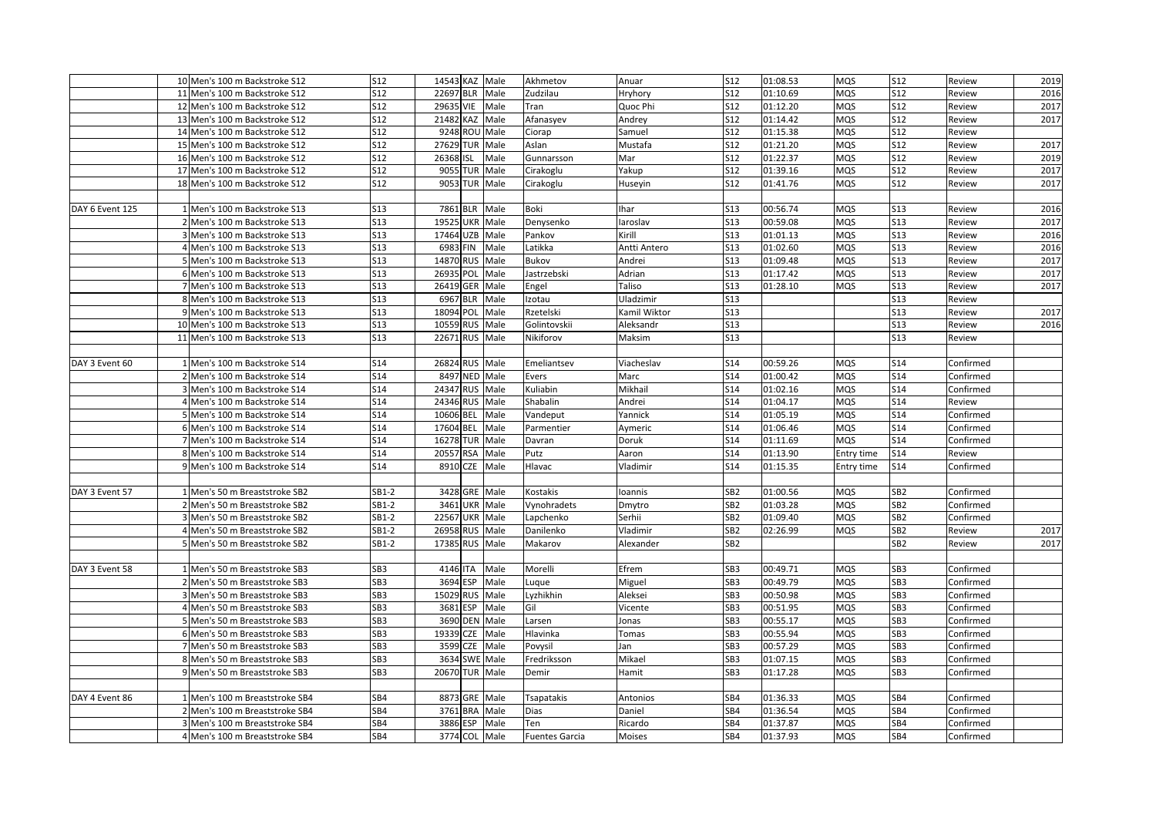|                 | 10 Men's 100 m Backstroke S12  | <b>S12</b>      | 14543 KAZ Male |               | Akhmetov              | Anuar        | S12             | 01:08.53 | <b>MQS</b> | <b>S12</b>      | Review    | 2019 |
|-----------------|--------------------------------|-----------------|----------------|---------------|-----------------------|--------------|-----------------|----------|------------|-----------------|-----------|------|
|                 | 11 Men's 100 m Backstroke S12  | S12             | 22697 BLR      | Male          | Zudzilau              | Hryhory      | S12             | 01:10.69 | MQS        | <b>S12</b>      | Review    | 2016 |
|                 | 12 Men's 100 m Backstroke S12  | S12             | 29635 VIE      | Male          | Tran                  | Quoc Phi     | S12             | 01:12.20 | MQS        | S12             | Review    | 2017 |
|                 | 13 Men's 100 m Backstroke S12  | <b>S12</b>      | 21482 KAZ Male |               | Afanasyev             | Andrey       | S12             | 01:14.42 | MQS        | S12             | Review    | 2017 |
|                 | 14 Men's 100 m Backstroke S12  | <b>S12</b>      | 9248 ROU Male  |               | Ciorap                | Samuel       | <b>S12</b>      | 01:15.38 | MQS        | S12             | Review    |      |
|                 | 15 Men's 100 m Backstroke S12  | <b>S12</b>      | 27629 TUR      | Male          | Aslan                 | Mustafa      | S12             | 01:21.20 | MQS        | S12             | Review    | 2017 |
|                 | 16 Men's 100 m Backstroke S12  | S12             | 26368 ISL      | Male          | Gunnarsson            | Mar          | S12             | 01:22.37 | MQS        | <b>S12</b>      | Review    | 2019 |
|                 | 17 Men's 100 m Backstroke S12  | <b>S12</b>      | 9055 TUR       | Male          | Cirakoglu             | Yakup        | S <sub>12</sub> | 01:39.16 | MQS        | <b>S12</b>      | Review    | 2017 |
|                 | 18 Men's 100 m Backstroke S12  | S12             | 9053 TUR       | Male          | Cirakoglu             | Huseyin      | <b>S12</b>      | 01:41.76 | MQS        | <b>S12</b>      | Review    | 2017 |
|                 |                                |                 |                |               |                       |              |                 |          |            |                 |           |      |
| DAY 6 Event 125 | 1 Men's 100 m Backstroke S13   | S13             | 7861 BLR       | Male          | Boki                  | <b>Ihar</b>  | S13             | 00:56.74 | MQS        | <b>S13</b>      | Review    | 2016 |
|                 | 2 Men's 100 m Backstroke S13   | <b>S13</b>      | 19525 UKR Male |               | Denysenko             | laroslav     | <b>S13</b>      | 00:59.08 | MQS        | <b>S13</b>      | Review    | 2017 |
|                 | 3 Men's 100 m Backstroke S13   | S13             | 17464 UZB      | Male          | Pankov                | Kirill       | S13             | 01:01.13 | MQS        | <b>S13</b>      | Review    | 2016 |
|                 | 4 Men's 100 m Backstroke S13   | <b>S13</b>      | 6983 FIN       | Male          | Latikka               | Antti Antero | <b>S13</b>      | 01:02.60 | MQS        | <b>S13</b>      | Review    | 2016 |
|                 | 5 Men's 100 m Backstroke S13   | <b>S13</b>      | 14870 RUS      | Male          | Bukov                 | Andrei       | <b>S13</b>      | 01:09.48 | MQS        | <b>S13</b>      | Review    | 2017 |
|                 | 6 Men's 100 m Backstroke S13   | <b>S13</b>      | 26935 POL      | Male          | Jastrzebski           | Adrian       | <b>S13</b>      | 01:17.42 | MQS        | <b>S13</b>      | Review    | 2017 |
|                 | 7 Men's 100 m Backstroke S13   | S13             | 26419 GER      | Male          | Engel                 | Taliso       | <b>S13</b>      | 01:28.10 | MQS        | <b>S13</b>      | Review    | 2017 |
|                 | 8 Men's 100 m Backstroke S13   | S13             | 6967 BLR       | Male          | Izotau                | Uladzimir    | <b>S13</b>      |          |            | <b>S13</b>      | Review    |      |
|                 | 9 Men's 100 m Backstroke S13   | <b>S13</b>      | 18094 POL      | Male          | Rzetelski             | Kamil Wiktor | S13             |          |            | <b>S13</b>      | Review    | 2017 |
|                 | 10 Men's 100 m Backstroke S13  | <b>S13</b>      | 10559 RUS      | Male          | Golintovskii          | Aleksandr    | S13             |          |            | <b>S13</b>      | Review    | 2016 |
|                 | 11 Men's 100 m Backstroke S13  | <b>S13</b>      | 22671 RUS Male |               | Nikiforov             | Maksim       | <b>S13</b>      |          |            | S13             | Review    |      |
|                 |                                |                 |                |               |                       |              |                 |          |            |                 |           |      |
| DAY 3 Event 60  | 1 Men's 100 m Backstroke S14   | S14             | 26824 RUS Male |               | Emeliantsev           | Viacheslav   | S14             | 00:59.26 | MQS        | <b>S14</b>      | Confirmed |      |
|                 | 2 Men's 100 m Backstroke S14   | S14             | 8497 NED       | Male          | Evers                 | Marc         | S14             | 01:00.42 | MQS        | <b>S14</b>      | Confirmed |      |
|                 | 3 Men's 100 m Backstroke S14   | S14             | 24347 RUS      | Male          | Kuliabin              | Mikhail      | S <sub>14</sub> | 01:02.16 | MQS        | <b>S14</b>      | Confirmed |      |
|                 | 4 Men's 100 m Backstroke S14   | S14             | 24346 RUS      | Male          | Shabalin              | Andrei       | S <sub>14</sub> | 01:04.17 | MQS        | <b>S14</b>      | Review    |      |
|                 | 5 Men's 100 m Backstroke S14   | S14             | 10606 BEL      | Male          | Vandeput              | Yannick      | S <sub>14</sub> | 01:05.19 | MQS        | <b>S14</b>      | Confirmed |      |
|                 | 6 Men's 100 m Backstroke S14   | S14             | 17604 BEL      | Male          | Parmentier            | Aymeric      | S14             | 01:06.46 | MQS        | S <sub>14</sub> | Confirmed |      |
|                 | 7 Men's 100 m Backstroke S14   | S14             | 16278 TUR      | Male          | Davran                | Doruk        | S14             | 01:11.69 | MQS        | S14             | Confirmed |      |
|                 | 8 Men's 100 m Backstroke S14   | S14             | 20557 RSA      | Male          | Putz                  | Aaron        | S14             | 01:13.90 | Entry time | S14             | Review    |      |
|                 | 9 Men's 100 m Backstroke S14   | S14             | 8910 CZE       | Male          | Hlavac                | Vladimir     | S <sub>14</sub> | 01:15.35 | Entry time | S14             | Confirmed |      |
|                 |                                |                 |                |               |                       |              |                 |          |            |                 |           |      |
| DAY 3 Event 57  | 1 Men's 50 m Breaststroke SB2  | $SB1-2$         |                | 3428 GRE Male | Kostakis              | Ioannis      | SB <sub>2</sub> | 01:00.56 | MQS        | SB <sub>2</sub> | Confirmed |      |
|                 | 2 Men's 50 m Breaststroke SB2  | SB1-2           | 3461 UKR Male  |               | Vynohradets           | Dmytro       | SB <sub>2</sub> | 01:03.28 | MQS        | SB <sub>2</sub> | Confirmed |      |
|                 | 3 Men's 50 m Breaststroke SB2  | SB1-2           | 22567 UKR Male |               | Lapchenko             | Serhii       | SB <sub>2</sub> | 01:09.40 | MQS        | SB <sub>2</sub> | Confirmed |      |
|                 | 4 Men's 50 m Breaststroke SB2  | SB1-2           | 26958 RUS      | Male          | Danilenko             | Vladimir     | SB <sub>2</sub> | 02:26.99 | MQS        | SB <sub>2</sub> | Review    | 2017 |
|                 | 5 Men's 50 m Breaststroke SB2  | SB1-2           | 17385 RUS      | Male          | Makarov               | Alexander    | SB <sub>2</sub> |          |            | SB <sub>2</sub> | Review    | 2017 |
|                 |                                |                 |                |               |                       |              |                 |          |            |                 |           |      |
| DAY 3 Event 58  | 1 Men's 50 m Breaststroke SB3  | SB <sub>3</sub> | 4146 ITA       | Male          | Morelli               | Efrem        | SB3             | 00:49.71 | MQS        | SB <sub>3</sub> | Confirmed |      |
|                 | 2 Men's 50 m Breaststroke SB3  | SB <sub>3</sub> | 3694 ESP       | Male          | Luque                 | Miguel       | SB <sub>3</sub> | 00:49.79 | MQS        | SB <sub>3</sub> | Confirmed |      |
|                 | 3 Men's 50 m Breaststroke SB3  | SB <sub>3</sub> | 15029 RUS      | Male          | Lyzhikhin             | Aleksei      | SB <sub>3</sub> | 00:50.98 | MQS        | SB <sub>3</sub> | Confirmed |      |
|                 | 4 Men's 50 m Breaststroke SB3  | SB <sub>3</sub> | 3681 ESP       | Male          | Gil                   | Vicente      | SB <sub>3</sub> | 00:51.95 | MQS        | SB <sub>3</sub> | Confirmed |      |
|                 | 5 Men's 50 m Breaststroke SB3  | SB <sub>3</sub> | 3690 DEN Male  |               | Larsen                | Jonas        | SB <sub>3</sub> | 00:55.17 | MQS        | SB3             | Confirmed |      |
|                 | 6 Men's 50 m Breaststroke SB3  | SB <sub>3</sub> | 19339 CZE      | Male          | Hlavinka              | Tomas        | SB <sub>3</sub> | 00:55.94 | MQS        | SB3             | Confirmed |      |
|                 | 7 Men's 50 m Breaststroke SB3  | SB <sub>3</sub> | 3599 CZE       | Male          | Povysil               | Jan          | SB <sub>3</sub> | 00:57.29 | MQS        | SB3             | Confirmed |      |
|                 | 8 Men's 50 m Breaststroke SB3  | SB <sub>3</sub> | 3634 SWE Male  |               | Fredriksson           | Mikael       | SB <sub>3</sub> | 01:07.15 | MQS        | SB <sub>3</sub> | Confirmed |      |
|                 | 9 Men's 50 m Breaststroke SB3  | SB <sub>3</sub> | 20670 TUR      | Male          | Demir                 | Hamit        | SB <sub>3</sub> | 01:17.28 | MQS        | SB3             | Confirmed |      |
|                 |                                |                 |                |               |                       |              |                 |          |            |                 |           |      |
| DAY 4 Event 86  | 1 Men's 100 m Breaststroke SB4 | SB4             | 8873 GRE Male  |               | Tsapatakis            | Antonios     | SB4             | 01:36.33 | MQS        | SB4             | Confirmed |      |
|                 | 2 Men's 100 m Breaststroke SB4 | SB4             | 3761 BRA       | Male          | Dias                  | Daniel       | SB4             | 01:36.54 | MQS        | SB4             | Confirmed |      |
|                 | 3 Men's 100 m Breaststroke SB4 | SB4             | 3886 ESP       | Male          | Ten                   | Ricardo      | SB4             | 01:37.87 | MQS        | SB4             | Confirmed |      |
|                 | 4 Men's 100 m Breaststroke SB4 | SB4             | 3774 COL       | Male          | <b>Fuentes Garcia</b> | Moises       | SB4             | 01:37.93 | MQS        | SB4             | Confirmed |      |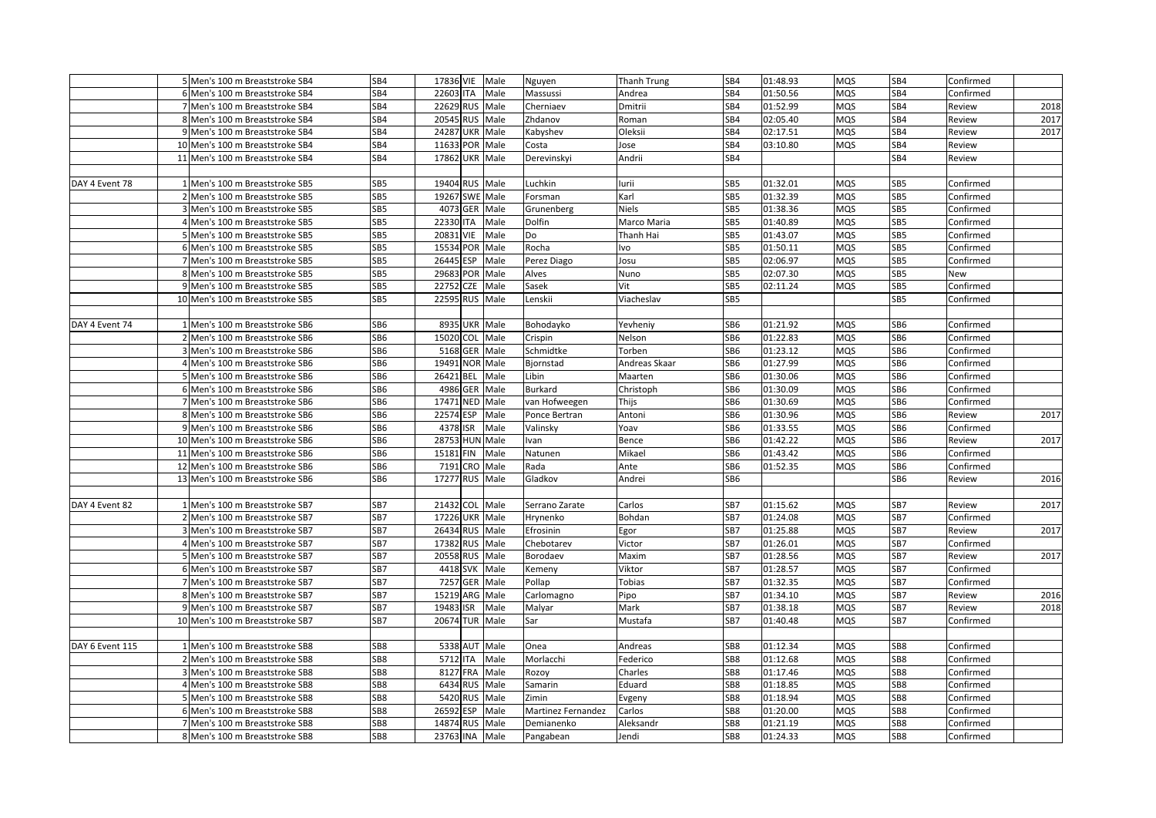|                 | 5 Men's 100 m Breaststroke SB4                                   | SB4             | 17836 VIE Male          |                 | Nguyen                  | Thanh Trung        | SB4             | 01:48.93             | <b>MQS</b>               | SB4             | Confirmed              |      |
|-----------------|------------------------------------------------------------------|-----------------|-------------------------|-----------------|-------------------------|--------------------|-----------------|----------------------|--------------------------|-----------------|------------------------|------|
|                 | 6 Men's 100 m Breaststroke SB4                                   | SB4             | 22603 ITA               | Male            | Massussi                | Andrea             | SB4             | 01:50.56             | <b>MQS</b>               | SB4             | Confirmed              |      |
|                 | 7 Men's 100 m Breaststroke SB4                                   | SB4             | 22629 RUS Male          |                 | Cherniaev               | Dmitrii            | SB4             | 01:52.99             | <b>MQS</b>               | SB4             | Review                 | 2018 |
|                 | 8 Men's 100 m Breaststroke SB4                                   | SB4             | 20545                   | RUS Male        | Zhdanov                 | Roman              | SB4             | 02:05.40             | <b>MQS</b>               | SB <sub>4</sub> | Review                 | 2017 |
|                 | 9 Men's 100 m Breaststroke SB4                                   | SB4             | 24287 UKR Male          |                 | Kabyshev                | Oleksii            | SB4             | 02:17.51             | <b>MQS</b>               | SB4             | Review                 | 2017 |
|                 | 10 Men's 100 m Breaststroke SB4                                  | SB4             | 11633 POR Male          |                 | Costa                   | Jose               | SB4             | 03:10.80             | MQS                      | SB4             | Review                 |      |
|                 | 11 Men's 100 m Breaststroke SB4                                  | SB4             | 17862 UKR Male          |                 | Derevinskyi             | Andrii             | SB4             |                      |                          | SB4             |                        |      |
|                 |                                                                  |                 |                         |                 |                         |                    |                 |                      |                          |                 | Review                 |      |
|                 |                                                                  |                 |                         |                 |                         |                    |                 |                      |                          |                 |                        |      |
| DAY 4 Event 78  | 1 Men's 100 m Breaststroke SB5                                   | SB5             | 19404 RUS Male          |                 | Luchkin                 | lurii              | SB5             | 01:32.01             | <b>MQS</b>               | SB5             | Confirmed              |      |
|                 | 2 Men's 100 m Breaststroke SB5                                   | SB5             | 19267 SWE               | Male            | Forsman                 | Karl               | SB5             | 01:32.39             | <b>MQS</b>               | SB5             | Confirmed              |      |
|                 | 3 Men's 100 m Breaststroke SB5                                   | SB5             | 4073 GER Male           |                 | Grunenberg              | <b>Niels</b>       | SB5             | 01:38.36             | <b>MQS</b>               | SB5             | Confirmed              |      |
|                 | 4 Men's 100 m Breaststroke SB5                                   | SB5             | 22330<br>ITA            | Male            | Dolfin                  | Marco Maria        | SB5             | 01:40.89             | <b>MQS</b>               | SB5             | Confirmed              |      |
|                 | 5 Men's 100 m Breaststroke SB5                                   | SB5             | 20831 VIE Male          |                 | Do                      | Thanh Hai          | SB5             | 01:43.07             | <b>MQS</b>               | SB5             | Confirmed              |      |
|                 | 6 Men's 100 m Breaststroke SB5                                   | SB5             | 15534                   | POR Male        | Rocha                   | lvo                | SB5             | 01:50.11             | <b>MQS</b>               | SB5             | Confirmed              |      |
|                 | 7 Men's 100 m Breaststroke SB5                                   | SB5             | ESP<br>26445            | Male            | Perez Diago             | Josu               | SB5             | 02:06.97             | MQS                      | SB5             | Confirmed              |      |
|                 | 8 Men's 100 m Breaststroke SB5                                   | SB5             | 29683                   | POR Male        | Alves                   | Nuno               | SB5             | 02:07.30             | <b>MQS</b>               | SB5             | New                    |      |
|                 | 9 Men's 100 m Breaststroke SB5                                   | SB5             | 22752<br><b>CZE</b>     | Male            | Sasek                   | Vit                | SB5             | 02:11.24             | <b>MQS</b>               | SB5             | Confirmed              |      |
|                 | 10 Men's 100 m Breaststroke SB5                                  | SB5             | 22595 RUS               | Male            | Lenskii                 | Viacheslav         | SB5             |                      |                          | SB5             | Confirmed              |      |
|                 |                                                                  |                 |                         |                 |                         |                    |                 |                      |                          |                 |                        |      |
| DAY 4 Event 74  | 1 Men's 100 m Breaststroke SB6                                   | SB6             | 8935 UKR Male           |                 | Bohodayko               | Yevheniy           | SB6             | 01:21.92             | <b>MQS</b>               | SB6             | Confirmed              |      |
|                 | 2 Men's 100 m Breaststroke SB6                                   | SB <sub>6</sub> | 15020                   | COL Male        | Crispin                 | Nelson             | SB <sub>6</sub> | 01:22.83             | <b>MQS</b>               | SB6             | Confirmed              |      |
|                 | 3 Men's 100 m Breaststroke SB6                                   | SB6             | 5168                    | <b>GER</b> Male | Schmidtke               | Torben             | SB6             | 01:23.12             | <b>MQS</b>               | SB6             | Confirmed              |      |
|                 | 4 Men's 100 m Breaststroke SB6                                   | SB <sub>6</sub> | 19491                   | <b>NOR Male</b> | Bjornstad               | Andreas Skaar      | SB6             | 01:27.99             | MQS                      | SB6             | Confirmed              |      |
|                 | 5 Men's 100 m Breaststroke SB6                                   | SB <sub>6</sub> | 26421<br>BEL            | Male            | Libin                   | Maarten            | SB <sub>6</sub> | 01:30.06             | <b>MQS</b>               | SB6             | Confirmed              |      |
|                 | 6 Men's 100 m Breaststroke SB6                                   | SB <sub>6</sub> | 4986<br>GER             | Male            | Burkard                 | Christoph          | SB <sub>6</sub> | 01:30.09             | <b>MQS</b>               | SB6             | Confirmed              |      |
|                 | 7 Men's 100 m Breaststroke SB6                                   | SB <sub>6</sub> | 17471 NED Male          |                 | van Hofweegen           | Thijs              | SB6             | 01:30.69             | <b>MQS</b>               | SB6             | Confirmed              |      |
|                 | 8 Men's 100 m Breaststroke SB6                                   | SB6             | 22574<br>ESP            | Male            | Ponce Bertran           | Antoni             | SB6             | 01:30.96             | <b>MQS</b>               | SB6             | Review                 | 2017 |
|                 | 9 Men's 100 m Breaststroke SB6                                   | SB <sub>6</sub> | 4378                    | ISR Male        | Valinsky                | Yoav               | SB6             | 01:33.55             | <b>MQS</b>               | SB6             | Confirmed              |      |
|                 | 10 Men's 100 m Breaststroke SB6                                  | SB6             | 28753 HUN Male          |                 | Ivan                    | Bence              | SB6             | 01:42.22             | MQS                      | SB6             | Review                 | 2017 |
|                 | 11 Men's 100 m Breaststroke SB6                                  | SB <sub>6</sub> | 15181 FIN Male          |                 | Natunen                 | Mikael             | SB6             | 01:43.42             | <b>MQS</b>               | SB6             | Confirmed              |      |
|                 | 12 Men's 100 m Breaststroke SB6                                  | SB6             | 7191<br><b>CRO</b>      | Male            | Rada                    | Ante               | SB6             | 01:52.35             | MQS                      | SB6             | Confirmed              |      |
|                 | 13 Men's 100 m Breaststroke SB6                                  | SB <sub>6</sub> | 17277 RUS               | Male            | Gladkov                 | Andrei             | SB <sub>6</sub> |                      |                          | SB <sub>6</sub> | Review                 | 2016 |
|                 |                                                                  |                 |                         |                 |                         |                    |                 |                      |                          |                 |                        |      |
| DAY 4 Event 82  | 1 Men's 100 m Breaststroke SB7                                   | SB7             | 21432 COL Male          |                 | Serrano Zarate          | Carlos             | SB7             | 01:15.62             | <b>MQS</b>               | SB7             | Review                 | 2017 |
|                 | 2 Men's 100 m Breaststroke SB7                                   | SB7             | 17226 UKR Male          |                 | Hrynenko                | Bohdan             | SB7             | 01:24.08             | <b>MQS</b>               | SB7             | Confirmed              |      |
|                 | 3 Men's 100 m Breaststroke SB7                                   | SB7             | 26434 RUS Male          |                 | Efrosinin               | Egor               | SB7             | 01:25.88             | <b>MQS</b>               | SB7             | Review                 | 2017 |
|                 | 4 Men's 100 m Breaststroke SB7                                   | SB7             | 17382                   | RUS Male        | Chebotarev              | Victor             | SB7             | 01:26.01             | <b>MQS</b>               | SB7             | Confirmed              |      |
|                 | 5 Men's 100 m Breaststroke SB7                                   | SB7             | 20558<br><b>RUS</b>     | Male            | Borodaev                | Maxim              | SB7             | 01:28.56             | <b>MQS</b>               | SB7             | Review                 | 2017 |
|                 | 6 Men's 100 m Breaststroke SB7                                   | SB7             | 4418 SVK Male           |                 | Kemeny                  | Viktor             | SB7             | 01:28.57             | <b>MQS</b>               | SB7             | Confirmed              |      |
|                 | 7 Men's 100 m Breaststroke SB7                                   | SB7             | 7257 GER                | Male            | Pollap                  | Tobias             | SB7             | 01:32.35             | <b>MQS</b>               | SB7             | Confirmed              |      |
|                 | 8 Men's 100 m Breaststroke SB7                                   | SB7             | 15219<br>ARG            | Male            | Carlomagno              | Pipo               | SB7             | 01:34.10             | <b>MQS</b>               | SB7             | Review                 | 2016 |
|                 | 9 Men's 100 m Breaststroke SB7                                   | SB7             | 19483<br>ISR            | Male            | Malyar                  | Mark               | SB7             | 01:38.18             | <b>MQS</b>               | SB7             | Review                 | 2018 |
|                 | 10 Men's 100 m Breaststroke SB7                                  | SB7             | 20674 TUR Male          |                 | Sar                     | Mustafa            | SB7             | 01:40.48             | <b>MQS</b>               | SB7             | Confirmed              |      |
|                 |                                                                  |                 |                         |                 |                         |                    |                 |                      |                          |                 |                        |      |
| DAY 6 Event 115 | 1 Men's 100 m Breaststroke SB8                                   | SB8             | 5338 AUT                | Male            | Onea                    | Andreas            | SB8             | 01:12.34             | <b>MQS</b>               | SB8             | Confirmed              |      |
|                 | 2 Men's 100 m Breaststroke SB8                                   | SB8             | 5712 ITA                | Male            | Morlacchi               | Federico           | SB8             | 01:12.68             | <b>MQS</b>               | SB8             | Confirmed              |      |
|                 | 3 Men's 100 m Breaststroke SB8                                   | SB8             | 8127 FRA                | Male            | Rozoy                   | Charles            | SB8             | 01:17.46             | <b>MQS</b>               | SB8             | Confirmed              |      |
|                 | 4 Men's 100 m Breaststroke SB8                                   | SB8             | 6434 RUS                | Male            | Samarin                 | Eduard             | SB8             | 01:18.85             | <b>MQS</b>               | SB8             | Confirmed              |      |
|                 | 5 Men's 100 m Breaststroke SB8                                   | SB8             | 5420 RUS                | Male            | Zimin                   | Evgeny             | SB8             | 01:18.94             | <b>MQS</b>               | SB8             | Confirmed              |      |
|                 |                                                                  |                 |                         |                 |                         |                    |                 |                      |                          |                 |                        |      |
|                 |                                                                  |                 |                         |                 |                         |                    |                 |                      |                          |                 |                        |      |
|                 | 6 Men's 100 m Breaststroke SB8                                   | SB8             | 26592<br>ESP            | Male            | Martinez Fernandez      | Carlos             | SB8             | 01:20.00             | <b>MQS</b>               | SB8             | Confirmed              |      |
|                 | 7 Men's 100 m Breaststroke SB8<br>8 Men's 100 m Breaststroke SB8 | SB8<br>SB8      | 14874<br>23763 INA Male | RUS Male        | Demianenko<br>Pangabean | Aleksandr<br>Jendi | SB8<br>SB8      | 01:21.19<br>01:24.33 | <b>MQS</b><br><b>MQS</b> | SB8<br>SB8      | Confirmed<br>Confirmed |      |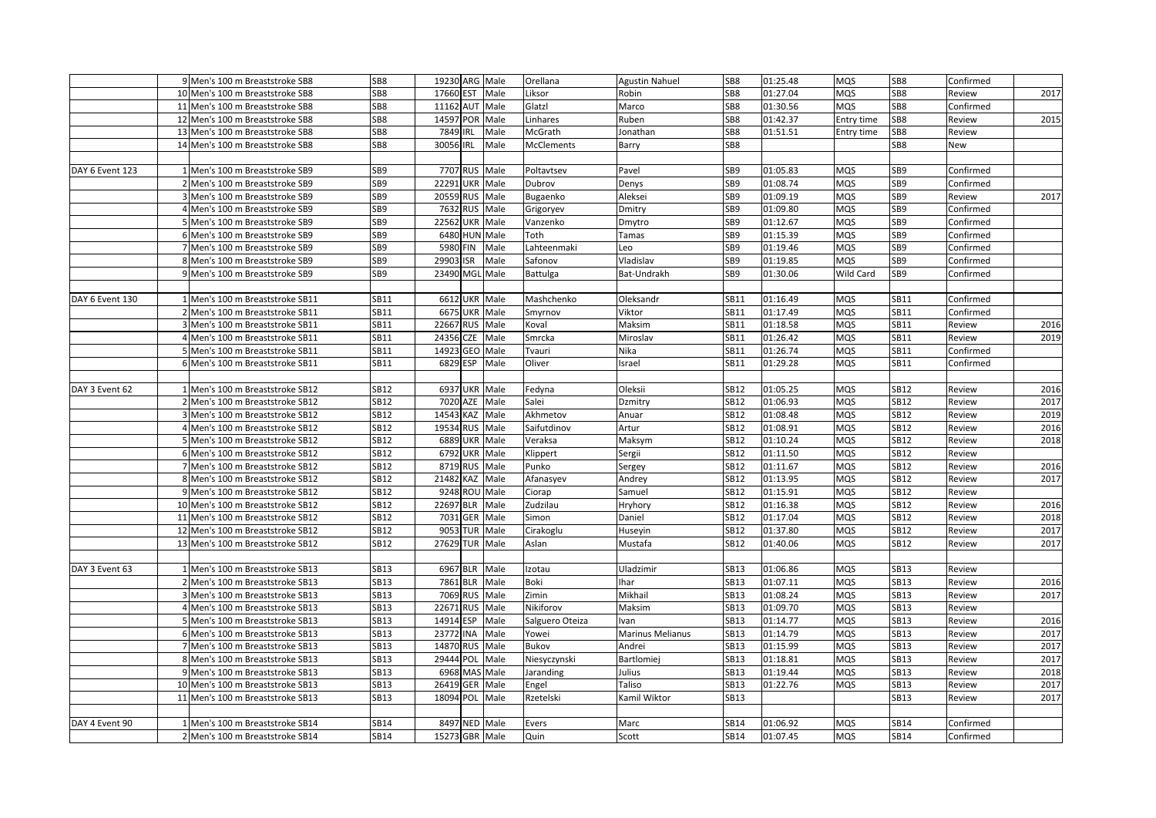| SB8<br>17660 EST<br>SB8<br>01:27.04<br><b>MQS</b><br>SB8<br>2017<br>10 Men's 100 m Breaststroke SB8<br>Male<br>Liksor<br>Robin<br>Review<br>SB <sub>8</sub><br>Glatzl<br>SB8<br>01:30.56<br><b>MQS</b><br>11 Men's 100 m Breaststroke SB8<br>11162 AUT Male<br>Marco<br>SB8<br>Confirmed<br>SB8<br>14597 POR Male<br>01:42.37<br>2015<br>12 Men's 100 m Breaststroke SB8<br>Linhares<br>Ruben<br>SB8<br>Entry time<br>SB8<br>Review<br>SB <sub>8</sub><br>7849 IRL<br>McGrath<br>SB8<br>01:51.51<br>Male<br>SB8<br>Review<br>13 Men's 100 m Breaststroke SB8<br>Jonathan<br>Entry time<br>SB8<br>30056 IRL<br>Male<br>SB8<br>SB8<br>14 Men's 100 m Breaststroke SB8<br><b>McClements</b><br>New<br>Barry<br>7707 RUS<br>Male<br>Poltavtsev<br>01:05.83<br><b>MQS</b><br>DAY 6 Event 123<br>1 Men's 100 m Breaststroke SB9<br>SB <sub>9</sub><br>Pavel<br>SB9<br>SB9<br>Confirmed<br>22291 UKR Male<br>SB9<br>SB <sub>9</sub><br>01:08.74<br><b>MQS</b><br>SB9<br>2 Men's 100 m Breaststroke SB9<br>Dubrov<br>Denys<br>Confirmed<br>01:09.19<br>SB9<br>20559 RUS Male<br>Aleksei<br>SB <sub>9</sub><br><b>MQS</b><br>SB9<br>3 Men's 100 m Breaststroke SB9<br>Bugaenko<br>Review<br>2017<br>SB9<br>7632 RUS Male<br>SB9<br>01:09.80<br><b>MQS</b><br>SB9<br>Confirmed<br>4 Men's 100 m Breaststroke SB9<br>Grigoryev<br>Dmitry<br>SB <sub>9</sub><br>22562 UKR Male<br>Vanzenko<br>SB <sub>9</sub><br>01:12.67<br><b>MQS</b><br>SB9<br>5 Men's 100 m Breaststroke SB9<br>Dmytro<br>Confirmed<br>SB <sub>9</sub><br>6480 HUN Male<br>01:15.39<br>MQS<br>SB9<br>6 Men's 100 m Breaststroke SB9<br>Toth<br>Tamas<br>SB9<br>Confirmed<br>5980<br>01:19.46<br>MQS<br>SB <sub>9</sub><br><b>FIN</b><br>Male<br>Lahteenmaki<br>Leo<br>SB <sub>9</sub><br>SB9<br>7 Men's 100 m Breaststroke SB9<br>Confirmed<br>SB <sub>9</sub><br>29903 ISR<br>Male<br>Safonov<br>Vladislav<br>SB9<br>01:19.85<br><b>MQS</b><br>SB9<br>8 Men's 100 m Breaststroke SB9<br>Confirmed<br>9 Men's 100 m Breaststroke SB9<br>SB <sub>9</sub><br>23490 MGL Male<br>Bat-Undrakh<br>SB <sub>9</sub><br>01:30.06<br>Wild Card<br>SB9<br>Confirmed<br>Battulga<br>6612 UKR Male<br>Mashchenko<br>01:16.49<br>1 Men's 100 m Breaststroke SB11<br>SB11<br>Oleksandr<br>SB11<br><b>MQS</b><br>SB11<br>Confirmed<br>DAY 6 Event 130<br>01:17.49<br>SB11<br>6675 UKR Male<br>Viktor<br>SB11<br><b>MQS</b><br>SB11<br>2 Men's 100 m Breaststroke SB11<br>Smyrnov<br>Confirmed<br>SB11<br>22667 RUS Male<br>01:18.58<br><b>MQS</b><br>SB11<br>2016<br>3 Men's 100 m Breaststroke SB11<br>Koval<br>Maksim<br>SB11<br>Review<br>SB11<br>01:26.42<br><b>MQS</b><br>2019<br>24356<br><b>CZE</b><br>Male<br>Smrcka<br>Miroslav<br>SB11<br>SB11<br>Review<br>4 Men's 100 m Breaststroke SB11<br>14923 GEO<br>SB11<br>Male<br>Tvauri<br>01:26.74<br>MQS<br>SB11<br>5 Men's 100 m Breaststroke SB11<br>Nika<br>SB11<br>Confirmed<br>6829 ESP<br>01:29.28<br>6 Men's 100 m Breaststroke SB11<br>SB11<br>Male<br>Oliver<br>SB11<br><b>MQS</b><br>SB11<br>Confirmed<br>srael<br>6937 UKR Male<br>Oleksii<br>01:05.25<br>2016<br>DAY 3 Event 62<br>1 Men's 100 m Breaststroke SB12<br><b>SB12</b><br>Fedyna<br><b>SB12</b><br><b>MQS</b><br><b>SB12</b><br>Review<br>SB12<br>7020 AZE<br>Male<br>Salei<br>SB12<br>01:06.93<br>2017<br>2 Men's 100 m Breaststroke SB12<br>Dzmitry<br><b>MQS</b><br>SB12<br>Review<br>2019<br>SB12<br>14543 KAZ Male<br>Akhmetov<br>SB12<br>01:08.48<br><b>MQS</b><br><b>SB12</b><br>3 Men's 100 m Breaststroke SB12<br>Review<br>Anuar<br>2016<br>4 Men's 100 m Breaststroke SB12<br>SB12<br>19534 RUS Male<br>Saifutdinov<br>Artur<br>SB12<br>01:08.91<br><b>MQS</b><br><b>SB12</b><br>Review<br><b>SB12</b><br>2018<br>6889 UKR Male<br>SB12<br>01:10.24<br>MQS<br>SB12<br>5 Men's 100 m Breaststroke SB12<br>Veraksa<br>Maksym<br>Review<br>SB12<br>6792 UKR<br>Male<br>SB12<br>01:11.50<br><b>MQS</b><br>SB12<br>6 Men's 100 m Breaststroke SB12<br>Klippert<br>Sergii<br>Review<br>SB12<br>8719 RUS<br>Male<br>Punko<br>SB12<br>01:11.67<br><b>MQS</b><br><b>SB12</b><br>2016<br>7 Men's 100 m Breaststroke SB12<br>Sergey<br>Review<br>SB12<br>21482 KAZ<br>Male<br>01:13.95<br><b>MQS</b><br>2017<br>8 Men's 100 m Breaststroke SB12<br>Afanasyev<br>Andrey<br>SB12<br>SB12<br>Review<br>01:15.91<br>SB12<br>9248 ROU Male<br>SB12<br><b>MQS</b><br>SB12<br>9 Men's 100 m Breaststroke SB12<br>Ciorap<br>Samuel<br>Review<br>SB12<br>22697 BLR<br>Male<br>01:16.38<br><b>MQS</b><br><b>SB12</b><br>2016<br>10 Men's 100 m Breaststroke SB12<br>Zudzilau<br><b>SB12</b><br>Hryhory<br>Review<br>SB12<br>7031 GER Male<br>Daniel<br>SB12<br>01:17.04<br><b>MQS</b><br><b>SB12</b><br>Review<br>2018<br>11 Men's 100 m Breaststroke SB12<br>Simon<br><b>SB12</b><br>2017<br>9053 TUR Male<br>01:37.80<br>SB12<br>12 Men's 100 m Breaststroke SB12<br>Cirakoglu<br>SB12<br><b>MQS</b><br>Review<br>Huseyin<br>27629 TUR Male<br><b>SB12</b><br>2017<br>13 Men's 100 m Breaststroke SB12<br>SB12<br>Aslan<br>01:40.06<br>MQS<br>SB12<br>Mustafa<br>Review<br>6967 BLR Male<br>01:06.86<br>DAY 3 Event 63<br>1 Men's 100 m Breaststroke SB13<br><b>SB13</b><br>Izotau<br>Uladzimir<br>SB13<br><b>MQS</b><br><b>SB13</b><br>Review<br>SB13<br>7861 BLR<br>Male<br>Boki<br><b>har</b><br>01:07.11<br><b>MQS</b><br>2 Men's 100 m Breaststroke SB13<br>SB13<br>SB13<br>Review<br>2016<br>7069 RUS<br>01:08.24<br>2017<br>3 Men's 100 m Breaststroke SB13<br>SB13<br>Male<br>Zimin<br>Mikhail<br>SB13<br><b>MQS</b><br><b>SB13</b><br>Review<br>SB13<br>22671 RUS Male<br>Nikiforov<br>SB13<br>01:09.70<br><b>MQS</b><br><b>SB13</b><br>4 Men's 100 m Breaststroke SB13<br>Maksim<br>Review<br>SB13<br>14914 ESP<br>01:14.77<br><b>MQS</b><br>SB13<br>2016<br>5 Men's 100 m Breaststroke SB13<br>Male<br>Salguero Oteiza<br>lvan<br>SB13<br>Review<br>SB13<br>23772 INA<br>Male<br>SB13<br>01:14.79<br><b>MQS</b><br>SB13<br>2017<br>6 Men's 100 m Breaststroke SB13<br>Yowei<br>Marinus Melianus<br>Review<br>SB13<br>14870 RUS<br>Male<br>01:15.99<br>MQS<br>SB13<br>2017<br>7 Men's 100 m Breaststroke SB13<br>Bukov<br>SB13<br>Review<br>Andrei<br>2017<br>SB13<br>29444 POL Male<br>SB13<br>01:18.81<br><b>MQS</b><br>SB13<br>8 Men's 100 m Breaststroke SB13<br>Niesyczynski<br>Bartlomiej<br>Review<br>SB13<br>6968 MAS Male<br>01:19.44<br><b>MQS</b><br>2018<br>9 Men's 100 m Breaststroke SB13<br>Jaranding<br>Julius<br>SB13<br><b>SB13</b><br>Review<br>2017<br>SB13<br>26419 GER<br>Male<br>10 Men's 100 m Breaststroke SB13<br>Engel<br>Taliso<br>SB13<br>01:22.76<br><b>MQS</b><br><b>SB13</b><br>Review<br>18094 POL<br>2017<br>11 Men's 100 m Breaststroke SB13<br>SB13<br>Male<br>Rzetelski<br>Kamil Wiktor<br>SB13<br>SB13<br>Review<br>DAY 4 Event 90<br>1 Men's 100 m Breaststroke SB14<br>SB14<br>8497 NED Male<br>Evers<br>Marc<br>SB14<br>01:06.92<br>MQS<br>SB14<br>Confirmed<br><b>SB14</b><br>15273 GBR Male<br>SB14<br>01:07.45<br><b>MQS</b><br>SB14<br>2 Men's 100 m Breaststroke SB14<br>Quin<br>Scott<br>Confirmed | 9 Men's 100 m Breaststroke SB8 | SB8 | 19230 ARG Male | Orellana | <b>Agustin Nahuel</b> | SB8 | 01:25.48 | <b>MQS</b> | SB8 | Confirmed |  |
|---------------------------------------------------------------------------------------------------------------------------------------------------------------------------------------------------------------------------------------------------------------------------------------------------------------------------------------------------------------------------------------------------------------------------------------------------------------------------------------------------------------------------------------------------------------------------------------------------------------------------------------------------------------------------------------------------------------------------------------------------------------------------------------------------------------------------------------------------------------------------------------------------------------------------------------------------------------------------------------------------------------------------------------------------------------------------------------------------------------------------------------------------------------------------------------------------------------------------------------------------------------------------------------------------------------------------------------------------------------------------------------------------------------------------------------------------------------------------------------------------------------------------------------------------------------------------------------------------------------------------------------------------------------------------------------------------------------------------------------------------------------------------------------------------------------------------------------------------------------------------------------------------------------------------------------------------------------------------------------------------------------------------------------------------------------------------------------------------------------------------------------------------------------------------------------------------------------------------------------------------------------------------------------------------------------------------------------------------------------------------------------------------------------------------------------------------------------------------------------------------------------------------------------------------------------------------------------------------------------------------------------------------------------------------------------------------------------------------------------------------------------------------------------------------------------------------------------------------------------------------------------------------------------------------------------------------------------------------------------------------------------------------------------------------------------------------------------------------------------------------------------------------------------------------------------------------------------------------------------------------------------------------------------------------------------------------------------------------------------------------------------------------------------------------------------------------------------------------------------------------------------------------------------------------------------------------------------------------------------------------------------------------------------------------------------------------------------------------------------------------------------------------------------------------------------------------------------------------------------------------------------------------------------------------------------------------------------------------------------------------------------------------------------------------------------------------------------------------------------------------------------------------------------------------------------------------------------------------------------------------------------------------------------------------------------------------------------------------------------------------------------------------------------------------------------------------------------------------------------------------------------------------------------------------------------------------------------------------------------------------------------------------------------------------------------------------------------------------------------------------------------------------------------------------------------------------------------------------------------------------------------------------------------------------------------------------------------------------------------------------------------------------------------------------------------------------------------------------------------------------------------------------------------------------------------------------------------------------------------------------------------------------------------------------------------------------------------------------------------------------------------------------------------------------------------------------------------------------------------------------------------------------------------------------------------------------------------------------------------------------------------------------------------------------------------------------------------------------------------------------------------------------------------------------------------------------------------------------------------------------------------------------------------------------------------------------------------------------------------------------------------------------------------------------------------------------------------------------------------------------------------------------------------------------------------------------------------------------------------------------------------------------------------------------------------------------------------------------------------------------------------------------------------------------------------------------------------------------------------------------------------------------------------------------------------------------------------------------------------------------------------------------------------------------------------------------------------------------------------------------------------------------------------------------------------------------------------------------------------------------------------------------------------------------------------------------------------------------------------------------------------------------|--------------------------------|-----|----------------|----------|-----------------------|-----|----------|------------|-----|-----------|--|
|                                                                                                                                                                                                                                                                                                                                                                                                                                                                                                                                                                                                                                                                                                                                                                                                                                                                                                                                                                                                                                                                                                                                                                                                                                                                                                                                                                                                                                                                                                                                                                                                                                                                                                                                                                                                                                                                                                                                                                                                                                                                                                                                                                                                                                                                                                                                                                                                                                                                                                                                                                                                                                                                                                                                                                                                                                                                                                                                                                                                                                                                                                                                                                                                                                                                                                                                                                                                                                                                                                                                                                                                                                                                                                                                                                                                                                                                                                                                                                                                                                                                                                                                                                                                                                                                                                                                                                                                                                                                                                                                                                                                                                                                                                                                                                                                                                                                                                                                                                                                                                                                                                                                                                                                                                                                                                                                                                                                                                                                                                                                                                                                                                                                                                                                                                                                                                                                                                                                                                                                                                                                                                                                                                                                                                                                                                                                                                                                                                                                                                                                                                                                                                                                                                                                                                                                                                                                                                                                                                                                                           |                                |     |                |          |                       |     |          |            |     |           |  |
|                                                                                                                                                                                                                                                                                                                                                                                                                                                                                                                                                                                                                                                                                                                                                                                                                                                                                                                                                                                                                                                                                                                                                                                                                                                                                                                                                                                                                                                                                                                                                                                                                                                                                                                                                                                                                                                                                                                                                                                                                                                                                                                                                                                                                                                                                                                                                                                                                                                                                                                                                                                                                                                                                                                                                                                                                                                                                                                                                                                                                                                                                                                                                                                                                                                                                                                                                                                                                                                                                                                                                                                                                                                                                                                                                                                                                                                                                                                                                                                                                                                                                                                                                                                                                                                                                                                                                                                                                                                                                                                                                                                                                                                                                                                                                                                                                                                                                                                                                                                                                                                                                                                                                                                                                                                                                                                                                                                                                                                                                                                                                                                                                                                                                                                                                                                                                                                                                                                                                                                                                                                                                                                                                                                                                                                                                                                                                                                                                                                                                                                                                                                                                                                                                                                                                                                                                                                                                                                                                                                                                           |                                |     |                |          |                       |     |          |            |     |           |  |
|                                                                                                                                                                                                                                                                                                                                                                                                                                                                                                                                                                                                                                                                                                                                                                                                                                                                                                                                                                                                                                                                                                                                                                                                                                                                                                                                                                                                                                                                                                                                                                                                                                                                                                                                                                                                                                                                                                                                                                                                                                                                                                                                                                                                                                                                                                                                                                                                                                                                                                                                                                                                                                                                                                                                                                                                                                                                                                                                                                                                                                                                                                                                                                                                                                                                                                                                                                                                                                                                                                                                                                                                                                                                                                                                                                                                                                                                                                                                                                                                                                                                                                                                                                                                                                                                                                                                                                                                                                                                                                                                                                                                                                                                                                                                                                                                                                                                                                                                                                                                                                                                                                                                                                                                                                                                                                                                                                                                                                                                                                                                                                                                                                                                                                                                                                                                                                                                                                                                                                                                                                                                                                                                                                                                                                                                                                                                                                                                                                                                                                                                                                                                                                                                                                                                                                                                                                                                                                                                                                                                                           |                                |     |                |          |                       |     |          |            |     |           |  |
|                                                                                                                                                                                                                                                                                                                                                                                                                                                                                                                                                                                                                                                                                                                                                                                                                                                                                                                                                                                                                                                                                                                                                                                                                                                                                                                                                                                                                                                                                                                                                                                                                                                                                                                                                                                                                                                                                                                                                                                                                                                                                                                                                                                                                                                                                                                                                                                                                                                                                                                                                                                                                                                                                                                                                                                                                                                                                                                                                                                                                                                                                                                                                                                                                                                                                                                                                                                                                                                                                                                                                                                                                                                                                                                                                                                                                                                                                                                                                                                                                                                                                                                                                                                                                                                                                                                                                                                                                                                                                                                                                                                                                                                                                                                                                                                                                                                                                                                                                                                                                                                                                                                                                                                                                                                                                                                                                                                                                                                                                                                                                                                                                                                                                                                                                                                                                                                                                                                                                                                                                                                                                                                                                                                                                                                                                                                                                                                                                                                                                                                                                                                                                                                                                                                                                                                                                                                                                                                                                                                                                           |                                |     |                |          |                       |     |          |            |     |           |  |
|                                                                                                                                                                                                                                                                                                                                                                                                                                                                                                                                                                                                                                                                                                                                                                                                                                                                                                                                                                                                                                                                                                                                                                                                                                                                                                                                                                                                                                                                                                                                                                                                                                                                                                                                                                                                                                                                                                                                                                                                                                                                                                                                                                                                                                                                                                                                                                                                                                                                                                                                                                                                                                                                                                                                                                                                                                                                                                                                                                                                                                                                                                                                                                                                                                                                                                                                                                                                                                                                                                                                                                                                                                                                                                                                                                                                                                                                                                                                                                                                                                                                                                                                                                                                                                                                                                                                                                                                                                                                                                                                                                                                                                                                                                                                                                                                                                                                                                                                                                                                                                                                                                                                                                                                                                                                                                                                                                                                                                                                                                                                                                                                                                                                                                                                                                                                                                                                                                                                                                                                                                                                                                                                                                                                                                                                                                                                                                                                                                                                                                                                                                                                                                                                                                                                                                                                                                                                                                                                                                                                                           |                                |     |                |          |                       |     |          |            |     |           |  |
|                                                                                                                                                                                                                                                                                                                                                                                                                                                                                                                                                                                                                                                                                                                                                                                                                                                                                                                                                                                                                                                                                                                                                                                                                                                                                                                                                                                                                                                                                                                                                                                                                                                                                                                                                                                                                                                                                                                                                                                                                                                                                                                                                                                                                                                                                                                                                                                                                                                                                                                                                                                                                                                                                                                                                                                                                                                                                                                                                                                                                                                                                                                                                                                                                                                                                                                                                                                                                                                                                                                                                                                                                                                                                                                                                                                                                                                                                                                                                                                                                                                                                                                                                                                                                                                                                                                                                                                                                                                                                                                                                                                                                                                                                                                                                                                                                                                                                                                                                                                                                                                                                                                                                                                                                                                                                                                                                                                                                                                                                                                                                                                                                                                                                                                                                                                                                                                                                                                                                                                                                                                                                                                                                                                                                                                                                                                                                                                                                                                                                                                                                                                                                                                                                                                                                                                                                                                                                                                                                                                                                           |                                |     |                |          |                       |     |          |            |     |           |  |
|                                                                                                                                                                                                                                                                                                                                                                                                                                                                                                                                                                                                                                                                                                                                                                                                                                                                                                                                                                                                                                                                                                                                                                                                                                                                                                                                                                                                                                                                                                                                                                                                                                                                                                                                                                                                                                                                                                                                                                                                                                                                                                                                                                                                                                                                                                                                                                                                                                                                                                                                                                                                                                                                                                                                                                                                                                                                                                                                                                                                                                                                                                                                                                                                                                                                                                                                                                                                                                                                                                                                                                                                                                                                                                                                                                                                                                                                                                                                                                                                                                                                                                                                                                                                                                                                                                                                                                                                                                                                                                                                                                                                                                                                                                                                                                                                                                                                                                                                                                                                                                                                                                                                                                                                                                                                                                                                                                                                                                                                                                                                                                                                                                                                                                                                                                                                                                                                                                                                                                                                                                                                                                                                                                                                                                                                                                                                                                                                                                                                                                                                                                                                                                                                                                                                                                                                                                                                                                                                                                                                                           |                                |     |                |          |                       |     |          |            |     |           |  |
|                                                                                                                                                                                                                                                                                                                                                                                                                                                                                                                                                                                                                                                                                                                                                                                                                                                                                                                                                                                                                                                                                                                                                                                                                                                                                                                                                                                                                                                                                                                                                                                                                                                                                                                                                                                                                                                                                                                                                                                                                                                                                                                                                                                                                                                                                                                                                                                                                                                                                                                                                                                                                                                                                                                                                                                                                                                                                                                                                                                                                                                                                                                                                                                                                                                                                                                                                                                                                                                                                                                                                                                                                                                                                                                                                                                                                                                                                                                                                                                                                                                                                                                                                                                                                                                                                                                                                                                                                                                                                                                                                                                                                                                                                                                                                                                                                                                                                                                                                                                                                                                                                                                                                                                                                                                                                                                                                                                                                                                                                                                                                                                                                                                                                                                                                                                                                                                                                                                                                                                                                                                                                                                                                                                                                                                                                                                                                                                                                                                                                                                                                                                                                                                                                                                                                                                                                                                                                                                                                                                                                           |                                |     |                |          |                       |     |          |            |     |           |  |
|                                                                                                                                                                                                                                                                                                                                                                                                                                                                                                                                                                                                                                                                                                                                                                                                                                                                                                                                                                                                                                                                                                                                                                                                                                                                                                                                                                                                                                                                                                                                                                                                                                                                                                                                                                                                                                                                                                                                                                                                                                                                                                                                                                                                                                                                                                                                                                                                                                                                                                                                                                                                                                                                                                                                                                                                                                                                                                                                                                                                                                                                                                                                                                                                                                                                                                                                                                                                                                                                                                                                                                                                                                                                                                                                                                                                                                                                                                                                                                                                                                                                                                                                                                                                                                                                                                                                                                                                                                                                                                                                                                                                                                                                                                                                                                                                                                                                                                                                                                                                                                                                                                                                                                                                                                                                                                                                                                                                                                                                                                                                                                                                                                                                                                                                                                                                                                                                                                                                                                                                                                                                                                                                                                                                                                                                                                                                                                                                                                                                                                                                                                                                                                                                                                                                                                                                                                                                                                                                                                                                                           |                                |     |                |          |                       |     |          |            |     |           |  |
|                                                                                                                                                                                                                                                                                                                                                                                                                                                                                                                                                                                                                                                                                                                                                                                                                                                                                                                                                                                                                                                                                                                                                                                                                                                                                                                                                                                                                                                                                                                                                                                                                                                                                                                                                                                                                                                                                                                                                                                                                                                                                                                                                                                                                                                                                                                                                                                                                                                                                                                                                                                                                                                                                                                                                                                                                                                                                                                                                                                                                                                                                                                                                                                                                                                                                                                                                                                                                                                                                                                                                                                                                                                                                                                                                                                                                                                                                                                                                                                                                                                                                                                                                                                                                                                                                                                                                                                                                                                                                                                                                                                                                                                                                                                                                                                                                                                                                                                                                                                                                                                                                                                                                                                                                                                                                                                                                                                                                                                                                                                                                                                                                                                                                                                                                                                                                                                                                                                                                                                                                                                                                                                                                                                                                                                                                                                                                                                                                                                                                                                                                                                                                                                                                                                                                                                                                                                                                                                                                                                                                           |                                |     |                |          |                       |     |          |            |     |           |  |
|                                                                                                                                                                                                                                                                                                                                                                                                                                                                                                                                                                                                                                                                                                                                                                                                                                                                                                                                                                                                                                                                                                                                                                                                                                                                                                                                                                                                                                                                                                                                                                                                                                                                                                                                                                                                                                                                                                                                                                                                                                                                                                                                                                                                                                                                                                                                                                                                                                                                                                                                                                                                                                                                                                                                                                                                                                                                                                                                                                                                                                                                                                                                                                                                                                                                                                                                                                                                                                                                                                                                                                                                                                                                                                                                                                                                                                                                                                                                                                                                                                                                                                                                                                                                                                                                                                                                                                                                                                                                                                                                                                                                                                                                                                                                                                                                                                                                                                                                                                                                                                                                                                                                                                                                                                                                                                                                                                                                                                                                                                                                                                                                                                                                                                                                                                                                                                                                                                                                                                                                                                                                                                                                                                                                                                                                                                                                                                                                                                                                                                                                                                                                                                                                                                                                                                                                                                                                                                                                                                                                                           |                                |     |                |          |                       |     |          |            |     |           |  |
|                                                                                                                                                                                                                                                                                                                                                                                                                                                                                                                                                                                                                                                                                                                                                                                                                                                                                                                                                                                                                                                                                                                                                                                                                                                                                                                                                                                                                                                                                                                                                                                                                                                                                                                                                                                                                                                                                                                                                                                                                                                                                                                                                                                                                                                                                                                                                                                                                                                                                                                                                                                                                                                                                                                                                                                                                                                                                                                                                                                                                                                                                                                                                                                                                                                                                                                                                                                                                                                                                                                                                                                                                                                                                                                                                                                                                                                                                                                                                                                                                                                                                                                                                                                                                                                                                                                                                                                                                                                                                                                                                                                                                                                                                                                                                                                                                                                                                                                                                                                                                                                                                                                                                                                                                                                                                                                                                                                                                                                                                                                                                                                                                                                                                                                                                                                                                                                                                                                                                                                                                                                                                                                                                                                                                                                                                                                                                                                                                                                                                                                                                                                                                                                                                                                                                                                                                                                                                                                                                                                                                           |                                |     |                |          |                       |     |          |            |     |           |  |
|                                                                                                                                                                                                                                                                                                                                                                                                                                                                                                                                                                                                                                                                                                                                                                                                                                                                                                                                                                                                                                                                                                                                                                                                                                                                                                                                                                                                                                                                                                                                                                                                                                                                                                                                                                                                                                                                                                                                                                                                                                                                                                                                                                                                                                                                                                                                                                                                                                                                                                                                                                                                                                                                                                                                                                                                                                                                                                                                                                                                                                                                                                                                                                                                                                                                                                                                                                                                                                                                                                                                                                                                                                                                                                                                                                                                                                                                                                                                                                                                                                                                                                                                                                                                                                                                                                                                                                                                                                                                                                                                                                                                                                                                                                                                                                                                                                                                                                                                                                                                                                                                                                                                                                                                                                                                                                                                                                                                                                                                                                                                                                                                                                                                                                                                                                                                                                                                                                                                                                                                                                                                                                                                                                                                                                                                                                                                                                                                                                                                                                                                                                                                                                                                                                                                                                                                                                                                                                                                                                                                                           |                                |     |                |          |                       |     |          |            |     |           |  |
|                                                                                                                                                                                                                                                                                                                                                                                                                                                                                                                                                                                                                                                                                                                                                                                                                                                                                                                                                                                                                                                                                                                                                                                                                                                                                                                                                                                                                                                                                                                                                                                                                                                                                                                                                                                                                                                                                                                                                                                                                                                                                                                                                                                                                                                                                                                                                                                                                                                                                                                                                                                                                                                                                                                                                                                                                                                                                                                                                                                                                                                                                                                                                                                                                                                                                                                                                                                                                                                                                                                                                                                                                                                                                                                                                                                                                                                                                                                                                                                                                                                                                                                                                                                                                                                                                                                                                                                                                                                                                                                                                                                                                                                                                                                                                                                                                                                                                                                                                                                                                                                                                                                                                                                                                                                                                                                                                                                                                                                                                                                                                                                                                                                                                                                                                                                                                                                                                                                                                                                                                                                                                                                                                                                                                                                                                                                                                                                                                                                                                                                                                                                                                                                                                                                                                                                                                                                                                                                                                                                                                           |                                |     |                |          |                       |     |          |            |     |           |  |
|                                                                                                                                                                                                                                                                                                                                                                                                                                                                                                                                                                                                                                                                                                                                                                                                                                                                                                                                                                                                                                                                                                                                                                                                                                                                                                                                                                                                                                                                                                                                                                                                                                                                                                                                                                                                                                                                                                                                                                                                                                                                                                                                                                                                                                                                                                                                                                                                                                                                                                                                                                                                                                                                                                                                                                                                                                                                                                                                                                                                                                                                                                                                                                                                                                                                                                                                                                                                                                                                                                                                                                                                                                                                                                                                                                                                                                                                                                                                                                                                                                                                                                                                                                                                                                                                                                                                                                                                                                                                                                                                                                                                                                                                                                                                                                                                                                                                                                                                                                                                                                                                                                                                                                                                                                                                                                                                                                                                                                                                                                                                                                                                                                                                                                                                                                                                                                                                                                                                                                                                                                                                                                                                                                                                                                                                                                                                                                                                                                                                                                                                                                                                                                                                                                                                                                                                                                                                                                                                                                                                                           |                                |     |                |          |                       |     |          |            |     |           |  |
|                                                                                                                                                                                                                                                                                                                                                                                                                                                                                                                                                                                                                                                                                                                                                                                                                                                                                                                                                                                                                                                                                                                                                                                                                                                                                                                                                                                                                                                                                                                                                                                                                                                                                                                                                                                                                                                                                                                                                                                                                                                                                                                                                                                                                                                                                                                                                                                                                                                                                                                                                                                                                                                                                                                                                                                                                                                                                                                                                                                                                                                                                                                                                                                                                                                                                                                                                                                                                                                                                                                                                                                                                                                                                                                                                                                                                                                                                                                                                                                                                                                                                                                                                                                                                                                                                                                                                                                                                                                                                                                                                                                                                                                                                                                                                                                                                                                                                                                                                                                                                                                                                                                                                                                                                                                                                                                                                                                                                                                                                                                                                                                                                                                                                                                                                                                                                                                                                                                                                                                                                                                                                                                                                                                                                                                                                                                                                                                                                                                                                                                                                                                                                                                                                                                                                                                                                                                                                                                                                                                                                           |                                |     |                |          |                       |     |          |            |     |           |  |
|                                                                                                                                                                                                                                                                                                                                                                                                                                                                                                                                                                                                                                                                                                                                                                                                                                                                                                                                                                                                                                                                                                                                                                                                                                                                                                                                                                                                                                                                                                                                                                                                                                                                                                                                                                                                                                                                                                                                                                                                                                                                                                                                                                                                                                                                                                                                                                                                                                                                                                                                                                                                                                                                                                                                                                                                                                                                                                                                                                                                                                                                                                                                                                                                                                                                                                                                                                                                                                                                                                                                                                                                                                                                                                                                                                                                                                                                                                                                                                                                                                                                                                                                                                                                                                                                                                                                                                                                                                                                                                                                                                                                                                                                                                                                                                                                                                                                                                                                                                                                                                                                                                                                                                                                                                                                                                                                                                                                                                                                                                                                                                                                                                                                                                                                                                                                                                                                                                                                                                                                                                                                                                                                                                                                                                                                                                                                                                                                                                                                                                                                                                                                                                                                                                                                                                                                                                                                                                                                                                                                                           |                                |     |                |          |                       |     |          |            |     |           |  |
|                                                                                                                                                                                                                                                                                                                                                                                                                                                                                                                                                                                                                                                                                                                                                                                                                                                                                                                                                                                                                                                                                                                                                                                                                                                                                                                                                                                                                                                                                                                                                                                                                                                                                                                                                                                                                                                                                                                                                                                                                                                                                                                                                                                                                                                                                                                                                                                                                                                                                                                                                                                                                                                                                                                                                                                                                                                                                                                                                                                                                                                                                                                                                                                                                                                                                                                                                                                                                                                                                                                                                                                                                                                                                                                                                                                                                                                                                                                                                                                                                                                                                                                                                                                                                                                                                                                                                                                                                                                                                                                                                                                                                                                                                                                                                                                                                                                                                                                                                                                                                                                                                                                                                                                                                                                                                                                                                                                                                                                                                                                                                                                                                                                                                                                                                                                                                                                                                                                                                                                                                                                                                                                                                                                                                                                                                                                                                                                                                                                                                                                                                                                                                                                                                                                                                                                                                                                                                                                                                                                                                           |                                |     |                |          |                       |     |          |            |     |           |  |
|                                                                                                                                                                                                                                                                                                                                                                                                                                                                                                                                                                                                                                                                                                                                                                                                                                                                                                                                                                                                                                                                                                                                                                                                                                                                                                                                                                                                                                                                                                                                                                                                                                                                                                                                                                                                                                                                                                                                                                                                                                                                                                                                                                                                                                                                                                                                                                                                                                                                                                                                                                                                                                                                                                                                                                                                                                                                                                                                                                                                                                                                                                                                                                                                                                                                                                                                                                                                                                                                                                                                                                                                                                                                                                                                                                                                                                                                                                                                                                                                                                                                                                                                                                                                                                                                                                                                                                                                                                                                                                                                                                                                                                                                                                                                                                                                                                                                                                                                                                                                                                                                                                                                                                                                                                                                                                                                                                                                                                                                                                                                                                                                                                                                                                                                                                                                                                                                                                                                                                                                                                                                                                                                                                                                                                                                                                                                                                                                                                                                                                                                                                                                                                                                                                                                                                                                                                                                                                                                                                                                                           |                                |     |                |          |                       |     |          |            |     |           |  |
|                                                                                                                                                                                                                                                                                                                                                                                                                                                                                                                                                                                                                                                                                                                                                                                                                                                                                                                                                                                                                                                                                                                                                                                                                                                                                                                                                                                                                                                                                                                                                                                                                                                                                                                                                                                                                                                                                                                                                                                                                                                                                                                                                                                                                                                                                                                                                                                                                                                                                                                                                                                                                                                                                                                                                                                                                                                                                                                                                                                                                                                                                                                                                                                                                                                                                                                                                                                                                                                                                                                                                                                                                                                                                                                                                                                                                                                                                                                                                                                                                                                                                                                                                                                                                                                                                                                                                                                                                                                                                                                                                                                                                                                                                                                                                                                                                                                                                                                                                                                                                                                                                                                                                                                                                                                                                                                                                                                                                                                                                                                                                                                                                                                                                                                                                                                                                                                                                                                                                                                                                                                                                                                                                                                                                                                                                                                                                                                                                                                                                                                                                                                                                                                                                                                                                                                                                                                                                                                                                                                                                           |                                |     |                |          |                       |     |          |            |     |           |  |
|                                                                                                                                                                                                                                                                                                                                                                                                                                                                                                                                                                                                                                                                                                                                                                                                                                                                                                                                                                                                                                                                                                                                                                                                                                                                                                                                                                                                                                                                                                                                                                                                                                                                                                                                                                                                                                                                                                                                                                                                                                                                                                                                                                                                                                                                                                                                                                                                                                                                                                                                                                                                                                                                                                                                                                                                                                                                                                                                                                                                                                                                                                                                                                                                                                                                                                                                                                                                                                                                                                                                                                                                                                                                                                                                                                                                                                                                                                                                                                                                                                                                                                                                                                                                                                                                                                                                                                                                                                                                                                                                                                                                                                                                                                                                                                                                                                                                                                                                                                                                                                                                                                                                                                                                                                                                                                                                                                                                                                                                                                                                                                                                                                                                                                                                                                                                                                                                                                                                                                                                                                                                                                                                                                                                                                                                                                                                                                                                                                                                                                                                                                                                                                                                                                                                                                                                                                                                                                                                                                                                                           |                                |     |                |          |                       |     |          |            |     |           |  |
|                                                                                                                                                                                                                                                                                                                                                                                                                                                                                                                                                                                                                                                                                                                                                                                                                                                                                                                                                                                                                                                                                                                                                                                                                                                                                                                                                                                                                                                                                                                                                                                                                                                                                                                                                                                                                                                                                                                                                                                                                                                                                                                                                                                                                                                                                                                                                                                                                                                                                                                                                                                                                                                                                                                                                                                                                                                                                                                                                                                                                                                                                                                                                                                                                                                                                                                                                                                                                                                                                                                                                                                                                                                                                                                                                                                                                                                                                                                                                                                                                                                                                                                                                                                                                                                                                                                                                                                                                                                                                                                                                                                                                                                                                                                                                                                                                                                                                                                                                                                                                                                                                                                                                                                                                                                                                                                                                                                                                                                                                                                                                                                                                                                                                                                                                                                                                                                                                                                                                                                                                                                                                                                                                                                                                                                                                                                                                                                                                                                                                                                                                                                                                                                                                                                                                                                                                                                                                                                                                                                                                           |                                |     |                |          |                       |     |          |            |     |           |  |
|                                                                                                                                                                                                                                                                                                                                                                                                                                                                                                                                                                                                                                                                                                                                                                                                                                                                                                                                                                                                                                                                                                                                                                                                                                                                                                                                                                                                                                                                                                                                                                                                                                                                                                                                                                                                                                                                                                                                                                                                                                                                                                                                                                                                                                                                                                                                                                                                                                                                                                                                                                                                                                                                                                                                                                                                                                                                                                                                                                                                                                                                                                                                                                                                                                                                                                                                                                                                                                                                                                                                                                                                                                                                                                                                                                                                                                                                                                                                                                                                                                                                                                                                                                                                                                                                                                                                                                                                                                                                                                                                                                                                                                                                                                                                                                                                                                                                                                                                                                                                                                                                                                                                                                                                                                                                                                                                                                                                                                                                                                                                                                                                                                                                                                                                                                                                                                                                                                                                                                                                                                                                                                                                                                                                                                                                                                                                                                                                                                                                                                                                                                                                                                                                                                                                                                                                                                                                                                                                                                                                                           |                                |     |                |          |                       |     |          |            |     |           |  |
|                                                                                                                                                                                                                                                                                                                                                                                                                                                                                                                                                                                                                                                                                                                                                                                                                                                                                                                                                                                                                                                                                                                                                                                                                                                                                                                                                                                                                                                                                                                                                                                                                                                                                                                                                                                                                                                                                                                                                                                                                                                                                                                                                                                                                                                                                                                                                                                                                                                                                                                                                                                                                                                                                                                                                                                                                                                                                                                                                                                                                                                                                                                                                                                                                                                                                                                                                                                                                                                                                                                                                                                                                                                                                                                                                                                                                                                                                                                                                                                                                                                                                                                                                                                                                                                                                                                                                                                                                                                                                                                                                                                                                                                                                                                                                                                                                                                                                                                                                                                                                                                                                                                                                                                                                                                                                                                                                                                                                                                                                                                                                                                                                                                                                                                                                                                                                                                                                                                                                                                                                                                                                                                                                                                                                                                                                                                                                                                                                                                                                                                                                                                                                                                                                                                                                                                                                                                                                                                                                                                                                           |                                |     |                |          |                       |     |          |            |     |           |  |
|                                                                                                                                                                                                                                                                                                                                                                                                                                                                                                                                                                                                                                                                                                                                                                                                                                                                                                                                                                                                                                                                                                                                                                                                                                                                                                                                                                                                                                                                                                                                                                                                                                                                                                                                                                                                                                                                                                                                                                                                                                                                                                                                                                                                                                                                                                                                                                                                                                                                                                                                                                                                                                                                                                                                                                                                                                                                                                                                                                                                                                                                                                                                                                                                                                                                                                                                                                                                                                                                                                                                                                                                                                                                                                                                                                                                                                                                                                                                                                                                                                                                                                                                                                                                                                                                                                                                                                                                                                                                                                                                                                                                                                                                                                                                                                                                                                                                                                                                                                                                                                                                                                                                                                                                                                                                                                                                                                                                                                                                                                                                                                                                                                                                                                                                                                                                                                                                                                                                                                                                                                                                                                                                                                                                                                                                                                                                                                                                                                                                                                                                                                                                                                                                                                                                                                                                                                                                                                                                                                                                                           |                                |     |                |          |                       |     |          |            |     |           |  |
|                                                                                                                                                                                                                                                                                                                                                                                                                                                                                                                                                                                                                                                                                                                                                                                                                                                                                                                                                                                                                                                                                                                                                                                                                                                                                                                                                                                                                                                                                                                                                                                                                                                                                                                                                                                                                                                                                                                                                                                                                                                                                                                                                                                                                                                                                                                                                                                                                                                                                                                                                                                                                                                                                                                                                                                                                                                                                                                                                                                                                                                                                                                                                                                                                                                                                                                                                                                                                                                                                                                                                                                                                                                                                                                                                                                                                                                                                                                                                                                                                                                                                                                                                                                                                                                                                                                                                                                                                                                                                                                                                                                                                                                                                                                                                                                                                                                                                                                                                                                                                                                                                                                                                                                                                                                                                                                                                                                                                                                                                                                                                                                                                                                                                                                                                                                                                                                                                                                                                                                                                                                                                                                                                                                                                                                                                                                                                                                                                                                                                                                                                                                                                                                                                                                                                                                                                                                                                                                                                                                                                           |                                |     |                |          |                       |     |          |            |     |           |  |
|                                                                                                                                                                                                                                                                                                                                                                                                                                                                                                                                                                                                                                                                                                                                                                                                                                                                                                                                                                                                                                                                                                                                                                                                                                                                                                                                                                                                                                                                                                                                                                                                                                                                                                                                                                                                                                                                                                                                                                                                                                                                                                                                                                                                                                                                                                                                                                                                                                                                                                                                                                                                                                                                                                                                                                                                                                                                                                                                                                                                                                                                                                                                                                                                                                                                                                                                                                                                                                                                                                                                                                                                                                                                                                                                                                                                                                                                                                                                                                                                                                                                                                                                                                                                                                                                                                                                                                                                                                                                                                                                                                                                                                                                                                                                                                                                                                                                                                                                                                                                                                                                                                                                                                                                                                                                                                                                                                                                                                                                                                                                                                                                                                                                                                                                                                                                                                                                                                                                                                                                                                                                                                                                                                                                                                                                                                                                                                                                                                                                                                                                                                                                                                                                                                                                                                                                                                                                                                                                                                                                                           |                                |     |                |          |                       |     |          |            |     |           |  |
|                                                                                                                                                                                                                                                                                                                                                                                                                                                                                                                                                                                                                                                                                                                                                                                                                                                                                                                                                                                                                                                                                                                                                                                                                                                                                                                                                                                                                                                                                                                                                                                                                                                                                                                                                                                                                                                                                                                                                                                                                                                                                                                                                                                                                                                                                                                                                                                                                                                                                                                                                                                                                                                                                                                                                                                                                                                                                                                                                                                                                                                                                                                                                                                                                                                                                                                                                                                                                                                                                                                                                                                                                                                                                                                                                                                                                                                                                                                                                                                                                                                                                                                                                                                                                                                                                                                                                                                                                                                                                                                                                                                                                                                                                                                                                                                                                                                                                                                                                                                                                                                                                                                                                                                                                                                                                                                                                                                                                                                                                                                                                                                                                                                                                                                                                                                                                                                                                                                                                                                                                                                                                                                                                                                                                                                                                                                                                                                                                                                                                                                                                                                                                                                                                                                                                                                                                                                                                                                                                                                                                           |                                |     |                |          |                       |     |          |            |     |           |  |
|                                                                                                                                                                                                                                                                                                                                                                                                                                                                                                                                                                                                                                                                                                                                                                                                                                                                                                                                                                                                                                                                                                                                                                                                                                                                                                                                                                                                                                                                                                                                                                                                                                                                                                                                                                                                                                                                                                                                                                                                                                                                                                                                                                                                                                                                                                                                                                                                                                                                                                                                                                                                                                                                                                                                                                                                                                                                                                                                                                                                                                                                                                                                                                                                                                                                                                                                                                                                                                                                                                                                                                                                                                                                                                                                                                                                                                                                                                                                                                                                                                                                                                                                                                                                                                                                                                                                                                                                                                                                                                                                                                                                                                                                                                                                                                                                                                                                                                                                                                                                                                                                                                                                                                                                                                                                                                                                                                                                                                                                                                                                                                                                                                                                                                                                                                                                                                                                                                                                                                                                                                                                                                                                                                                                                                                                                                                                                                                                                                                                                                                                                                                                                                                                                                                                                                                                                                                                                                                                                                                                                           |                                |     |                |          |                       |     |          |            |     |           |  |
|                                                                                                                                                                                                                                                                                                                                                                                                                                                                                                                                                                                                                                                                                                                                                                                                                                                                                                                                                                                                                                                                                                                                                                                                                                                                                                                                                                                                                                                                                                                                                                                                                                                                                                                                                                                                                                                                                                                                                                                                                                                                                                                                                                                                                                                                                                                                                                                                                                                                                                                                                                                                                                                                                                                                                                                                                                                                                                                                                                                                                                                                                                                                                                                                                                                                                                                                                                                                                                                                                                                                                                                                                                                                                                                                                                                                                                                                                                                                                                                                                                                                                                                                                                                                                                                                                                                                                                                                                                                                                                                                                                                                                                                                                                                                                                                                                                                                                                                                                                                                                                                                                                                                                                                                                                                                                                                                                                                                                                                                                                                                                                                                                                                                                                                                                                                                                                                                                                                                                                                                                                                                                                                                                                                                                                                                                                                                                                                                                                                                                                                                                                                                                                                                                                                                                                                                                                                                                                                                                                                                                           |                                |     |                |          |                       |     |          |            |     |           |  |
|                                                                                                                                                                                                                                                                                                                                                                                                                                                                                                                                                                                                                                                                                                                                                                                                                                                                                                                                                                                                                                                                                                                                                                                                                                                                                                                                                                                                                                                                                                                                                                                                                                                                                                                                                                                                                                                                                                                                                                                                                                                                                                                                                                                                                                                                                                                                                                                                                                                                                                                                                                                                                                                                                                                                                                                                                                                                                                                                                                                                                                                                                                                                                                                                                                                                                                                                                                                                                                                                                                                                                                                                                                                                                                                                                                                                                                                                                                                                                                                                                                                                                                                                                                                                                                                                                                                                                                                                                                                                                                                                                                                                                                                                                                                                                                                                                                                                                                                                                                                                                                                                                                                                                                                                                                                                                                                                                                                                                                                                                                                                                                                                                                                                                                                                                                                                                                                                                                                                                                                                                                                                                                                                                                                                                                                                                                                                                                                                                                                                                                                                                                                                                                                                                                                                                                                                                                                                                                                                                                                                                           |                                |     |                |          |                       |     |          |            |     |           |  |
|                                                                                                                                                                                                                                                                                                                                                                                                                                                                                                                                                                                                                                                                                                                                                                                                                                                                                                                                                                                                                                                                                                                                                                                                                                                                                                                                                                                                                                                                                                                                                                                                                                                                                                                                                                                                                                                                                                                                                                                                                                                                                                                                                                                                                                                                                                                                                                                                                                                                                                                                                                                                                                                                                                                                                                                                                                                                                                                                                                                                                                                                                                                                                                                                                                                                                                                                                                                                                                                                                                                                                                                                                                                                                                                                                                                                                                                                                                                                                                                                                                                                                                                                                                                                                                                                                                                                                                                                                                                                                                                                                                                                                                                                                                                                                                                                                                                                                                                                                                                                                                                                                                                                                                                                                                                                                                                                                                                                                                                                                                                                                                                                                                                                                                                                                                                                                                                                                                                                                                                                                                                                                                                                                                                                                                                                                                                                                                                                                                                                                                                                                                                                                                                                                                                                                                                                                                                                                                                                                                                                                           |                                |     |                |          |                       |     |          |            |     |           |  |
|                                                                                                                                                                                                                                                                                                                                                                                                                                                                                                                                                                                                                                                                                                                                                                                                                                                                                                                                                                                                                                                                                                                                                                                                                                                                                                                                                                                                                                                                                                                                                                                                                                                                                                                                                                                                                                                                                                                                                                                                                                                                                                                                                                                                                                                                                                                                                                                                                                                                                                                                                                                                                                                                                                                                                                                                                                                                                                                                                                                                                                                                                                                                                                                                                                                                                                                                                                                                                                                                                                                                                                                                                                                                                                                                                                                                                                                                                                                                                                                                                                                                                                                                                                                                                                                                                                                                                                                                                                                                                                                                                                                                                                                                                                                                                                                                                                                                                                                                                                                                                                                                                                                                                                                                                                                                                                                                                                                                                                                                                                                                                                                                                                                                                                                                                                                                                                                                                                                                                                                                                                                                                                                                                                                                                                                                                                                                                                                                                                                                                                                                                                                                                                                                                                                                                                                                                                                                                                                                                                                                                           |                                |     |                |          |                       |     |          |            |     |           |  |
|                                                                                                                                                                                                                                                                                                                                                                                                                                                                                                                                                                                                                                                                                                                                                                                                                                                                                                                                                                                                                                                                                                                                                                                                                                                                                                                                                                                                                                                                                                                                                                                                                                                                                                                                                                                                                                                                                                                                                                                                                                                                                                                                                                                                                                                                                                                                                                                                                                                                                                                                                                                                                                                                                                                                                                                                                                                                                                                                                                                                                                                                                                                                                                                                                                                                                                                                                                                                                                                                                                                                                                                                                                                                                                                                                                                                                                                                                                                                                                                                                                                                                                                                                                                                                                                                                                                                                                                                                                                                                                                                                                                                                                                                                                                                                                                                                                                                                                                                                                                                                                                                                                                                                                                                                                                                                                                                                                                                                                                                                                                                                                                                                                                                                                                                                                                                                                                                                                                                                                                                                                                                                                                                                                                                                                                                                                                                                                                                                                                                                                                                                                                                                                                                                                                                                                                                                                                                                                                                                                                                                           |                                |     |                |          |                       |     |          |            |     |           |  |
|                                                                                                                                                                                                                                                                                                                                                                                                                                                                                                                                                                                                                                                                                                                                                                                                                                                                                                                                                                                                                                                                                                                                                                                                                                                                                                                                                                                                                                                                                                                                                                                                                                                                                                                                                                                                                                                                                                                                                                                                                                                                                                                                                                                                                                                                                                                                                                                                                                                                                                                                                                                                                                                                                                                                                                                                                                                                                                                                                                                                                                                                                                                                                                                                                                                                                                                                                                                                                                                                                                                                                                                                                                                                                                                                                                                                                                                                                                                                                                                                                                                                                                                                                                                                                                                                                                                                                                                                                                                                                                                                                                                                                                                                                                                                                                                                                                                                                                                                                                                                                                                                                                                                                                                                                                                                                                                                                                                                                                                                                                                                                                                                                                                                                                                                                                                                                                                                                                                                                                                                                                                                                                                                                                                                                                                                                                                                                                                                                                                                                                                                                                                                                                                                                                                                                                                                                                                                                                                                                                                                                           |                                |     |                |          |                       |     |          |            |     |           |  |
|                                                                                                                                                                                                                                                                                                                                                                                                                                                                                                                                                                                                                                                                                                                                                                                                                                                                                                                                                                                                                                                                                                                                                                                                                                                                                                                                                                                                                                                                                                                                                                                                                                                                                                                                                                                                                                                                                                                                                                                                                                                                                                                                                                                                                                                                                                                                                                                                                                                                                                                                                                                                                                                                                                                                                                                                                                                                                                                                                                                                                                                                                                                                                                                                                                                                                                                                                                                                                                                                                                                                                                                                                                                                                                                                                                                                                                                                                                                                                                                                                                                                                                                                                                                                                                                                                                                                                                                                                                                                                                                                                                                                                                                                                                                                                                                                                                                                                                                                                                                                                                                                                                                                                                                                                                                                                                                                                                                                                                                                                                                                                                                                                                                                                                                                                                                                                                                                                                                                                                                                                                                                                                                                                                                                                                                                                                                                                                                                                                                                                                                                                                                                                                                                                                                                                                                                                                                                                                                                                                                                                           |                                |     |                |          |                       |     |          |            |     |           |  |
|                                                                                                                                                                                                                                                                                                                                                                                                                                                                                                                                                                                                                                                                                                                                                                                                                                                                                                                                                                                                                                                                                                                                                                                                                                                                                                                                                                                                                                                                                                                                                                                                                                                                                                                                                                                                                                                                                                                                                                                                                                                                                                                                                                                                                                                                                                                                                                                                                                                                                                                                                                                                                                                                                                                                                                                                                                                                                                                                                                                                                                                                                                                                                                                                                                                                                                                                                                                                                                                                                                                                                                                                                                                                                                                                                                                                                                                                                                                                                                                                                                                                                                                                                                                                                                                                                                                                                                                                                                                                                                                                                                                                                                                                                                                                                                                                                                                                                                                                                                                                                                                                                                                                                                                                                                                                                                                                                                                                                                                                                                                                                                                                                                                                                                                                                                                                                                                                                                                                                                                                                                                                                                                                                                                                                                                                                                                                                                                                                                                                                                                                                                                                                                                                                                                                                                                                                                                                                                                                                                                                                           |                                |     |                |          |                       |     |          |            |     |           |  |
|                                                                                                                                                                                                                                                                                                                                                                                                                                                                                                                                                                                                                                                                                                                                                                                                                                                                                                                                                                                                                                                                                                                                                                                                                                                                                                                                                                                                                                                                                                                                                                                                                                                                                                                                                                                                                                                                                                                                                                                                                                                                                                                                                                                                                                                                                                                                                                                                                                                                                                                                                                                                                                                                                                                                                                                                                                                                                                                                                                                                                                                                                                                                                                                                                                                                                                                                                                                                                                                                                                                                                                                                                                                                                                                                                                                                                                                                                                                                                                                                                                                                                                                                                                                                                                                                                                                                                                                                                                                                                                                                                                                                                                                                                                                                                                                                                                                                                                                                                                                                                                                                                                                                                                                                                                                                                                                                                                                                                                                                                                                                                                                                                                                                                                                                                                                                                                                                                                                                                                                                                                                                                                                                                                                                                                                                                                                                                                                                                                                                                                                                                                                                                                                                                                                                                                                                                                                                                                                                                                                                                           |                                |     |                |          |                       |     |          |            |     |           |  |
|                                                                                                                                                                                                                                                                                                                                                                                                                                                                                                                                                                                                                                                                                                                                                                                                                                                                                                                                                                                                                                                                                                                                                                                                                                                                                                                                                                                                                                                                                                                                                                                                                                                                                                                                                                                                                                                                                                                                                                                                                                                                                                                                                                                                                                                                                                                                                                                                                                                                                                                                                                                                                                                                                                                                                                                                                                                                                                                                                                                                                                                                                                                                                                                                                                                                                                                                                                                                                                                                                                                                                                                                                                                                                                                                                                                                                                                                                                                                                                                                                                                                                                                                                                                                                                                                                                                                                                                                                                                                                                                                                                                                                                                                                                                                                                                                                                                                                                                                                                                                                                                                                                                                                                                                                                                                                                                                                                                                                                                                                                                                                                                                                                                                                                                                                                                                                                                                                                                                                                                                                                                                                                                                                                                                                                                                                                                                                                                                                                                                                                                                                                                                                                                                                                                                                                                                                                                                                                                                                                                                                           |                                |     |                |          |                       |     |          |            |     |           |  |
|                                                                                                                                                                                                                                                                                                                                                                                                                                                                                                                                                                                                                                                                                                                                                                                                                                                                                                                                                                                                                                                                                                                                                                                                                                                                                                                                                                                                                                                                                                                                                                                                                                                                                                                                                                                                                                                                                                                                                                                                                                                                                                                                                                                                                                                                                                                                                                                                                                                                                                                                                                                                                                                                                                                                                                                                                                                                                                                                                                                                                                                                                                                                                                                                                                                                                                                                                                                                                                                                                                                                                                                                                                                                                                                                                                                                                                                                                                                                                                                                                                                                                                                                                                                                                                                                                                                                                                                                                                                                                                                                                                                                                                                                                                                                                                                                                                                                                                                                                                                                                                                                                                                                                                                                                                                                                                                                                                                                                                                                                                                                                                                                                                                                                                                                                                                                                                                                                                                                                                                                                                                                                                                                                                                                                                                                                                                                                                                                                                                                                                                                                                                                                                                                                                                                                                                                                                                                                                                                                                                                                           |                                |     |                |          |                       |     |          |            |     |           |  |
|                                                                                                                                                                                                                                                                                                                                                                                                                                                                                                                                                                                                                                                                                                                                                                                                                                                                                                                                                                                                                                                                                                                                                                                                                                                                                                                                                                                                                                                                                                                                                                                                                                                                                                                                                                                                                                                                                                                                                                                                                                                                                                                                                                                                                                                                                                                                                                                                                                                                                                                                                                                                                                                                                                                                                                                                                                                                                                                                                                                                                                                                                                                                                                                                                                                                                                                                                                                                                                                                                                                                                                                                                                                                                                                                                                                                                                                                                                                                                                                                                                                                                                                                                                                                                                                                                                                                                                                                                                                                                                                                                                                                                                                                                                                                                                                                                                                                                                                                                                                                                                                                                                                                                                                                                                                                                                                                                                                                                                                                                                                                                                                                                                                                                                                                                                                                                                                                                                                                                                                                                                                                                                                                                                                                                                                                                                                                                                                                                                                                                                                                                                                                                                                                                                                                                                                                                                                                                                                                                                                                                           |                                |     |                |          |                       |     |          |            |     |           |  |
|                                                                                                                                                                                                                                                                                                                                                                                                                                                                                                                                                                                                                                                                                                                                                                                                                                                                                                                                                                                                                                                                                                                                                                                                                                                                                                                                                                                                                                                                                                                                                                                                                                                                                                                                                                                                                                                                                                                                                                                                                                                                                                                                                                                                                                                                                                                                                                                                                                                                                                                                                                                                                                                                                                                                                                                                                                                                                                                                                                                                                                                                                                                                                                                                                                                                                                                                                                                                                                                                                                                                                                                                                                                                                                                                                                                                                                                                                                                                                                                                                                                                                                                                                                                                                                                                                                                                                                                                                                                                                                                                                                                                                                                                                                                                                                                                                                                                                                                                                                                                                                                                                                                                                                                                                                                                                                                                                                                                                                                                                                                                                                                                                                                                                                                                                                                                                                                                                                                                                                                                                                                                                                                                                                                                                                                                                                                                                                                                                                                                                                                                                                                                                                                                                                                                                                                                                                                                                                                                                                                                                           |                                |     |                |          |                       |     |          |            |     |           |  |
|                                                                                                                                                                                                                                                                                                                                                                                                                                                                                                                                                                                                                                                                                                                                                                                                                                                                                                                                                                                                                                                                                                                                                                                                                                                                                                                                                                                                                                                                                                                                                                                                                                                                                                                                                                                                                                                                                                                                                                                                                                                                                                                                                                                                                                                                                                                                                                                                                                                                                                                                                                                                                                                                                                                                                                                                                                                                                                                                                                                                                                                                                                                                                                                                                                                                                                                                                                                                                                                                                                                                                                                                                                                                                                                                                                                                                                                                                                                                                                                                                                                                                                                                                                                                                                                                                                                                                                                                                                                                                                                                                                                                                                                                                                                                                                                                                                                                                                                                                                                                                                                                                                                                                                                                                                                                                                                                                                                                                                                                                                                                                                                                                                                                                                                                                                                                                                                                                                                                                                                                                                                                                                                                                                                                                                                                                                                                                                                                                                                                                                                                                                                                                                                                                                                                                                                                                                                                                                                                                                                                                           |                                |     |                |          |                       |     |          |            |     |           |  |
|                                                                                                                                                                                                                                                                                                                                                                                                                                                                                                                                                                                                                                                                                                                                                                                                                                                                                                                                                                                                                                                                                                                                                                                                                                                                                                                                                                                                                                                                                                                                                                                                                                                                                                                                                                                                                                                                                                                                                                                                                                                                                                                                                                                                                                                                                                                                                                                                                                                                                                                                                                                                                                                                                                                                                                                                                                                                                                                                                                                                                                                                                                                                                                                                                                                                                                                                                                                                                                                                                                                                                                                                                                                                                                                                                                                                                                                                                                                                                                                                                                                                                                                                                                                                                                                                                                                                                                                                                                                                                                                                                                                                                                                                                                                                                                                                                                                                                                                                                                                                                                                                                                                                                                                                                                                                                                                                                                                                                                                                                                                                                                                                                                                                                                                                                                                                                                                                                                                                                                                                                                                                                                                                                                                                                                                                                                                                                                                                                                                                                                                                                                                                                                                                                                                                                                                                                                                                                                                                                                                                                           |                                |     |                |          |                       |     |          |            |     |           |  |
|                                                                                                                                                                                                                                                                                                                                                                                                                                                                                                                                                                                                                                                                                                                                                                                                                                                                                                                                                                                                                                                                                                                                                                                                                                                                                                                                                                                                                                                                                                                                                                                                                                                                                                                                                                                                                                                                                                                                                                                                                                                                                                                                                                                                                                                                                                                                                                                                                                                                                                                                                                                                                                                                                                                                                                                                                                                                                                                                                                                                                                                                                                                                                                                                                                                                                                                                                                                                                                                                                                                                                                                                                                                                                                                                                                                                                                                                                                                                                                                                                                                                                                                                                                                                                                                                                                                                                                                                                                                                                                                                                                                                                                                                                                                                                                                                                                                                                                                                                                                                                                                                                                                                                                                                                                                                                                                                                                                                                                                                                                                                                                                                                                                                                                                                                                                                                                                                                                                                                                                                                                                                                                                                                                                                                                                                                                                                                                                                                                                                                                                                                                                                                                                                                                                                                                                                                                                                                                                                                                                                                           |                                |     |                |          |                       |     |          |            |     |           |  |
|                                                                                                                                                                                                                                                                                                                                                                                                                                                                                                                                                                                                                                                                                                                                                                                                                                                                                                                                                                                                                                                                                                                                                                                                                                                                                                                                                                                                                                                                                                                                                                                                                                                                                                                                                                                                                                                                                                                                                                                                                                                                                                                                                                                                                                                                                                                                                                                                                                                                                                                                                                                                                                                                                                                                                                                                                                                                                                                                                                                                                                                                                                                                                                                                                                                                                                                                                                                                                                                                                                                                                                                                                                                                                                                                                                                                                                                                                                                                                                                                                                                                                                                                                                                                                                                                                                                                                                                                                                                                                                                                                                                                                                                                                                                                                                                                                                                                                                                                                                                                                                                                                                                                                                                                                                                                                                                                                                                                                                                                                                                                                                                                                                                                                                                                                                                                                                                                                                                                                                                                                                                                                                                                                                                                                                                                                                                                                                                                                                                                                                                                                                                                                                                                                                                                                                                                                                                                                                                                                                                                                           |                                |     |                |          |                       |     |          |            |     |           |  |
|                                                                                                                                                                                                                                                                                                                                                                                                                                                                                                                                                                                                                                                                                                                                                                                                                                                                                                                                                                                                                                                                                                                                                                                                                                                                                                                                                                                                                                                                                                                                                                                                                                                                                                                                                                                                                                                                                                                                                                                                                                                                                                                                                                                                                                                                                                                                                                                                                                                                                                                                                                                                                                                                                                                                                                                                                                                                                                                                                                                                                                                                                                                                                                                                                                                                                                                                                                                                                                                                                                                                                                                                                                                                                                                                                                                                                                                                                                                                                                                                                                                                                                                                                                                                                                                                                                                                                                                                                                                                                                                                                                                                                                                                                                                                                                                                                                                                                                                                                                                                                                                                                                                                                                                                                                                                                                                                                                                                                                                                                                                                                                                                                                                                                                                                                                                                                                                                                                                                                                                                                                                                                                                                                                                                                                                                                                                                                                                                                                                                                                                                                                                                                                                                                                                                                                                                                                                                                                                                                                                                                           |                                |     |                |          |                       |     |          |            |     |           |  |
|                                                                                                                                                                                                                                                                                                                                                                                                                                                                                                                                                                                                                                                                                                                                                                                                                                                                                                                                                                                                                                                                                                                                                                                                                                                                                                                                                                                                                                                                                                                                                                                                                                                                                                                                                                                                                                                                                                                                                                                                                                                                                                                                                                                                                                                                                                                                                                                                                                                                                                                                                                                                                                                                                                                                                                                                                                                                                                                                                                                                                                                                                                                                                                                                                                                                                                                                                                                                                                                                                                                                                                                                                                                                                                                                                                                                                                                                                                                                                                                                                                                                                                                                                                                                                                                                                                                                                                                                                                                                                                                                                                                                                                                                                                                                                                                                                                                                                                                                                                                                                                                                                                                                                                                                                                                                                                                                                                                                                                                                                                                                                                                                                                                                                                                                                                                                                                                                                                                                                                                                                                                                                                                                                                                                                                                                                                                                                                                                                                                                                                                                                                                                                                                                                                                                                                                                                                                                                                                                                                                                                           |                                |     |                |          |                       |     |          |            |     |           |  |
|                                                                                                                                                                                                                                                                                                                                                                                                                                                                                                                                                                                                                                                                                                                                                                                                                                                                                                                                                                                                                                                                                                                                                                                                                                                                                                                                                                                                                                                                                                                                                                                                                                                                                                                                                                                                                                                                                                                                                                                                                                                                                                                                                                                                                                                                                                                                                                                                                                                                                                                                                                                                                                                                                                                                                                                                                                                                                                                                                                                                                                                                                                                                                                                                                                                                                                                                                                                                                                                                                                                                                                                                                                                                                                                                                                                                                                                                                                                                                                                                                                                                                                                                                                                                                                                                                                                                                                                                                                                                                                                                                                                                                                                                                                                                                                                                                                                                                                                                                                                                                                                                                                                                                                                                                                                                                                                                                                                                                                                                                                                                                                                                                                                                                                                                                                                                                                                                                                                                                                                                                                                                                                                                                                                                                                                                                                                                                                                                                                                                                                                                                                                                                                                                                                                                                                                                                                                                                                                                                                                                                           |                                |     |                |          |                       |     |          |            |     |           |  |
|                                                                                                                                                                                                                                                                                                                                                                                                                                                                                                                                                                                                                                                                                                                                                                                                                                                                                                                                                                                                                                                                                                                                                                                                                                                                                                                                                                                                                                                                                                                                                                                                                                                                                                                                                                                                                                                                                                                                                                                                                                                                                                                                                                                                                                                                                                                                                                                                                                                                                                                                                                                                                                                                                                                                                                                                                                                                                                                                                                                                                                                                                                                                                                                                                                                                                                                                                                                                                                                                                                                                                                                                                                                                                                                                                                                                                                                                                                                                                                                                                                                                                                                                                                                                                                                                                                                                                                                                                                                                                                                                                                                                                                                                                                                                                                                                                                                                                                                                                                                                                                                                                                                                                                                                                                                                                                                                                                                                                                                                                                                                                                                                                                                                                                                                                                                                                                                                                                                                                                                                                                                                                                                                                                                                                                                                                                                                                                                                                                                                                                                                                                                                                                                                                                                                                                                                                                                                                                                                                                                                                           |                                |     |                |          |                       |     |          |            |     |           |  |
|                                                                                                                                                                                                                                                                                                                                                                                                                                                                                                                                                                                                                                                                                                                                                                                                                                                                                                                                                                                                                                                                                                                                                                                                                                                                                                                                                                                                                                                                                                                                                                                                                                                                                                                                                                                                                                                                                                                                                                                                                                                                                                                                                                                                                                                                                                                                                                                                                                                                                                                                                                                                                                                                                                                                                                                                                                                                                                                                                                                                                                                                                                                                                                                                                                                                                                                                                                                                                                                                                                                                                                                                                                                                                                                                                                                                                                                                                                                                                                                                                                                                                                                                                                                                                                                                                                                                                                                                                                                                                                                                                                                                                                                                                                                                                                                                                                                                                                                                                                                                                                                                                                                                                                                                                                                                                                                                                                                                                                                                                                                                                                                                                                                                                                                                                                                                                                                                                                                                                                                                                                                                                                                                                                                                                                                                                                                                                                                                                                                                                                                                                                                                                                                                                                                                                                                                                                                                                                                                                                                                                           |                                |     |                |          |                       |     |          |            |     |           |  |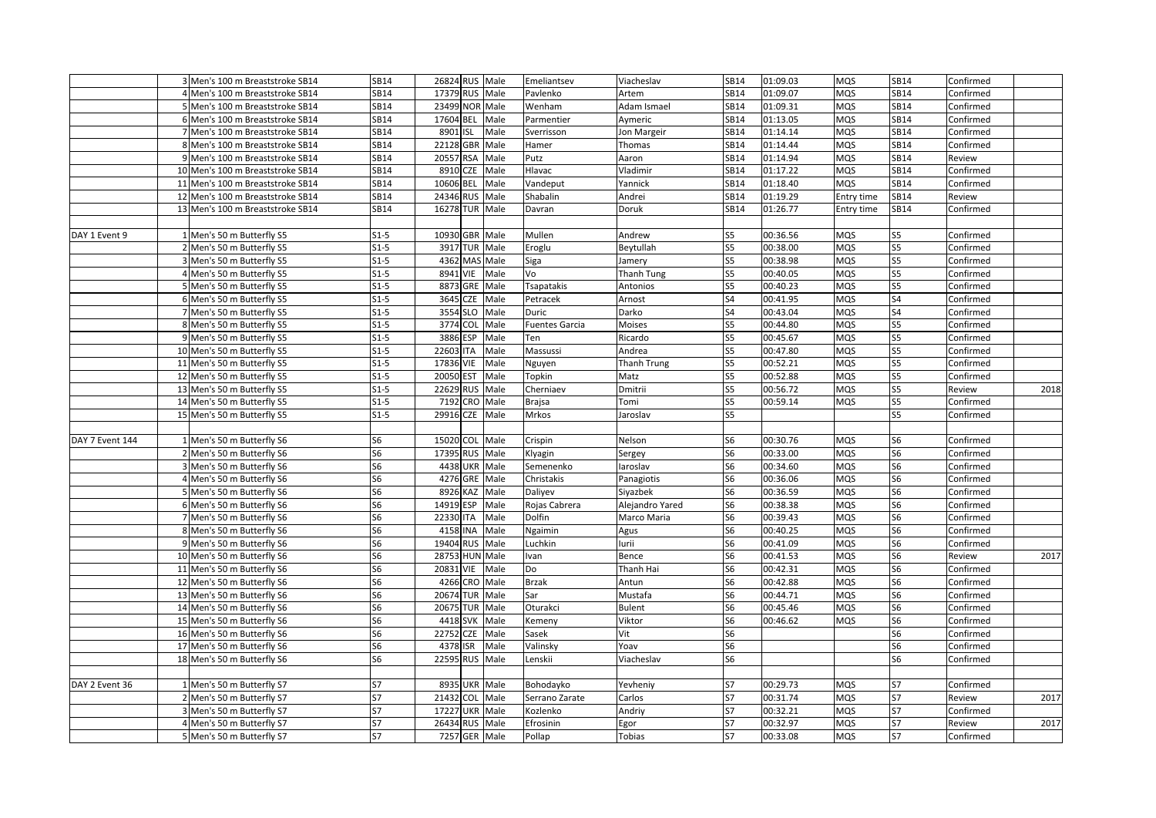|                 | 3 Men's 100 m Breaststroke SB14  | <b>SB14</b>    | 26824 RUS Male            |                 | Emeliantsev           | Viacheslav        | SB14           | 01:09.03 | <b>MQS</b> | SB14           | Confirmed |      |
|-----------------|----------------------------------|----------------|---------------------------|-----------------|-----------------------|-------------------|----------------|----------|------------|----------------|-----------|------|
|                 | 4 Men's 100 m Breaststroke SB14  | SB14           | 17379 RUS Male            |                 | Pavlenko              | Artem             | <b>SB14</b>    | 01:09.07 | <b>MQS</b> | SB14           | Confirmed |      |
|                 | 5 Men's 100 m Breaststroke SB14  | SB14           | 23499 NOR Male            |                 | Wenham                | Adam Ismael       | <b>SB14</b>    | 01:09.31 | MQS        | SB14           | Confirmed |      |
|                 | 6 Men's 100 m Breaststroke SB14  | SB14           | 17604 BEL Male            |                 | Parmentier            | Aymeric           | SB14           | 01:13.05 | <b>MQS</b> | SB14           | Confirmed |      |
|                 | 7 Men's 100 m Breaststroke SB14  | SB14           | 8901 ISL                  | Male            | Sverrisson            | Jon Margeir       | SB14           | 01:14.14 | <b>MQS</b> | SB14           | Confirmed |      |
|                 | 8 Men's 100 m Breaststroke SB14  | <b>SB14</b>    | 22128 GBR                 | Male            | Hamer                 | Thomas            | SB14           | 01:14.44 | MQS        | SB14           | Confirmed |      |
|                 | 9 Men's 100 m Breaststroke SB14  | <b>SB14</b>    | 20557 RSA                 | Male            | Putz                  | Aaron             | SB14           | 01:14.94 | MQS        | SB14           | Review    |      |
|                 | 10 Men's 100 m Breaststroke SB14 | <b>SB14</b>    | 8910<br><b>CZE</b>        | Male            | Hlavac                | Vladimir          | <b>SB14</b>    | 01:17.22 | <b>MQS</b> | SB14           | Confirmed |      |
|                 | 11 Men's 100 m Breaststroke SB14 | SB14           | 10606 BEL                 | Male            | Vandeput              | Yannick           | SB14           | 01:18.40 | <b>MQS</b> | SB14           | Confirmed |      |
|                 | 12 Men's 100 m Breaststroke SB14 | SB14           | 24346 RUS                 | Male            | Shabalin              | Andrei            | SB14           | 01:19.29 | Entry time | SB14           | Review    |      |
|                 | 13 Men's 100 m Breaststroke SB14 | SB14           | 16278 TUR                 | Male            | Davran                | Doruk             | SB14           | 01:26.77 | Entry time | SB14           | Confirmed |      |
|                 |                                  |                |                           |                 |                       |                   |                |          |            |                |           |      |
| DAY 1 Event 9   | 1 Men's 50 m Butterfly S5        | $S1-5$         | 10930 GBR Male            |                 | Mullen                | Andrew            | S5             | 00:36.56 | <b>MQS</b> | S5             | Confirmed |      |
|                 | 2 Men's 50 m Butterfly S5        | $S1-5$         | 3917 TUR Male             |                 | Eroglu                | Beytullah         | S5             | 00:38.00 | MQS        | S5             | Confirmed |      |
|                 | 3 Men's 50 m Butterfly S5        | $S1-5$         | 4362 MAS Male             |                 | Siga                  | Jamery            | S5             | 00:38.98 | <b>MQS</b> | S5             | Confirmed |      |
|                 | 4 Men's 50 m Butterfly S5        | $S1-5$         | 8941 VIE                  | Male            | Vo                    | <b>Thanh Tung</b> | S5             | 00:40.05 | <b>MQS</b> | S5             | Confirmed |      |
|                 | 5 Men's 50 m Butterfly S5        | $S1-5$         | 8873 GRE                  | Male            | Tsapatakis            | Antonios          | S5             | 00:40.23 | <b>MQS</b> | S5             | Confirmed |      |
|                 | 6 Men's 50 m Butterfly S5        | $S1-5$         | 3645 CZE                  | Male            | Petracek              | Arnost            | S4             | 00:41.95 | <b>MQS</b> | S4             | Confirmed |      |
|                 | 7 Men's 50 m Butterfly S5        | $S1-5$         | 3554 SLO Male             |                 | Duric                 | Darko             | S4             | 00:43.04 | <b>MQS</b> | S4             | Confirmed |      |
|                 | 8 Men's 50 m Butterfly S5        | $S1-5$         | 3774 COL                  | Male            | <b>Fuentes Garcia</b> | Moises            | S5             | 00:44.80 | <b>MQS</b> | S5             | Confirmed |      |
|                 | 9 Men's 50 m Butterfly S5        | $S1-5$         | 3886<br>ESP               | Male            | Ten                   | Ricardo           | S5             | 00:45.67 | <b>MQS</b> | S5             | Confirmed |      |
|                 | 10 Men's 50 m Butterfly S5       | $S1-5$         | 22603 ITA                 | Male            | Massussi              | Andrea            | S5             | 00:47.80 | MQS        | S5             | Confirmed |      |
|                 | 11 Men's 50 m Butterfly S5       | $S1-5$         | 17836 VIE                 | Male            | Nguyen                | Thanh Trung       | S5             | 00:52.21 | <b>MQS</b> | S5             | Confirmed |      |
|                 | 12 Men's 50 m Butterfly S5       | $S1-5$         | <b>EST</b><br>20050       | Male            | Topkin                | Matz              | S5             | 00:52.88 | <b>MQS</b> | S5             | Confirmed |      |
|                 | 13 Men's 50 m Butterfly S5       | $S1-5$         | 22629 RUS Male            |                 | Cherniaev             | Dmitrii           | S5             | 00:56.72 | <b>MQS</b> | S5             | Review    | 2018 |
|                 | 14 Men's 50 m Butterfly S5       | $S1-5$         | 7192 CRO                  | Male            | <b>Brajsa</b>         | Tomi              | S5             | 00:59.14 | <b>MQS</b> | S5             | Confirmed |      |
|                 | 15 Men's 50 m Butterfly S5       | $S1-5$         | 29916 CZE                 | Male            | Mrkos                 | Jaroslav          | S5             |          |            | S5             | Confirmed |      |
|                 |                                  |                |                           |                 |                       |                   |                |          |            |                |           |      |
| DAY 7 Event 144 | 1 Men's 50 m Butterfly S6        | S6             | 15020 COL Male            |                 | Crispin               | Nelson            | S6             | 00:30.76 | <b>MQS</b> | S <sub>6</sub> | Confirmed |      |
|                 | 2 Men's 50 m Butterfly S6        | S6             | 17395 RUS Male            |                 | Klyagin               | Sergey            | S <sub>6</sub> | 00:33.00 | <b>MQS</b> | S6             | Confirmed |      |
|                 | 3 Men's 50 m Butterfly S6        | S6             | 4438 UKR Male             |                 | Semenenko             | laroslav          | S6             | 00:34.60 | <b>MQS</b> | S <sub>6</sub> | Confirmed |      |
|                 | 4 Men's 50 m Butterfly S6        | S6             | 4276 GRE Male             |                 | Christakis            | Panagiotis        | S6             | 00:36.06 | <b>MQS</b> | S6             | Confirmed |      |
|                 | 5 Men's 50 m Butterfly S6        | S <sub>6</sub> | 8926 KAZ Male             |                 | Daliyev               | Siyazbek          | S <sub>6</sub> | 00:36.59 | <b>MQS</b> | S <sub>6</sub> | Confirmed |      |
|                 | 6 Men's 50 m Butterfly S6        | S6             | 14919 ESP                 | Male            | Rojas Cabrera         | Alejandro Yared   | S <sub>6</sub> | 00:38.38 | <b>MQS</b> | S <sub>6</sub> | Confirmed |      |
|                 | 7 Men's 50 m Butterfly S6        | S6             | 22330 ITA                 | Male            | Dolfin                | Marco Maria       | S <sub>6</sub> | 00:39.43 | <b>MQS</b> | S6             | Confirmed |      |
|                 | 8 Men's 50 m Butterfly S6        | S6             | 4158 INA                  | Male            | Ngaimin               | Agus              | S <sub>6</sub> | 00:40.25 | <b>MQS</b> | S <sub>6</sub> | Confirmed |      |
|                 | 9 Men's 50 m Butterfly S6        | S6             | 19404<br><b>RUS</b>       | Male            | Luchkin               | urii              | S6             | 00:41.09 | MQS        | S6             | Confirmed |      |
|                 | 10 Men's 50 m Butterfly S6       | S <sub>6</sub> | 28753 HUN Male            |                 | Ivan                  | Bence             | S <sub>6</sub> | 00:41.53 | <b>MQS</b> | S6             | Review    | 2017 |
|                 | 11 Men's 50 m Butterfly S6       | S6             | 20831 VIE                 | Male            | Do                    | Thanh Hai         | S6             | 00:42.31 | <b>MQS</b> | S <sub>6</sub> | Confirmed |      |
|                 | 12 Men's 50 m Butterfly S6       | S <sub>6</sub> | 4266                      | CRO Male        | <b>Brzak</b>          | Antun             | S6             | 00:42.88 | <b>MQS</b> | S <sub>6</sub> | Confirmed |      |
|                 | 13 Men's 50 m Butterfly S6       | S6             | 20674 TUR Male            |                 | Sar                   | Mustafa           | S6             | 00:44.71 | <b>MQS</b> | S <sub>6</sub> | Confirmed |      |
|                 | 14 Men's 50 m Butterfly S6       | S <sub>6</sub> | 20675                     | <b>TUR Male</b> | Oturakci              | <b>Bulent</b>     | S6             | 00:45.46 | <b>MQS</b> | S <sub>6</sub> | Confirmed |      |
|                 | 15 Men's 50 m Butterfly S6       | S6             | 4418 SVK                  | Male            | Kemeny                | Viktor            | S6             | 00:46.62 | MQS        | S6             | Confirmed |      |
|                 | 16 Men's 50 m Butterfly S6       | S6             | 22752                     | CZE Male        | Sasek                 | Vit               | S6             |          |            | S6             | Confirmed |      |
|                 | 17 Men's 50 m Butterfly S6       | S <sub>6</sub> | 4378<br><b>ISR</b>        | Male            | Valinsky              | Yoav              | S <sub>6</sub> |          |            | S6             | Confirmed |      |
|                 | 18 Men's 50 m Butterfly S6       | S6             | 22595 RUS                 | Male            | Lenskii               | Viacheslav        | S <sub>6</sub> |          |            | S <sub>6</sub> | Confirmed |      |
|                 |                                  |                |                           |                 |                       |                   |                |          |            |                |           |      |
| DAY 2 Event 36  | 1 Men's 50 m Butterfly S7        | S7             | 8935 UKR Male             |                 | Bohodayko             | Yevheniy          | S7             | 00:29.73 | <b>MQS</b> | S7             | Confirmed |      |
|                 | 2 Men's 50 m Butterfly S7        | <b>S7</b>      | 21432<br>COL <sup>1</sup> | Male            | Serrano Zarate        | Carlos            | S7             | 00:31.74 | <b>MQS</b> | <b>S7</b>      | Review    | 2017 |
|                 | 3 Men's 50 m Butterfly S7        | S7             | 17227 UKR Male            |                 | Kozlenko              | Andriy            | S7             | 00:32.21 | <b>MQS</b> | S7             | Confirmed |      |
|                 | 4 Men's 50 m Butterfly S7        | S7             | 26434 RUS Male            |                 | Efrosinin             | Egor              | S7             | 00:32.97 | <b>MQS</b> | S7             | Review    | 2017 |
|                 | 5 Men's 50 m Butterfly S7        | S7             | 7257 GER Male             |                 | Pollap                | Tobias            | S7             | 00:33.08 | MQS        | S7             | Confirmed |      |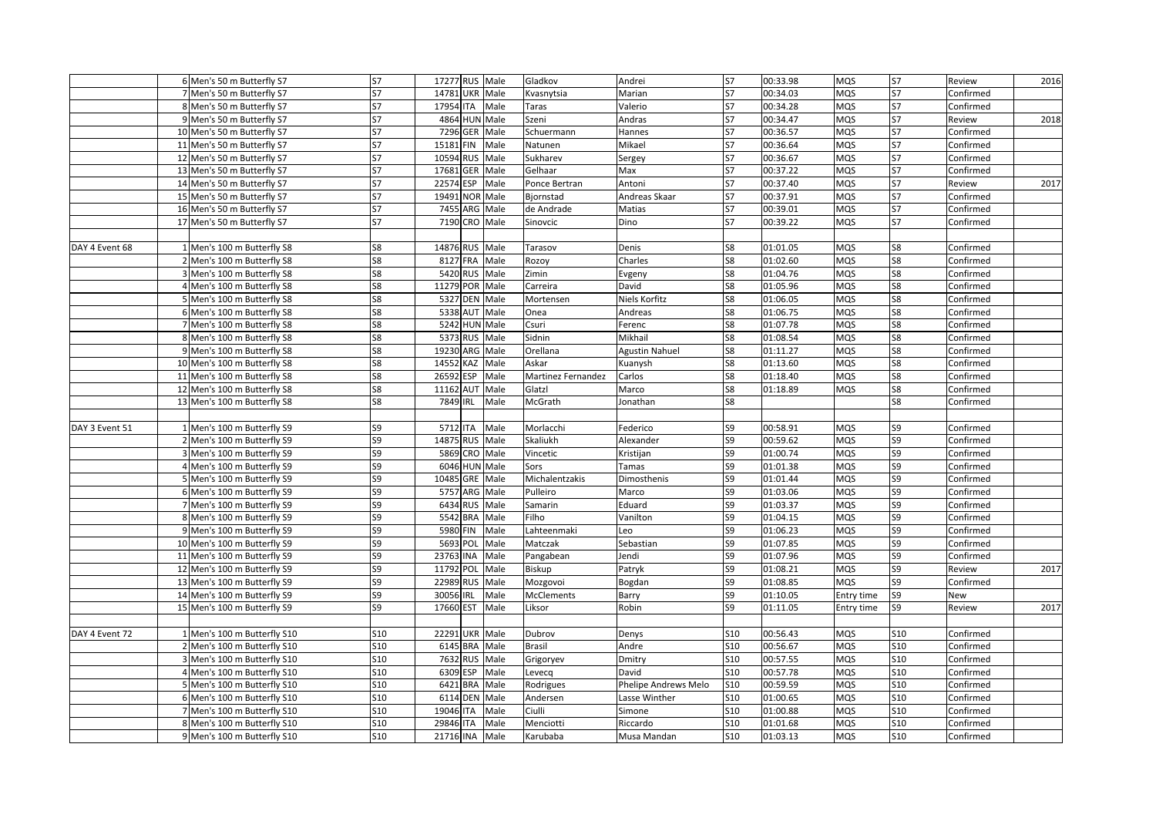|                | 6 Men's 50 m Butterfly S7   | S7         | 17277 RUS Male    |      | Gladkov            | Andrei                | S7         | 00:33.98 | <b>MQS</b> | S7         | Review    | 2016 |
|----------------|-----------------------------|------------|-------------------|------|--------------------|-----------------------|------------|----------|------------|------------|-----------|------|
|                | 7 Men's 50 m Butterfly S7   | S7         | 14781 UKR Male    |      | Kvasnytsia         | Marian                | S7         | 00:34.03 | <b>MQS</b> | S7         | Confirmed |      |
|                | 8 Men's 50 m Butterfly S7   | <b>S7</b>  | 17954 ITA         | Male | Taras              | Valerio               | <b>S7</b>  | 00:34.28 | <b>MQS</b> | <b>S7</b>  | Confirmed |      |
|                | 9 Men's 50 m Butterfly S7   | S7         | 4864 HUN Male     |      | Szeni              | Andras                | S7         | 00:34.47 | <b>MQS</b> | <b>S7</b>  | Review    | 2018 |
|                | 10 Men's 50 m Butterfly S7  | <b>S7</b>  | 7296 GER Male     |      | Schuermann         | Hannes                | S7         | 00:36.57 | <b>MQS</b> | S7         | Confirmed |      |
|                | 11 Men's 50 m Butterfly S7  | S7         | 15181 FIN         | Male | Natunen            | Mikael                | S7         | 00:36.64 | MQS        | S7         | Confirmed |      |
|                | 12 Men's 50 m Butterfly S7  | <b>S7</b>  | 10594 RUS Male    |      | Sukharev           | Sergey                | <b>S7</b>  | 00:36.67 | <b>MQS</b> | S7         | Confirmed |      |
|                | 13 Men's 50 m Butterfly S7  | S7         | 17681 GER Male    |      | Gelhaar            | Max                   | <b>S7</b>  | 00:37.22 | <b>MQS</b> | <b>S7</b>  | Confirmed |      |
|                | 14 Men's 50 m Butterfly S7  | S7         | 22574 ESP         | Male | Ponce Bertran      | Antoni                | S7         | 00:37.40 | <b>MQS</b> | S7         | Review    | 2017 |
|                | 15 Men's 50 m Butterfly S7  | S7         | 19491 NOR Male    |      | Bjornstad          | Andreas Skaar         | <b>S7</b>  | 00:37.91 | <b>MQS</b> | <b>S7</b>  | Confirmed |      |
|                | 16 Men's 50 m Butterfly S7  | S7         | 7455 ARG Male     |      | de Andrade         | Matias                | S7         | 00:39.01 | <b>MQS</b> | S7         | Confirmed |      |
|                | 17 Men's 50 m Butterfly S7  | <b>S7</b>  | 7190 CRO Male     |      | Sinovcic           | Dino                  | <b>S7</b>  | 00:39.22 | <b>MQS</b> | <b>S7</b>  | Confirmed |      |
|                |                             |            |                   |      |                    |                       |            |          |            |            |           |      |
| DAY 4 Event 68 | 1 Men's 100 m Butterfly S8  | S8         | 14876 RUS Male    |      | Tarasov            | Denis                 | S8         | 01:01.05 | <b>MQS</b> | S8         | Confirmed |      |
|                | 2 Men's 100 m Butterfly S8  | S8         | 8127 FRA          | Male | Rozoy              | Charles               | S8         | 01:02.60 | MQS        | S8         | Confirmed |      |
|                | 3 Men's 100 m Butterfly S8  | S8         | 5420 RUS Male     |      | Zimin              | Evgeny                | S8         | 01:04.76 | <b>MQS</b> | S8         | Confirmed |      |
|                | 4 Men's 100 m Butterfly S8  | S8         | 11279 POR Male    |      | Carreira           | David                 | S8         | 01:05.96 | <b>MQS</b> | S8         | Confirmed |      |
|                | 5 Men's 100 m Butterfly S8  | S8         | 5327 DEN Male     |      | Mortensen          | Niels Korfitz         | S8         | 01:06.05 | <b>MQS</b> | S8         | Confirmed |      |
|                | 6 Men's 100 m Butterfly S8  | S8         | 5338 AUT Male     |      | Onea               | Andreas               | S8         | 01:06.75 | <b>MQS</b> | S8         | Confirmed |      |
|                | 7 Men's 100 m Butterfly S8  | S8         | 5242 HUN Male     |      | Csuri              | Ferenc                | S8         | 01:07.78 | <b>MQS</b> | S8         | Confirmed |      |
|                | 8 Men's 100 m Butterfly S8  | S8         | 5373 RUS Male     |      | Sidnin             | Mikhail               | S8         | 01:08.54 | <b>MQS</b> | S8         | Confirmed |      |
|                | 9 Men's 100 m Butterfly S8  | S8         | 19230 ARG Male    |      | Orellana           | <b>Agustin Nahuel</b> | S8         | 01:11.27 | MQS        | S8         | Confirmed |      |
|                | 10 Men's 100 m Butterfly S8 | S8         | 14552<br>KAZ      | Male | Askar              | Kuanysh               | S8         | 01:13.60 | MQS        | S8         | Confirmed |      |
|                | 11 Men's 100 m Butterfly S8 | S8         | 26592 ESP         | Male | Martinez Fernandez | Carlos                | S8         | 01:18.40 | <b>MQS</b> | S8         | Confirmed |      |
|                | 12 Men's 100 m Butterfly S8 | S8         | 11162 AUT Male    |      | Glatzl             | Marco                 | S8         | 01:18.89 | <b>MQS</b> | S8         | Confirmed |      |
|                | 13 Men's 100 m Butterfly S8 | S8         | 7849 IRL          | Male | McGrath            | Jonathan              | S8         |          |            | S8         | Confirmed |      |
|                |                             |            |                   |      |                    |                       |            |          |            |            |           |      |
| DAY 3 Event 51 | 1 Men's 100 m Butterfly S9  | S9         | 5712 ITA Male     |      | Morlacchi          | Federico              | S9         | 00:58.91 | <b>MQS</b> | S9         | Confirmed |      |
|                | 2 Men's 100 m Butterfly S9  | S9         | 14875 RUS Male    |      | Skaliukh           | Alexander             | S9         | 00:59.62 | MQS        | S9         | Confirmed |      |
|                | 3 Men's 100 m Butterfly S9  | S9         | 5869 CRO Male     |      | Vincetic           | Kristijan             | S9         | 01:00.74 | <b>MQS</b> | S9         | Confirmed |      |
|                | 4 Men's 100 m Butterfly S9  | S9         | 6046 HUN Male     |      | Sors               | Tamas                 | S9         | 01:01.38 | <b>MQS</b> | S9         | Confirmed |      |
|                | 5 Men's 100 m Butterfly S9  | S9         | 10485 GRE Male    |      | Michalentzakis     | Dimosthenis           | S9         | 01:01.44 | <b>MQS</b> | S9         | Confirmed |      |
|                | 6 Men's 100 m Butterfly S9  | S9         | 5757 ARG Male     |      | Pulleiro           | Marco                 | S9         | 01:03.06 | <b>MQS</b> | S9         | Confirmed |      |
|                | 7 Men's 100 m Butterfly S9  | S9         | 6434 RUS Male     |      | Samarin            | Eduard                | S9         | 01:03.37 | <b>MQS</b> | S9         | Confirmed |      |
|                | 8 Men's 100 m Butterfly S9  | S9         | 5542 BRA Male     |      | Filho              | Vanilton              | S9         | 01:04.15 | <b>MQS</b> | S9         | Confirmed |      |
|                | 9 Men's 100 m Butterfly S9  | S9         | 5980 FIN          | Male | Lahteenmaki        | Leo                   | S9         | 01:06.23 | <b>MQS</b> | S9         | Confirmed |      |
|                | 10 Men's 100 m Butterfly S9 | S9         | 5693 POL Male     |      | Matczak            | Sebastian             | S9         | 01:07.85 | <b>MQS</b> | S9         | Confirmed |      |
|                | 11 Men's 100 m Butterfly S9 | S9         | 23763 INA         | Male | Pangabean          | Jendi                 | S9         | 01:07.96 | MQS        | S9         | Confirmed |      |
|                | 12 Men's 100 m Butterfly S9 | S9         | 11792 POL Male    |      | Biskup             | Patryk                | S9         | 01:08.21 | <b>MQS</b> | S9         | Review    | 2017 |
|                | 13 Men's 100 m Butterfly S9 | S9         | RUS Male<br>22989 |      | Mozgovoi           | Bogdan                | S9         | 01:08.85 | <b>MQS</b> | S9         | Confirmed |      |
|                | 14 Men's 100 m Butterfly S9 | S9         | 30056 IRL         | Male | <b>McClements</b>  | Barry                 | S9         | 01:10.05 | Entry time | S9         | New       |      |
|                | 15 Men's 100 m Butterfly S9 | S9         | 17660 EST         | Male | Liksor             | Robin                 | S9         | 01:11.05 | Entry time | S9         | Review    | 2017 |
|                |                             |            |                   |      |                    |                       |            |          |            |            |           |      |
| DAY 4 Event 72 | 1 Men's 100 m Butterfly S10 | S10        | 22291 UKR Male    |      | Dubrov             | Denys                 | S10        | 00:56.43 | <b>MQS</b> | S10        | Confirmed |      |
|                | 2 Men's 100 m Butterfly S10 | S10        | 6145 BRA Male     |      | <b>Brasil</b>      | Andre                 | S10        | 00:56.67 | MQS        | <b>S10</b> | Confirmed |      |
|                | 3 Men's 100 m Butterfly S10 | <b>S10</b> | 7632 RUS Male     |      | Grigoryev          | Dmitry                | <b>S10</b> | 00:57.55 | <b>MQS</b> | <b>S10</b> | Confirmed |      |
|                | 4 Men's 100 m Butterfly S10 | S10        | 6309 ESP          | Male | Levecq             | David                 | <b>S10</b> | 00:57.78 | <b>MQS</b> | <b>S10</b> | Confirmed |      |
|                | 5 Men's 100 m Butterfly S10 | <b>S10</b> | 6421 BRA          | Male | Rodrigues          | Phelipe Andrews Melo  | <b>S10</b> | 00:59.59 | <b>MQS</b> | <b>S10</b> | Confirmed |      |
|                | 6 Men's 100 m Butterfly S10 | S10        | 6114 DEN Male     |      | Andersen           | Lasse Winther         | S10        | 01:00.65 | <b>MQS</b> | S10        | Confirmed |      |
|                | 7 Men's 100 m Butterfly S10 | S10        | 19046 ITA         | Male | Ciulli             | Simone                | S10        | 01:00.88 | <b>MQS</b> | S10        | Confirmed |      |
|                | 8 Men's 100 m Butterfly S10 | <b>S10</b> | 29846 ITA         | Male | Menciotti          | Riccardo              | S10        | 01:01.68 | <b>MQS</b> | <b>S10</b> | Confirmed |      |
|                | 9 Men's 100 m Butterfly S10 | S10        | 21716 INA Male    |      | Karubaba           | Musa Mandan           | S10        | 01:03.13 | <b>MQS</b> | <b>S10</b> | Confirmed |      |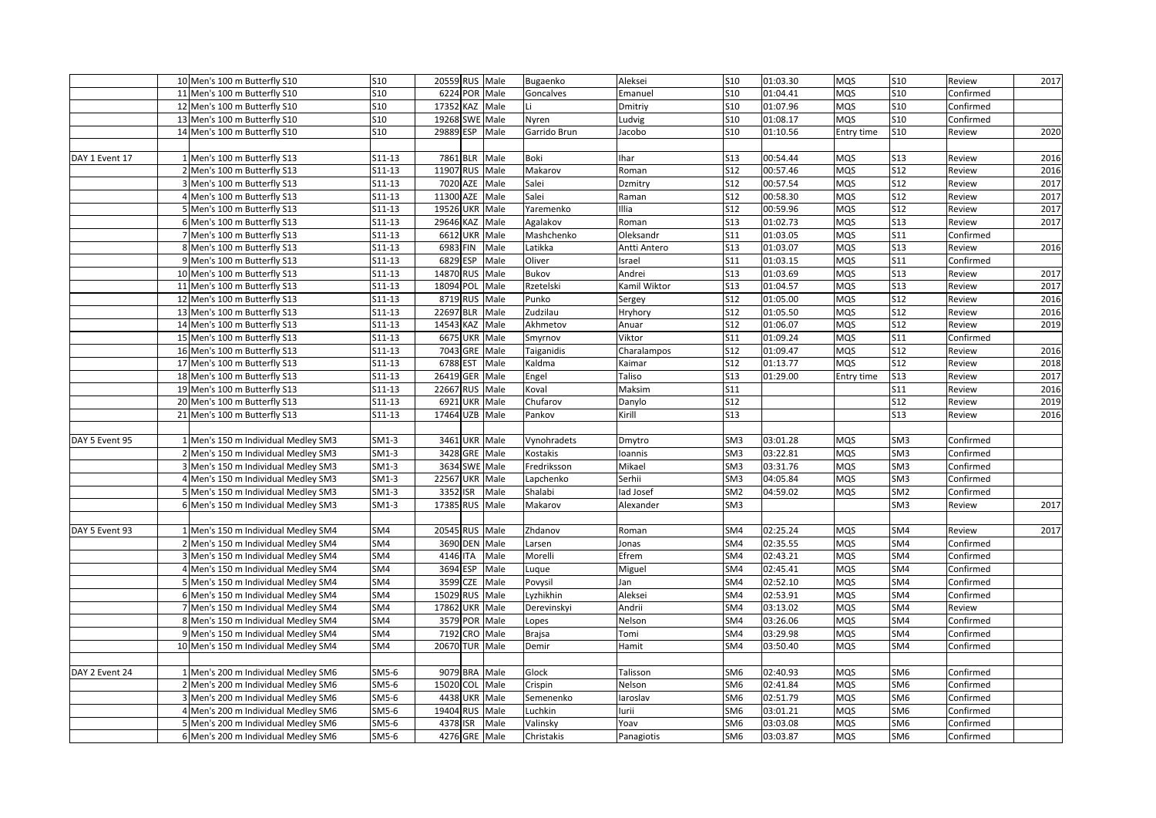|                | 10 Men's 100 m Butterfly S10         | S10             | 20559 RUS Male     |      | Bugaenko      | Aleksei      | <b>S10</b>      | 01:03.30 | <b>MQS</b> | <b>S10</b>      | Review    | 2017 |
|----------------|--------------------------------------|-----------------|--------------------|------|---------------|--------------|-----------------|----------|------------|-----------------|-----------|------|
|                | 11 Men's 100 m Butterfly S10         | S10             | 6224 POR Male      |      | Goncalves     | Emanuel      | <b>S10</b>      | 01:04.41 | <b>MQS</b> | <b>S10</b>      | Confirmed |      |
|                | 12 Men's 100 m Butterfly S10         | S10             | 17352 KAZ Male     |      |               | Dmitriy      | S <sub>10</sub> | 01:07.96 | MQS        | S10             | Confirmed |      |
|                | 13 Men's 100 m Butterfly S10         | S10             | 19268 SWE Male     |      | Nyren         | udvig.       | S10             | 01:08.17 | <b>MQS</b> | <b>S10</b>      | Confirmed |      |
|                | 14 Men's 100 m Butterfly S10         | <b>S10</b>      | 29889 ESP          | Male | Garrido Brun  | Jacobo       | <b>S10</b>      | 01:10.56 | Entry time | <b>S10</b>      | Review    | 2020 |
|                |                                      |                 |                    |      |               |              |                 |          |            |                 |           |      |
| DAY 1 Event 17 | 1 Men's 100 m Butterfly S13          | S11-13          | 7861 BLR           | Male | Boki          | har          | S13             | 00:54.44 | <b>MQS</b> | <b>S13</b>      | Review    | 2016 |
|                | 2 Men's 100 m Butterfly S13          | S11-13          | 11907 RUS          | Male | Makarov       | Roman        | S12             | 00:57.46 | <b>MQS</b> | <b>S12</b>      | Review    | 2016 |
|                | 3 Men's 100 m Butterfly S13          | S11-13          | 7020 AZE           | Male | Salei         | Dzmitry      | S12             | 00:57.54 | <b>MQS</b> | <b>S12</b>      | Review    | 2017 |
|                | 4 Men's 100 m Butterfly S13          | $S11-13$        | 11300<br>AZE       | Male | Salei         | Raman        | S12             | 00:58.30 | <b>MQS</b> | <b>S12</b>      | Review    | 2017 |
|                | 5 Men's 100 m Butterfly S13          | S11-13          | 19526 UKR Male     |      | Yaremenko     | llia         | S12             | 00:59.96 | <b>MQS</b> | <b>S12</b>      | Review    | 2017 |
|                | 6 Men's 100 m Butterfly S13          | S11-13          | 29646 KAZ Male     |      | Agalakov      | Roman        | S13             | 01:02.73 | <b>MQS</b> | <b>S13</b>      | Review    | 2017 |
|                | 7 Men's 100 m Butterfly S13          | S11-13          | 6612 UKR Male      |      | Mashchenko    | Oleksandr    | S11             | 01:03.05 | <b>MQS</b> | S11             | Confirmed |      |
|                | 8 Men's 100 m Butterfly S13          | S11-13          | 6983 FIN           | Male | Latikka       | Antti Antero | S13             | 01:03.07 | MQS        | S13             | Review    | 2016 |
|                | 9 Men's 100 m Butterfly S13          | S11-13          | 6829 ESP           | Male | Oliver        | srael        | S11             | 01:03.15 | <b>MQS</b> | S11             | Confirmed |      |
|                | 10 Men's 100 m Butterfly S13         | S11-13          | 14870 RUS          | Male | Bukov         | Andrei       | <b>S13</b>      | 01:03.69 | <b>MQS</b> | <b>S13</b>      | Review    | 2017 |
|                | 11 Men's 100 m Butterfly S13         | S11-13          | 18094 POL          | Male | Rzetelski     | Kamil Wiktor | S13             | 01:04.57 | <b>MQS</b> | <b>S13</b>      | Review    | 2017 |
|                | 12 Men's 100 m Butterfly S13         | S11-13          | 8719 RUS Male      |      | Punko         | Sergey       | S12             | 01:05.00 | <b>MQS</b> | <b>S12</b>      | Review    | 2016 |
|                | 13 Men's 100 m Butterfly S13         | S11-13          | 22697 BLR          | Male | Zudzilau      | Hryhory      | <b>S12</b>      | 01:05.50 | <b>MQS</b> | <b>S12</b>      | Review    | 2016 |
|                | 14 Men's 100 m Butterfly S13         | S11-13          | 14543 KAZ Male     |      | Akhmetov      | Anuar        | S12             | 01:06.07 | <b>MQS</b> | <b>S12</b>      | Review    | 2019 |
|                | 15 Men's 100 m Butterfly S13         | S11-13          | 6675 UKR Male      |      | Smyrnov       | Viktor       | <b>S11</b>      | 01:09.24 | <b>MQS</b> | <b>S11</b>      | Confirmed |      |
|                | 16 Men's 100 m Butterfly S13         | S11-13          | 7043 GRE           | Male | Taiganidis    | Charalampos  | S12             | 01:09.47 | MQS        | S12             | Review    | 2016 |
|                | 17 Men's 100 m Butterfly S13         | S11-13          | 6788<br><b>EST</b> | Male | Kaldma        | Kaimar       | <b>S12</b>      | 01:13.77 | <b>MQS</b> | S12             | Review    | 2018 |
|                | 18 Men's 100 m Butterfly S13         | S11-13          | 26419 GER          | Male | Engel         | Taliso       | S13             | 01:29.00 | Entry time | <b>S13</b>      | Review    | 2017 |
|                | 19 Men's 100 m Butterfly S13         | S11-13          | 22667 RUS          | Male | Koval         | Maksim       | S11             |          |            | <b>S11</b>      | Review    | 2016 |
|                | 20 Men's 100 m Butterfly S13         | S11-13          | 6921 UKR           | Male | Chufarov      | Danylo       | S12             |          |            | S12             | Review    | 2019 |
|                | 21 Men's 100 m Butterfly S13         | S11-13          | 17464 UZB Male     |      | Pankov        | Kirill       | S13             |          |            | <b>S13</b>      | Review    | 2016 |
|                |                                      |                 |                    |      |               |              |                 |          |            |                 |           |      |
| DAY 5 Event 95 | 1 Men's 150 m Individual Medley SM3  | $SM1-3$         | 3461 UKR Male      |      | Vynohradets   | Dmytro       | SM <sub>3</sub> | 03:01.28 | MQS        | SM <sub>3</sub> | Confirmed |      |
|                | 2 Men's 150 m Individual Medley SM3  | SM1-3           | 3428 GRE Male      |      | Kostakis      | oannis       | SM <sub>3</sub> | 03:22.81 | <b>MQS</b> | SM <sub>3</sub> | Confirmed |      |
|                | 3 Men's 150 m Individual Medley SM3  | $SM1-3$         | 3634 SWE Male      |      | Fredriksson   | Mikael       | SM <sub>3</sub> | 03:31.76 | <b>MQS</b> | SM <sub>3</sub> | Confirmed |      |
|                | 4 Men's 150 m Individual Medley SM3  | SM1-3           | <b>22567 UKR</b>   | Male | Lapchenko     | Serhii       | SM <sub>3</sub> | 04:05.84 | <b>MQS</b> | SM <sub>3</sub> | Confirmed |      |
|                | 5 Men's 150 m Individual Medley SM3  | $SM1-3$         | 3352 ISR           | Male | Shalabi       | ad Josef     | SM <sub>2</sub> | 04:59.02 | <b>MQS</b> | SM <sub>2</sub> | Confirmed |      |
|                | 6 Men's 150 m Individual Medley SM3  | $SM1-3$         | 17385 RUS          | Male | Makarov       | Alexander    | SM <sub>3</sub> |          |            | SM <sub>3</sub> | Review    | 2017 |
|                |                                      |                 |                    |      |               |              |                 |          |            |                 |           |      |
| DAY 5 Event 93 | 1 Men's 150 m Individual Medley SM4  | SM4             | 20545 RUS Male     |      | Zhdanov       | Roman        | SM4             | 02:25.24 | <b>MQS</b> | SM4             | Review    | 2017 |
|                | 2 Men's 150 m Individual Medley SM4  | SM <sub>4</sub> | 3690 DEN Male      |      | Larsen        | Jonas        | SM4             | 02:35.55 | MQS        | SM4             | Confirmed |      |
|                | 3 Men's 150 m Individual Medley SM4  | SM <sub>4</sub> | 4146 ITA           | Male | Morelli       | Efrem        | SM4             | 02:43.21 | <b>MQS</b> | SM4             | Confirmed |      |
|                | 4 Men's 150 m Individual Medley SM4  | SM <sub>4</sub> | 3694 ESP           | Male | Luque         | Miguel       | SM4             | 02:45.41 | <b>MQS</b> | SM4             | Confirmed |      |
|                | 5 Men's 150 m Individual Medley SM4  | SM4             | 3599 CZE           | Male | Povysil       | Jan          | SM4             | 02:52.10 | <b>MQS</b> | SM4             | Confirmed |      |
|                | 6 Men's 150 m Individual Medley SM4  | SM4             | 15029 RUS          | Male | Lyzhikhin     | Aleksei      | SM4             | 02:53.91 | <b>MQS</b> | SM4             | Confirmed |      |
|                | 7 Men's 150 m Individual Medley SM4  | SM4             | 17862 UKR Male     |      | Derevinskyi   | Andrii       | SM4             | 03:13.02 | <b>MQS</b> | SM4             | Review    |      |
|                | 8 Men's 150 m Individual Medley SM4  | SM4             | 3579 POR Male      |      | Lopes         | Nelson       | SM4             | 03:26.06 | <b>MQS</b> | SM4             | Confirmed |      |
|                | 9 Men's 150 m Individual Medley SM4  | SM <sub>4</sub> | 7192 CRO Male      |      | <b>Brajsa</b> | Tomi         | SM4             | 03:29.98 | <b>MQS</b> | SM4             | Confirmed |      |
|                | 10 Men's 150 m Individual Medley SM4 | SM4             | 20670 TUR          | Male | Demir         | <b>Hamit</b> | SM4             | 03:50.40 | MQS        | SM4             | Confirmed |      |
|                |                                      |                 |                    |      |               |              |                 |          |            |                 |           |      |
| DAY 2 Event 24 | 1 Men's 200 m Individual Medley SM6  | SM5-6           | 9079 BRA           | Male | Glock         | Talisson     | SM <sub>6</sub> | 02:40.93 | <b>MQS</b> | SM <sub>6</sub> | Confirmed |      |
|                | 2 Men's 200 m Individual Medley SM6  | SM5-6           | 15020 COL Male     |      | Crispin       | Nelson       | SM <sub>6</sub> | 02:41.84 | <b>MQS</b> | SM <sub>6</sub> | Confirmed |      |
|                | 3 Men's 200 m Individual Medley SM6  | SM5-6           | 4438 UKR Male      |      | Semenenko     | aroslav      | SM <sub>6</sub> | 02:51.79 | <b>MQS</b> | SM <sub>6</sub> | Confirmed |      |
|                | 4 Men's 200 m Individual Medley SM6  | SM5-6           | 19404 RUS          | Male | Luchkin       | urii         | SM <sub>6</sub> | 03:01.21 | <b>MQS</b> | SM <sub>6</sub> | Confirmed |      |
|                | 5 Men's 200 m Individual Medley SM6  | SM5-6           | 4378 ISR           | Male | Valinsky      | Yoav         | SM <sub>6</sub> | 03:03.08 | <b>MQS</b> | SM <sub>6</sub> | Confirmed |      |
|                | 6 Men's 200 m Individual Medley SM6  | SM5-6           | 4276 GRE Male      |      | Christakis    | Panagiotis   | SM <sub>6</sub> | 03:03.87 | MQS        | SM <sub>6</sub> | Confirmed |      |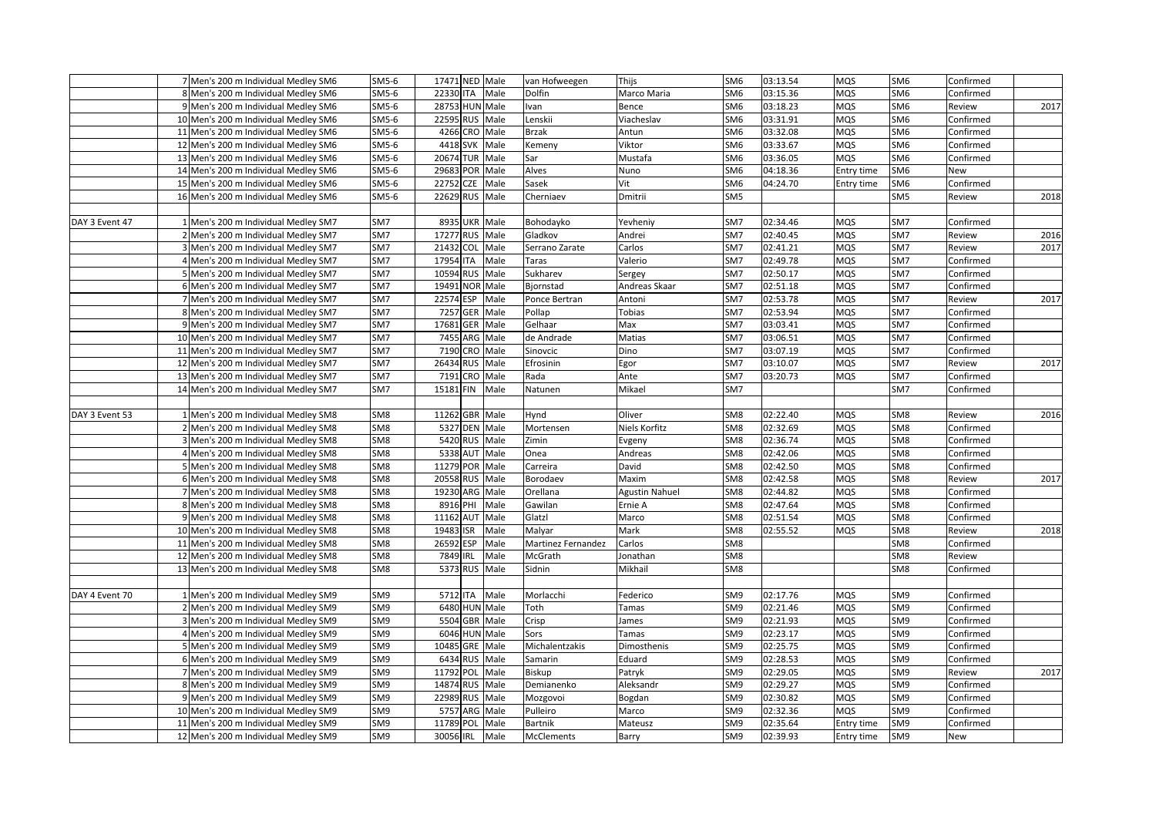|                | 7 Men's 200 m Individual Medley SM6  | SM5-6           | 17471 NED Male            |                 | van Hofweegen      | Thijs                 | SM <sub>6</sub> | 03:13.54 | <b>MQS</b> | SM <sub>6</sub> | Confirmed |      |
|----------------|--------------------------------------|-----------------|---------------------------|-----------------|--------------------|-----------------------|-----------------|----------|------------|-----------------|-----------|------|
|                | 8 Men's 200 m Individual Medley SM6  | SM5-6           | 22330 ITA Male            |                 | Dolfin             | Marco Maria           | SM <sub>6</sub> | 03:15.36 | <b>MQS</b> | SM <sub>6</sub> | Confirmed |      |
|                | 9 Men's 200 m Individual Medley SM6  | SM5-6           | 28753 HUN Male            |                 | Ivan               | Bence                 | SM <sub>6</sub> | 03:18.23 | <b>MQS</b> | SM <sub>6</sub> | Review    | 2017 |
|                | 10 Men's 200 m Individual Medley SM6 | $SM5-6$         | 22595 RUS Male            |                 | Lenskii            | Viacheslav            | SM <sub>6</sub> | 03:31.91 | <b>MQS</b> | SM <sub>6</sub> | Confirmed |      |
|                | 11 Men's 200 m Individual Medley SM6 | SM5-6           | 4266 CRO Male             |                 | <b>Brzak</b>       | Antun                 | SM <sub>6</sub> | 03:32.08 | <b>MQS</b> | SM <sub>6</sub> | Confirmed |      |
|                | 12 Men's 200 m Individual Medley SM6 | SM5-6           | 4418 SVK Male             |                 | Kemeny             | Viktor                | SM <sub>6</sub> | 03:33.67 | <b>MQS</b> | SM <sub>6</sub> | Confirmed |      |
|                | 13 Men's 200 m Individual Medley SM6 | $SM5-6$         | 20674                     | <b>TUR</b> Male | Sar                | Mustafa               | SM <sub>6</sub> | 03:36.05 | MQS        | SM <sub>6</sub> | Confirmed |      |
|                | 14 Men's 200 m Individual Medley SM6 | $SM5-6$         | 29683<br>POR              | Male            | Alves              | Nuno                  | SM <sub>6</sub> | 04:18.36 | Entry time | SM <sub>6</sub> | New       |      |
|                | 15 Men's 200 m Individual Medley SM6 | SM5-6           | 22752<br>CZE              | Male            | Sasek              | Vit                   | SM <sub>6</sub> | 04:24.70 | Entry time | SM <sub>6</sub> | Confirmed |      |
|                | 16 Men's 200 m Individual Medley SM6 | $SM5-6$         | 22629 RUS                 | Male            | Cherniaev          | Dmitrii               | SM <sub>5</sub> |          |            | SM5             | Review    | 2018 |
|                |                                      |                 |                           |                 |                    |                       |                 |          |            |                 |           |      |
| DAY 3 Event 47 | 1 Men's 200 m Individual Medley SM7  | SM7             | 8935                      | UKR Male        | Bohodayko          | Yevheniy              | SM7             | 02:34.46 | <b>MQS</b> | SM7             | Confirmed |      |
|                | 2 Men's 200 m Individual Medley SM7  | SM7             | 17277 RUS Male            |                 | Gladkov            | Andrei                | SM7             | 02:40.45 | <b>MQS</b> | SM7             | Review    | 2016 |
|                | 3 Men's 200 m Individual Medley SM7  | SM7             | 21432                     | COL Male        | Serrano Zarate     | Carlos                | SM7             | 02:41.21 | <b>MQS</b> | SM7             | Review    | 2017 |
|                |                                      | SM7             | 17954 ITA                 | Male            | Taras              | Valerio               | SM7             | 02:49.78 |            | SM7             | Confirmed |      |
|                | 4 Men's 200 m Individual Medley SM7  | SM7             | 10594                     |                 |                    |                       |                 |          | MQS        | SM7             |           |      |
|                | 5 Men's 200 m Individual Medley SM7  |                 | RUS                       | Male            | Sukharev           | Sergey                | SM7             | 02:50.17 | <b>MQS</b> |                 | Confirmed |      |
|                | 6 Men's 200 m Individual Medley SM7  | SM7             | 19491                     | NOR Male        | Biornstad          | Andreas Skaar         | SM7             | 02:51.18 | <b>MQS</b> | SM7             | Confirmed |      |
|                | 7 Men's 200 m Individual Medley SM7  | SM7             | 22574<br>ESP              | Male            | Ponce Bertran      | Antoni                | SM7             | 02:53.78 | <b>MQS</b> | SM7             | Review    | 2017 |
|                | 8 Men's 200 m Individual Medley SM7  | SM7             | <b>GER</b><br>7257        | Male            | Pollap             | <b>Tobias</b>         | SM7             | 02:53.94 | <b>MQS</b> | SM7             | Confirmed |      |
|                | 9 Men's 200 m Individual Medley SM7  | SM7             | 17681<br>GER <sup>I</sup> | Male            | Gelhaar            | Max                   | SM7             | 03:03.41 | <b>MQS</b> | SM7             | Confirmed |      |
|                | 10 Men's 200 m Individual Medley SM7 | SM7             | 7455                      | ARG Male        | de Andrade         | Matias                | SM7             | 03:06.51 | <b>MQS</b> | SM7             | Confirmed |      |
|                | 11 Men's 200 m Individual Medley SM7 | SM7             | 7190                      | CRO Male        | Sinovcic           | Dino                  | SM7             | 03:07.19 | MQS        | SM7             | Confirmed |      |
|                | 12 Men's 200 m Individual Medley SM7 | SM7             | 26434                     | RUS Male        | Efrosinin          | Egor                  | SM7             | 03:10.07 | <b>MQS</b> | SM7             | Review    | 2017 |
|                | 13 Men's 200 m Individual Medley SM7 | SM7             | 7191<br>CRO               | Male            | Rada               | Ante                  | SM7             | 03:20.73 | MQS        | SM7             | Confirmed |      |
|                | 14 Men's 200 m Individual Medley SM7 | SM7             | 15181 FIN                 | Male            | Natunen            | Mikael                | SM7             |          |            | SM7             | Confirmed |      |
|                |                                      |                 |                           |                 |                    |                       |                 |          |            |                 |           |      |
| DAY 3 Event 53 | 1 Men's 200 m Individual Medley SM8  | SM8             | 11262 GBR Male            |                 | Hynd               | Oliver                | SM8             | 02:22.40 | <b>MQS</b> | SM <sub>8</sub> | Review    | 2016 |
|                | 2 Men's 200 m Individual Medley SM8  | SM <sub>8</sub> | 5327 DEN Male             |                 | Mortensen          | Niels Korfitz         | SM8             | 02:32.69 | <b>MQS</b> | SM <sub>8</sub> | Confirmed |      |
|                | 3 Men's 200 m Individual Medley SM8  | SM8             | 5420 RUS Male             |                 | Zimin              | Evgeny                | SM8             | 02:36.74 | <b>MQS</b> | SM8             | Confirmed |      |
|                | 4 Men's 200 m Individual Medley SM8  | SM <sub>8</sub> | 5338 AUT Male             |                 | Onea               | Andreas               | SM <sub>8</sub> | 02:42.06 | <b>MQS</b> | SM <sub>8</sub> | Confirmed |      |
|                | 5 Men's 200 m Individual Medley SM8  | SM <sub>8</sub> | 11279 POR                 | Male            | Carreira           | David                 | SM <sub>8</sub> | 02:42.50 | <b>MQS</b> | SM <sub>8</sub> | Confirmed |      |
|                | 6 Men's 200 m Individual Medley SM8  | SM <sub>8</sub> | 20558                     | RUS Male        | Borodaev           | Maxim                 | SM <sub>8</sub> | 02:42.58 | <b>MQS</b> | SM <sub>8</sub> | Review    | 2017 |
|                | 7 Men's 200 m Individual Medley SM8  | SM <sub>8</sub> | 19230<br>ARG              | Male            | Orellana           | <b>Agustin Nahuel</b> | SM <sub>8</sub> | 02:44.82 | <b>MQS</b> | SM <sub>8</sub> | Confirmed |      |
|                | 8 Men's 200 m Individual Medley SM8  | SM <sub>8</sub> | 8916<br>PHI               | Male            | Gawilan            | Ernie A               | SM8             | 02:47.64 | <b>MQS</b> | SM <sub>8</sub> | Confirmed |      |
|                | 9 Men's 200 m Individual Medley SM8  | SM <sub>8</sub> | 11162<br>AUT              | Male            | Glatzl             | Marco                 | SM <sub>8</sub> | 02:51.54 | <b>MQS</b> | SM <sub>8</sub> | Confirmed |      |
|                | 10 Men's 200 m Individual Medley SM8 | SM8             | 19483<br>ISR              | Male            | Malyar             | Mark                  | SM8             | 02:55.52 | <b>MQS</b> | SM <sub>8</sub> | Review    | 2018 |
|                | 11 Men's 200 m Individual Medley SM8 | SM <sub>8</sub> | 26592<br>ESP              | Male            | Martinez Fernandez | Carlos                | SM8             |          |            | SM <sub>8</sub> | Confirmed |      |
|                | 12 Men's 200 m Individual Medley SM8 | SM <sub>8</sub> | 7849<br>IRL               | Male            | McGrath            | Jonathan              | SM <sub>8</sub> |          |            | SM <sub>8</sub> | Review    |      |
|                | 13 Men's 200 m Individual Medley SM8 | SM <sub>8</sub> | 5373 RUS                  | Male            | Sidnin             | Mikhail               | SM <sub>8</sub> |          |            | SM <sub>8</sub> | Confirmed |      |
|                |                                      |                 |                           |                 |                    |                       |                 |          |            |                 |           |      |
| DAY 4 Event 70 | 1 Men's 200 m Individual Medley SM9  | SM9             | 5712 ITA                  | Male            | Morlacchi          | Federico              | SM9             | 02:17.76 | <b>MQS</b> | SM9             | Confirmed |      |
|                | 2 Men's 200 m Individual Medley SM9  | SM <sub>9</sub> | 6480 HUN Male             |                 | Toth               | Tamas                 | SM <sub>9</sub> | 02:21.46 | <b>MQS</b> | SM9             | Confirmed |      |
|                | 3 Men's 200 m Individual Medley SM9  | SM9             | 5504 GBR Male             |                 | Crisp              | James                 | SM9             | 02:21.93 | <b>MQS</b> | SM9             | Confirmed |      |
|                | 4 Men's 200 m Individual Medley SM9  | SM9             | 6046 HUN Male             |                 | Sors               | Tamas                 | SM9             | 02:23.17 | <b>MQS</b> | SM9             | Confirmed |      |
|                | 5 Men's 200 m Individual Medley SM9  | SM9             | 10485 GRE Male            |                 | Michalentzakis     | Dimosthenis           | SM9             | 02:25.75 | <b>MQS</b> | SM9             | Confirmed |      |
|                | 6 Men's 200 m Individual Medley SM9  | SM <sub>9</sub> | 6434                      | RUS Male        | Samarin            | Eduard                | SM9             | 02:28.53 | <b>MQS</b> | SM <sub>9</sub> | Confirmed |      |
|                | 7 Men's 200 m Individual Medley SM9  | SM <sub>9</sub> | 11792<br>POL              | Male            | Biskup             | Patryk                | SM <sub>9</sub> | 02:29.05 | MQS        | SM <sub>9</sub> | Review    | 2017 |
|                | 8 Men's 200 m Individual Medley SM9  | SM9             | 14874                     | RUS Male        | Demianenko         | Aleksandr             | SM9             | 02:29.27 | <b>MQS</b> | SM9             | Confirmed |      |
|                | 9 Men's 200 m Individual Medley SM9  | SM9             | 22989<br><b>RUS</b>       | Male            | Mozgovoi           | Bogdan                | SM9             | 02:30.82 | <b>MQS</b> | SM9             | Confirmed |      |
|                | 10 Men's 200 m Individual Medley SM9 | SM <sub>9</sub> | 5757 ARG                  | Male            | Pulleiro           | Marco                 | SM <sub>9</sub> | 02:32.36 | <b>MQS</b> | SM <sub>9</sub> | Confirmed |      |
|                | 11 Men's 200 m Individual Medley SM9 | SM <sub>9</sub> | 11789 POL                 | Male            | <b>Bartnik</b>     | Mateusz               | SM9             | 02:35.64 | Entry time | SM9             | Confirmed |      |
|                | 12 Men's 200 m Individual Medley SM9 | SM9             | 30056 IRL Male            |                 | <b>McClements</b>  | Barry                 | SM9             | 02:39.93 | Entry time | SM9             | New       |      |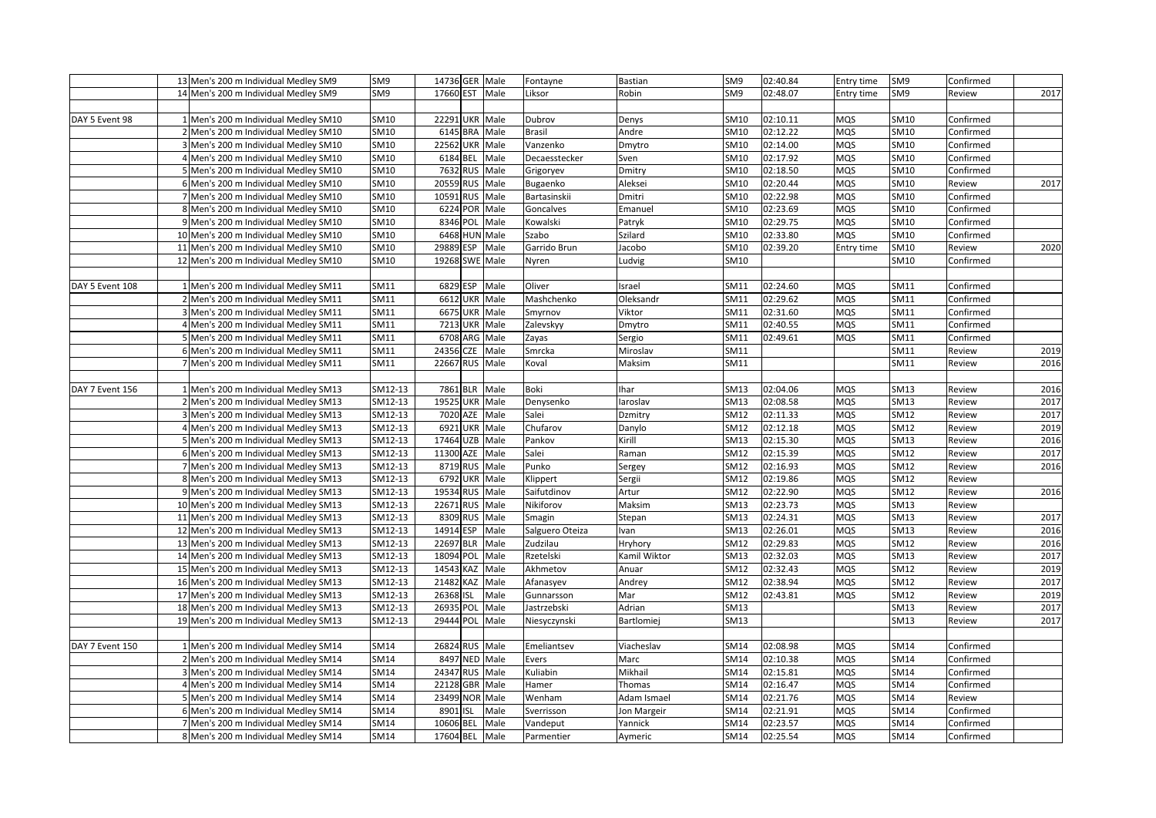|                 | 13 Men's 200 m Individual Medley SM9  | SM9             | 14736 GER Male           |      | Fontayne        | <b>Bastian</b> | SM9             | 02:40.84 | Entry time | SM9             | Confirmed |      |
|-----------------|---------------------------------------|-----------------|--------------------------|------|-----------------|----------------|-----------------|----------|------------|-----------------|-----------|------|
|                 | 14 Men's 200 m Individual Medley SM9  | SM <sub>9</sub> | 17660 EST                | Male | Liksor          | Robin          | SM <sub>9</sub> | 02:48.07 | Entry time | SM <sub>9</sub> | Review    | 2017 |
|                 |                                       |                 |                          |      |                 |                |                 |          |            |                 |           |      |
| DAY 5 Event 98  | 1 Men's 200 m Individual Medley SM10  | SM10            | 22291 UKR Male           |      | Dubrov          | Denys          | SM10            | 02:10.11 | <b>MQS</b> | SM10            | Confirmed |      |
|                 | 2 Men's 200 m Individual Medley SM10  | SM10            | 6145 BRA Male            |      | Brasil          | Andre          | SM10            | 02:12.22 | MQS        | SM10            | Confirmed |      |
|                 | 3 Men's 200 m Individual Medley SM10  | SM10            | 22562 UKR Male           |      | Vanzenko        | Dmytro         | SM10            | 02:14.00 | MQS        | SM10            | Confirmed |      |
|                 | 4 Men's 200 m Individual Medley SM10  | SM10            | 6184 BEL                 | Male | Decaesstecker   | Sven           | SM10            | 02:17.92 | <b>MQS</b> | SM10            | Confirmed |      |
|                 | 5 Men's 200 m Individual Medley SM10  | SM10            | 7632<br><b>RUS</b>       | Male | Grigoryev       | Dmitry         | SM10            | 02:18.50 | <b>MQS</b> | SM10            | Confirmed |      |
|                 | 6 Men's 200 m Individual Medley SM10  | SM10            | 20559<br><b>RUS</b>      | Male | Bugaenko        | Aleksei        | SM10            | 02:20.44 | <b>MQS</b> | SM10            | Review    | 2017 |
|                 | 7 Men's 200 m Individual Medley SM10  | SM10            | 10591 RUS                | Male | Bartasinskii    | Dmitri         | SM10            | 02:22.98 | MQS        | SM10            | Confirmed |      |
|                 | 8 Men's 200 m Individual Medley SM10  | SM10            | 6224 POR                 | Male | Goncalves       | Emanuel        | SM10            | 02:23.69 | <b>MQS</b> | SM10            | Confirmed |      |
|                 | 9 Men's 200 m Individual Medley SM10  | SM10            | 8346 POL                 | Male | Kowalski        | Patryk         | SM10            | 02:29.75 | MQS        | SM10            | Confirmed |      |
|                 | 10 Men's 200 m Individual Medley SM10 | SM10            | 6468 HUN Male            |      | Szabo           | Szilard        | SM10            | 02:33.80 | MQS        | SM10            | Confirmed |      |
|                 | 11 Men's 200 m Individual Medley SM10 | SM10            | 29889<br>ESP             | Male | Garrido Brun    | Jacobo         | SM10            | 02:39.20 | Entry time | SM10            | Review    | 2020 |
|                 | 12 Men's 200 m Individual Medley SM10 | SM10            | 19268 SWE                | Male | Nyren           | Ludvig         | SM10            |          |            | SM10            | Confirmed |      |
|                 |                                       |                 |                          |      |                 |                |                 |          |            |                 |           |      |
| DAY 5 Event 108 | 1 Men's 200 m Individual Medley SM11  | SM11            | 6829 ESP                 | Male | Oliver          | Israel         | SM11            | 02:24.60 | MQS        | SM11            | Confirmed |      |
|                 | 2 Men's 200 m Individual Medley SM11  | SM11            | 6612 UKR                 | Male | Mashchenko      | Oleksandr      | SM11            | 02:29.62 | <b>MQS</b> | SM11            | Confirmed |      |
|                 | 3 Men's 200 m Individual Medley SM11  | SM11            | 6675 UKR Male            |      | Smyrnov         | Viktor         | SM11            | 02:31.60 | MQS        | SM11            | Confirmed |      |
|                 | 4 Men's 200 m Individual Medley SM11  | SM11            | 7213 UKR Male            |      | Zalevskyy       | Dmytro         | SM11            | 02:40.55 | MQS        | SM11            | Confirmed |      |
|                 | 5 Men's 200 m Individual Medley SM11  | SM11            | 6708<br>ARG Male         |      | Zayas           | Sergio         | SM11            | 02:49.61 | MQS        | SM11            | Confirmed |      |
|                 | 6 Men's 200 m Individual Medley SM11  | SM11            | <b>CZE</b><br>24356      | Male | Smrcka          | Miroslav       | SM11            |          |            | SM11            | Review    | 2019 |
|                 | 7 Men's 200 m Individual Medley SM11  | SM11            | 22667 RUS                | Male | Koval           | Maksim         | SM11            |          |            | SM11            | Review    | 2016 |
|                 |                                       |                 |                          |      |                 |                |                 |          |            |                 |           |      |
| DAY 7 Event 156 | 1 Men's 200 m Individual Medley SM13  | SM12-13         | 7861 BLR Male            |      | Boki            | Ihar           | SM13            | 02:04.06 | <b>MQS</b> | SM13            | Review    | 2016 |
|                 | 2 Men's 200 m Individual Medley SM13  | SM12-13         | 19525 UKR Male           |      | Denysenko       | laroslav       | SM13            | 02:08.58 | <b>MQS</b> | SM13            | Review    | 2017 |
|                 | 3 Men's 200 m Individual Medley SM13  | SM12-13         | 7020<br>AZE Male         |      | Salei           | Dzmitry        | SM12            | 02:11.33 | <b>MQS</b> | SM12            | Review    | 2017 |
|                 | 4 Men's 200 m Individual Medley SM13  | SM12-13         | 6921 UKR Male            |      | Chufarov        | Danylo         | SM12            | 02:12.18 | MQS        | SM12            | Review    | 2019 |
|                 | Men's 200 m Individual Medley SM13    | SM12-13         | 17464 UZB Male           |      | Pankov          | Kirill         | SM13            | 02:15.30 | <b>MQS</b> | SM13            | Review    | 2016 |
|                 | 6 Men's 200 m Individual Medley SM13  | SM12-13         | 11300<br>AZE Male        |      | Salei           | Raman          | SM12            | 02:15.39 | <b>MQS</b> | SM12            | Review    | 2017 |
|                 | 7 Men's 200 m Individual Medley SM13  | SM12-13         | 8719 RUS                 | Male | Punko           | Sergey         | SM12            | 02:16.93 | <b>MQS</b> | SM12            | Review    | 2016 |
|                 | 8 Men's 200 m Individual Medley SM13  | SM12-13         | 6792 UKR Male            |      | Klippert        | Sergii         | SM12            | 02:19.86 | <b>MQS</b> | SM12            | Review    |      |
|                 | 9 Men's 200 m Individual Medley SM13  | SM12-13         | 19534<br><b>RUS</b>      | Male | Saifutdinov     | Artur          | SM12            | 02:22.90 | <b>MQS</b> | SM12            | Review    | 2016 |
|                 | 10 Men's 200 m Individual Medley SM13 | SM12-13         | 22671 RUS                | Male | Nikiforov       | Maksim         | SM13            | 02:23.73 | MQS        | SM13            | Review    |      |
|                 | 11 Men's 200 m Individual Medley SM13 | SM12-13         | 8309<br>RUS Male         |      | Smagin          | Stepan         | SM13            | 02:24.31 | MQS        | SM13            | Review    | 2017 |
|                 | 12 Men's 200 m Individual Medley SM13 | SM12-13         | 14914 ESP Male           |      | Salguero Oteiza | Ivan           | SM13            | 02:26.01 | MQS        | SM13            | Review    | 2016 |
|                 | 13 Men's 200 m Individual Medley SM13 | SM12-13         | 22697<br><b>BLR</b> Male |      | Zudzilau        | Hryhory        | SM12            | 02:29.83 | <b>MQS</b> | SM12            | Review    | 2016 |
|                 | 14 Men's 200 m Individual Medley SM13 | SM12-13         | 18094 POL                | Male | Rzetelski       | Kamil Wiktor   | SM13            | 02:32.03 | <b>MQS</b> | SM13            | Review    | 2017 |
|                 | 15 Men's 200 m Individual Medley SM13 | SM12-13         | 14543<br>KAZ             | Male | Akhmetov        | Anuar          | SM12            | 02:32.43 | MQS        | SM12            | Review    | 2019 |
|                 | 16 Men's 200 m Individual Medley SM13 | SM12-13         | 21482 KAZ                | Male | Afanasyev       | Andrey         | SM12            | 02:38.94 | <b>MQS</b> | SM12            | Review    | 2017 |
|                 | 17 Men's 200 m Individual Medley SM13 | SM12-13         | 26368<br><b>ISL</b>      | Male | Gunnarsson      | Mar            | SM12            | 02:43.81 | <b>MQS</b> | SM12            | Review    | 2019 |
|                 | 18 Men's 200 m Individual Medley SM13 | SM12-13         | 26935<br>POL             | Male | Jastrzebski     | Adrian         | SM13            |          |            | SM13            | Review    | 2017 |
|                 | 19 Men's 200 m Individual Medley SM13 | SM12-13         | 29444 POL                | Male | Niesyczynski    | Bartlomiej     | SM13            |          |            | SM13            | Review    | 2017 |
|                 |                                       |                 |                          |      |                 |                |                 |          |            |                 |           |      |
| DAY 7 Event 150 | 1 Men's 200 m Individual Medley SM14  | SM14            | 26824 RUS Male           |      | Emeliantsev     | Viacheslav     | SM14            | 02:08.98 | MQS        | SM14            | Confirmed |      |
|                 | 2 Men's 200 m Individual Medley SM14  | SM14            | 8497 NED Male            |      | Evers           | Marc           | SM14            | 02:10.38 | <b>MQS</b> | SM14            | Confirmed |      |
|                 | 3 Men's 200 m Individual Medley SM14  | SM14            | 24347 RUS                | Male | Kuliabin        | Mikhail        | SM14            | 02:15.81 | <b>MQS</b> | SM14            | Confirmed |      |
|                 | 4 Men's 200 m Individual Medley SM14  | SM14            | 22128 GBR                | Male | Hamer           | Thomas         | SM14            | 02:16.47 | <b>MQS</b> | SM14            | Confirmed |      |
|                 | 5 Men's 200 m Individual Medley SM14  | SM14            | NOR Male<br>23499        |      | Wenham          | Adam Ismael    | SM14            | 02:21.76 | <b>MQS</b> | SM14            | Review    |      |
|                 | 6 Men's 200 m Individual Medley SM14  | SM14            | 8901<br><b>ISL</b>       | Male | Sverrisson      | Jon Margeir    | SM14            | 02:21.91 | <b>MQS</b> | SM14            | Confirmed |      |
|                 | 7 Men's 200 m Individual Medley SM14  | SM14            | 10606<br>BEL Male        |      | Vandeput        | Yannick        | SM14            | 02:23.57 | <b>MQS</b> | <b>SM14</b>     | Confirmed |      |
|                 | 8 Men's 200 m Individual Medley SM14  | SM14            | 17604 BEL Male           |      | Parmentier      | Aymeric        | SM14            | 02:25.54 | MQS        | SM14            | Confirmed |      |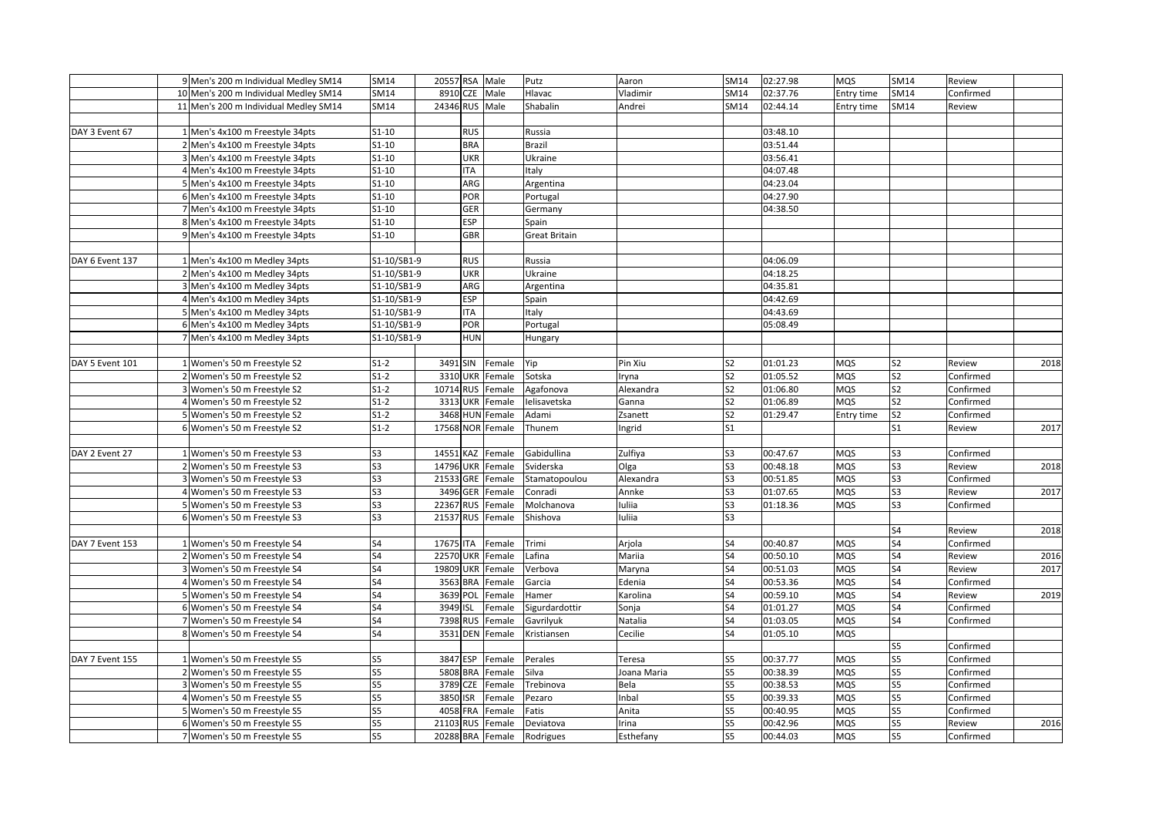|                 | 9 Men's 200 m Individual Medley SM14  | SM14        | 20557 RSA Male   |            |                  | Putz                 | Aaron       | SM14                     | 02:27.98 | <b>MQS</b> | SM14           | Review    |      |
|-----------------|---------------------------------------|-------------|------------------|------------|------------------|----------------------|-------------|--------------------------|----------|------------|----------------|-----------|------|
|                 | 10 Men's 200 m Individual Medley SM14 | SM14        | 8910 CZE Male    |            |                  | Hlavac               | Vladimir    | SM14                     | 02:37.76 | Entry time | SM14           | Confirmed |      |
|                 | 11 Men's 200 m Individual Medley SM14 | SM14        | 24346 RUS Male   |            |                  | Shabalin             | Andrei      | SM14                     | 02:44.14 | Entry time | SM14           | Review    |      |
|                 |                                       |             |                  |            |                  |                      |             |                          |          |            |                |           |      |
| DAY 3 Event 67  | 1 Men's 4x100 m Freestyle 34pts       | $S1 - 10$   |                  | <b>RUS</b> |                  | Russia               |             |                          | 03:48.10 |            |                |           |      |
|                 | 2 Men's 4x100 m Freestyle 34pts       | $S1 - 10$   |                  | <b>BRA</b> |                  | Brazil               |             |                          | 03:51.44 |            |                |           |      |
|                 | 3 Men's 4x100 m Freestyle 34pts       | $S1-10$     |                  | <b>UKR</b> |                  | Ukraine              |             |                          | 03:56.41 |            |                |           |      |
|                 | 4 Men's 4x100 m Freestyle 34pts       | $S1-10$     |                  | <b>ITA</b> |                  | Italy                |             |                          | 04:07.48 |            |                |           |      |
|                 | 5 Men's 4x100 m Freestyle 34pts       | $S1-10$     |                  | ARG        |                  | Argentina            |             |                          | 04:23.04 |            |                |           |      |
|                 | 6 Men's 4x100 m Freestyle 34pts       | $S1-10$     |                  | POR        |                  | Portugal             |             |                          | 04:27.90 |            |                |           |      |
|                 | 7 Men's 4x100 m Freestyle 34pts       | $S1-10$     |                  | GER        |                  | Germany              |             |                          | 04:38.50 |            |                |           |      |
|                 | 8 Men's 4x100 m Freestyle 34pts       | $S1-10$     |                  | ESP        |                  | Spain                |             |                          |          |            |                |           |      |
|                 | 9 Men's 4x100 m Freestyle 34pts       | $S1-10$     |                  | GBR        |                  | <b>Great Britain</b> |             |                          |          |            |                |           |      |
|                 |                                       |             |                  |            |                  |                      |             |                          |          |            |                |           |      |
| DAY 6 Event 137 | 1 Men's 4x100 m Medley 34pts          | S1-10/SB1-9 |                  | <b>RUS</b> |                  | Russia               |             |                          | 04:06.09 |            |                |           |      |
|                 | 2 Men's 4x100 m Medley 34pts          | S1-10/SB1-9 |                  | <b>UKR</b> |                  | Ukraine              |             |                          | 04:18.25 |            |                |           |      |
|                 | 3 Men's 4x100 m Medley 34pts          | S1-10/SB1-9 |                  | ARG        |                  | Argentina            |             |                          | 04:35.81 |            |                |           |      |
|                 | 4 Men's 4x100 m Medley 34pts          | S1-10/SB1-9 |                  | <b>ESP</b> |                  | Spain                |             |                          | 04:42.69 |            |                |           |      |
|                 | 5 Men's 4x100 m Medley 34pts          | S1-10/SB1-9 |                  | <b>ITA</b> |                  | Italy                |             |                          | 04:43.69 |            |                |           |      |
|                 | 6 Men's 4x100 m Medley 34pts          | S1-10/SB1-9 |                  | POR        |                  | Portugal             |             |                          | 05:08.49 |            |                |           |      |
|                 | 7 Men's 4x100 m Medley 34pts          | S1-10/SB1-9 |                  | HUN        |                  | Hungary              |             |                          |          |            |                |           |      |
|                 |                                       |             |                  |            |                  |                      |             |                          |          |            |                |           |      |
| DAY 5 Event 101 | 1 Women's 50 m Freestyle S2           | $S1-2$      |                  |            | 3491 SIN Female  | Yip                  | Pin Xiu     | S <sub>2</sub>           | 01:01.23 | <b>MQS</b> | S2             | Review    | 2018 |
|                 | 2 Women's 50 m Freestyle S2           | $S1-2$      | 3310 UKR         |            | Female           | Sotska               | Iryna       | S <sub>2</sub>           | 01:05.52 | <b>MQS</b> | S <sub>2</sub> | Confirmed |      |
|                 | 3 Women's 50 m Freestyle S2           | $S1-2$      | 10714 RUS        |            | Female           | Agafonova            | Alexandra   | S <sub>2</sub>           | 01:06.80 | <b>MQS</b> | S <sub>2</sub> | Confirmed |      |
|                 | 4 Women's 50 m Freestyle S2           | $S1-2$      | 3313             | <b>UKR</b> | Female           | Ielisavetska         | Ganna       | S <sub>2</sub>           | 01:06.89 | <b>MQS</b> | S <sub>2</sub> | Confirmed |      |
|                 | 5 Women's 50 m Freestyle S2           | $S1-2$      |                  |            | 3468 HUN Female  | Adami                | Zsanett     | <b>S2</b>                | 01:29.47 | Entry time | S <sub>2</sub> | Confirmed |      |
|                 | 6 Women's 50 m Freestyle S2           | $S1-2$      | 17568            |            | NOR Female       | Thunem               | Ingrid      | S <sub>1</sub>           |          |            | S <sub>1</sub> | Review    | 2017 |
|                 |                                       |             |                  |            |                  |                      |             |                          |          |            |                |           |      |
| DAY 2 Event 27  | 1 Women's 50 m Freestyle S3           | S3          | 14551 KAZ        |            | Female           | Gabidullina          | Zulfiya     | S3                       | 00:47.67 | <b>MQS</b> | S3             | Confirmed |      |
|                 | 2 Women's 50 m Freestyle S3           | S3          | 14796 UKR        |            | Female           | Sviderska            | Olga        | S <sub>3</sub>           | 00:48.18 | <b>MQS</b> | S3             | Review    | 2018 |
|                 | 3 Women's 50 m Freestyle S3           | S3          | 21533 GRE        |            | Female           | Stamatopoulou        | Alexandra   | S3                       | 00:51.85 | <b>MQS</b> | S3             | Confirmed |      |
|                 | 4 Women's 50 m Freestyle S3           | S3          | 3496             | <b>GER</b> | Female           | Conradi              | Annke       | S <sub>3</sub>           | 01:07.65 | <b>MQS</b> | S3             | Review    | 2017 |
|                 | 5 Women's 50 m Freestyle S3           | S3          | 22367            | <b>RUS</b> | Female           | Molchanova           | Iuliia      | S <sub>3</sub>           | 01:18.36 | <b>MQS</b> | S3             | Confirmed |      |
|                 | 6 Women's 50 m Freestyle S3           | S3          |                  |            | 21537 RUS Female | Shishova             | Iuliia      | S <sub>3</sub>           |          |            |                |           |      |
|                 |                                       |             |                  |            |                  |                      |             |                          |          |            | S4             | Review    | 2018 |
| DAY 7 Event 153 | 1 Women's 50 m Freestyle S4           | S4          | 17675 ITA        |            | Female           | Trimi                | Arjola      | S4                       | 00:40.87 | <b>MQS</b> | S4             | Confirmed |      |
|                 | 2 Women's 50 m Freestyle S4           | S4          | <b>22570 UKR</b> |            | Female           | Lafina               | Mariia      | S <sub>4</sub>           | 00:50.10 | <b>MQS</b> | S4             | Review    | 2016 |
|                 | 3 Women's 50 m Freestyle S4           | S4          | 19809 UKR        |            | Female           | Verbova              | Maryna      | S <sub>4</sub>           | 00:51.03 | <b>MQS</b> | S4             | Review    | 2017 |
|                 | 4 Women's 50 m Freestyle S4           | S4          | 3563 BRA         |            | Female           | Garcia               | Edenia      | S4                       | 00:53.36 | <b>MQS</b> | S4             | Confirmed |      |
|                 | 5 Women's 50 m Freestyle S4           | S4          | 3639 POL         |            | Female           | Hamer                | Karolina    | S4                       | 00:59.10 | <b>MQS</b> | S4             | Review    | 2019 |
|                 | 6 Women's 50 m Freestyle S4           | S4          | 3949 ISL         |            | Female           | Sigurdardottir       | Sonja       | S4                       | 01:01.27 | <b>MQS</b> | S <sub>4</sub> | Confirmed |      |
|                 | 7 Women's 50 m Freestyle S4           | S4          | 7398 RUS         |            | Female           | Gavrilyuk            | Natalia     | S4                       | 01:03.05 | <b>MQS</b> | S4             | Confirmed |      |
|                 | 8 Women's 50 m Freestyle S4           | S4          |                  |            | 3531 DEN Female  | Kristiansen          | Cecilie     | $\overline{\mathsf{S4}}$ | 01:05.10 | <b>MQS</b> |                |           |      |
|                 |                                       |             |                  |            |                  |                      |             |                          |          |            | S5             | Confirmed |      |
| DAY 7 Event 155 | 1 Women's 50 m Freestyle S5           | S5          | 3847 ESP         |            | Female           | Perales              | Teresa      | S5                       | 00:37.77 | <b>MQS</b> | S5             | Confirmed |      |
|                 | 2 Women's 50 m Freestyle S5           | S5          | 5808 BRA         |            | Female           | Silva                | Joana Maria | S <sub>5</sub>           | 00:38.39 | <b>MQS</b> | S5             | Confirmed |      |
|                 | 3 Women's 50 m Freestyle S5           | S5          | 3789 CZE         |            | Female           | Trebinova            | Bela        | S <sub>5</sub>           | 00:38.53 | <b>MQS</b> | S5             | Confirmed |      |
|                 | 4 Women's 50 m Freestyle S5           | S5          | 3850             | ISR        | Female           | Pezaro               | Inbal       | S5                       | 00:39.33 | <b>MQS</b> | S5             | Confirmed |      |
|                 | 5 Women's 50 m Freestyle S5           | S5          | 4058             | FRA        | Female           | Fatis                | Anita       | S5                       | 00:40.95 | <b>MQS</b> | S5             | Confirmed |      |
|                 | 6 Women's 50 m Freestyle S5           | S5          | 21103            | <b>RUS</b> | Female           | Deviatova            | Irina       | S5                       | 00:42.96 | <b>MQS</b> | S5             | Review    | 2016 |
|                 | 7 Women's 50 m Freestyle S5           | S5          |                  |            | 20288 BRA Female | Rodrigues            | Esthefany   | S5                       | 00:44.03 | <b>MQS</b> | S5             | Confirmed |      |
|                 |                                       |             |                  |            |                  |                      |             |                          |          |            |                |           |      |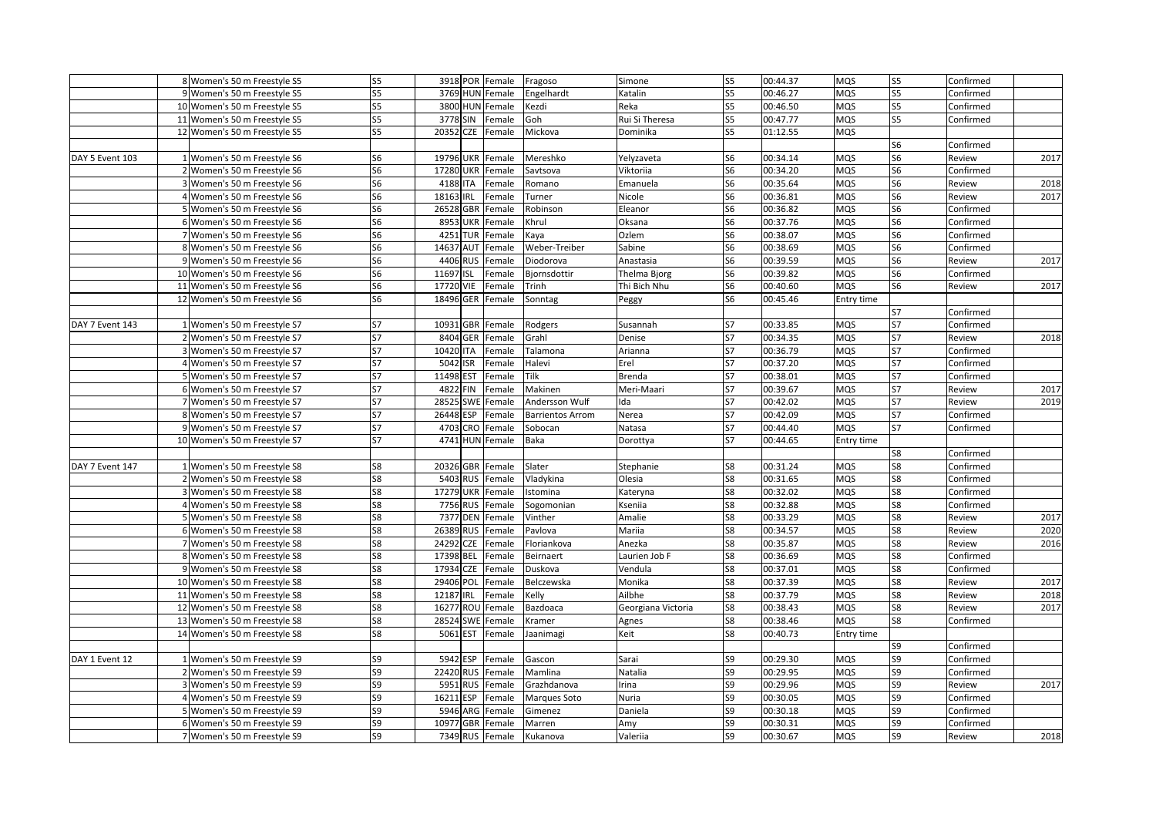|                 | 8 Women's 50 m Freestyle S5  | S <sub>5</sub> | 3918 POR Female          |                   | Fragoso                 | Simone             | S <sub>5</sub> | 00:44.37 | <b>MQS</b> | S <sub>5</sub> | Confirmed |      |
|-----------------|------------------------------|----------------|--------------------------|-------------------|-------------------------|--------------------|----------------|----------|------------|----------------|-----------|------|
|                 | 9 Women's 50 m Freestyle S5  | S <sub>5</sub> | 3769 HUN Female          |                   | Engelhardt              | Katalin            | S5             | 00:46.27 | MQS        | S <sub>5</sub> | Confirmed |      |
|                 | 10 Women's 50 m Freestyle S5 | S <sub>5</sub> | 3800 HUN Female          |                   | Kezdi                   | Reka               | S <sub>5</sub> | 00:46.50 | MQS        | S <sub>5</sub> | Confirmed |      |
|                 | 11 Women's 50 m Freestyle S5 | S <sub>5</sub> | 3778 SIN                 | Female            | Goh                     | Rui Si Theresa     | S5             | 00:47.77 | MQS        | S <sub>5</sub> | Confirmed |      |
|                 | 12 Women's 50 m Freestyle S5 | S <sub>5</sub> | 20352 CZE Female         |                   | Mickova                 | Dominika           | S <sub>5</sub> | 01:12.55 | MQS        |                |           |      |
|                 |                              |                |                          |                   |                         |                    |                |          |            | S6             | Confirmed |      |
| DAY 5 Event 103 | 1 Women's 50 m Freestyle S6  | S <sub>6</sub> | 19796 UKR Female         |                   | Mereshko                | Yelyzaveta         | S <sub>6</sub> | 00:34.14 | MQS        | S <sub>6</sub> | Review    | 2017 |
|                 | 2 Women's 50 m Freestyle S6  | S <sub>6</sub> | 17280 UKR Female         |                   | Savtsova                | Viktoriia          | S <sub>6</sub> | 00:34.20 | MQS        | S <sub>6</sub> | Confirmed |      |
|                 | 3 Women's 50 m Freestyle S6  | S <sub>6</sub> | 4188 ITA                 | Female            | Romano                  | Emanuela           | S6             | 00:35.64 | MQS        | S6             | Review    | 2018 |
|                 | 4 Women's 50 m Freestyle S6  | S <sub>6</sub> | 18163<br><b>IRL</b>      | Female            | Turner                  | Nicole             | S <sub>6</sub> | 00:36.81 | MQS        | S <sub>6</sub> | Review    | 2017 |
|                 | 5 Women's 50 m Freestyle S6  | S <sub>6</sub> | 26528 GBR                | Female            | Robinson                | Eleanor            | S6             | 00:36.82 | MQS        | S6             | Confirmed |      |
|                 | 6 Women's 50 m Freestyle S6  | S <sub>6</sub> | 8953 UKR Female          |                   | Khrul                   | Oksana             | S <sub>6</sub> | 00:37.76 | MQS        | S <sub>6</sub> | Confirmed |      |
|                 | 7 Women's 50 m Freestyle S6  | S <sub>6</sub> | 4251                     | <b>TUR</b> Female | Kaya                    | Ozlem              | S6             | 00:38.07 | MQS        | S6             | Confirmed |      |
|                 | 8 Women's 50 m Freestyle S6  | S <sub>6</sub> | 14637                    | <b>AUT</b> Female | Weber-Treiber           | Sabine             | S <sub>6</sub> | 00:38.69 | MQS        | S6             | Confirmed |      |
|                 | 9 Women's 50 m Freestyle S6  | S <sub>6</sub> | 4406 RUS                 | Female            | Diodorova               | Anastasia          | S <sub>6</sub> | 00:39.59 | MQS        | S <sub>6</sub> | Review    | 2017 |
|                 | 10 Women's 50 m Freestyle S6 | S <sub>6</sub> | 11697<br><b>ISL</b>      | Female            | Bjornsdottir            | Thelma Bjorg       | S6             | 00:39.82 | MQS        | S6             | Confirmed |      |
|                 | 11 Women's 50 m Freestyle S6 | S <sub>6</sub> | 17720 VIE                | Female            | Trinh                   | Thi Bich Nhu       | S6             | 00:40.60 | MQS        | S <sub>6</sub> | Review    | 2017 |
|                 | 12 Women's 50 m Freestyle S6 | S <sub>6</sub> | 18496 GER Female         |                   | Sonntag                 | Peggy              | S <sub>6</sub> | 00:45.46 | Entry time |                |           |      |
|                 |                              |                |                          |                   |                         |                    |                |          |            | <b>S7</b>      | Confirmed |      |
| DAY 7 Event 143 | 1 Women's 50 m Freestyle S7  | S7             | 10931 GBR Female         |                   | Rodgers                 | Susannah           | S7             | 00:33.85 | MQS        | S7             | Confirmed |      |
|                 | 2 Women's 50 m Freestyle S7  | S7             | 8404                     | <b>GER</b> Female | Grahl                   | Denise             | S7             | 00:34.35 | <b>MQS</b> | S <sub>7</sub> | Review    | 2018 |
|                 | 3 Women's 50 m Freestyle S7  | S7             | 10420 ITA                | Female            | Talamona                | Arianna            | S7             | 00:36.79 | MQS        | S7             | Confirmed |      |
|                 | 4 Women's 50 m Freestyle S7  | S7             | 5042 ISR                 | Female            | Halevi                  | Erel               | S7             | 00:37.20 | MQS        | S7             | Confirmed |      |
|                 | 5 Women's 50 m Freestyle S7  | S7             | <b>EST</b><br>11498      | Female            | Tilk                    | <b>Brenda</b>      | S7             | 00:38.01 | MQS        | S7             | Confirmed |      |
|                 | 6 Women's 50 m Freestyle S7  | S7             | 4822<br><b>FIN</b>       | Female            | Makinen                 | Meri-Maari         | S7             | 00:39.67 | MQS        | S7             | Review    | 2017 |
|                 | 7 Women's 50 m Freestyle S7  | S7             | 28525                    | SWE Female        | Andersson Wulf          | Ida                | S7             | 00:42.02 | MQS        | S7             | Review    | 2019 |
|                 | 8 Women's 50 m Freestyle S7  | S7             | 26448 ESP                | Female            | <b>Barrientos Arrom</b> | Nerea              | S7             | 00:42.09 | MQS        | S7             | Confirmed |      |
|                 | 9 Women's 50 m Freestyle S7  | S7             | 4703 CRO Female          |                   | Sobocan                 | Natasa             | S7             | 00:44.40 | MQS        | S7             | Confirmed |      |
|                 | 10 Women's 50 m Freestyle S7 | <b>S7</b>      | 4741 HUN Female          |                   | Baka                    | Dorottya           | S7             | 00:44.65 | Entry time |                |           |      |
|                 |                              |                |                          |                   |                         |                    |                |          |            | S8             | Confirmed |      |
| DAY 7 Event 147 | 1 Women's 50 m Freestyle S8  | S8             | 20326 GBR Female         |                   | Slater                  | Stephanie          | S8             | 00:31.24 | <b>MQS</b> | S8             | Confirmed |      |
|                 | 2 Women's 50 m Freestyle S8  | S8             | 5403 RUS Female          |                   | Vladykina               | Olesia             | S8             | 00:31.65 | MQS        | S8             | Confirmed |      |
|                 | 3 Women's 50 m Freestyle S8  | S8             | 17279 UKR Female         |                   | Istomina                | Kateryna           | S8             | 00:32.02 | MQS        | S8             | Confirmed |      |
|                 | 4 Women's 50 m Freestyle S8  | S8             | 7756 RUS Female          |                   | Sogomonian              | Kseniia            | S8             | 00:32.88 | MQS        | S8             | Confirmed |      |
|                 | 5 Women's 50 m Freestyle S8  | S8             | 7377 DEN Female          |                   | Vinther                 | Amalie             | S8             | 00:33.29 | MQS        | S8             | Review    | 2017 |
|                 | 6 Women's 50 m Freestyle S8  | S8             | 26389 RUS Female         |                   | Pavlova                 | Mariia             | S8             | 00:34.57 | MQS        | S8             | Review    | 2020 |
|                 | 7 Women's 50 m Freestyle S8  | S <sub>8</sub> | 24292<br>CZE             | Female            | Floriankova             | Anezka             | S8             | 00:35.87 | MQS        | S8             | Review    | 2016 |
|                 | 8 Women's 50 m Freestyle S8  | S <sub>8</sub> | <b>BEL</b><br>17398      | Female            | Beirnaert               | Laurien Job F      | S8             | 00:36.69 | MQS        | S8             | Confirmed |      |
|                 | 9 Women's 50 m Freestyle S8  | S8             | 17934<br><b>CZE</b>      | Female            | Duskova                 | Vendula            | S8             | 00:37.01 | MQS        | S8             | Confirmed |      |
|                 | 10 Women's 50 m Freestyle S8 | S8             | 29406 POL                | Female            | Belczewska              | Monika             | S8             | 00:37.39 | MQS        | S8             | Review    | 2017 |
|                 | 11 Women's 50 m Freestyle S8 | S8             | 12187 IRL                | Female            | Kelly                   | Ailbhe             | S8             | 00:37.79 | MQS        | S8             | Review    | 2018 |
|                 | 12 Women's 50 m Freestyle S8 | S <sub>8</sub> | 16277 ROU Female         |                   | Bazdoaca                | Georgiana Victoria | S8             | 00:38.43 | MQS        | S8             | Review    | 2017 |
|                 | 13 Women's 50 m Freestyle S8 | S8             | 28524 SWE Female         |                   | Kramer                  | Agnes              | S8             | 00:38.46 | MQS        | S8             | Confirmed |      |
|                 | 14 Women's 50 m Freestyle S8 | S <sub>8</sub> | 5061 EST                 | Female            | Jaanimagi               | Keit               | S8             | 00:40.73 | Entry time |                |           |      |
|                 |                              |                |                          |                   |                         |                    |                |          |            |                | Confirmed |      |
| DAY 1 Event 12  | 1 Women's 50 m Freestyle S9  | S9             | 5942 ESP                 | Female            | Gascon                  | Sarai              | S9             | 00:29.30 | MQS        | S9<br>S9       | Confirmed |      |
|                 |                              | S9             | 22420 RUS Female         |                   |                         |                    | S9             | 00:29.95 | MQS        | S9             |           |      |
|                 | 2 Women's 50 m Freestyle S9  | S9             |                          |                   | Mamlina                 | Natalia            | S9             | 00:29.96 |            |                | Confirmed | 2017 |
|                 | 3 Women's 50 m Freestyle S9  | S9             | 5951 RUS Female<br>16211 |                   | Grazhdanova             | Irina<br>Nuria     | S9             | 00:30.05 | MQS        | S9<br>S9       | Review    |      |
|                 | 4 Women's 50 m Freestyle S9  |                | <b>ESP</b>               | Female            | <b>Marques Soto</b>     |                    |                |          | MQS        |                | Confirmed |      |
|                 | 5 Women's 50 m Freestyle S9  | S9             | 5946 ARG Female          |                   | Gimenez                 | Daniela            | S9             | 00:30.18 | MQS        | S9             | Confirmed |      |
|                 | 6 Women's 50 m Freestyle S9  | S9             | 10977<br><b>GBR</b>      | Female            | Marren                  | Amy                | S9             | 00:30.31 | MQS        | S9             | Confirmed |      |
|                 | 7 Women's 50 m Freestyle S9  | S9             | 7349 RUS Female          |                   | Kukanova                | Valeriia           | S9             | 00:30.67 | MQS        | S9             | Review    | 2018 |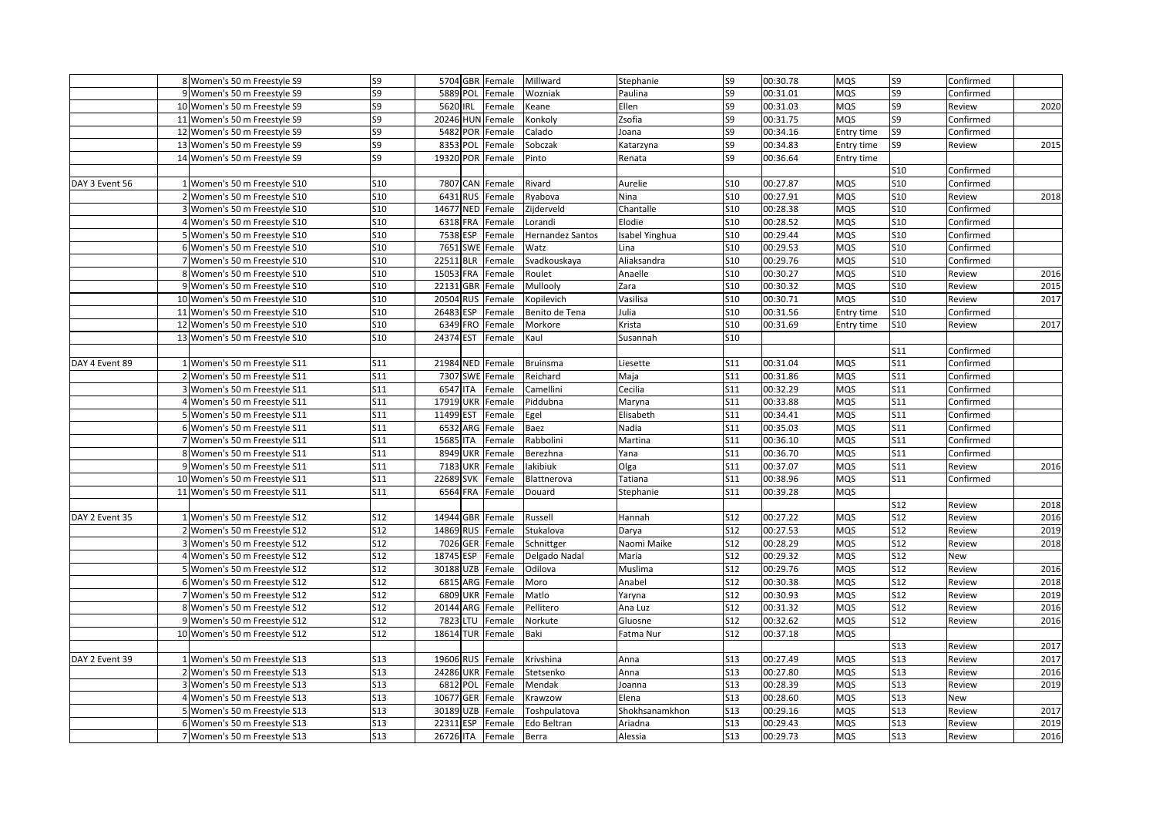|                | 8 Women's 50 m Freestyle S9   | S9         | 5704 GBR Female  |        | Millward         | Stephanie      | S9             | 00:30.78 | <b>MQS</b> | S9         | Confirmed |      |
|----------------|-------------------------------|------------|------------------|--------|------------------|----------------|----------------|----------|------------|------------|-----------|------|
|                | 9 Women's 50 m Freestyle S9   | S9         | 5889 POL         | Female | Wozniak          | Paulina        | S9             | 00:31.01 | MQS        | S9         | Confirmed |      |
|                | 10 Women's 50 m Freestyle S9  | S9         | 5620 IRL         | Female | Keane            | Ellen          | S9             | 00:31.03 | MQS        | S9         | Review    | 2020 |
|                | 11 Women's 50 m Freestyle S9  | S9         | 20246 HUN Female |        | Konkoly          | Zsofia         | S9             | 00:31.75 | MQS        | S9         | Confirmed |      |
|                | 12 Women's 50 m Freestyle S9  | S9         | 5482 POR         | Female | Calado           | Joana          | S9             | 00:34.16 | Entry time | S9         | Confirmed |      |
|                | 13 Women's 50 m Freestyle S9  | S9         | 8353 POL         | Female | Sobczak          | Katarzyna      | S <sub>9</sub> | 00:34.83 | Entry time | S9         | Review    | 2015 |
|                | 14 Women's 50 m Freestyle S9  | S9         | 19320 POR        | Female | Pinto            | Renata         | S9             | 00:36.64 | Entry time |            |           |      |
|                |                               |            |                  |        |                  |                |                |          |            | S10        | Confirmed |      |
| DAY 3 Event 56 | 1 Women's 50 m Freestyle S10  | S10        | 7807 CAN         | Female | Rivard           | Aurelie        | S10            | 00:27.87 | MQS        | S10        | Confirmed |      |
|                | 2 Women's 50 m Freestyle S10  | <b>S10</b> | 6431 RUS         | Female | Ryabova          | Nina           | S10            | 00:27.91 | MQS        | <b>S10</b> | Review    | 2018 |
|                | 3 Women's 50 m Freestyle S10  | <b>S10</b> | 14677 NED        | Female | Zijderveld       | Chantalle      | <b>S10</b>     | 00:28.38 | MQS        | <b>S10</b> | Confirmed |      |
|                | 4 Women's 50 m Freestyle S10  | <b>S10</b> | 6318 FRA         | Female | Lorandi          | Elodie         | <b>S10</b>     | 00:28.52 | MQS        | <b>S10</b> | Confirmed |      |
|                | 5 Women's 50 m Freestyle S10  | <b>S10</b> | 7538 ESP         | Female | Hernandez Santos | sabel Yinghua  | S10            | 00:29.44 | MQS        | <b>S10</b> | Confirmed |      |
|                | 6 Women's 50 m Freestyle S10  | <b>S10</b> | 7651 SWE         | Female | Watz             | Lina           | <b>S10</b>     | 00:29.53 | MQS        | S10        | Confirmed |      |
|                | 7 Women's 50 m Freestyle S10  | <b>S10</b> | 22511 BLR        | Female | Svadkouskaya     | Aliaksandra    | <b>S10</b>     | 00:29.76 | MQS        | <b>S10</b> | Confirmed |      |
|                | 8 Women's 50 m Freestyle S10  | <b>S10</b> | 15053 FRA        | Female | Roulet           | Anaelle        | <b>S10</b>     | 00:30.27 | MQS        | <b>S10</b> | Review    | 2016 |
|                | 9 Women's 50 m Freestyle S10  | <b>S10</b> | 22131 GBR        | Female | Mullooly         | Zara           | <b>S10</b>     | 00:30.32 | MQS        | <b>S10</b> | Review    | 2015 |
|                | 10 Women's 50 m Freestyle S10 | S10        | 20504 RUS        | Female | Kopilevich       | Vasilisa       | <b>S10</b>     | 00:30.71 | MQS        | <b>S10</b> | Review    | 2017 |
|                | 11 Women's 50 m Freestyle S10 | <b>S10</b> | 26483 ESP        | Female | Benito de Tena   | Julia          | S10            | 00:31.56 | Entry time | <b>S10</b> | Confirmed |      |
|                | 12 Women's 50 m Freestyle S10 | S10        | 6349 FRO         | Female | Morkore          | Krista         | S10            | 00:31.69 | Entry time | <b>S10</b> | Review    | 2017 |
|                | 13 Women's 50 m Freestyle S10 | <b>S10</b> | 24374 EST        | Female | Kaul             | Susannah       | <b>S10</b>     |          |            |            |           |      |
|                |                               |            |                  |        |                  |                |                |          |            | S11        | Confirmed |      |
| DAY 4 Event 89 | 1 Women's 50 m Freestyle S11  | S11        | 21984 NED        | Female | <b>Bruinsma</b>  | Liesette       | S11            | 00:31.04 | MQS        | S11        | Confirmed |      |
|                | 2 Women's 50 m Freestyle S11  | S11        | 7307 SWE         | Female | Reichard         | Maja           | S11            | 00:31.86 | MQS        | S11        | Confirmed |      |
|                | 3 Women's 50 m Freestyle S11  | S11        | 6547 ITA         | Female | Camellini        | Cecilia        | S11            | 00:32.29 | MQS        | <b>S11</b> | Confirmed |      |
|                | 4 Women's 50 m Freestyle S11  | S11        | 17919 UKR        | Female | Piddubna         | Maryna         | S11            | 00:33.88 | MQS        | S11        | Confirmed |      |
|                | 5 Women's 50 m Freestyle S11  | S11        | 11499 EST        | Female | Egel             | Elisabeth      | S11            | 00:34.41 | MQS        | S11        | Confirmed |      |
|                | 6 Women's 50 m Freestyle S11  | S11        | 6532 ARG         | Female | Baez             | Nadia          | S11            | 00:35.03 | MQS        | <b>S11</b> | Confirmed |      |
|                | 7 Women's 50 m Freestyle S11  | S11        | 15685 ITA        | Female | Rabbolini        | Martina        | S11            | 00:36.10 | MQS        | <b>S11</b> | Confirmed |      |
|                | 8 Women's 50 m Freestyle S11  | S11        | 8949 UKR         | Female | Berezhna         | Yana           | S11            | 00:36.70 | MQS        | <b>S11</b> | Confirmed |      |
|                | 9 Women's 50 m Freestyle S11  | S11        | 7183 UKR         | Female | lakibiuk         | Olga           | S11            | 00:37.07 | MQS        | S11        | Review    | 2016 |
|                | 10 Women's 50 m Freestyle S11 | S11        | 22689 SVK        | Female | Blattnerova      | Tatiana        | S11            | 00:38.96 | MQS        | <b>S11</b> | Confirmed |      |
|                | 11 Women's 50 m Freestyle S11 | S11        | 6564 FRA         | Female | Douard           | Stephanie      | S11            | 00:39.28 | <b>MQS</b> |            |           |      |
|                |                               |            |                  |        |                  |                |                |          |            | <b>S12</b> | Review    | 2018 |
| DAY 2 Event 35 | 1 Women's 50 m Freestyle S12  | <b>S12</b> | 14944 GBR Female |        | Russell          | Hannah         | <b>S12</b>     | 00:27.22 | MQS        | <b>S12</b> | Review    | 2016 |
|                | 2 Women's 50 m Freestyle S12  | <b>S12</b> | 14869 RUS        | Female | Stukalova        | Darya          | <b>S12</b>     | 00:27.53 | MQS        | <b>S12</b> | Review    | 2019 |
|                | 3 Women's 50 m Freestyle S12  | S12        | 7026 GER         | Female | Schnittger       | Naomi Maike    | <b>S12</b>     | 00:28.29 | MQS        | S12        | Review    | 2018 |
|                | 4 Women's 50 m Freestyle S12  | <b>S12</b> | 18745 ESP        | Female | Delgado Nadal    | Maria          | S12            | 00:29.32 | MQS        | S12        | New       |      |
|                | 5 Women's 50 m Freestyle S12  | <b>S12</b> | 30188 UZB        | Female | Odilova          | Muslima        | S12            | 00:29.76 | MQS        | S12        | Review    | 2016 |
|                | 6 Women's 50 m Freestyle S12  | S12        | 6815 ARG         | Female | Moro             | Anabel         | <b>S12</b>     | 00:30.38 | MQS        | S12        | Review    | 2018 |
|                | 7 Women's 50 m Freestyle S12  | <b>S12</b> | 6809 UKR         | Female | Matlo            | Yaryna         | <b>S12</b>     | 00:30.93 | MQS        | S12        | Review    | 2019 |
|                | 8 Women's 50 m Freestyle S12  | S12        | 20144 ARG        | Female | Pellitero        | Ana Luz        | <b>S12</b>     | 00:31.32 | MQS        | S12        | Review    | 2016 |
|                | 9 Women's 50 m Freestyle S12  | S12        | 7823 LTU         | Female | Norkute          | Gluosne        | S12            | 00:32.62 | MQS        | S12        | Review    | 2016 |
|                | 10 Women's 50 m Freestyle S12 | S12        | 18614 TUR        | Female | Baki             | Fatma Nur      | S12            | 00:37.18 | MQS        |            |           |      |
|                |                               |            |                  |        |                  |                |                |          |            | <b>S13</b> | Review    | 2017 |
| DAY 2 Event 39 | 1 Women's 50 m Freestyle S13  | <b>S13</b> | 19606 RUS        | Female | Krivshina        | Anna           | <b>S13</b>     | 00:27.49 | MQS        | <b>S13</b> | Review    | 2017 |
|                | 2 Women's 50 m Freestyle S13  | S13        | 24286 UKR        | Female | Stetsenko        | Anna           | <b>S13</b>     | 00:27.80 | MQS        | <b>S13</b> | Review    | 2016 |
|                | 3 Women's 50 m Freestyle S13  | <b>S13</b> | 6812 POL         | Female | Mendak           | Joanna         | S13            | 00:28.39 | MQS        | <b>S13</b> | Review    | 2019 |
|                | 4 Women's 50 m Freestyle S13  | <b>S13</b> | 10677 GER        | Female | Krawzow          | Elena          | <b>S13</b>     | 00:28.60 | MQS        | <b>S13</b> | New       |      |
|                | 5 Women's 50 m Freestyle S13  | <b>S13</b> | 30189 UZB        | Female | Toshpulatova     | Shokhsanamkhon | S13            | 00:29.16 | MQS        | <b>S13</b> | Review    | 2017 |
|                | 6 Women's 50 m Freestyle S13  | <b>S13</b> | 22311 ESP        | Female | Edo Beltran      | Ariadna        | <b>S13</b>     | 00:29.43 | MQS        | <b>S13</b> | Review    | 2019 |
|                | 7 Women's 50 m Freestyle S13  | S13        | 26726 ITA        | Female | Berra            | Alessia        | S13            | 00:29.73 | MQS        | <b>S13</b> | Review    | 2016 |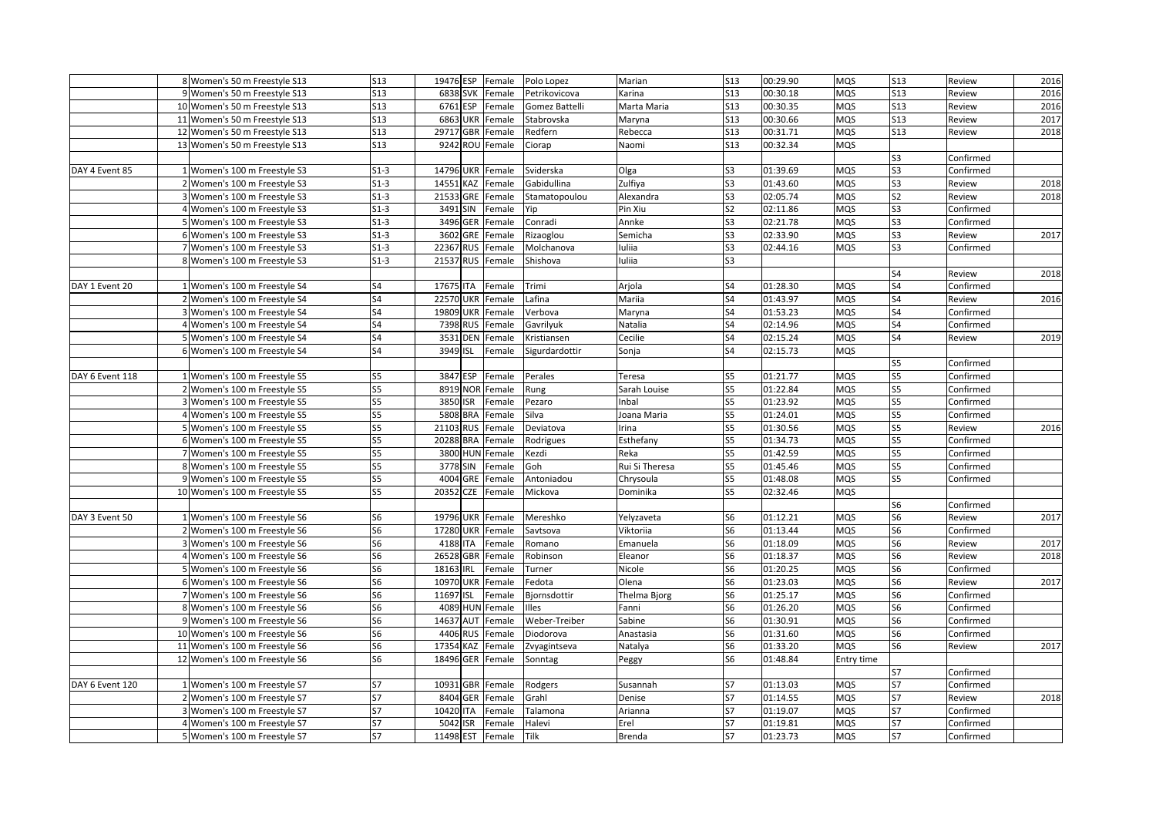|                 | 8 Women's 50 m Freestyle S13                                 | <b>S13</b>     | 19476 ESP        | Female           | Polo Lopez         | Marian             | <b>S13</b>      | 00:29.90             | <b>MQS</b>               | <b>S13</b>     | Review              | 2016 |
|-----------------|--------------------------------------------------------------|----------------|------------------|------------------|--------------------|--------------------|-----------------|----------------------|--------------------------|----------------|---------------------|------|
|                 | 9 Women's 50 m Freestyle S13                                 | <b>S13</b>     | 6838 SVK         | Female           | Petrikovicova      | Karina             | S <sub>13</sub> | 00:30.18             | <b>MQS</b>               | <b>S13</b>     | Review              | 2016 |
|                 | 10 Women's 50 m Freestyle S13                                | S13            | 6761 ESP         | Female           | Gomez Battelli     | Marta Maria        | S13             | 00:30.35             | <b>MQS</b>               | <b>S13</b>     | Review              | 2016 |
|                 | 11 Women's 50 m Freestyle S13                                | S13            | 6863 UKR         | Female           | Stabrovska         | Maryna             | S13             | 00:30.66             | <b>MQS</b>               | <b>S13</b>     | Review              | 2017 |
|                 | 12 Women's 50 m Freestyle S13                                | S13            | 29717 GBR        | Female           | Redfern            | Rebecca            | S13             | 00:31.71             | <b>MQS</b>               | <b>S13</b>     | Review              | 2018 |
|                 | 13 Women's 50 m Freestyle S13                                | S13            | 9242 ROU Female  |                  | Ciorap             | Naomi              | S13             | 00:32.34             | <b>MQS</b>               |                |                     |      |
|                 |                                                              |                |                  |                  |                    |                    |                 |                      |                          | S3             | Confirmed           |      |
| DAY 4 Event 85  | 1 Women's 100 m Freestyle S3                                 | $S1-3$         | 14796 UKR        | Female           | Sviderska          | Olga               | S3              | 01:39.69             | MQS                      | S3             | Confirmed           |      |
|                 | 2 Women's 100 m Freestyle S3                                 | $S1-3$         | 14551 KAZ        | Female           | Gabidullina        | Zulfiya            | S3              | 01:43.60             | <b>MQS</b>               | S3             | Review              | 2018 |
|                 | 3 Women's 100 m Freestyle S3                                 | $S1-3$         | 21533 GRE        | Female           | Stamatopoulou      | Alexandra          | S <sub>3</sub>  | 02:05.74             | <b>MQS</b>               | S <sub>2</sub> | Review              | 2018 |
|                 | 4 Women's 100 m Freestyle S3                                 | $S1-3$         | 3491 SIN         | Female           | Yip                | Pin Xiu            | S <sub>2</sub>  | 02:11.86             | <b>MQS</b>               | S3             | Confirmed           |      |
|                 | 5 Women's 100 m Freestyle S3                                 | $S1-3$         | 3496 GER         | Female           | Conradi            | Annke              | S <sub>3</sub>  | 02:21.78             | <b>MQS</b>               | S3             | Confirmed           |      |
|                 | 6 Women's 100 m Freestyle S3                                 | $S1-3$         | 3602 GRE         | Female           | Rizaoglou          | Semicha            | S <sub>3</sub>  | 02:33.90             | <b>MQS</b>               | S <sub>3</sub> | Review              | 2017 |
|                 | 7 Women's 100 m Freestyle S3                                 | $S1-3$         | 22367 RUS        | Female           | Molchanova         | uliia              | S3              | 02:44.16             | <b>MQS</b>               | S3             | Confirmed           |      |
|                 | 8 Women's 100 m Freestyle S3                                 | $S1-3$         | 21537 RUS        | Female           | Shishova           | uliia              | S3              |                      |                          |                |                     |      |
|                 |                                                              |                |                  |                  |                    |                    |                 |                      |                          | S4             | Review              | 2018 |
| DAY 1 Event 20  | 1 Women's 100 m Freestyle S4                                 | S <sub>4</sub> | 17675 ITA        | Female           | Trimi              | Arjola             | S4              | 01:28.30             | <b>MQS</b>               | S4             | Confirmed           |      |
|                 | 2 Women's 100 m Freestyle S4                                 | S <sub>4</sub> | <b>22570 UKR</b> | Female           | Lafina             | Mariia             | S4              | 01:43.97             | <b>MQS</b>               | S4             | Review              | 2016 |
|                 | 3 Women's 100 m Freestyle S4                                 | S4             | 19809 UKR        | Female           | Verbova            | Maryna             | S4              | 01:53.23             | <b>MQS</b>               | S4             | Confirmed           |      |
|                 | 4 Women's 100 m Freestyle S4                                 | S4             | 7398 RUS         | Female           | Gavrilyuk          | Natalia            | S4              | 02:14.96             | <b>MQS</b>               | S4             | Confirmed           |      |
|                 | 5 Women's 100 m Freestyle S4                                 | S4             | 3531 DEN         | Female           | Kristiansen        | Cecilie            | S4              | 02:15.24             | <b>MQS</b>               | S4             | Review              | 2019 |
|                 | 6 Women's 100 m Freestyle S4                                 | S4             | 3949 ISL         | Female           | Sigurdardottir     | Sonja              | S4              | 02:15.73             | <b>MQS</b>               |                |                     |      |
|                 |                                                              |                |                  |                  |                    |                    |                 |                      |                          | S5             | Confirmed           |      |
| DAY 6 Event 118 | 1 Women's 100 m Freestyle S5                                 | S5             | 3847 ESP         | Female           | Perales            | Teresa             | S5              | 01:21.77             | <b>MQS</b>               | S5             | Confirmed           |      |
|                 | 2 Women's 100 m Freestyle S5                                 | S5             | 8919 NOR         | Female           | Rung               | Sarah Louise       | S5              | 01:22.84             | <b>MQS</b>               | S5             | Confirmed           |      |
|                 | 3 Women's 100 m Freestyle S5                                 | S5             | 3850 ISR         | Female           | Pezaro             | nbal               | S5              | 01:23.92             | <b>MQS</b>               | S5             | Confirmed           |      |
|                 | 4 Women's 100 m Freestyle S5                                 | S5             | 5808 BRA         | Female           | Silva              | Joana Maria        | S5              | 01:24.01             | <b>MQS</b>               | S5             | Confirmed           |      |
|                 | 5 Women's 100 m Freestyle S5                                 | S5             | 21103 RUS        | Female           | Deviatova          | rina               | S5              | 01:30.56             | <b>MQS</b>               | S5             | Review              | 2016 |
|                 | 6 Women's 100 m Freestyle S5                                 | S5             | 20288 BRA        | Female           | Rodrigues          | Esthefany          | S5              | 01:34.73             | <b>MQS</b>               | S5             | Confirmed           |      |
|                 | 7 Women's 100 m Freestyle S5                                 | S5             | 3800 HUN         | Female           | Kezdi              | Reka               | S5              | 01:42.59             | <b>MQS</b>               | S5             | Confirmed           |      |
|                 | 8 Women's 100 m Freestyle S5                                 | S5             | 3778<br>SIN      | Female           | Goh                | Rui Si Theresa     | S5              | 01:45.46             | MQS                      | S5             | Confirmed           |      |
|                 | 9 Women's 100 m Freestyle S5                                 | S <sub>5</sub> | 4004 GRE         | Female           | Antoniadou         | Chrysoula          | S5              | 01:48.08             | <b>MQS</b>               | S5             | Confirmed           |      |
|                 | 10 Women's 100 m Freestyle S5                                | S5             | 20352 CZE        | Female           | Mickova            | Dominika           | S5              | 02:32.46             | <b>MQS</b>               |                |                     |      |
|                 |                                                              |                |                  |                  |                    |                    |                 |                      |                          | S <sub>6</sub> | Confirmed           |      |
| DAY 3 Event 50  | 1 Women's 100 m Freestyle S6                                 | S6             | 19796 UKR        | Female           | Mereshko           | Yelyzaveta         | S6              | 01:12.21             | <b>MQS</b>               | S <sub>6</sub> | Review              | 2017 |
|                 | 2 Women's 100 m Freestyle S6                                 | S <sub>6</sub> | 17280 UKR        | Female           | Savtsova           | Viktoriia          | S6              | 01:13.44             | <b>MQS</b>               | S <sub>6</sub> | Confirmed           |      |
|                 | 3 Women's 100 m Freestyle S6                                 | S6             | 4188 ITA         | Female           | Romano             | Emanuela           | S <sub>6</sub>  | 01:18.09             | <b>MQS</b>               | 56             | Review              | 2017 |
|                 | 4 Women's 100 m Freestyle S6                                 | S6             | 26528<br>GBR     | Female           | Robinson           | Eleanor            | S6              | 01:18.37             | <b>MQS</b>               | S6             | Review              | 2018 |
|                 | 5 Women's 100 m Freestyle S6                                 | S <sub>6</sub> | 18163 IRL        | Female           | Turner             | Nicole             | S <sub>6</sub>  | 01:20.25             | <b>MQS</b>               | S <sub>6</sub> | Confirmed           |      |
|                 | 6 Women's 100 m Freestyle S6                                 | S6             | 10970 UKR        | Female           | Fedota             | Olena              | S6              | 01:23.03             | <b>MQS</b>               | S6             | Review              | 2017 |
|                 | 7 Women's 100 m Freestyle S6                                 | S6             | 11697 ISL        | Female           | Bjornsdottir       | Thelma Bjorg       | S6              | 01:25.17             | <b>MQS</b>               | S6             | Confirmed           |      |
|                 | 8 Women's 100 m Freestyle S6                                 | S6             | 4089 HUN         | Female           | Illes              | Fanni              | S6              | 01:26.20             | <b>MQS</b>               | S6             | Confirmed           |      |
|                 | 9 Women's 100 m Freestyle S6                                 | S6             | 14637 AUT        | Female           | Weber-Treiber      | Sabine             | S6              | 01:30.91             | <b>MQS</b>               | S6             | Confirmed           |      |
|                 | 10 Women's 100 m Freestyle S6                                | S6             | 4406 RUS         | Female           | Diodorova          | Anastasia          | S6              | 01:31.60             | <b>MQS</b>               | S6             | Confirmed           |      |
|                 | 11 Women's 100 m Freestyle S6                                | S6             | 17354 KAZ        | Female           |                    |                    | S6              | 01:33.20             | MQS                      | S6             | Review              | 2017 |
|                 |                                                              | S6             | 18496 GER        |                  | Zvyagintseva       | Natalya            | S6              | 01:48.84             |                          |                |                     |      |
|                 | 12 Women's 100 m Freestyle S6                                |                |                  | Female           | Sonntag            | Peggy              |                 |                      | Entry time               | S7             |                     |      |
| DAY 6 Event 120 |                                                              | S7             | 10931 GBR        |                  |                    |                    | S7              |                      |                          | S7             | Confirmed           |      |
|                 | 1 Women's 100 m Freestyle S7                                 | <b>S7</b>      | 8404 GER         | Female           | Rodgers<br>Grahl   | Susannah<br>Denise | S7              | 01:13.03<br>01:14.55 | <b>MQS</b><br><b>MQS</b> | S7             | Confirmed<br>Review | 2018 |
|                 | 2 Women's 100 m Freestyle S7<br>3 Women's 100 m Freestyle S7 | S7             | 10420 ITA        | Female<br>Female |                    |                    | S7              | 01:19.07             | <b>MQS</b>               | S7             | Confirmed           |      |
|                 | 4 Women's 100 m Freestyle S7                                 | S7             | 5042             |                  | Talamona<br>Halevi | Arianna<br>Erel    | S7              | 01:19.81             | <b>MQS</b>               | S7             |                     |      |
|                 |                                                              |                | <b>ISR</b>       | Female           |                    |                    |                 |                      |                          |                | Confirmed           |      |
|                 | 5 Women's 100 m Freestyle S7                                 | S7             | 11498 EST Female |                  | Tilk               | Brenda             | S7              | 01:23.73             | <b>MQS</b>               | S7             | Confirmed           |      |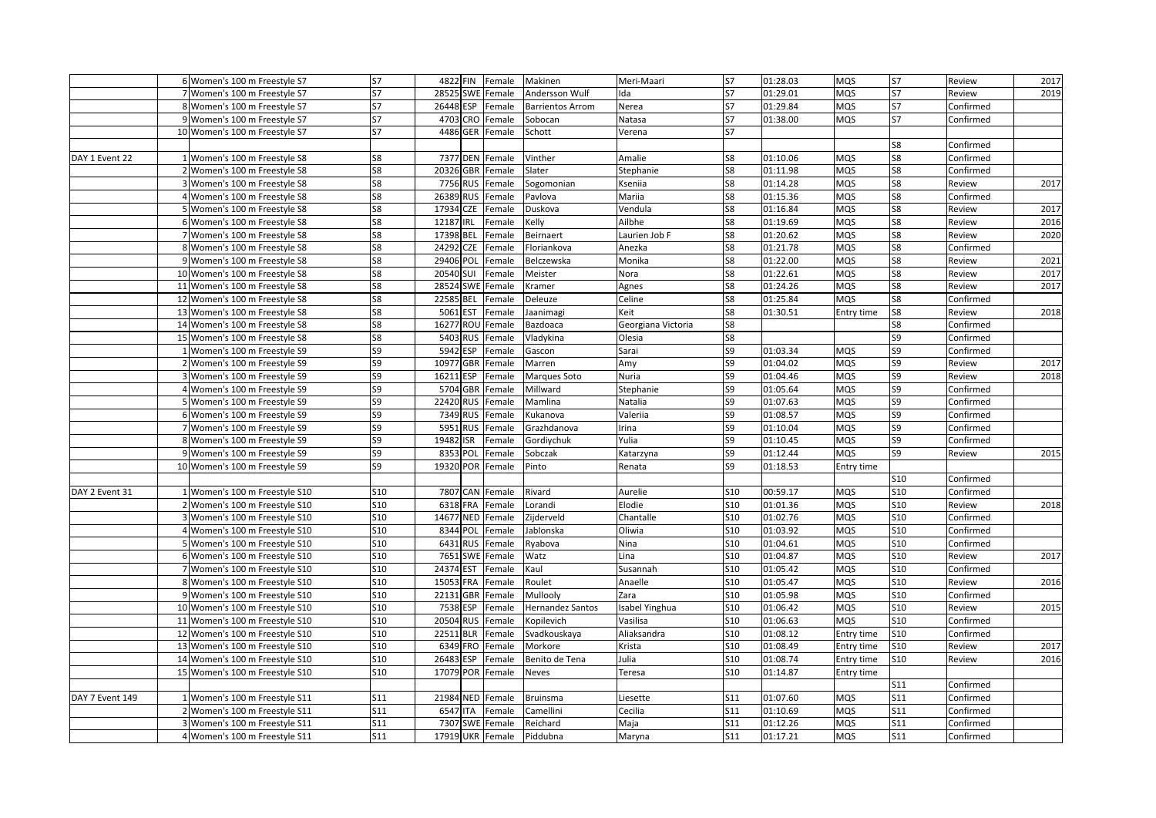|                 | 6 Women's 100 m Freestyle S7   | S7             | 4822 FIN            | Female | Makinen                 | Meri-Maari         | <b>S7</b>       | 01:28.03 | <b>MQS</b> | S7              | Review    | 2017 |
|-----------------|--------------------------------|----------------|---------------------|--------|-------------------------|--------------------|-----------------|----------|------------|-----------------|-----------|------|
|                 | 7 Women's 100 m Freestyle S7   | <b>S7</b>      | 28525 SWE           | Female | Andersson Wulf          | lda                | S7              | 01:29.01 | <b>MQS</b> | <b>S7</b>       | Review    | 2019 |
|                 | 8 Women's 100 m Freestyle S7   | S7             | 26448 ESP           | Female | <b>Barrientos Arrom</b> | Nerea              | <b>S7</b>       | 01:29.84 | MQS        | <b>S7</b>       | Confirmed |      |
|                 | 9 Women's 100 m Freestyle S7   | S7             | 4703 CRO Female     |        | Sobocan                 | Natasa             | S7              | 01:38.00 | <b>MQS</b> | <b>S7</b>       | Confirmed |      |
|                 | 10 Women's 100 m Freestyle S7  | S7             | 4486 GER Female     |        | Schott                  | Verena             | <b>S7</b>       |          |            |                 |           |      |
|                 |                                |                |                     |        |                         |                    |                 |          |            | S8              | Confirmed |      |
| DAY 1 Event 22  | 1 Women's 100 m Freestyle S8   | S8             | 7377 DEN Female     |        | Vinther                 | Amalie             | S8              | 01:10.06 | MQS        | S8              | Confirmed |      |
|                 | 2 Women's 100 m Freestyle S8   | S8             | 20326 GBR           | Female | Slater                  | Stephanie          | S8              | 01:11.98 | <b>MQS</b> | S8              | Confirmed |      |
|                 | 3 Women's 100 m Freestyle S8   | S8             | 7756<br><b>RUS</b>  | Female | Sogomonian              | Kseniia            | S8              | 01:14.28 | <b>MQS</b> | S8              | Review    | 2017 |
|                 | 4 Women's 100 m Freestyle S8   | S8             | 26389<br><b>RUS</b> | Female | Pavlova                 | Mariia             | S8              | 01:15.36 | <b>MQS</b> | S8              | Confirmed |      |
|                 | 5 Women's 100 m Freestyle S8   | S8             | 17934 CZE           | Female | Duskova                 | Vendula            | S8              | 01:16.84 | <b>MQS</b> | S8              | Review    | 2017 |
|                 | 6 Women's 100 m Freestyle S8   | S8             | 12187<br>IRL        | Female | Kelly                   | Ailbhe             | S8              | 01:19.69 | <b>MQS</b> | S8              | Review    | 2016 |
|                 | 7 Women's 100 m Freestyle S8   | S8             | 17398 BEL           | Female | Beirnaert               | Laurien Job F      | S8              | 01:20.62 | <b>MQS</b> | S8              | Review    | 2020 |
|                 | 8 Women's 100 m Freestyle S8   | S8             | 24292<br>CZE        | Female | Floriankova             | Anezka             | S8              | 01:21.78 | <b>MQS</b> | S8              | Confirmed |      |
|                 | 9 Women's 100 m Freestyle S8   | S8             | 29406<br>POL        | Female | Belczewska              | Monika             | S8              | 01:22.00 | <b>MQS</b> | S8              | Review    | 2021 |
|                 | 10 Women's 100 m Freestyle S8  | S8             | 20540 SUI           | Female | Meister                 | Nora               | S8              | 01:22.61 | <b>MQS</b> | S8              | Review    | 2017 |
|                 | 11 Women's 100 m Freestyle S8  | S8             | 28524 SWE           | Female | Kramer                  | Agnes              | S8              | 01:24.26 | <b>MQS</b> | S8              | Review    | 2017 |
|                 | 12 Women's 100 m Freestyle S8  | S8             | 22585 BEL           | Female | Deleuze                 | Celine             | S8              | 01:25.84 | <b>MQS</b> | S8              | Confirmed |      |
|                 | 13 Women's 100 m Freestyle S8  | S8             | 5061 EST            | Female | Jaanimagi               | Keit               | S8              | 01:30.51 | Entry time | S8              | Review    | 2018 |
|                 | 14 Women's 100 m Freestyle S8  | S8             | 16277 ROU           | Female | Bazdoaca                | Georgiana Victoria | S8              |          |            | S8              | Confirmed |      |
|                 | 15 Women's 100 m Freestyle S8  | S8             | 5403 RUS            | Female | Vladykina               | Olesia             | S8              |          |            | S9              | Confirmed |      |
|                 | 1 Women's 100 m Freestyle S9   | S9             | 5942 ESP            | Female | Gascon                  | Sarai              | S9              | 01:03.34 | MQS        | S9              | Confirmed |      |
|                 | 2 Women's 100 m Freestyle S9   | S9             | 10977 GBR           | Female | Marren                  | Amy                | S9              | 01:04.02 | <b>MQS</b> | S9              | Review    | 2017 |
|                 | 3 Women's 100 m Freestyle S9   | S9             | 16211 ESP           | Female | Marques Soto            | Nuria              | S9              | 01:04.46 | <b>MQS</b> | S9              | Review    | 2018 |
|                 | 4 Women's 100 m Freestyle S9   | S9             | 5704 GBR            | Female | Millward                | Stephanie          | S9              | 01:05.64 | <b>MQS</b> | S9              | Confirmed |      |
|                 | 5 Women's 100 m Freestyle S9   | S9             | 22420<br><b>RUS</b> | Female | Mamlina                 | Natalia            | S9              | 01:07.63 | <b>MQS</b> | S9              | Confirmed |      |
|                 | 6 Women's 100 m Freestyle S9   | S9             | 7349 RUS            | Female | Kukanova                | Valeriia           | S9              | 01:08.57 | <b>MQS</b> | S9              | Confirmed |      |
|                 | 7 Women's 100 m Freestyle S9   | S9             | 5951<br><b>RUS</b>  | Female | Grazhdanova             | Irina              | S9              | 01:10.04 | <b>MQS</b> | S9              | Confirmed |      |
|                 | 8 Women's 100 m Freestyle S9   | S9             | 19482 ISR           | Female | Gordiychuk              | Yulia              | S9              | 01:10.45 | MQS        | S9              | Confirmed |      |
|                 | 9 Women's 100 m Freestyle S9   | S9             | 8353<br>POL         | Female | Sobczak                 | Katarzyna          | S9              | 01:12.44 | <b>MQS</b> | S9              | Review    | 2015 |
|                 | 10 Women's 100 m Freestyle S9  | S <sub>9</sub> | 19320 POR           | Female | Pinto                   | Renata             | S9              | 01:18.53 | Entry time |                 |           |      |
|                 |                                |                |                     |        |                         |                    |                 |          |            | S10             | Confirmed |      |
| DAY 2 Event 31  | 1 Women's 100 m Freestyle S10  | S10            | 7807 CAN            | Female | Rivard                  | Aurelie            | <b>S10</b>      | 00:59.17 | <b>MQS</b> | <b>S10</b>      | Confirmed |      |
|                 | 2 Women's 100 m Freestyle S10  | S10            | 6318 FRA            | Female | Lorandi                 | Elodie             | S10             | 01:01.36 | <b>MQS</b> | <b>S10</b>      | Review    | 2018 |
|                 | 3 Women's 100 m Freestyle S10  | <b>S10</b>     | 14677 NED Female    |        | Zijderveld              | Chantalle          | <b>S10</b>      | 01:02.76 | <b>MQS</b> | <b>S10</b>      | Confirmed |      |
|                 | 4 Women's 100 m Freestyle S10  | <b>S10</b>     | 8344 POL            | Female | Jablonska               | Oliwia             | <b>S10</b>      | 01:03.92 | <b>MQS</b> | <b>S10</b>      | Confirmed |      |
|                 | 5 Women's 100 m Freestyle S10  | <b>S10</b>     | 6431<br><b>RUS</b>  | Female | Ryabova                 | <b>Nina</b>        | <b>S10</b>      | 01:04.61 | MQS        | <b>S10</b>      | Confirmed |      |
|                 | 6 Women's 100 m Freestyle S10  | S10            | 7651<br><b>SWE</b>  | Female | Watz                    | Lina               | S <sub>10</sub> | 01:04.87 | <b>MQS</b> | S10             | Review    | 2017 |
|                 | 7 Women's 100 m Freestyle S10  | <b>S10</b>     | 24374 EST           | Female | Kaul                    | Susannah           | S10             | 01:05.42 | <b>MQS</b> | <b>S10</b>      | Confirmed |      |
|                 | 8 Women's 100 m Freestyle S10  | S10            | 15053 FRA           | Female | Roulet                  | Anaelle            | S <sub>10</sub> | 01:05.47 | <b>MQS</b> | <b>S10</b>      | Review    | 2016 |
|                 | 9 Women's 100 m Freestyle S10  | S10            | 22131 GBR           | Female | Mullooly                | Zara               | S10             | 01:05.98 | <b>MQS</b> | <b>S10</b>      | Confirmed |      |
|                 | 10 Women's 100 m Freestyle S10 | <b>S10</b>     | 7538<br><b>ESP</b>  | Female | Hernandez Santos        | sabel Yinghua      | <b>S10</b>      | 01:06.42 | <b>MQS</b> | <b>S10</b>      | Review    | 2015 |
|                 | 11 Women's 100 m Freestyle S10 | S10            | 20504 RUS           | Female | Kopilevich              | Vasilisa           | S10             | 01:06.63 | MQS        | S10             | Confirmed |      |
|                 | 12 Women's 100 m Freestyle S10 | S10            | 22511 BLR           | Female | Svadkouskaya            | Aliaksandra        | <b>S10</b>      | 01:08.12 | Entry time | S10             | Confirmed |      |
|                 | 13 Women's 100 m Freestyle S10 | <b>S10</b>     | 6349 FRO            | Female | Morkore                 | Krista             | <b>S10</b>      | 01:08.49 | Entry time | S <sub>10</sub> | Review    | 2017 |
|                 | 14 Women's 100 m Freestyle S10 | S10            | 26483<br>ESP        | Female | Benito de Tena          | Julia              | <b>S10</b>      | 01:08.74 | Entry time | S10             | Review    | 2016 |
|                 | 15 Women's 100 m Freestyle S10 | <b>S10</b>     | 17079 POR           | Female | Neves                   | Teresa             | <b>S10</b>      | 01:14.87 | Entry time |                 |           |      |
|                 |                                |                |                     |        |                         |                    |                 |          |            | S11             | Confirmed |      |
| DAY 7 Event 149 | 1 Women's 100 m Freestyle S11  | S11            | 21984 NED           | Female | Bruinsma                | Liesette           | S11             | 01:07.60 | <b>MQS</b> | <b>S11</b>      | Confirmed |      |
|                 | 2 Women's 100 m Freestyle S11  | S11            | 6547 ITA            | Female | Camellini               | Cecilia            | S11             | 01:10.69 | <b>MQS</b> | <b>S11</b>      | Confirmed |      |
|                 | 3 Women's 100 m Freestyle S11  | S11            | 7307<br><b>SWE</b>  | Female | Reichard                | Maja               | S11             | 01:12.26 | <b>MQS</b> | S11             | Confirmed |      |
|                 | 4 Women's 100 m Freestyle S11  | S11            | 17919 UKR           | Female | Piddubna                | Maryna             | S11             | 01:17.21 | MQS        | <b>S11</b>      | Confirmed |      |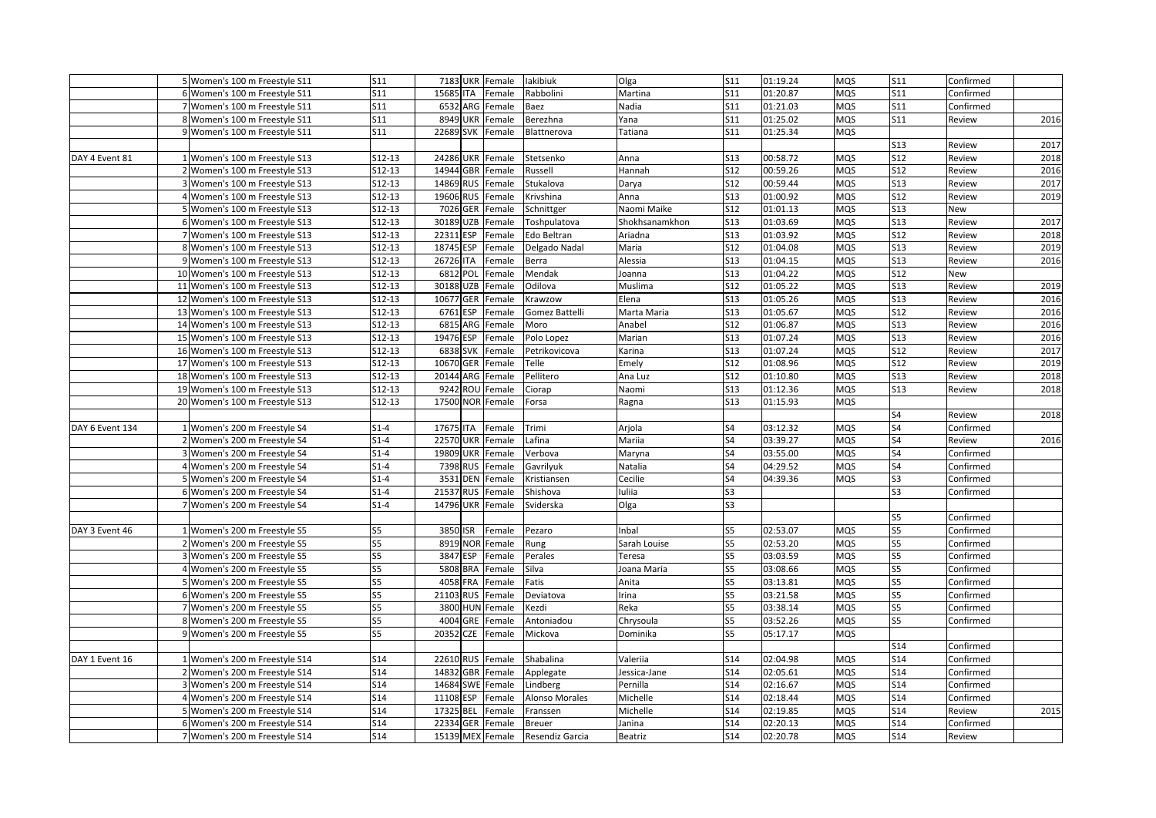|                 | 5 Women's 100 m Freestyle S11  | S11             | 7183 UKR Female     |        | lakibiuk        | Olga                                                                                                     | S11             | 01:19.24 | <b>MQS</b> | S11             | Confirmed |      |
|-----------------|--------------------------------|-----------------|---------------------|--------|-----------------|----------------------------------------------------------------------------------------------------------|-----------------|----------|------------|-----------------|-----------|------|
|                 | 6 Women's 100 m Freestyle S11  | S11             | 15685 ITA           | Female | Rabbolini       | Martina                                                                                                  | S11             | 01:20.87 | <b>MQS</b> | S11             | Confirmed |      |
|                 | 7 Women's 100 m Freestyle S11  | S <sub>11</sub> | 6532 ARG            | Female | Baez            | Nadia                                                                                                    | S <sub>11</sub> | 01:21.03 | MQS        | S11             | Confirmed |      |
|                 | 8 Women's 100 m Freestyle S11  | S11             | 8949 UKR Female     |        | Berezhna        | Yana                                                                                                     | S11             | 01:25.02 | <b>MQS</b> | S11             | Review    | 2016 |
|                 | 9 Women's 100 m Freestyle S11  | S11             | 22689 SVK           | Female | Blattnerova     | Tatiana                                                                                                  | S <sub>11</sub> | 01:25.34 | <b>MQS</b> |                 |           |      |
|                 |                                |                 |                     |        |                 |                                                                                                          |                 |          |            | S13             | Review    | 2017 |
| DAY 4 Event 81  | 1 Women's 100 m Freestyle S13  | S12-13          | 24286 UKR           | Female | Stetsenko       | Anna                                                                                                     | S13             | 00:58.72 | <b>MQS</b> | S12             | Review    | 2018 |
|                 | 2 Women's 100 m Freestyle S13  | S12-13          | 14944 GBR           | Female | Russell         | Hannah                                                                                                   | S12             | 00:59.26 | <b>MQS</b> | <b>S12</b>      | Review    | 2016 |
|                 | 3 Women's 100 m Freestyle S13  | S12-13          | 14869<br><b>RUS</b> | Female | Stukalova       | Darya                                                                                                    | S12             | 00:59.44 | <b>MQS</b> | <b>S13</b>      | Review    | 2017 |
|                 | 4 Women's 100 m Freestyle S13  | $S12-13$        | 19606<br><b>RUS</b> | Female | Krivshina       | Anna                                                                                                     | <b>S13</b>      | 01:00.92 | <b>MQS</b> | <b>S12</b>      | Review    | 2019 |
|                 | 5 Women's 100 m Freestyle S13  | S12-13          | 7026<br>GER         | Female | Schnittger      | Naomi Maike                                                                                              | S12             | 01:01.13 | <b>MQS</b> | <b>S13</b>      | New       |      |
|                 | 6 Women's 100 m Freestyle S13  | S12-13          | 30189<br><b>UZB</b> | Female | Toshpulatova    | Shokhsanamkhon                                                                                           | S13             | 01:03.69 | <b>MQS</b> | <b>S13</b>      | Review    | 2017 |
|                 | 7 Women's 100 m Freestyle S13  | S12-13          | 22311 ESP           | Female | Edo Beltran     | Ariadna                                                                                                  | S13             | 01:03.92 | <b>MQS</b> | <b>S12</b>      | Review    | 2018 |
|                 | 8 Women's 100 m Freestyle S13  | S12-13          | 18745 ESP           | Female | Delgado Nadal   | Maria                                                                                                    | S12             | 01:04.08 | <b>MQS</b> | S13             | Review    | 2019 |
|                 | 9 Women's 100 m Freestyle S13  | S12-13          | 26726 ITA           | Female | Berra           | Alessia                                                                                                  | S13             | 01:04.15 | <b>MQS</b> | <b>S13</b>      | Review    | 2016 |
|                 | 10 Women's 100 m Freestyle S13 | S12-13          | 6812 POL            | Female | Mendak          | Joanna                                                                                                   | <b>S13</b>      | 01:04.22 | <b>MQS</b> | <b>S12</b>      | New       |      |
|                 | 11 Women's 100 m Freestyle S13 | S12-13          | 30188 UZB           | Female | Odilova         | Muslima                                                                                                  | <b>S12</b>      | 01:05.22 | <b>MQS</b> | <b>S13</b>      | Review    | 2019 |
|                 | 12 Women's 100 m Freestyle S13 | S12-13          | 10677 GER           | Female | Krawzow         | Elena                                                                                                    | S13             | 01:05.26 | <b>MQS</b> | S13             | Review    | 2016 |
|                 | 13 Women's 100 m Freestyle S13 | S12-13          | 6761 ESP            | Female | Gomez Battelli  | Marta Maria                                                                                              | S13             | 01:05.67 | <b>MQS</b> | <b>S12</b>      | Review    | 2016 |
|                 | 14 Women's 100 m Freestyle S13 | S12-13          | 6815 ARG Female     |        | Moro            | Anabel                                                                                                   | S12             | 01:06.87 | <b>MQS</b> | <b>S13</b>      | Review    | 2016 |
|                 | 15 Women's 100 m Freestyle S13 | $S12-13$        | 19476 ESP           | Female | Polo Lopez      | Marian                                                                                                   | S13             | 01:07.24 | <b>MQS</b> | <b>S13</b>      | Review    | 2016 |
|                 | 16 Women's 100 m Freestyle S13 | S12-13          | 6838 SVK            | Female | Petrikovicova   | <arina< td=""><td>S13</td><td>01:07.24</td><td>MQS</td><td>S12</td><td>Review</td><td>2017</td></arina<> | S13             | 01:07.24 | MQS        | S12             | Review    | 2017 |
|                 | 17 Women's 100 m Freestyle S13 | S12-13          | 10670 GER           | Female | Telle           | Emely                                                                                                    | S12             | 01:08.96 | <b>MQS</b> | S12             | Review    | 2019 |
|                 | 18 Women's 100 m Freestyle S13 | S12-13          | 20144 ARG           | Female | Pellitero       | Ana Luz                                                                                                  | S12             | 01:10.80 | <b>MQS</b> | <b>S13</b>      | Review    | 2018 |
|                 | 19 Women's 100 m Freestyle S13 | S12-13          | 9242<br><b>ROU</b>  | Female | Ciorap          | Naomi                                                                                                    | <b>S13</b>      | 01:12.36 | <b>MQS</b> | <b>S13</b>      | Review    | 2018 |
|                 | 20 Women's 100 m Freestyle S13 | S12-13          | 17500 NOR           | Female | Forsa           | Ragna                                                                                                    | S13             | 01:15.93 | <b>MQS</b> |                 |           |      |
|                 |                                |                 |                     |        |                 |                                                                                                          |                 |          |            | S4              | Review    | 2018 |
| DAY 6 Event 134 | 1 Women's 200 m Freestyle S4   | $S1-4$          | 17675 ITA           | Female | Trimi           | Arjola                                                                                                   | S4              | 03:12.32 | <b>MQS</b> | S <sub>4</sub>  | Confirmed |      |
|                 | 2 Women's 200 m Freestyle S4   | $S1-4$          | <b>22570 UKR</b>    | Female | Lafina          | Mariia                                                                                                   | S4              | 03:39.27 | MQS        | S4              | Review    | 2016 |
|                 | 3 Women's 200 m Freestyle S4   | $S1-4$          | 19809 UKR           | Female | Verbova         | Maryna                                                                                                   | S4              | 03:55.00 | <b>MQS</b> | S4              | Confirmed |      |
|                 | 4 Women's 200 m Freestyle S4   | $S1-4$          | 7398 RUS            | Female | Gavrilyuk       | Natalia                                                                                                  | S <sub>4</sub>  | 04:29.52 | <b>MQS</b> | S4              | Confirmed |      |
|                 | 5 Women's 200 m Freestyle S4   | $S1-4$          | 3531 DEN            | Female | Kristiansen     | Cecilie                                                                                                  | S4              | 04:39.36 | <b>MQS</b> | S3              | Confirmed |      |
|                 | 6 Women's 200 m Freestyle S4   | $S1-4$          | 21537 RUS           | Female | Shishova        | uliia                                                                                                    | S <sub>3</sub>  |          |            | S <sub>3</sub>  | Confirmed |      |
|                 | 7 Women's 200 m Freestyle S4   | $S1-4$          | 14796 UKR           | Female | Sviderska       | Olga                                                                                                     | S3              |          |            |                 |           |      |
|                 |                                |                 |                     |        |                 |                                                                                                          |                 |          |            | S5              | Confirmed |      |
| DAY 3 Event 46  | 1 Women's 200 m Freestyle S5   | S5              | 3850 ISR            | Female | Pezaro          | nbal                                                                                                     | S5              | 02:53.07 | <b>MQS</b> | S5              | Confirmed |      |
|                 | 2 Women's 200 m Freestyle S5   | S5              | 8919 NOR            | Female | Rung            | Sarah Louise                                                                                             | S5              | 02:53.20 | MQS        | S5              | Confirmed |      |
|                 | 3 Women's 200 m Freestyle S5   | S5              | 3847 ESP            | Female | Perales         | Teresa                                                                                                   | S <sub>5</sub>  | 03:03.59 | <b>MQS</b> | S5              | Confirmed |      |
|                 | 4 Women's 200 m Freestyle S5   | S5              | 5808 BRA            | Female | Silva           | Joana Maria                                                                                              | S5              | 03:08.66 | <b>MQS</b> | S5              | Confirmed |      |
|                 | 5 Women's 200 m Freestyle S5   | S5              | 4058 FRA            | Female | Fatis           | Anita                                                                                                    | S5              | 03:13.81 | <b>MQS</b> | S5              | Confirmed |      |
|                 | 6 Women's 200 m Freestyle S5   | S5              | 21103 RUS           | Female | Deviatova       | rina                                                                                                     | S <sub>5</sub>  | 03:21.58 | <b>MQS</b> | S5              | Confirmed |      |
|                 | 7 Women's 200 m Freestyle S5   | S5              | 3800 HUN Female     |        | Kezdi           | Reka                                                                                                     | S5              | 03:38.14 | <b>MQS</b> | S5              | Confirmed |      |
|                 | 8 Women's 200 m Freestyle S5   | S5              | 4004<br>GRE         | Female | Antoniadou      | Chrysoula                                                                                                | S5              | 03:52.26 | <b>MQS</b> | S5              | Confirmed |      |
|                 | 9 Women's 200 m Freestyle S5   | S5              | 20352<br><b>CZE</b> | Female | Mickova         | Dominika                                                                                                 | S5              | 05:17.17 | <b>MQS</b> |                 |           |      |
|                 |                                |                 |                     |        |                 |                                                                                                          |                 |          |            | S14             | Confirmed |      |
| DAY 1 Event 16  | 1 Women's 200 m Freestyle S14  | S14             | 22610 RUS Female    |        | Shabalina       | Valeriia                                                                                                 | S14             | 02:04.98 | <b>MQS</b> | S14             | Confirmed |      |
|                 | 2 Women's 200 m Freestyle S14  | S14             | 14832 GBR           | Female | Applegate       | Jessica-Jane                                                                                             | S14             | 02:05.61 | <b>MQS</b> | S14             | Confirmed |      |
|                 | 3 Women's 200 m Freestyle S14  | S14             | 14684 SWE           | Female | Lindberg        | Pernilla                                                                                                 | S14             | 02:16.67 | <b>MQS</b> | S14             | Confirmed |      |
|                 | 4 Women's 200 m Freestyle S14  | <b>S14</b>      | ESP<br>11108        | Female | Alonso Morales  | Michelle                                                                                                 | <b>S14</b>      | 02:18.44 | <b>MQS</b> | S14             | Confirmed |      |
|                 | 5 Women's 200 m Freestyle S14  | S14             | 17325 BEL           | Female |                 | Michelle                                                                                                 | S14             | 02:19.85 | <b>MQS</b> | S14             | Review    | 2015 |
|                 | 6 Women's 200 m Freestyle S14  | <b>S14</b>      | 22334 GER           | Female | Franssen        |                                                                                                          | <b>S14</b>      | 02:20.13 | <b>MQS</b> | S <sub>14</sub> | Confirmed |      |
|                 |                                | S14             | 15139 MEX Female    |        | <b>Breuer</b>   | Janina                                                                                                   | S14             | 02:20.78 |            | S14             |           |      |
|                 | 7 Women's 200 m Freestyle S14  |                 |                     |        | Resendiz Garcia | Beatriz                                                                                                  |                 |          | MQS        |                 | Review    |      |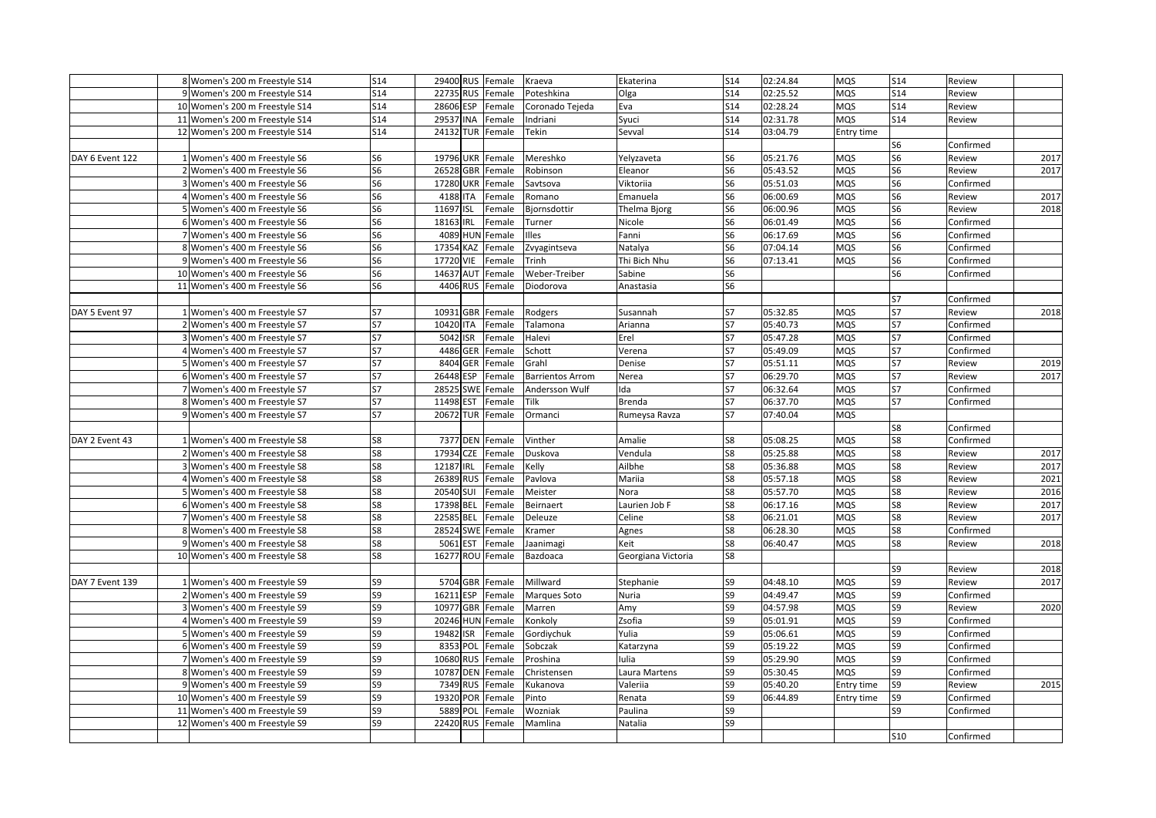|                 | 8 Women's 200 m Freestyle S14  | S14            | 29400 RUS Female    |        | Kraeva                  | Ekaterina          | S14             | 02:24.84 | <b>MQS</b> | <b>S14</b>      | Review    |      |
|-----------------|--------------------------------|----------------|---------------------|--------|-------------------------|--------------------|-----------------|----------|------------|-----------------|-----------|------|
|                 | 9 Women's 200 m Freestyle S14  | S14            | 22735 RUS           | Female | Poteshkina              | Olga               | S14             | 02:25.52 | <b>MQS</b> | S <sub>14</sub> | Review    |      |
|                 | 10 Women's 200 m Freestyle S14 | S14            | 28606<br><b>ESP</b> | Female | Coronado Tejeda         | Eva                | S <sub>14</sub> | 02:28.24 | <b>MQS</b> | S <sub>14</sub> | Review    |      |
|                 | 11 Women's 200 m Freestyle S14 | S14            | 29537 INA           | Female | Indriani                | Syuci              | S14             | 02:31.78 | <b>MQS</b> | <b>S14</b>      | Review    |      |
|                 | 12 Women's 200 m Freestyle S14 | <b>S14</b>     | 24132 TUR Female    |        | Tekin                   | Sevval             | <b>S14</b>      | 03:04.79 | Entry time |                 |           |      |
|                 |                                |                |                     |        |                         |                    |                 |          |            | S6              | Confirmed |      |
| DAY 6 Event 122 | 1 Women's 400 m Freestyle S6   | S6             | 19796 UKR           | Female | Mereshko                | Yelyzaveta         | S6              | 05:21.76 | MQS        | S6              | Review    | 2017 |
|                 | 2 Women's 400 m Freestyle S6   | S <sub>6</sub> | 26528 GBR           | Female | Robinson                | Eleanor            | S6              | 05:43.52 | <b>MQS</b> | S <sub>6</sub>  | Review    | 2017 |
|                 | 3 Women's 400 m Freestyle S6   | S6             | 17280 UKR           | Female | Savtsova                | Viktoriia          | S <sub>6</sub>  | 05:51.03 | <b>MQS</b> | S6              | Confirmed |      |
|                 | 4 Women's 400 m Freestyle S6   | S6             | 4188 ITA            | Female | Romano                  | Emanuela           | S6              | 06:00.69 | <b>MQS</b> | S6              | Review    | 2017 |
|                 | 5 Women's 400 m Freestyle S6   | S6             | 11697 ISL           | Female | Bjornsdottir            | Thelma Bjorg       | S6              | 06:00.96 | <b>MQS</b> | S <sub>6</sub>  | Review    | 2018 |
|                 | 6 Women's 400 m Freestyle S6   | S6             | 18163 IRL           | Female | Turner                  | Nicole             | S6              | 06:01.49 | <b>MQS</b> | S <sub>6</sub>  | Confirmed |      |
|                 | 7 Women's 400 m Freestyle S6   | S6             | 4089 HUN Female     |        | Illes                   | Fanni              | S <sub>6</sub>  | 06:17.69 | <b>MQS</b> | S6              | Confirmed |      |
|                 | 8 Women's 400 m Freestyle S6   | S6             | 17354 KAZ           | Female | Zvyagintseva            | Natalya            | S6              | 07:04.14 | <b>MQS</b> | S6              | Confirmed |      |
|                 | 9 Women's 400 m Freestyle S6   | S6             | 17720 VIE           | Female | Trinh                   | Thi Bich Nhu       | S6              | 07:13.41 | MQS        | S6              | Confirmed |      |
|                 | 10 Women's 400 m Freestyle S6  | S <sub>6</sub> | 14637 AUT           | Female | Weber-Treiber           | Sabine             | S <sub>6</sub>  |          |            | S <sub>6</sub>  | Confirmed |      |
|                 | 11 Women's 400 m Freestyle S6  | S <sub>6</sub> | 4406 RUS            | Female | Diodorova               | Anastasia          | S <sub>6</sub>  |          |            |                 |           |      |
|                 |                                |                |                     |        |                         |                    |                 |          |            | S7              | Confirmed |      |
| DAY 5 Event 97  | 1 Women's 400 m Freestyle S7   | S7             | 10931 GBR           | Female | Rodgers                 | Susannah           | S7              | 05:32.85 | <b>MQS</b> | <b>S7</b>       | Review    | 2018 |
|                 | 2 Women's 400 m Freestyle S7   | S7             | 10420 ITA           | Female | Talamona                | Arianna            | S7              | 05:40.73 | <b>MQS</b> | S7              | Confirmed |      |
|                 | 3 Women's 400 m Freestyle S7   | S7             | 5042 ISR            | Female | Halevi                  | Erel               | S7              | 05:47.28 | <b>MQS</b> | S7              | Confirmed |      |
|                 | 4 Women's 400 m Freestyle S7   | S7             | 4486 GER            | Female | Schott                  | Verena             | S7              | 05:49.09 | <b>MQS</b> | S7              | Confirmed |      |
|                 | 5 Women's 400 m Freestyle S7   | <b>S7</b>      | 8404<br>GER         | Female | Grahl                   | Denise             | <b>S7</b>       | 05:51.11 | <b>MQS</b> | S7              | Review    | 2019 |
|                 | 6 Women's 400 m Freestyle S7   | <b>S7</b>      | 26448 ESP           | Female | <b>Barrientos Arrom</b> | Nerea              | S7              | 06:29.70 | <b>MQS</b> | S7              | Review    | 2017 |
|                 | 7 Women's 400 m Freestyle S7   | S7             | 28525<br>SWE        | Female | Andersson Wulf          | Ida                | S7              | 06:32.64 | <b>MQS</b> | S7              | Confirmed |      |
|                 | 8 Women's 400 m Freestyle S7   | S7             | 11498 EST           | Female | Tilk                    | Brenda             | S7              | 06:37.70 | <b>MQS</b> | S7              | Confirmed |      |
|                 | 9 Women's 400 m Freestyle S7   | S7             | 20672 TUR           | Female | Ormanci                 | Rumeysa Ravza      | S7              | 07:40.04 | <b>MQS</b> |                 |           |      |
|                 |                                |                |                     |        |                         |                    |                 |          |            | S8              | Confirmed |      |
| DAY 2 Event 43  | 1 Women's 400 m Freestyle S8   | S8             | 7377 DEN Female     |        | Vinther                 | Amalie             | S8              | 05:08.25 | <b>MQS</b> | S8              | Confirmed |      |
|                 | 2 Women's 400 m Freestyle S8   | S8             | 17934<br><b>CZE</b> | Female | Duskova                 | Vendula            | S8              | 05:25.88 | <b>MQS</b> | S8              | Review    | 2017 |
|                 | 3 Women's 400 m Freestyle S8   | S8             | 12187 IRL           | Female | Kelly                   | Ailbhe             | S8              | 05:36.88 | MQS        | S8              | Review    | 2017 |
|                 | 4 Women's 400 m Freestyle S8   | S8             | 26389 RUS           | Female | Pavlova                 | Mariia             | S8              | 05:57.18 | <b>MQS</b> | S8              | Review    | 2021 |
|                 | 5 Women's 400 m Freestyle S8   | S8             | 20540 SUI           | Female | Meister                 | Nora               | S8              | 05:57.70 | <b>MQS</b> | S8              | Review    | 2016 |
|                 | 6 Women's 400 m Freestyle S8   | S8             | 17398 BEL           | Female | Beirnaert               | Laurien Job F      | S8              | 06:17.16 | <b>MQS</b> | 58              | Review    | 2017 |
|                 | 7 Women's 400 m Freestyle S8   | S8             | 22585<br><b>BEL</b> | Female | Deleuze                 | Celine             | S8              | 06:21.01 | <b>MQS</b> | S8              | Review    | 2017 |
|                 | 8 Women's 400 m Freestyle S8   | S8             | 28524 SWE           | Female | Kramer                  | Agnes              | S8              | 06:28.30 | <b>MQS</b> | S8              | Confirmed |      |
|                 | 9 Women's 400 m Freestyle S8   | S8             | 5061 EST            | Female | Jaanimagi               | Keit               | S8              | 06:40.47 | <b>MQS</b> | S8              | Review    | 2018 |
|                 | 10 Women's 400 m Freestyle S8  | S8             | 16277 ROU Female    |        | Bazdoaca                | Georgiana Victoria | S8              |          |            |                 |           |      |
|                 |                                |                |                     |        |                         |                    |                 |          |            | S9              | Review    | 2018 |
| DAY 7 Event 139 | 1 Women's 400 m Freestyle S9   | S <sub>9</sub> | 5704 GBR            | Female | Millward                | Stephanie          | S9              | 04:48.10 | <b>MQS</b> | S9              | Review    | 2017 |
|                 | 2 Women's 400 m Freestyle S9   | S9             | 16211 ESP           | Female | Marques Soto            | Nuria              | S9              | 04:49.47 | <b>MQS</b> | S9              | Confirmed |      |
|                 | 3 Women's 400 m Freestyle S9   | S9             | 10977 GBR           | Female | Marren                  | Amy                | S9              | 04:57.98 | <b>MQS</b> | S9              | Review    | 2020 |
|                 | 4 Women's 400 m Freestyle S9   | S9             | 20246 HUN           | Female | Konkoly                 | Zsofia             | S9              | 05:01.91 | <b>MQS</b> | S9              | Confirmed |      |
|                 | 5 Women's 400 m Freestyle S9   | S9             | 19482 ISR           | Female | Gordiychuk              | Yulia              | S9              | 05:06.61 | <b>MQS</b> | S9              | Confirmed |      |
|                 | 6 Women's 400 m Freestyle S9   | S9             | 8353 POL            | Female | Sobczak                 | Katarzyna          | S9              | 05:19.22 | <b>MQS</b> | S9              | Confirmed |      |
|                 | 7 Women's 400 m Freestyle S9   | S9             | 10680<br><b>RUS</b> | Female | Proshina                | ulia               | S9              | 05:29.90 | <b>MQS</b> | S9              | Confirmed |      |
|                 | 8 Women's 400 m Freestyle S9   | S9             | 10787 DEN           | Female | Christensen             | Laura Martens      | S9              | 05:30.45 | MQS        | S9              | Confirmed |      |
|                 | 9 Women's 400 m Freestyle S9   | S <sub>9</sub> | 7349 RUS            | Female | Kukanova                | Valeriia           | S9              | 05:40.20 | Entry time | S9              | Review    | 2015 |
|                 | 10 Women's 400 m Freestyle S9  | S9             | 19320 POR           | Female | Pinto                   | Renata             | S9              | 06:44.89 | Entry time | S9              | Confirmed |      |
|                 | 11 Women's 400 m Freestyle S9  | S9             | 5889<br>POL         | Female | Wozniak                 | Paulina            | S9              |          |            | S9              | Confirmed |      |
|                 | 12 Women's 400 m Freestyle S9  | S9             | 22420 RUS           | Female | Mamlina                 | Natalia            | S9              |          |            |                 |           |      |
|                 |                                |                |                     |        |                         |                    |                 |          |            | <b>S10</b>      | Confirmed |      |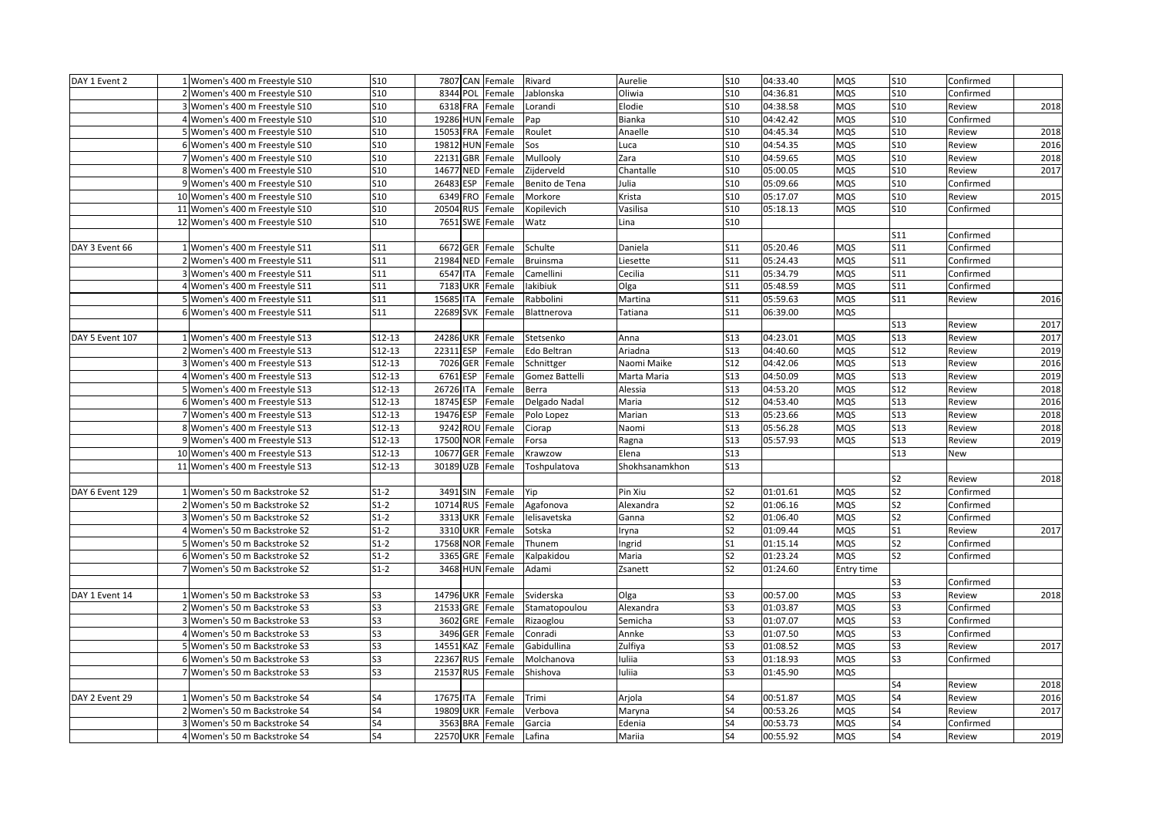| S10<br>8344 POL<br>S10<br>04:36.81<br><b>MQS</b><br><b>S10</b><br>2 Women's 400 m Freestyle S10<br>Female<br>Jablonska<br>Oliwia<br>Confirmed<br><b>S10</b><br>S10<br>04:38.58<br><b>MQS</b><br>2018<br>3 Women's 400 m Freestyle S10<br>6318 FRA<br>Female<br>Lorandi<br>Elodie<br><b>S10</b><br>Review<br>4 Women's 400 m Freestyle S10<br>S10<br>19286 HUN Female<br>Bianka<br>S10<br>04:42.42<br><b>MQS</b><br><b>S10</b><br>Confirmed<br>Pap<br><b>S10</b><br>15053 FRA<br><b>S10</b><br>04:45.34<br><b>MQS</b><br><b>S10</b><br>Review<br>2018<br>5 Women's 400 m Freestyle S10<br>Female<br>Roulet<br>Anaelle<br>19812 HUN<br>04:54.35<br>2016<br>6 Women's 400 m Freestyle S10<br>S10<br>Female<br>Sos<br>S10<br>MQS<br>S10<br>uca.<br>Review<br>2018<br><b>S10</b><br>22131 GBR<br>Mullooly<br><b>S10</b><br>04:59.65<br><b>MQS</b><br><b>S10</b><br>7 Women's 400 m Freestyle S10<br>Female<br>Zara<br>Review<br>Zijderveld<br>05:00.05<br>2017<br>8 Women's 400 m Freestyle S10<br>S10<br>14677 NED<br>Female<br>Chantalle<br>S10<br><b>MQS</b><br>S10<br>Review<br>05:09.66<br>9 Women's 400 m Freestyle S10<br>S10<br>26483 ESP<br>Female<br>Benito de Tena<br>Julia<br>S10<br><b>MQS</b><br><b>S10</b><br>Confirmed<br><b>S10</b><br><b>S10</b><br>05:17.07<br><b>S10</b><br>2015<br>10 Women's 400 m Freestyle S10<br>6349 FRO<br>Female<br>Morkore<br>Krista<br><b>MQS</b><br>Review<br>11 Women's 400 m Freestyle S10<br>S10<br>20504 RUS<br>Female<br>Kopilevich<br>Vasilisa<br>S10<br>05:18.13<br><b>MQS</b><br><b>S10</b><br>Confirmed<br><b>S10</b><br><b>S10</b><br>12 Women's 400 m Freestyle S10<br>7651 SWE<br>Female<br>Watz<br>Lina<br>S11<br>Confirmed<br>6672 GER<br>S <sub>11</sub><br>DAY 3 Event 66<br>1 Women's 400 m Freestyle S11<br>S11<br>Schulte<br>S11<br>05:20.46<br>MQS<br>Confirmed<br>Female<br>Daniela<br>21984 NED Female<br>05:24.43<br><b>MQS</b><br>2 Women's 400 m Freestyle S11<br>S11<br><b>Bruinsma</b><br>Liesette<br>S11<br>S11<br>Confirmed<br>3 Women's 400 m Freestyle S11<br>6547 ITA<br>05:34.79<br><b>MQS</b><br>S11<br>Female<br>Camellini<br>Cecilia<br>S11<br>S11<br>Confirmed<br>lakibiuk<br>05:48.59<br>4 Women's 400 m Freestyle S11<br>S11<br>7183 UKR<br>Female<br>Olga<br>S11<br><b>MQS</b><br>S11<br>Confirmed<br>15685 ITA<br>2016<br>5 Women's 400 m Freestyle S11<br>S11<br>Female<br>Rabbolini<br>Martina<br>S11<br>05:59.63<br><b>MQS</b><br>S11<br>Review<br>S11<br>22689 SVK<br>S11<br>06:39.00<br><b>MQS</b><br>6 Women's 400 m Freestyle S11<br>Female<br>Blattnerova<br>Tatiana<br>2017<br><b>S13</b><br>Review<br>S12-13<br>24286 UKR<br>S13<br>04:23.01<br>S13<br>2017<br>1 Women's 400 m Freestyle S13<br>Female<br>Stetsenko<br>Anna<br>MQS<br>Review<br>DAY 5 Event 107<br>S12-13<br>22311 ESP<br>S13<br>04:40.60<br><b>MQS</b><br><b>S12</b><br>2019<br>2 Women's 400 m Freestyle S13<br>Female<br>Edo Beltran<br>Ariadna<br>Review<br>2016<br>3 Women's 400 m Freestyle S13<br>S12-13<br>7026 GER<br>S12<br>04:42.06<br><b>MQS</b><br><b>S13</b><br>Female<br>Schnittger<br>Naomi Maike<br>Review<br>2019<br>S12-13<br>S13<br>04:50.09<br><b>MQS</b><br>4 Women's 400 m Freestyle S13<br>6761 ESP<br>Female<br>Gomez Battelli<br>Marta Maria<br><b>S13</b><br>Review<br>26726 ITA<br>04:53.20<br>2018<br>5 Women's 400 m Freestyle S13<br>S12-13<br>Female<br>Alessia<br>S13<br><b>MQS</b><br><b>S12</b><br>Review<br>Berra<br>S12-13<br>18745 ESP<br>S12<br>04:53.40<br><b>S13</b><br>2016<br>6 Women's 400 m Freestyle S13<br>Female<br>Delgado Nadal<br>Maria<br><b>MQS</b><br>Review<br>2018<br>S12-13<br>19476 ESP<br>S13<br>05:23.66<br><b>MQS</b><br><b>S13</b><br>7 Women's 400 m Freestyle S13<br>Female<br>Polo Lopez<br>Marian<br>Review<br>S12-13<br>9242 ROU<br>S13<br>05:56.28<br><b>MQS</b><br><b>S13</b><br>2018<br>8 Women's 400 m Freestyle S13<br>Female<br>Ciorap<br>Naomi<br>Review<br>S12-13<br>05:57.93<br>2019<br>9 Women's 400 m Freestyle S13<br>17500 NOR<br>Female<br>Forsa<br>S13<br><b>MQS</b><br>S13<br>Ragna<br>Review<br>10677 GER<br><b>S13</b><br>10 Women's 400 m Freestyle S13<br>S12-13<br>Female<br>Krawzow<br>Elena<br><b>S13</b><br>New<br>$S12-13$<br>S <sub>13</sub><br>11 Women's 400 m Freestyle S13<br>30189 UZB<br>Female<br>Toshpulatova<br>Shokhsanamkhon<br>2018<br>S <sub>2</sub><br>Review<br>3491 SIN<br>DAY 6 Event 129<br>1 Women's 50 m Backstroke S2<br>$S1-2$<br>Female<br>Yip<br>Pin Xiu<br>S <sub>2</sub><br>01:01.61<br><b>MQS</b><br>S <sub>2</sub><br>Confirmed<br>$S1-2$<br><b>MQS</b><br>S <sub>2</sub><br>2 Women's 50 m Backstroke S2<br>10714 RUS<br>Female<br>Agafonova<br>Alexandra<br>S2<br>01:06.16<br>Confirmed<br>$S1-2$<br>S <sub>2</sub><br>01:06.40<br><b>MQS</b><br>S <sub>2</sub><br>3 Women's 50 m Backstroke S2<br>3313 UKR<br>Female<br>Ielisavetska<br>Confirmed<br>Ganna<br>$S1-2$<br>3310 UKR<br>S <sub>2</sub><br>01:09.44<br><b>MQS</b><br>S <sub>1</sub><br>2017<br>4 Women's 50 m Backstroke S2<br>Female<br>Sotska<br>Review<br>ryna<br>$S1-2$<br>17568 NOR<br>S <sub>1</sub><br>01:15.14<br>MQS<br>S <sub>2</sub><br>5 Women's 50 m Backstroke S2<br>Female<br>Thunem<br>Confirmed<br>ngrid<br>$S1-2$<br>3365 GRE<br>S <sub>2</sub><br>01:23.24<br><b>MQS</b><br>S <sub>2</sub><br>6 Women's 50 m Backstroke S2<br>Female<br>Kalpakidou<br>Maria<br>Confirmed<br>$S1-2$<br>3468 HUN Female<br>S <sub>2</sub><br>01:24.60<br>7 Women's 50 m Backstroke S2<br>Adami<br>Zsanett<br>Entry time<br>S <sub>3</sub><br>Confirmed<br>S3<br>2018<br>1 Women's 50 m Backstroke S3<br>14796 UKR Female<br>Sviderska<br>S3<br>00:57.00<br><b>MQS</b><br>DAY 1 Event 14<br>S3<br>Olga<br>Review<br>S3<br>S <sub>3</sub><br>21533 GRE Female<br>S <sub>3</sub><br>01:03.87<br><b>MQS</b><br>2 Women's 50 m Backstroke S3<br>Stamatopoulou<br>Alexandra<br>Confirmed<br>3602 GRE Female<br>01:07.07<br>S3<br>3 Women's 50 m Backstroke S3<br>S3<br>Rizaoglou<br>Semicha<br>S3<br><b>MQS</b><br>Confirmed<br>S <sub>3</sub><br>S3<br>S <sub>3</sub><br>3496 GER<br>Conradi<br>01:07.50<br><b>MQS</b><br>4 Women's 50 m Backstroke S3<br>Female<br>Annke<br>Confirmed<br>S <sub>3</sub><br>14551<br>KAZ<br>Gabidullina<br>Zulfiya<br>S3<br>01:08.52<br>MQS<br>S3<br>2017<br>5 Women's 50 m Backstroke S3<br>Female<br>Review<br>22367 RUS<br>S <sub>3</sub><br>01:18.93<br><b>MQS</b><br>S <sub>3</sub><br>6 Women's 50 m Backstroke S3<br>S3<br>Female<br>Molchanova<br>luliia<br>Confirmed<br>S <sub>3</sub><br>21537 RUS<br>uliia<br>S <sub>3</sub><br>01:45.90<br><b>MQS</b><br>7 Women's 50 m Backstroke S3<br>Female<br>Shishova<br>S4<br>2018<br>Review<br>00:51.87<br>S4<br>2016<br>DAY 2 Event 29<br>1 Women's 50 m Backstroke S4<br>S4<br>17675 ITA<br>Female<br>Trimi<br>Arjola<br>S4<br><b>MQS</b><br>Review<br>00:53.26<br><b>MQS</b><br>S4<br>2017<br>2 Women's 50 m Backstroke S4<br>S4<br>19809 UKR<br>Female<br>Verbova<br>Maryna<br>S4<br>Review<br>S4<br>S4<br>S <sub>4</sub><br>3563 BRA<br>00:53.73<br><b>MQS</b><br>3 Women's 50 m Backstroke S4<br>Female<br>Garcia<br>Edenia<br>Confirmed<br>S4<br><b>22570 UKR</b><br>S4<br>00:55.92<br><b>MQS</b><br>S4<br>2019<br>4 Women's 50 m Backstroke S4<br>Female<br>Lafina<br>Mariia<br>Review | DAY 1 Event 2 | 1 Women's 400 m Freestyle S10 | S10 | 7807 CAN Female | Rivard | Aurelie | S10 | 04:33.40 | <b>MQS</b> | <b>S10</b> | Confirmed |  |
|------------------------------------------------------------------------------------------------------------------------------------------------------------------------------------------------------------------------------------------------------------------------------------------------------------------------------------------------------------------------------------------------------------------------------------------------------------------------------------------------------------------------------------------------------------------------------------------------------------------------------------------------------------------------------------------------------------------------------------------------------------------------------------------------------------------------------------------------------------------------------------------------------------------------------------------------------------------------------------------------------------------------------------------------------------------------------------------------------------------------------------------------------------------------------------------------------------------------------------------------------------------------------------------------------------------------------------------------------------------------------------------------------------------------------------------------------------------------------------------------------------------------------------------------------------------------------------------------------------------------------------------------------------------------------------------------------------------------------------------------------------------------------------------------------------------------------------------------------------------------------------------------------------------------------------------------------------------------------------------------------------------------------------------------------------------------------------------------------------------------------------------------------------------------------------------------------------------------------------------------------------------------------------------------------------------------------------------------------------------------------------------------------------------------------------------------------------------------------------------------------------------------------------------------------------------------------------------------------------------------------------------------------------------------------------------------------------------------------------------------------------------------------------------------------------------------------------------------------------------------------------------------------------------------------------------------------------------------------------------------------------------------------------------------------------------------------------------------------------------------------------------------------------------------------------------------------------------------------------------------------------------------------------------------------------------------------------------------------------------------------------------------------------------------------------------------------------------------------------------------------------------------------------------------------------------------------------------------------------------------------------------------------------------------------------------------------------------------------------------------------------------------------------------------------------------------------------------------------------------------------------------------------------------------------------------------------------------------------------------------------------------------------------------------------------------------------------------------------------------------------------------------------------------------------------------------------------------------------------------------------------------------------------------------------------------------------------------------------------------------------------------------------------------------------------------------------------------------------------------------------------------------------------------------------------------------------------------------------------------------------------------------------------------------------------------------------------------------------------------------------------------------------------------------------------------------------------------------------------------------------------------------------------------------------------------------------------------------------------------------------------------------------------------------------------------------------------------------------------------------------------------------------------------------------------------------------------------------------------------------------------------------------------------------------------------------------------------------------------------------------------------------------------------------------------------------------------------------------------------------------------------------------------------------------------------------------------------------------------------------------------------------------------------------------------------------------------------------------------------------------------------------------------------------------------------------------------------------------------------------------------------------------------------------------------------------------------------------------------------------------------------------------------------------------------------------------------------------------------------------------------------------------------------------------------------------------------------------------------------------------------------------------------------------------------------------------------------------------------------------------------------------------------------------------------------------------------------------------------------------------------------------------------------------------------------------------------------------------------------------------------------------------------------------------------------------------------------------------------------------------------------------------------------------------------------------------------------------------------------------------------------------------------------------------------------------------------------------------------------------------------------------------------------------------------------------------------------------------------------------------------------------------------------------------------------------------------------------------------|---------------|-------------------------------|-----|-----------------|--------|---------|-----|----------|------------|------------|-----------|--|
|                                                                                                                                                                                                                                                                                                                                                                                                                                                                                                                                                                                                                                                                                                                                                                                                                                                                                                                                                                                                                                                                                                                                                                                                                                                                                                                                                                                                                                                                                                                                                                                                                                                                                                                                                                                                                                                                                                                                                                                                                                                                                                                                                                                                                                                                                                                                                                                                                                                                                                                                                                                                                                                                                                                                                                                                                                                                                                                                                                                                                                                                                                                                                                                                                                                                                                                                                                                                                                                                                                                                                                                                                                                                                                                                                                                                                                                                                                                                                                                                                                                                                                                                                                                                                                                                                                                                                                                                                                                                                                                                                                                                                                                                                                                                                                                                                                                                                                                                                                                                                                                                                                                                                                                                                                                                                                                                                                                                                                                                                                                                                                                                                                                                                                                                                                                                                                                                                                                                                                                                                                                                                                                                                                                                                                                                                                                                                                                                                                                                                                                                                                                                                                                                                                                                                                                                                                                                                                                                                                                                                                                                                                                                                                                                                                    |               |                               |     |                 |        |         |     |          |            |            |           |  |
|                                                                                                                                                                                                                                                                                                                                                                                                                                                                                                                                                                                                                                                                                                                                                                                                                                                                                                                                                                                                                                                                                                                                                                                                                                                                                                                                                                                                                                                                                                                                                                                                                                                                                                                                                                                                                                                                                                                                                                                                                                                                                                                                                                                                                                                                                                                                                                                                                                                                                                                                                                                                                                                                                                                                                                                                                                                                                                                                                                                                                                                                                                                                                                                                                                                                                                                                                                                                                                                                                                                                                                                                                                                                                                                                                                                                                                                                                                                                                                                                                                                                                                                                                                                                                                                                                                                                                                                                                                                                                                                                                                                                                                                                                                                                                                                                                                                                                                                                                                                                                                                                                                                                                                                                                                                                                                                                                                                                                                                                                                                                                                                                                                                                                                                                                                                                                                                                                                                                                                                                                                                                                                                                                                                                                                                                                                                                                                                                                                                                                                                                                                                                                                                                                                                                                                                                                                                                                                                                                                                                                                                                                                                                                                                                                                    |               |                               |     |                 |        |         |     |          |            |            |           |  |
|                                                                                                                                                                                                                                                                                                                                                                                                                                                                                                                                                                                                                                                                                                                                                                                                                                                                                                                                                                                                                                                                                                                                                                                                                                                                                                                                                                                                                                                                                                                                                                                                                                                                                                                                                                                                                                                                                                                                                                                                                                                                                                                                                                                                                                                                                                                                                                                                                                                                                                                                                                                                                                                                                                                                                                                                                                                                                                                                                                                                                                                                                                                                                                                                                                                                                                                                                                                                                                                                                                                                                                                                                                                                                                                                                                                                                                                                                                                                                                                                                                                                                                                                                                                                                                                                                                                                                                                                                                                                                                                                                                                                                                                                                                                                                                                                                                                                                                                                                                                                                                                                                                                                                                                                                                                                                                                                                                                                                                                                                                                                                                                                                                                                                                                                                                                                                                                                                                                                                                                                                                                                                                                                                                                                                                                                                                                                                                                                                                                                                                                                                                                                                                                                                                                                                                                                                                                                                                                                                                                                                                                                                                                                                                                                                                    |               |                               |     |                 |        |         |     |          |            |            |           |  |
|                                                                                                                                                                                                                                                                                                                                                                                                                                                                                                                                                                                                                                                                                                                                                                                                                                                                                                                                                                                                                                                                                                                                                                                                                                                                                                                                                                                                                                                                                                                                                                                                                                                                                                                                                                                                                                                                                                                                                                                                                                                                                                                                                                                                                                                                                                                                                                                                                                                                                                                                                                                                                                                                                                                                                                                                                                                                                                                                                                                                                                                                                                                                                                                                                                                                                                                                                                                                                                                                                                                                                                                                                                                                                                                                                                                                                                                                                                                                                                                                                                                                                                                                                                                                                                                                                                                                                                                                                                                                                                                                                                                                                                                                                                                                                                                                                                                                                                                                                                                                                                                                                                                                                                                                                                                                                                                                                                                                                                                                                                                                                                                                                                                                                                                                                                                                                                                                                                                                                                                                                                                                                                                                                                                                                                                                                                                                                                                                                                                                                                                                                                                                                                                                                                                                                                                                                                                                                                                                                                                                                                                                                                                                                                                                                                    |               |                               |     |                 |        |         |     |          |            |            |           |  |
|                                                                                                                                                                                                                                                                                                                                                                                                                                                                                                                                                                                                                                                                                                                                                                                                                                                                                                                                                                                                                                                                                                                                                                                                                                                                                                                                                                                                                                                                                                                                                                                                                                                                                                                                                                                                                                                                                                                                                                                                                                                                                                                                                                                                                                                                                                                                                                                                                                                                                                                                                                                                                                                                                                                                                                                                                                                                                                                                                                                                                                                                                                                                                                                                                                                                                                                                                                                                                                                                                                                                                                                                                                                                                                                                                                                                                                                                                                                                                                                                                                                                                                                                                                                                                                                                                                                                                                                                                                                                                                                                                                                                                                                                                                                                                                                                                                                                                                                                                                                                                                                                                                                                                                                                                                                                                                                                                                                                                                                                                                                                                                                                                                                                                                                                                                                                                                                                                                                                                                                                                                                                                                                                                                                                                                                                                                                                                                                                                                                                                                                                                                                                                                                                                                                                                                                                                                                                                                                                                                                                                                                                                                                                                                                                                                    |               |                               |     |                 |        |         |     |          |            |            |           |  |
|                                                                                                                                                                                                                                                                                                                                                                                                                                                                                                                                                                                                                                                                                                                                                                                                                                                                                                                                                                                                                                                                                                                                                                                                                                                                                                                                                                                                                                                                                                                                                                                                                                                                                                                                                                                                                                                                                                                                                                                                                                                                                                                                                                                                                                                                                                                                                                                                                                                                                                                                                                                                                                                                                                                                                                                                                                                                                                                                                                                                                                                                                                                                                                                                                                                                                                                                                                                                                                                                                                                                                                                                                                                                                                                                                                                                                                                                                                                                                                                                                                                                                                                                                                                                                                                                                                                                                                                                                                                                                                                                                                                                                                                                                                                                                                                                                                                                                                                                                                                                                                                                                                                                                                                                                                                                                                                                                                                                                                                                                                                                                                                                                                                                                                                                                                                                                                                                                                                                                                                                                                                                                                                                                                                                                                                                                                                                                                                                                                                                                                                                                                                                                                                                                                                                                                                                                                                                                                                                                                                                                                                                                                                                                                                                                                    |               |                               |     |                 |        |         |     |          |            |            |           |  |
|                                                                                                                                                                                                                                                                                                                                                                                                                                                                                                                                                                                                                                                                                                                                                                                                                                                                                                                                                                                                                                                                                                                                                                                                                                                                                                                                                                                                                                                                                                                                                                                                                                                                                                                                                                                                                                                                                                                                                                                                                                                                                                                                                                                                                                                                                                                                                                                                                                                                                                                                                                                                                                                                                                                                                                                                                                                                                                                                                                                                                                                                                                                                                                                                                                                                                                                                                                                                                                                                                                                                                                                                                                                                                                                                                                                                                                                                                                                                                                                                                                                                                                                                                                                                                                                                                                                                                                                                                                                                                                                                                                                                                                                                                                                                                                                                                                                                                                                                                                                                                                                                                                                                                                                                                                                                                                                                                                                                                                                                                                                                                                                                                                                                                                                                                                                                                                                                                                                                                                                                                                                                                                                                                                                                                                                                                                                                                                                                                                                                                                                                                                                                                                                                                                                                                                                                                                                                                                                                                                                                                                                                                                                                                                                                                                    |               |                               |     |                 |        |         |     |          |            |            |           |  |
|                                                                                                                                                                                                                                                                                                                                                                                                                                                                                                                                                                                                                                                                                                                                                                                                                                                                                                                                                                                                                                                                                                                                                                                                                                                                                                                                                                                                                                                                                                                                                                                                                                                                                                                                                                                                                                                                                                                                                                                                                                                                                                                                                                                                                                                                                                                                                                                                                                                                                                                                                                                                                                                                                                                                                                                                                                                                                                                                                                                                                                                                                                                                                                                                                                                                                                                                                                                                                                                                                                                                                                                                                                                                                                                                                                                                                                                                                                                                                                                                                                                                                                                                                                                                                                                                                                                                                                                                                                                                                                                                                                                                                                                                                                                                                                                                                                                                                                                                                                                                                                                                                                                                                                                                                                                                                                                                                                                                                                                                                                                                                                                                                                                                                                                                                                                                                                                                                                                                                                                                                                                                                                                                                                                                                                                                                                                                                                                                                                                                                                                                                                                                                                                                                                                                                                                                                                                                                                                                                                                                                                                                                                                                                                                                                                    |               |                               |     |                 |        |         |     |          |            |            |           |  |
|                                                                                                                                                                                                                                                                                                                                                                                                                                                                                                                                                                                                                                                                                                                                                                                                                                                                                                                                                                                                                                                                                                                                                                                                                                                                                                                                                                                                                                                                                                                                                                                                                                                                                                                                                                                                                                                                                                                                                                                                                                                                                                                                                                                                                                                                                                                                                                                                                                                                                                                                                                                                                                                                                                                                                                                                                                                                                                                                                                                                                                                                                                                                                                                                                                                                                                                                                                                                                                                                                                                                                                                                                                                                                                                                                                                                                                                                                                                                                                                                                                                                                                                                                                                                                                                                                                                                                                                                                                                                                                                                                                                                                                                                                                                                                                                                                                                                                                                                                                                                                                                                                                                                                                                                                                                                                                                                                                                                                                                                                                                                                                                                                                                                                                                                                                                                                                                                                                                                                                                                                                                                                                                                                                                                                                                                                                                                                                                                                                                                                                                                                                                                                                                                                                                                                                                                                                                                                                                                                                                                                                                                                                                                                                                                                                    |               |                               |     |                 |        |         |     |          |            |            |           |  |
|                                                                                                                                                                                                                                                                                                                                                                                                                                                                                                                                                                                                                                                                                                                                                                                                                                                                                                                                                                                                                                                                                                                                                                                                                                                                                                                                                                                                                                                                                                                                                                                                                                                                                                                                                                                                                                                                                                                                                                                                                                                                                                                                                                                                                                                                                                                                                                                                                                                                                                                                                                                                                                                                                                                                                                                                                                                                                                                                                                                                                                                                                                                                                                                                                                                                                                                                                                                                                                                                                                                                                                                                                                                                                                                                                                                                                                                                                                                                                                                                                                                                                                                                                                                                                                                                                                                                                                                                                                                                                                                                                                                                                                                                                                                                                                                                                                                                                                                                                                                                                                                                                                                                                                                                                                                                                                                                                                                                                                                                                                                                                                                                                                                                                                                                                                                                                                                                                                                                                                                                                                                                                                                                                                                                                                                                                                                                                                                                                                                                                                                                                                                                                                                                                                                                                                                                                                                                                                                                                                                                                                                                                                                                                                                                                                    |               |                               |     |                 |        |         |     |          |            |            |           |  |
|                                                                                                                                                                                                                                                                                                                                                                                                                                                                                                                                                                                                                                                                                                                                                                                                                                                                                                                                                                                                                                                                                                                                                                                                                                                                                                                                                                                                                                                                                                                                                                                                                                                                                                                                                                                                                                                                                                                                                                                                                                                                                                                                                                                                                                                                                                                                                                                                                                                                                                                                                                                                                                                                                                                                                                                                                                                                                                                                                                                                                                                                                                                                                                                                                                                                                                                                                                                                                                                                                                                                                                                                                                                                                                                                                                                                                                                                                                                                                                                                                                                                                                                                                                                                                                                                                                                                                                                                                                                                                                                                                                                                                                                                                                                                                                                                                                                                                                                                                                                                                                                                                                                                                                                                                                                                                                                                                                                                                                                                                                                                                                                                                                                                                                                                                                                                                                                                                                                                                                                                                                                                                                                                                                                                                                                                                                                                                                                                                                                                                                                                                                                                                                                                                                                                                                                                                                                                                                                                                                                                                                                                                                                                                                                                                                    |               |                               |     |                 |        |         |     |          |            |            |           |  |
|                                                                                                                                                                                                                                                                                                                                                                                                                                                                                                                                                                                                                                                                                                                                                                                                                                                                                                                                                                                                                                                                                                                                                                                                                                                                                                                                                                                                                                                                                                                                                                                                                                                                                                                                                                                                                                                                                                                                                                                                                                                                                                                                                                                                                                                                                                                                                                                                                                                                                                                                                                                                                                                                                                                                                                                                                                                                                                                                                                                                                                                                                                                                                                                                                                                                                                                                                                                                                                                                                                                                                                                                                                                                                                                                                                                                                                                                                                                                                                                                                                                                                                                                                                                                                                                                                                                                                                                                                                                                                                                                                                                                                                                                                                                                                                                                                                                                                                                                                                                                                                                                                                                                                                                                                                                                                                                                                                                                                                                                                                                                                                                                                                                                                                                                                                                                                                                                                                                                                                                                                                                                                                                                                                                                                                                                                                                                                                                                                                                                                                                                                                                                                                                                                                                                                                                                                                                                                                                                                                                                                                                                                                                                                                                                                                    |               |                               |     |                 |        |         |     |          |            |            |           |  |
|                                                                                                                                                                                                                                                                                                                                                                                                                                                                                                                                                                                                                                                                                                                                                                                                                                                                                                                                                                                                                                                                                                                                                                                                                                                                                                                                                                                                                                                                                                                                                                                                                                                                                                                                                                                                                                                                                                                                                                                                                                                                                                                                                                                                                                                                                                                                                                                                                                                                                                                                                                                                                                                                                                                                                                                                                                                                                                                                                                                                                                                                                                                                                                                                                                                                                                                                                                                                                                                                                                                                                                                                                                                                                                                                                                                                                                                                                                                                                                                                                                                                                                                                                                                                                                                                                                                                                                                                                                                                                                                                                                                                                                                                                                                                                                                                                                                                                                                                                                                                                                                                                                                                                                                                                                                                                                                                                                                                                                                                                                                                                                                                                                                                                                                                                                                                                                                                                                                                                                                                                                                                                                                                                                                                                                                                                                                                                                                                                                                                                                                                                                                                                                                                                                                                                                                                                                                                                                                                                                                                                                                                                                                                                                                                                                    |               |                               |     |                 |        |         |     |          |            |            |           |  |
|                                                                                                                                                                                                                                                                                                                                                                                                                                                                                                                                                                                                                                                                                                                                                                                                                                                                                                                                                                                                                                                                                                                                                                                                                                                                                                                                                                                                                                                                                                                                                                                                                                                                                                                                                                                                                                                                                                                                                                                                                                                                                                                                                                                                                                                                                                                                                                                                                                                                                                                                                                                                                                                                                                                                                                                                                                                                                                                                                                                                                                                                                                                                                                                                                                                                                                                                                                                                                                                                                                                                                                                                                                                                                                                                                                                                                                                                                                                                                                                                                                                                                                                                                                                                                                                                                                                                                                                                                                                                                                                                                                                                                                                                                                                                                                                                                                                                                                                                                                                                                                                                                                                                                                                                                                                                                                                                                                                                                                                                                                                                                                                                                                                                                                                                                                                                                                                                                                                                                                                                                                                                                                                                                                                                                                                                                                                                                                                                                                                                                                                                                                                                                                                                                                                                                                                                                                                                                                                                                                                                                                                                                                                                                                                                                                    |               |                               |     |                 |        |         |     |          |            |            |           |  |
|                                                                                                                                                                                                                                                                                                                                                                                                                                                                                                                                                                                                                                                                                                                                                                                                                                                                                                                                                                                                                                                                                                                                                                                                                                                                                                                                                                                                                                                                                                                                                                                                                                                                                                                                                                                                                                                                                                                                                                                                                                                                                                                                                                                                                                                                                                                                                                                                                                                                                                                                                                                                                                                                                                                                                                                                                                                                                                                                                                                                                                                                                                                                                                                                                                                                                                                                                                                                                                                                                                                                                                                                                                                                                                                                                                                                                                                                                                                                                                                                                                                                                                                                                                                                                                                                                                                                                                                                                                                                                                                                                                                                                                                                                                                                                                                                                                                                                                                                                                                                                                                                                                                                                                                                                                                                                                                                                                                                                                                                                                                                                                                                                                                                                                                                                                                                                                                                                                                                                                                                                                                                                                                                                                                                                                                                                                                                                                                                                                                                                                                                                                                                                                                                                                                                                                                                                                                                                                                                                                                                                                                                                                                                                                                                                                    |               |                               |     |                 |        |         |     |          |            |            |           |  |
|                                                                                                                                                                                                                                                                                                                                                                                                                                                                                                                                                                                                                                                                                                                                                                                                                                                                                                                                                                                                                                                                                                                                                                                                                                                                                                                                                                                                                                                                                                                                                                                                                                                                                                                                                                                                                                                                                                                                                                                                                                                                                                                                                                                                                                                                                                                                                                                                                                                                                                                                                                                                                                                                                                                                                                                                                                                                                                                                                                                                                                                                                                                                                                                                                                                                                                                                                                                                                                                                                                                                                                                                                                                                                                                                                                                                                                                                                                                                                                                                                                                                                                                                                                                                                                                                                                                                                                                                                                                                                                                                                                                                                                                                                                                                                                                                                                                                                                                                                                                                                                                                                                                                                                                                                                                                                                                                                                                                                                                                                                                                                                                                                                                                                                                                                                                                                                                                                                                                                                                                                                                                                                                                                                                                                                                                                                                                                                                                                                                                                                                                                                                                                                                                                                                                                                                                                                                                                                                                                                                                                                                                                                                                                                                                                                    |               |                               |     |                 |        |         |     |          |            |            |           |  |
|                                                                                                                                                                                                                                                                                                                                                                                                                                                                                                                                                                                                                                                                                                                                                                                                                                                                                                                                                                                                                                                                                                                                                                                                                                                                                                                                                                                                                                                                                                                                                                                                                                                                                                                                                                                                                                                                                                                                                                                                                                                                                                                                                                                                                                                                                                                                                                                                                                                                                                                                                                                                                                                                                                                                                                                                                                                                                                                                                                                                                                                                                                                                                                                                                                                                                                                                                                                                                                                                                                                                                                                                                                                                                                                                                                                                                                                                                                                                                                                                                                                                                                                                                                                                                                                                                                                                                                                                                                                                                                                                                                                                                                                                                                                                                                                                                                                                                                                                                                                                                                                                                                                                                                                                                                                                                                                                                                                                                                                                                                                                                                                                                                                                                                                                                                                                                                                                                                                                                                                                                                                                                                                                                                                                                                                                                                                                                                                                                                                                                                                                                                                                                                                                                                                                                                                                                                                                                                                                                                                                                                                                                                                                                                                                                                    |               |                               |     |                 |        |         |     |          |            |            |           |  |
|                                                                                                                                                                                                                                                                                                                                                                                                                                                                                                                                                                                                                                                                                                                                                                                                                                                                                                                                                                                                                                                                                                                                                                                                                                                                                                                                                                                                                                                                                                                                                                                                                                                                                                                                                                                                                                                                                                                                                                                                                                                                                                                                                                                                                                                                                                                                                                                                                                                                                                                                                                                                                                                                                                                                                                                                                                                                                                                                                                                                                                                                                                                                                                                                                                                                                                                                                                                                                                                                                                                                                                                                                                                                                                                                                                                                                                                                                                                                                                                                                                                                                                                                                                                                                                                                                                                                                                                                                                                                                                                                                                                                                                                                                                                                                                                                                                                                                                                                                                                                                                                                                                                                                                                                                                                                                                                                                                                                                                                                                                                                                                                                                                                                                                                                                                                                                                                                                                                                                                                                                                                                                                                                                                                                                                                                                                                                                                                                                                                                                                                                                                                                                                                                                                                                                                                                                                                                                                                                                                                                                                                                                                                                                                                                                                    |               |                               |     |                 |        |         |     |          |            |            |           |  |
|                                                                                                                                                                                                                                                                                                                                                                                                                                                                                                                                                                                                                                                                                                                                                                                                                                                                                                                                                                                                                                                                                                                                                                                                                                                                                                                                                                                                                                                                                                                                                                                                                                                                                                                                                                                                                                                                                                                                                                                                                                                                                                                                                                                                                                                                                                                                                                                                                                                                                                                                                                                                                                                                                                                                                                                                                                                                                                                                                                                                                                                                                                                                                                                                                                                                                                                                                                                                                                                                                                                                                                                                                                                                                                                                                                                                                                                                                                                                                                                                                                                                                                                                                                                                                                                                                                                                                                                                                                                                                                                                                                                                                                                                                                                                                                                                                                                                                                                                                                                                                                                                                                                                                                                                                                                                                                                                                                                                                                                                                                                                                                                                                                                                                                                                                                                                                                                                                                                                                                                                                                                                                                                                                                                                                                                                                                                                                                                                                                                                                                                                                                                                                                                                                                                                                                                                                                                                                                                                                                                                                                                                                                                                                                                                                                    |               |                               |     |                 |        |         |     |          |            |            |           |  |
|                                                                                                                                                                                                                                                                                                                                                                                                                                                                                                                                                                                                                                                                                                                                                                                                                                                                                                                                                                                                                                                                                                                                                                                                                                                                                                                                                                                                                                                                                                                                                                                                                                                                                                                                                                                                                                                                                                                                                                                                                                                                                                                                                                                                                                                                                                                                                                                                                                                                                                                                                                                                                                                                                                                                                                                                                                                                                                                                                                                                                                                                                                                                                                                                                                                                                                                                                                                                                                                                                                                                                                                                                                                                                                                                                                                                                                                                                                                                                                                                                                                                                                                                                                                                                                                                                                                                                                                                                                                                                                                                                                                                                                                                                                                                                                                                                                                                                                                                                                                                                                                                                                                                                                                                                                                                                                                                                                                                                                                                                                                                                                                                                                                                                                                                                                                                                                                                                                                                                                                                                                                                                                                                                                                                                                                                                                                                                                                                                                                                                                                                                                                                                                                                                                                                                                                                                                                                                                                                                                                                                                                                                                                                                                                                                                    |               |                               |     |                 |        |         |     |          |            |            |           |  |
|                                                                                                                                                                                                                                                                                                                                                                                                                                                                                                                                                                                                                                                                                                                                                                                                                                                                                                                                                                                                                                                                                                                                                                                                                                                                                                                                                                                                                                                                                                                                                                                                                                                                                                                                                                                                                                                                                                                                                                                                                                                                                                                                                                                                                                                                                                                                                                                                                                                                                                                                                                                                                                                                                                                                                                                                                                                                                                                                                                                                                                                                                                                                                                                                                                                                                                                                                                                                                                                                                                                                                                                                                                                                                                                                                                                                                                                                                                                                                                                                                                                                                                                                                                                                                                                                                                                                                                                                                                                                                                                                                                                                                                                                                                                                                                                                                                                                                                                                                                                                                                                                                                                                                                                                                                                                                                                                                                                                                                                                                                                                                                                                                                                                                                                                                                                                                                                                                                                                                                                                                                                                                                                                                                                                                                                                                                                                                                                                                                                                                                                                                                                                                                                                                                                                                                                                                                                                                                                                                                                                                                                                                                                                                                                                                                    |               |                               |     |                 |        |         |     |          |            |            |           |  |
|                                                                                                                                                                                                                                                                                                                                                                                                                                                                                                                                                                                                                                                                                                                                                                                                                                                                                                                                                                                                                                                                                                                                                                                                                                                                                                                                                                                                                                                                                                                                                                                                                                                                                                                                                                                                                                                                                                                                                                                                                                                                                                                                                                                                                                                                                                                                                                                                                                                                                                                                                                                                                                                                                                                                                                                                                                                                                                                                                                                                                                                                                                                                                                                                                                                                                                                                                                                                                                                                                                                                                                                                                                                                                                                                                                                                                                                                                                                                                                                                                                                                                                                                                                                                                                                                                                                                                                                                                                                                                                                                                                                                                                                                                                                                                                                                                                                                                                                                                                                                                                                                                                                                                                                                                                                                                                                                                                                                                                                                                                                                                                                                                                                                                                                                                                                                                                                                                                                                                                                                                                                                                                                                                                                                                                                                                                                                                                                                                                                                                                                                                                                                                                                                                                                                                                                                                                                                                                                                                                                                                                                                                                                                                                                                                                    |               |                               |     |                 |        |         |     |          |            |            |           |  |
|                                                                                                                                                                                                                                                                                                                                                                                                                                                                                                                                                                                                                                                                                                                                                                                                                                                                                                                                                                                                                                                                                                                                                                                                                                                                                                                                                                                                                                                                                                                                                                                                                                                                                                                                                                                                                                                                                                                                                                                                                                                                                                                                                                                                                                                                                                                                                                                                                                                                                                                                                                                                                                                                                                                                                                                                                                                                                                                                                                                                                                                                                                                                                                                                                                                                                                                                                                                                                                                                                                                                                                                                                                                                                                                                                                                                                                                                                                                                                                                                                                                                                                                                                                                                                                                                                                                                                                                                                                                                                                                                                                                                                                                                                                                                                                                                                                                                                                                                                                                                                                                                                                                                                                                                                                                                                                                                                                                                                                                                                                                                                                                                                                                                                                                                                                                                                                                                                                                                                                                                                                                                                                                                                                                                                                                                                                                                                                                                                                                                                                                                                                                                                                                                                                                                                                                                                                                                                                                                                                                                                                                                                                                                                                                                                                    |               |                               |     |                 |        |         |     |          |            |            |           |  |
|                                                                                                                                                                                                                                                                                                                                                                                                                                                                                                                                                                                                                                                                                                                                                                                                                                                                                                                                                                                                                                                                                                                                                                                                                                                                                                                                                                                                                                                                                                                                                                                                                                                                                                                                                                                                                                                                                                                                                                                                                                                                                                                                                                                                                                                                                                                                                                                                                                                                                                                                                                                                                                                                                                                                                                                                                                                                                                                                                                                                                                                                                                                                                                                                                                                                                                                                                                                                                                                                                                                                                                                                                                                                                                                                                                                                                                                                                                                                                                                                                                                                                                                                                                                                                                                                                                                                                                                                                                                                                                                                                                                                                                                                                                                                                                                                                                                                                                                                                                                                                                                                                                                                                                                                                                                                                                                                                                                                                                                                                                                                                                                                                                                                                                                                                                                                                                                                                                                                                                                                                                                                                                                                                                                                                                                                                                                                                                                                                                                                                                                                                                                                                                                                                                                                                                                                                                                                                                                                                                                                                                                                                                                                                                                                                                    |               |                               |     |                 |        |         |     |          |            |            |           |  |
|                                                                                                                                                                                                                                                                                                                                                                                                                                                                                                                                                                                                                                                                                                                                                                                                                                                                                                                                                                                                                                                                                                                                                                                                                                                                                                                                                                                                                                                                                                                                                                                                                                                                                                                                                                                                                                                                                                                                                                                                                                                                                                                                                                                                                                                                                                                                                                                                                                                                                                                                                                                                                                                                                                                                                                                                                                                                                                                                                                                                                                                                                                                                                                                                                                                                                                                                                                                                                                                                                                                                                                                                                                                                                                                                                                                                                                                                                                                                                                                                                                                                                                                                                                                                                                                                                                                                                                                                                                                                                                                                                                                                                                                                                                                                                                                                                                                                                                                                                                                                                                                                                                                                                                                                                                                                                                                                                                                                                                                                                                                                                                                                                                                                                                                                                                                                                                                                                                                                                                                                                                                                                                                                                                                                                                                                                                                                                                                                                                                                                                                                                                                                                                                                                                                                                                                                                                                                                                                                                                                                                                                                                                                                                                                                                                    |               |                               |     |                 |        |         |     |          |            |            |           |  |
|                                                                                                                                                                                                                                                                                                                                                                                                                                                                                                                                                                                                                                                                                                                                                                                                                                                                                                                                                                                                                                                                                                                                                                                                                                                                                                                                                                                                                                                                                                                                                                                                                                                                                                                                                                                                                                                                                                                                                                                                                                                                                                                                                                                                                                                                                                                                                                                                                                                                                                                                                                                                                                                                                                                                                                                                                                                                                                                                                                                                                                                                                                                                                                                                                                                                                                                                                                                                                                                                                                                                                                                                                                                                                                                                                                                                                                                                                                                                                                                                                                                                                                                                                                                                                                                                                                                                                                                                                                                                                                                                                                                                                                                                                                                                                                                                                                                                                                                                                                                                                                                                                                                                                                                                                                                                                                                                                                                                                                                                                                                                                                                                                                                                                                                                                                                                                                                                                                                                                                                                                                                                                                                                                                                                                                                                                                                                                                                                                                                                                                                                                                                                                                                                                                                                                                                                                                                                                                                                                                                                                                                                                                                                                                                                                                    |               |                               |     |                 |        |         |     |          |            |            |           |  |
|                                                                                                                                                                                                                                                                                                                                                                                                                                                                                                                                                                                                                                                                                                                                                                                                                                                                                                                                                                                                                                                                                                                                                                                                                                                                                                                                                                                                                                                                                                                                                                                                                                                                                                                                                                                                                                                                                                                                                                                                                                                                                                                                                                                                                                                                                                                                                                                                                                                                                                                                                                                                                                                                                                                                                                                                                                                                                                                                                                                                                                                                                                                                                                                                                                                                                                                                                                                                                                                                                                                                                                                                                                                                                                                                                                                                                                                                                                                                                                                                                                                                                                                                                                                                                                                                                                                                                                                                                                                                                                                                                                                                                                                                                                                                                                                                                                                                                                                                                                                                                                                                                                                                                                                                                                                                                                                                                                                                                                                                                                                                                                                                                                                                                                                                                                                                                                                                                                                                                                                                                                                                                                                                                                                                                                                                                                                                                                                                                                                                                                                                                                                                                                                                                                                                                                                                                                                                                                                                                                                                                                                                                                                                                                                                                                    |               |                               |     |                 |        |         |     |          |            |            |           |  |
|                                                                                                                                                                                                                                                                                                                                                                                                                                                                                                                                                                                                                                                                                                                                                                                                                                                                                                                                                                                                                                                                                                                                                                                                                                                                                                                                                                                                                                                                                                                                                                                                                                                                                                                                                                                                                                                                                                                                                                                                                                                                                                                                                                                                                                                                                                                                                                                                                                                                                                                                                                                                                                                                                                                                                                                                                                                                                                                                                                                                                                                                                                                                                                                                                                                                                                                                                                                                                                                                                                                                                                                                                                                                                                                                                                                                                                                                                                                                                                                                                                                                                                                                                                                                                                                                                                                                                                                                                                                                                                                                                                                                                                                                                                                                                                                                                                                                                                                                                                                                                                                                                                                                                                                                                                                                                                                                                                                                                                                                                                                                                                                                                                                                                                                                                                                                                                                                                                                                                                                                                                                                                                                                                                                                                                                                                                                                                                                                                                                                                                                                                                                                                                                                                                                                                                                                                                                                                                                                                                                                                                                                                                                                                                                                                                    |               |                               |     |                 |        |         |     |          |            |            |           |  |
|                                                                                                                                                                                                                                                                                                                                                                                                                                                                                                                                                                                                                                                                                                                                                                                                                                                                                                                                                                                                                                                                                                                                                                                                                                                                                                                                                                                                                                                                                                                                                                                                                                                                                                                                                                                                                                                                                                                                                                                                                                                                                                                                                                                                                                                                                                                                                                                                                                                                                                                                                                                                                                                                                                                                                                                                                                                                                                                                                                                                                                                                                                                                                                                                                                                                                                                                                                                                                                                                                                                                                                                                                                                                                                                                                                                                                                                                                                                                                                                                                                                                                                                                                                                                                                                                                                                                                                                                                                                                                                                                                                                                                                                                                                                                                                                                                                                                                                                                                                                                                                                                                                                                                                                                                                                                                                                                                                                                                                                                                                                                                                                                                                                                                                                                                                                                                                                                                                                                                                                                                                                                                                                                                                                                                                                                                                                                                                                                                                                                                                                                                                                                                                                                                                                                                                                                                                                                                                                                                                                                                                                                                                                                                                                                                                    |               |                               |     |                 |        |         |     |          |            |            |           |  |
|                                                                                                                                                                                                                                                                                                                                                                                                                                                                                                                                                                                                                                                                                                                                                                                                                                                                                                                                                                                                                                                                                                                                                                                                                                                                                                                                                                                                                                                                                                                                                                                                                                                                                                                                                                                                                                                                                                                                                                                                                                                                                                                                                                                                                                                                                                                                                                                                                                                                                                                                                                                                                                                                                                                                                                                                                                                                                                                                                                                                                                                                                                                                                                                                                                                                                                                                                                                                                                                                                                                                                                                                                                                                                                                                                                                                                                                                                                                                                                                                                                                                                                                                                                                                                                                                                                                                                                                                                                                                                                                                                                                                                                                                                                                                                                                                                                                                                                                                                                                                                                                                                                                                                                                                                                                                                                                                                                                                                                                                                                                                                                                                                                                                                                                                                                                                                                                                                                                                                                                                                                                                                                                                                                                                                                                                                                                                                                                                                                                                                                                                                                                                                                                                                                                                                                                                                                                                                                                                                                                                                                                                                                                                                                                                                                    |               |                               |     |                 |        |         |     |          |            |            |           |  |
|                                                                                                                                                                                                                                                                                                                                                                                                                                                                                                                                                                                                                                                                                                                                                                                                                                                                                                                                                                                                                                                                                                                                                                                                                                                                                                                                                                                                                                                                                                                                                                                                                                                                                                                                                                                                                                                                                                                                                                                                                                                                                                                                                                                                                                                                                                                                                                                                                                                                                                                                                                                                                                                                                                                                                                                                                                                                                                                                                                                                                                                                                                                                                                                                                                                                                                                                                                                                                                                                                                                                                                                                                                                                                                                                                                                                                                                                                                                                                                                                                                                                                                                                                                                                                                                                                                                                                                                                                                                                                                                                                                                                                                                                                                                                                                                                                                                                                                                                                                                                                                                                                                                                                                                                                                                                                                                                                                                                                                                                                                                                                                                                                                                                                                                                                                                                                                                                                                                                                                                                                                                                                                                                                                                                                                                                                                                                                                                                                                                                                                                                                                                                                                                                                                                                                                                                                                                                                                                                                                                                                                                                                                                                                                                                                                    |               |                               |     |                 |        |         |     |          |            |            |           |  |
|                                                                                                                                                                                                                                                                                                                                                                                                                                                                                                                                                                                                                                                                                                                                                                                                                                                                                                                                                                                                                                                                                                                                                                                                                                                                                                                                                                                                                                                                                                                                                                                                                                                                                                                                                                                                                                                                                                                                                                                                                                                                                                                                                                                                                                                                                                                                                                                                                                                                                                                                                                                                                                                                                                                                                                                                                                                                                                                                                                                                                                                                                                                                                                                                                                                                                                                                                                                                                                                                                                                                                                                                                                                                                                                                                                                                                                                                                                                                                                                                                                                                                                                                                                                                                                                                                                                                                                                                                                                                                                                                                                                                                                                                                                                                                                                                                                                                                                                                                                                                                                                                                                                                                                                                                                                                                                                                                                                                                                                                                                                                                                                                                                                                                                                                                                                                                                                                                                                                                                                                                                                                                                                                                                                                                                                                                                                                                                                                                                                                                                                                                                                                                                                                                                                                                                                                                                                                                                                                                                                                                                                                                                                                                                                                                                    |               |                               |     |                 |        |         |     |          |            |            |           |  |
|                                                                                                                                                                                                                                                                                                                                                                                                                                                                                                                                                                                                                                                                                                                                                                                                                                                                                                                                                                                                                                                                                                                                                                                                                                                                                                                                                                                                                                                                                                                                                                                                                                                                                                                                                                                                                                                                                                                                                                                                                                                                                                                                                                                                                                                                                                                                                                                                                                                                                                                                                                                                                                                                                                                                                                                                                                                                                                                                                                                                                                                                                                                                                                                                                                                                                                                                                                                                                                                                                                                                                                                                                                                                                                                                                                                                                                                                                                                                                                                                                                                                                                                                                                                                                                                                                                                                                                                                                                                                                                                                                                                                                                                                                                                                                                                                                                                                                                                                                                                                                                                                                                                                                                                                                                                                                                                                                                                                                                                                                                                                                                                                                                                                                                                                                                                                                                                                                                                                                                                                                                                                                                                                                                                                                                                                                                                                                                                                                                                                                                                                                                                                                                                                                                                                                                                                                                                                                                                                                                                                                                                                                                                                                                                                                                    |               |                               |     |                 |        |         |     |          |            |            |           |  |
|                                                                                                                                                                                                                                                                                                                                                                                                                                                                                                                                                                                                                                                                                                                                                                                                                                                                                                                                                                                                                                                                                                                                                                                                                                                                                                                                                                                                                                                                                                                                                                                                                                                                                                                                                                                                                                                                                                                                                                                                                                                                                                                                                                                                                                                                                                                                                                                                                                                                                                                                                                                                                                                                                                                                                                                                                                                                                                                                                                                                                                                                                                                                                                                                                                                                                                                                                                                                                                                                                                                                                                                                                                                                                                                                                                                                                                                                                                                                                                                                                                                                                                                                                                                                                                                                                                                                                                                                                                                                                                                                                                                                                                                                                                                                                                                                                                                                                                                                                                                                                                                                                                                                                                                                                                                                                                                                                                                                                                                                                                                                                                                                                                                                                                                                                                                                                                                                                                                                                                                                                                                                                                                                                                                                                                                                                                                                                                                                                                                                                                                                                                                                                                                                                                                                                                                                                                                                                                                                                                                                                                                                                                                                                                                                                                    |               |                               |     |                 |        |         |     |          |            |            |           |  |
|                                                                                                                                                                                                                                                                                                                                                                                                                                                                                                                                                                                                                                                                                                                                                                                                                                                                                                                                                                                                                                                                                                                                                                                                                                                                                                                                                                                                                                                                                                                                                                                                                                                                                                                                                                                                                                                                                                                                                                                                                                                                                                                                                                                                                                                                                                                                                                                                                                                                                                                                                                                                                                                                                                                                                                                                                                                                                                                                                                                                                                                                                                                                                                                                                                                                                                                                                                                                                                                                                                                                                                                                                                                                                                                                                                                                                                                                                                                                                                                                                                                                                                                                                                                                                                                                                                                                                                                                                                                                                                                                                                                                                                                                                                                                                                                                                                                                                                                                                                                                                                                                                                                                                                                                                                                                                                                                                                                                                                                                                                                                                                                                                                                                                                                                                                                                                                                                                                                                                                                                                                                                                                                                                                                                                                                                                                                                                                                                                                                                                                                                                                                                                                                                                                                                                                                                                                                                                                                                                                                                                                                                                                                                                                                                                                    |               |                               |     |                 |        |         |     |          |            |            |           |  |
|                                                                                                                                                                                                                                                                                                                                                                                                                                                                                                                                                                                                                                                                                                                                                                                                                                                                                                                                                                                                                                                                                                                                                                                                                                                                                                                                                                                                                                                                                                                                                                                                                                                                                                                                                                                                                                                                                                                                                                                                                                                                                                                                                                                                                                                                                                                                                                                                                                                                                                                                                                                                                                                                                                                                                                                                                                                                                                                                                                                                                                                                                                                                                                                                                                                                                                                                                                                                                                                                                                                                                                                                                                                                                                                                                                                                                                                                                                                                                                                                                                                                                                                                                                                                                                                                                                                                                                                                                                                                                                                                                                                                                                                                                                                                                                                                                                                                                                                                                                                                                                                                                                                                                                                                                                                                                                                                                                                                                                                                                                                                                                                                                                                                                                                                                                                                                                                                                                                                                                                                                                                                                                                                                                                                                                                                                                                                                                                                                                                                                                                                                                                                                                                                                                                                                                                                                                                                                                                                                                                                                                                                                                                                                                                                                                    |               |                               |     |                 |        |         |     |          |            |            |           |  |
|                                                                                                                                                                                                                                                                                                                                                                                                                                                                                                                                                                                                                                                                                                                                                                                                                                                                                                                                                                                                                                                                                                                                                                                                                                                                                                                                                                                                                                                                                                                                                                                                                                                                                                                                                                                                                                                                                                                                                                                                                                                                                                                                                                                                                                                                                                                                                                                                                                                                                                                                                                                                                                                                                                                                                                                                                                                                                                                                                                                                                                                                                                                                                                                                                                                                                                                                                                                                                                                                                                                                                                                                                                                                                                                                                                                                                                                                                                                                                                                                                                                                                                                                                                                                                                                                                                                                                                                                                                                                                                                                                                                                                                                                                                                                                                                                                                                                                                                                                                                                                                                                                                                                                                                                                                                                                                                                                                                                                                                                                                                                                                                                                                                                                                                                                                                                                                                                                                                                                                                                                                                                                                                                                                                                                                                                                                                                                                                                                                                                                                                                                                                                                                                                                                                                                                                                                                                                                                                                                                                                                                                                                                                                                                                                                                    |               |                               |     |                 |        |         |     |          |            |            |           |  |
|                                                                                                                                                                                                                                                                                                                                                                                                                                                                                                                                                                                                                                                                                                                                                                                                                                                                                                                                                                                                                                                                                                                                                                                                                                                                                                                                                                                                                                                                                                                                                                                                                                                                                                                                                                                                                                                                                                                                                                                                                                                                                                                                                                                                                                                                                                                                                                                                                                                                                                                                                                                                                                                                                                                                                                                                                                                                                                                                                                                                                                                                                                                                                                                                                                                                                                                                                                                                                                                                                                                                                                                                                                                                                                                                                                                                                                                                                                                                                                                                                                                                                                                                                                                                                                                                                                                                                                                                                                                                                                                                                                                                                                                                                                                                                                                                                                                                                                                                                                                                                                                                                                                                                                                                                                                                                                                                                                                                                                                                                                                                                                                                                                                                                                                                                                                                                                                                                                                                                                                                                                                                                                                                                                                                                                                                                                                                                                                                                                                                                                                                                                                                                                                                                                                                                                                                                                                                                                                                                                                                                                                                                                                                                                                                                                    |               |                               |     |                 |        |         |     |          |            |            |           |  |
|                                                                                                                                                                                                                                                                                                                                                                                                                                                                                                                                                                                                                                                                                                                                                                                                                                                                                                                                                                                                                                                                                                                                                                                                                                                                                                                                                                                                                                                                                                                                                                                                                                                                                                                                                                                                                                                                                                                                                                                                                                                                                                                                                                                                                                                                                                                                                                                                                                                                                                                                                                                                                                                                                                                                                                                                                                                                                                                                                                                                                                                                                                                                                                                                                                                                                                                                                                                                                                                                                                                                                                                                                                                                                                                                                                                                                                                                                                                                                                                                                                                                                                                                                                                                                                                                                                                                                                                                                                                                                                                                                                                                                                                                                                                                                                                                                                                                                                                                                                                                                                                                                                                                                                                                                                                                                                                                                                                                                                                                                                                                                                                                                                                                                                                                                                                                                                                                                                                                                                                                                                                                                                                                                                                                                                                                                                                                                                                                                                                                                                                                                                                                                                                                                                                                                                                                                                                                                                                                                                                                                                                                                                                                                                                                                                    |               |                               |     |                 |        |         |     |          |            |            |           |  |
|                                                                                                                                                                                                                                                                                                                                                                                                                                                                                                                                                                                                                                                                                                                                                                                                                                                                                                                                                                                                                                                                                                                                                                                                                                                                                                                                                                                                                                                                                                                                                                                                                                                                                                                                                                                                                                                                                                                                                                                                                                                                                                                                                                                                                                                                                                                                                                                                                                                                                                                                                                                                                                                                                                                                                                                                                                                                                                                                                                                                                                                                                                                                                                                                                                                                                                                                                                                                                                                                                                                                                                                                                                                                                                                                                                                                                                                                                                                                                                                                                                                                                                                                                                                                                                                                                                                                                                                                                                                                                                                                                                                                                                                                                                                                                                                                                                                                                                                                                                                                                                                                                                                                                                                                                                                                                                                                                                                                                                                                                                                                                                                                                                                                                                                                                                                                                                                                                                                                                                                                                                                                                                                                                                                                                                                                                                                                                                                                                                                                                                                                                                                                                                                                                                                                                                                                                                                                                                                                                                                                                                                                                                                                                                                                                                    |               |                               |     |                 |        |         |     |          |            |            |           |  |
|                                                                                                                                                                                                                                                                                                                                                                                                                                                                                                                                                                                                                                                                                                                                                                                                                                                                                                                                                                                                                                                                                                                                                                                                                                                                                                                                                                                                                                                                                                                                                                                                                                                                                                                                                                                                                                                                                                                                                                                                                                                                                                                                                                                                                                                                                                                                                                                                                                                                                                                                                                                                                                                                                                                                                                                                                                                                                                                                                                                                                                                                                                                                                                                                                                                                                                                                                                                                                                                                                                                                                                                                                                                                                                                                                                                                                                                                                                                                                                                                                                                                                                                                                                                                                                                                                                                                                                                                                                                                                                                                                                                                                                                                                                                                                                                                                                                                                                                                                                                                                                                                                                                                                                                                                                                                                                                                                                                                                                                                                                                                                                                                                                                                                                                                                                                                                                                                                                                                                                                                                                                                                                                                                                                                                                                                                                                                                                                                                                                                                                                                                                                                                                                                                                                                                                                                                                                                                                                                                                                                                                                                                                                                                                                                                                    |               |                               |     |                 |        |         |     |          |            |            |           |  |
|                                                                                                                                                                                                                                                                                                                                                                                                                                                                                                                                                                                                                                                                                                                                                                                                                                                                                                                                                                                                                                                                                                                                                                                                                                                                                                                                                                                                                                                                                                                                                                                                                                                                                                                                                                                                                                                                                                                                                                                                                                                                                                                                                                                                                                                                                                                                                                                                                                                                                                                                                                                                                                                                                                                                                                                                                                                                                                                                                                                                                                                                                                                                                                                                                                                                                                                                                                                                                                                                                                                                                                                                                                                                                                                                                                                                                                                                                                                                                                                                                                                                                                                                                                                                                                                                                                                                                                                                                                                                                                                                                                                                                                                                                                                                                                                                                                                                                                                                                                                                                                                                                                                                                                                                                                                                                                                                                                                                                                                                                                                                                                                                                                                                                                                                                                                                                                                                                                                                                                                                                                                                                                                                                                                                                                                                                                                                                                                                                                                                                                                                                                                                                                                                                                                                                                                                                                                                                                                                                                                                                                                                                                                                                                                                                                    |               |                               |     |                 |        |         |     |          |            |            |           |  |
|                                                                                                                                                                                                                                                                                                                                                                                                                                                                                                                                                                                                                                                                                                                                                                                                                                                                                                                                                                                                                                                                                                                                                                                                                                                                                                                                                                                                                                                                                                                                                                                                                                                                                                                                                                                                                                                                                                                                                                                                                                                                                                                                                                                                                                                                                                                                                                                                                                                                                                                                                                                                                                                                                                                                                                                                                                                                                                                                                                                                                                                                                                                                                                                                                                                                                                                                                                                                                                                                                                                                                                                                                                                                                                                                                                                                                                                                                                                                                                                                                                                                                                                                                                                                                                                                                                                                                                                                                                                                                                                                                                                                                                                                                                                                                                                                                                                                                                                                                                                                                                                                                                                                                                                                                                                                                                                                                                                                                                                                                                                                                                                                                                                                                                                                                                                                                                                                                                                                                                                                                                                                                                                                                                                                                                                                                                                                                                                                                                                                                                                                                                                                                                                                                                                                                                                                                                                                                                                                                                                                                                                                                                                                                                                                                                    |               |                               |     |                 |        |         |     |          |            |            |           |  |
|                                                                                                                                                                                                                                                                                                                                                                                                                                                                                                                                                                                                                                                                                                                                                                                                                                                                                                                                                                                                                                                                                                                                                                                                                                                                                                                                                                                                                                                                                                                                                                                                                                                                                                                                                                                                                                                                                                                                                                                                                                                                                                                                                                                                                                                                                                                                                                                                                                                                                                                                                                                                                                                                                                                                                                                                                                                                                                                                                                                                                                                                                                                                                                                                                                                                                                                                                                                                                                                                                                                                                                                                                                                                                                                                                                                                                                                                                                                                                                                                                                                                                                                                                                                                                                                                                                                                                                                                                                                                                                                                                                                                                                                                                                                                                                                                                                                                                                                                                                                                                                                                                                                                                                                                                                                                                                                                                                                                                                                                                                                                                                                                                                                                                                                                                                                                                                                                                                                                                                                                                                                                                                                                                                                                                                                                                                                                                                                                                                                                                                                                                                                                                                                                                                                                                                                                                                                                                                                                                                                                                                                                                                                                                                                                                                    |               |                               |     |                 |        |         |     |          |            |            |           |  |
|                                                                                                                                                                                                                                                                                                                                                                                                                                                                                                                                                                                                                                                                                                                                                                                                                                                                                                                                                                                                                                                                                                                                                                                                                                                                                                                                                                                                                                                                                                                                                                                                                                                                                                                                                                                                                                                                                                                                                                                                                                                                                                                                                                                                                                                                                                                                                                                                                                                                                                                                                                                                                                                                                                                                                                                                                                                                                                                                                                                                                                                                                                                                                                                                                                                                                                                                                                                                                                                                                                                                                                                                                                                                                                                                                                                                                                                                                                                                                                                                                                                                                                                                                                                                                                                                                                                                                                                                                                                                                                                                                                                                                                                                                                                                                                                                                                                                                                                                                                                                                                                                                                                                                                                                                                                                                                                                                                                                                                                                                                                                                                                                                                                                                                                                                                                                                                                                                                                                                                                                                                                                                                                                                                                                                                                                                                                                                                                                                                                                                                                                                                                                                                                                                                                                                                                                                                                                                                                                                                                                                                                                                                                                                                                                                                    |               |                               |     |                 |        |         |     |          |            |            |           |  |
|                                                                                                                                                                                                                                                                                                                                                                                                                                                                                                                                                                                                                                                                                                                                                                                                                                                                                                                                                                                                                                                                                                                                                                                                                                                                                                                                                                                                                                                                                                                                                                                                                                                                                                                                                                                                                                                                                                                                                                                                                                                                                                                                                                                                                                                                                                                                                                                                                                                                                                                                                                                                                                                                                                                                                                                                                                                                                                                                                                                                                                                                                                                                                                                                                                                                                                                                                                                                                                                                                                                                                                                                                                                                                                                                                                                                                                                                                                                                                                                                                                                                                                                                                                                                                                                                                                                                                                                                                                                                                                                                                                                                                                                                                                                                                                                                                                                                                                                                                                                                                                                                                                                                                                                                                                                                                                                                                                                                                                                                                                                                                                                                                                                                                                                                                                                                                                                                                                                                                                                                                                                                                                                                                                                                                                                                                                                                                                                                                                                                                                                                                                                                                                                                                                                                                                                                                                                                                                                                                                                                                                                                                                                                                                                                                                    |               |                               |     |                 |        |         |     |          |            |            |           |  |
|                                                                                                                                                                                                                                                                                                                                                                                                                                                                                                                                                                                                                                                                                                                                                                                                                                                                                                                                                                                                                                                                                                                                                                                                                                                                                                                                                                                                                                                                                                                                                                                                                                                                                                                                                                                                                                                                                                                                                                                                                                                                                                                                                                                                                                                                                                                                                                                                                                                                                                                                                                                                                                                                                                                                                                                                                                                                                                                                                                                                                                                                                                                                                                                                                                                                                                                                                                                                                                                                                                                                                                                                                                                                                                                                                                                                                                                                                                                                                                                                                                                                                                                                                                                                                                                                                                                                                                                                                                                                                                                                                                                                                                                                                                                                                                                                                                                                                                                                                                                                                                                                                                                                                                                                                                                                                                                                                                                                                                                                                                                                                                                                                                                                                                                                                                                                                                                                                                                                                                                                                                                                                                                                                                                                                                                                                                                                                                                                                                                                                                                                                                                                                                                                                                                                                                                                                                                                                                                                                                                                                                                                                                                                                                                                                                    |               |                               |     |                 |        |         |     |          |            |            |           |  |
|                                                                                                                                                                                                                                                                                                                                                                                                                                                                                                                                                                                                                                                                                                                                                                                                                                                                                                                                                                                                                                                                                                                                                                                                                                                                                                                                                                                                                                                                                                                                                                                                                                                                                                                                                                                                                                                                                                                                                                                                                                                                                                                                                                                                                                                                                                                                                                                                                                                                                                                                                                                                                                                                                                                                                                                                                                                                                                                                                                                                                                                                                                                                                                                                                                                                                                                                                                                                                                                                                                                                                                                                                                                                                                                                                                                                                                                                                                                                                                                                                                                                                                                                                                                                                                                                                                                                                                                                                                                                                                                                                                                                                                                                                                                                                                                                                                                                                                                                                                                                                                                                                                                                                                                                                                                                                                                                                                                                                                                                                                                                                                                                                                                                                                                                                                                                                                                                                                                                                                                                                                                                                                                                                                                                                                                                                                                                                                                                                                                                                                                                                                                                                                                                                                                                                                                                                                                                                                                                                                                                                                                                                                                                                                                                                                    |               |                               |     |                 |        |         |     |          |            |            |           |  |
|                                                                                                                                                                                                                                                                                                                                                                                                                                                                                                                                                                                                                                                                                                                                                                                                                                                                                                                                                                                                                                                                                                                                                                                                                                                                                                                                                                                                                                                                                                                                                                                                                                                                                                                                                                                                                                                                                                                                                                                                                                                                                                                                                                                                                                                                                                                                                                                                                                                                                                                                                                                                                                                                                                                                                                                                                                                                                                                                                                                                                                                                                                                                                                                                                                                                                                                                                                                                                                                                                                                                                                                                                                                                                                                                                                                                                                                                                                                                                                                                                                                                                                                                                                                                                                                                                                                                                                                                                                                                                                                                                                                                                                                                                                                                                                                                                                                                                                                                                                                                                                                                                                                                                                                                                                                                                                                                                                                                                                                                                                                                                                                                                                                                                                                                                                                                                                                                                                                                                                                                                                                                                                                                                                                                                                                                                                                                                                                                                                                                                                                                                                                                                                                                                                                                                                                                                                                                                                                                                                                                                                                                                                                                                                                                                                    |               |                               |     |                 |        |         |     |          |            |            |           |  |
|                                                                                                                                                                                                                                                                                                                                                                                                                                                                                                                                                                                                                                                                                                                                                                                                                                                                                                                                                                                                                                                                                                                                                                                                                                                                                                                                                                                                                                                                                                                                                                                                                                                                                                                                                                                                                                                                                                                                                                                                                                                                                                                                                                                                                                                                                                                                                                                                                                                                                                                                                                                                                                                                                                                                                                                                                                                                                                                                                                                                                                                                                                                                                                                                                                                                                                                                                                                                                                                                                                                                                                                                                                                                                                                                                                                                                                                                                                                                                                                                                                                                                                                                                                                                                                                                                                                                                                                                                                                                                                                                                                                                                                                                                                                                                                                                                                                                                                                                                                                                                                                                                                                                                                                                                                                                                                                                                                                                                                                                                                                                                                                                                                                                                                                                                                                                                                                                                                                                                                                                                                                                                                                                                                                                                                                                                                                                                                                                                                                                                                                                                                                                                                                                                                                                                                                                                                                                                                                                                                                                                                                                                                                                                                                                                                    |               |                               |     |                 |        |         |     |          |            |            |           |  |
|                                                                                                                                                                                                                                                                                                                                                                                                                                                                                                                                                                                                                                                                                                                                                                                                                                                                                                                                                                                                                                                                                                                                                                                                                                                                                                                                                                                                                                                                                                                                                                                                                                                                                                                                                                                                                                                                                                                                                                                                                                                                                                                                                                                                                                                                                                                                                                                                                                                                                                                                                                                                                                                                                                                                                                                                                                                                                                                                                                                                                                                                                                                                                                                                                                                                                                                                                                                                                                                                                                                                                                                                                                                                                                                                                                                                                                                                                                                                                                                                                                                                                                                                                                                                                                                                                                                                                                                                                                                                                                                                                                                                                                                                                                                                                                                                                                                                                                                                                                                                                                                                                                                                                                                                                                                                                                                                                                                                                                                                                                                                                                                                                                                                                                                                                                                                                                                                                                                                                                                                                                                                                                                                                                                                                                                                                                                                                                                                                                                                                                                                                                                                                                                                                                                                                                                                                                                                                                                                                                                                                                                                                                                                                                                                                                    |               |                               |     |                 |        |         |     |          |            |            |           |  |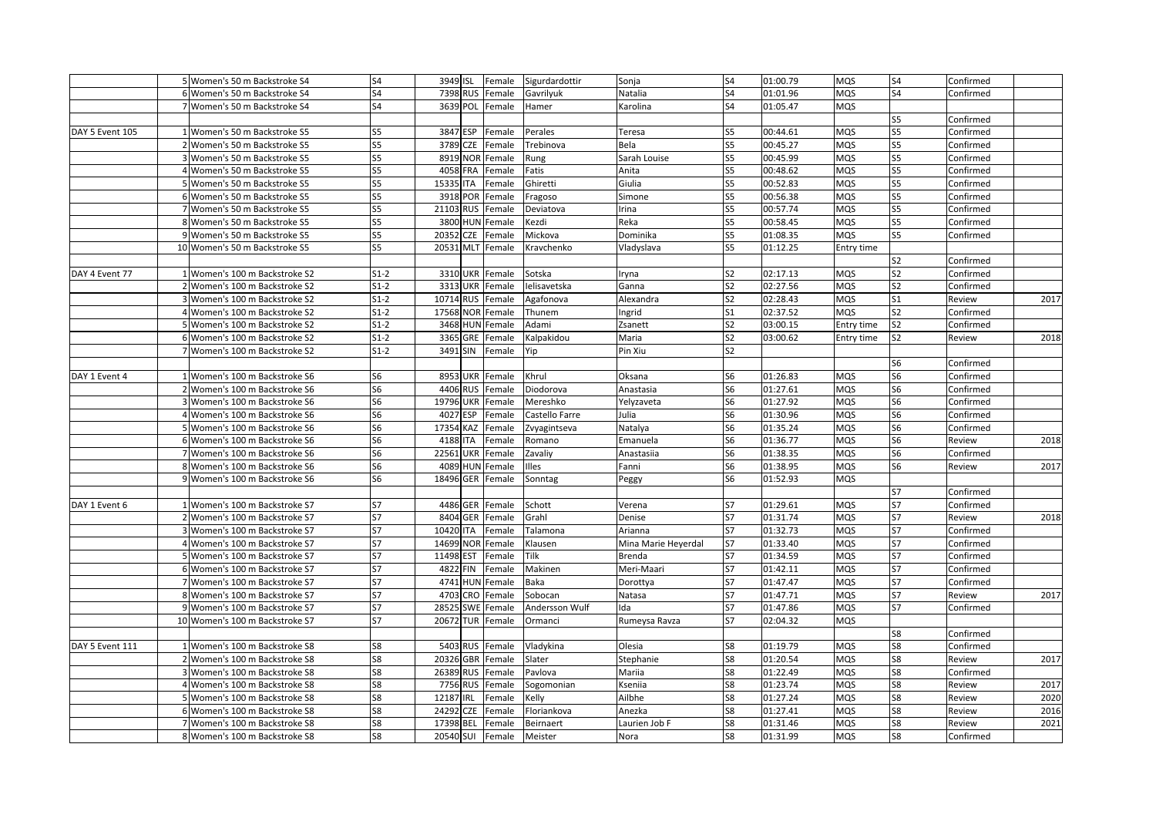|                 | 5 Women's 50 m Backstroke S4   | S4             | 3949 ISL            | Female | Sigurdardottir | Sonja               | S4             | 01:00.79 | <b>MQS</b> | S4             | Confirmed |      |
|-----------------|--------------------------------|----------------|---------------------|--------|----------------|---------------------|----------------|----------|------------|----------------|-----------|------|
|                 | 6 Women's 50 m Backstroke S4   | S4             | 7398 RUS            | Female | Gavrilyuk      | Natalia             | S4             | 01:01.96 | <b>MQS</b> | S <sub>4</sub> | Confirmed |      |
|                 | 7 Women's 50 m Backstroke S4   | S <sub>4</sub> | 3639 POL            | Female | Hamer          | Karolina            | S <sub>4</sub> | 01:05.47 | <b>MQS</b> |                |           |      |
|                 |                                |                |                     |        |                |                     |                |          |            | S <sub>5</sub> | Confirmed |      |
| DAY 5 Event 105 | 1 Women's 50 m Backstroke S5   | S5             | 3847 ESP            | Female | Perales        | Teresa              | S5             | 00:44.61 | <b>MQS</b> | S5             | Confirmed |      |
|                 | 2 Women's 50 m Backstroke S5   | S5             | 3789<br><b>CZE</b>  | Female | Trebinova      | Bela                | S5             | 00:45.27 | <b>MQS</b> | S5             | Confirmed |      |
|                 | 3 Women's 50 m Backstroke S5   | S5             | 8919 NOR            | Female | Rung           | Sarah Louise        | S5             | 00:45.99 | MQS        | S5             | Confirmed |      |
|                 | 4 Women's 50 m Backstroke S5   | S5             | 4058 FRA            | Female | Fatis          | Anita               | S5             | 00:48.62 | MQS        | S5             | Confirmed |      |
|                 | 5 Women's 50 m Backstroke S5   | S5             | 15335 ITA           | Female | Ghiretti       | Giulia              | S5             | 00:52.83 | <b>MQS</b> | S5             | Confirmed |      |
|                 | 6 Women's 50 m Backstroke S5   | S5             | 3918 POR            | Female | Fragoso        | Simone              | S5             | 00:56.38 | <b>MQS</b> | S5             | Confirmed |      |
|                 | 7 Women's 50 m Backstroke S5   | S5             | 21103 RUS           | Female | Deviatova      | rina                | S5             | 00:57.74 | <b>MQS</b> | S5             | Confirmed |      |
|                 | 8 Women's 50 m Backstroke S5   | S5             | 3800 HUN Female     |        | Kezdi          | Reka                | S5             | 00:58.45 | <b>MQS</b> | S5             | Confirmed |      |
|                 | 9 Women's 50 m Backstroke S5   | S5             | 20352 CZE           | Female | Mickova        | Dominika            | S5             | 01:08.35 | <b>MQS</b> | S5             | Confirmed |      |
|                 | 10 Women's 50 m Backstroke S5  | S5             | 20531 MLT           | Female | Kravchenko     | Vladyslava          | S5             | 01:12.25 | Entry time |                |           |      |
|                 |                                |                |                     |        |                |                     |                |          |            | S2             | Confirmed |      |
|                 |                                |                |                     |        |                |                     | S <sub>2</sub> |          |            | S <sub>2</sub> |           |      |
| DAY 4 Event 77  | 1 Women's 100 m Backstroke S2  | $S1-2$         | 3310 UKR Female     |        | Sotska         | ryna                |                | 02:17.13 | <b>MQS</b> |                | Confirmed |      |
|                 | 2 Women's 100 m Backstroke S2  | $S1-2$         | 3313 UKR            | Female | Ielisavetska   | Ganna               | S <sub>2</sub> | 02:27.56 | <b>MQS</b> | S <sub>2</sub> | Confirmed |      |
|                 | 3 Women's 100 m Backstroke S2  | $S1-2$         | 10714 RUS           | Female | Agafonova      | Alexandra           | S2             | 02:28.43 | <b>MQS</b> | S <sub>1</sub> | Review    | 2017 |
|                 | 4 Women's 100 m Backstroke S2  | $S1-2$         | 17568 NOR           | Female | Thunem         | ngrid               | S <sub>1</sub> | 02:37.52 | <b>MQS</b> | S <sub>2</sub> | Confirmed |      |
|                 | 5 Women's 100 m Backstroke S2  | $S1-2$         | 3468 HUN Female     |        | Adami          | Zsanett             | S <sub>2</sub> | 03:00.15 | Entry time | S <sub>2</sub> | Confirmed |      |
|                 | 6 Women's 100 m Backstroke S2  | $S1-2$         | 3365 GRE            | Female | Kalpakidou     | Maria               | S <sub>2</sub> | 03:00.62 | Entry time | S <sub>2</sub> | Review    | 2018 |
|                 | 7 Women's 100 m Backstroke S2  | $S1-2$         | 3491 SIN            | Female | Yip            | Pin Xiu             | S <sub>2</sub> |          |            |                |           |      |
|                 |                                |                |                     |        |                |                     |                |          |            | S6             | Confirmed |      |
| DAY 1 Event 4   | 1 Women's 100 m Backstroke S6  | S6             | 8953 UKR            | Female | Khrul          | Oksana              | S6             | 01:26.83 | <b>MQS</b> | S6             | Confirmed |      |
|                 | Women's 100 m Backstroke S6    | S6             | 4406 RUS            | Female | Diodorova      | Anastasia           | S6             | 01:27.61 | <b>MQS</b> | S6             | Confirmed |      |
|                 | Women's 100 m Backstroke S6    | S6             | 19796 UKR           | Female | Mereshko       | Yelyzaveta          | S6             | 01:27.92 | <b>MQS</b> | S <sub>6</sub> | Confirmed |      |
|                 | 4 Women's 100 m Backstroke S6  | S6             | 4027 ESP            | Female | Castello Farre | Julia               | S6             | 01:30.96 | <b>MQS</b> | S <sub>6</sub> | Confirmed |      |
|                 | 5 Women's 100 m Backstroke S6  | S6             | 17354 KAZ           | Female | Zvyagintseva   | Natalya             | S6             | 01:35.24 | <b>MQS</b> | S <sub>6</sub> | Confirmed |      |
|                 | 6 Women's 100 m Backstroke S6  | S6             | 4188 ITA            | Female | Romano         | Emanuela            | S6             | 01:36.77 | <b>MQS</b> | S6             | Review    | 2018 |
|                 | 7 Women's 100 m Backstroke S6  | S <sub>6</sub> | 22561 UKR           | Female | Zavaliy        | Anastasiia          | S6             | 01:38.35 | <b>MQS</b> | S <sub>6</sub> | Confirmed |      |
|                 | 8 Women's 100 m Backstroke S6  | S6             | 4089 HUN            | Female | Illes          | Fanni               | S <sub>6</sub> | 01:38.95 | MQS        | S <sub>6</sub> | Review    | 2017 |
|                 | 9 Women's 100 m Backstroke S6  | S <sub>6</sub> | 18496 GER           | Female | Sonntag        | Peggy               | S <sub>6</sub> | 01:52.93 | <b>MQS</b> |                |           |      |
|                 |                                |                |                     |        |                |                     |                |          |            | S7             | Confirmed |      |
| DAY 1 Event 6   | 1 Women's 100 m Backstroke S7  | <b>S7</b>      | 4486 GER Female     |        | Schott         | Verena              | <b>S7</b>      | 01:29.61 | <b>MQS</b> | S7             | Confirmed |      |
|                 | 2 Women's 100 m Backstroke S7  | <b>S7</b>      | 8404 GER Female     |        | Grahl          | Denise              | <b>S7</b>      | 01:31.74 | <b>MQS</b> | <b>S7</b>      | Review    | 2018 |
|                 | 3 Women's 100 m Backstroke S7  | S7             | 10420 ITA           | Female | Talamona       | Arianna             | S7             | 01:32.73 | <b>MQS</b> | S7             | Confirmed |      |
|                 | 4 Women's 100 m Backstroke S7  | S7             | 14699 NOR           | Female | Klausen        | Mina Marie Heyerdal | <b>S7</b>      | 01:33.40 | <b>MQS</b> | S7             | Confirmed |      |
|                 | 5 Women's 100 m Backstroke S7  | <b>S7</b>      | 11498<br><b>EST</b> | Female | Tilk           | Brenda              | <b>S7</b>      | 01:34.59 | <b>MQS</b> | S7             | Confirmed |      |
|                 | 6 Women's 100 m Backstroke S7  | <b>S7</b>      | 4822 FIN            | Female | Makinen        | Meri-Maari          | <b>S7</b>      | 01:42.11 | <b>MQS</b> | <b>S7</b>      | Confirmed |      |
|                 | 7 Women's 100 m Backstroke S7  | S7             | 4741 HUN            | Female | Baka           | Dorottya            | S7             | 01:47.47 | <b>MQS</b> | S7             | Confirmed |      |
|                 | 8 Women's 100 m Backstroke S7  | S7             | 4703 CRO            | Female | Sobocan        | Natasa              | S7             | 01:47.71 | <b>MQS</b> | S7             | Review    | 2017 |
|                 | 9 Women's 100 m Backstroke S7  | <b>S7</b>      | 28525<br><b>SWE</b> | Female | Andersson Wulf | da                  | <b>S7</b>      | 01:47.86 | <b>MQS</b> | <b>S7</b>      | Confirmed |      |
|                 | 10 Women's 100 m Backstroke S7 | S7             | 20672 TUR           | Female | Ormanci        | Rumeysa Ravza       | S7             | 02:04.32 | <b>MQS</b> |                |           |      |
|                 |                                |                |                     |        |                |                     |                |          |            | S8             | Confirmed |      |
| DAY 5 Event 111 | 1 Women's 100 m Backstroke S8  | S8             | 5403 RUS Female     |        | Vladykina      | Olesia              | S8             | 01:19.79 | <b>MQS</b> | S8             | Confirmed |      |
|                 | 2 Women's 100 m Backstroke S8  | S8             | 20326 GBR           | Female | Slater         | Stephanie           | S8             | 01:20.54 | MQS        | S8             | Review    | 2017 |
|                 | 3 Women's 100 m Backstroke S8  | S8             | 26389 RUS           | Female | Pavlova        | Mariia              | S8             | 01:22.49 | <b>MQS</b> | S8             | Confirmed |      |
|                 | 4 Women's 100 m Backstroke S8  | S8             | 7756 RUS            | Female | Sogomonian     | Kseniia             | S8             | 01:23.74 | <b>MQS</b> | S8             | Review    | 2017 |
|                 | 5 Women's 100 m Backstroke S8  | S8             | 12187 IRL           | Female | Kelly          | Ailbhe              | S8             | 01:27.24 | <b>MQS</b> | S8             | Review    | 2020 |
|                 | 6 Women's 100 m Backstroke S8  | S8             | 24292<br><b>CZE</b> | Female | Floriankova    | Anezka              | S8             | 01:27.41 | <b>MQS</b> | S8             | Review    | 2016 |
|                 | 7 Women's 100 m Backstroke S8  | S8             | 17398<br><b>BEL</b> | Female | Beirnaert      | Laurien Job F       | S8             | 01:31.46 | <b>MQS</b> | S8             | Review    | 2021 |
|                 | 8 Women's 100 m Backstroke S8  | S8             | 20540 SUI           | Female | Meister        | Nora                | S8             | 01:31.99 | <b>MQS</b> | S8             | Confirmed |      |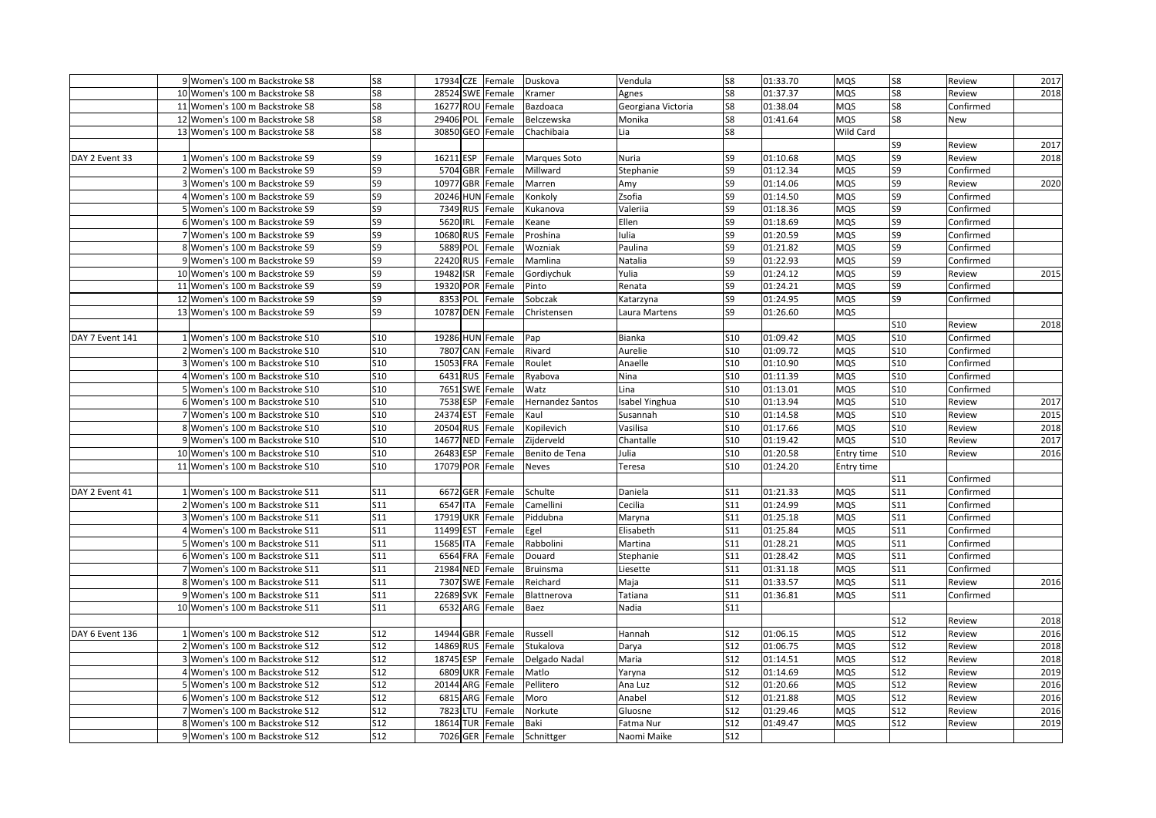|                 | 9 Women's 100 m Backstroke S8   | S8         | 17934 CZE        | Female | Duskova          | Vendula            | S8             | 01:33.70 | MQS        | S8               | Review    | 2017 |
|-----------------|---------------------------------|------------|------------------|--------|------------------|--------------------|----------------|----------|------------|------------------|-----------|------|
|                 | 10 Women's 100 m Backstroke S8  | S8         | 28524 SWE        | Female | Kramer           | Agnes              | S8             | 01:37.37 | MQS        | S8               | Review    | 2018 |
|                 | 11 Women's 100 m Backstroke S8  | S8         | 16277 ROU Female |        | Bazdoaca         | Georgiana Victoria | S8             | 01:38.04 | MQS        | S8               | Confirmed |      |
|                 | 12 Women's 100 m Backstroke S8  | S8         | 29406 POL        | Female | Belczewska       | Monika             | S8             | 01:41.64 | MQS        | S8               | New       |      |
|                 | 13 Women's 100 m Backstroke S8  | S8         | 30850 GEO Female |        | Chachibaia       | Lia                | S8             |          | Wild Card  |                  |           |      |
|                 |                                 |            |                  |        |                  |                    |                |          |            | S9               | Review    | 2017 |
| DAY 2 Event 33  | 1 Women's 100 m Backstroke S9   | S9         | 16211 ESP        | Female | Marques Soto     | <b>Nuria</b>       | S9             | 01:10.68 | MQS        | S9               | Review    | 2018 |
|                 | 2 Women's 100 m Backstroke S9   | S9         | 5704 GBR         | Female | Millward         | Stephanie          | S9             | 01:12.34 | MQS        | S9               | Confirmed |      |
|                 | 3 Women's 100 m Backstroke S9   | S9         | 10977 GBR        | Female | Marren           | Amy                | S <sub>9</sub> | 01:14.06 | MQS        | S9               | Review    | 2020 |
|                 | 4 Women's 100 m Backstroke S9   | S9         | 20246 HUN Female |        | Konkoly          | Zsofia             | S9             | 01:14.50 | <b>MQS</b> | S9               | Confirmed |      |
|                 | 5 Women's 100 m Backstroke S9   | S9         | 7349 RUS         | Female | Kukanova         | Valeriia           | S <sub>9</sub> | 01:18.36 | MQS        | S9               | Confirmed |      |
|                 | 6 Women's 100 m Backstroke S9   | S9         | 5620 IRL         | Female | Keane            | Ellen              | S9             | 01:18.69 | MQS        | S9               | Confirmed |      |
|                 | 7 Women's 100 m Backstroke S9   | S9         | 10680 RUS        | Female | Proshina         | Iulia              | S9             | 01:20.59 | MQS        | S9               | Confirmed |      |
|                 | 8 Women's 100 m Backstroke S9   | S9         | 5889 POL         | Female | Wozniak          | Paulina            | S9             | 01:21.82 | MQS        | S9               | Confirmed |      |
|                 | 9 Women's 100 m Backstroke S9   | S9         | 22420 RUS        | Female | Mamlina          | Natalia            | S9             | 01:22.93 | MQS        | S9               | Confirmed |      |
|                 | 10 Women's 100 m Backstroke S9  | S9         | 19482 ISR        | Female | Gordiychuk       | Yulia              | S9             | 01:24.12 | MQS        | S9               | Review    | 2015 |
|                 | 11 Women's 100 m Backstroke S9  | S9         | 19320 POR        | Female | Pinto            | Renata             | S9             | 01:24.21 | MQS        | S9               | Confirmed |      |
|                 | 12 Women's 100 m Backstroke S9  | S9         | 8353 POL         | Female | Sobczak          | Katarzyna          | S9             | 01:24.95 | MQS        | S9               | Confirmed |      |
|                 | 13 Women's 100 m Backstroke S9  | S9         | 10787 DEN        | Female | Christensen      | Laura Martens      | S9             | 01:26.60 | MQS        |                  |           |      |
|                 |                                 |            |                  |        |                  |                    |                |          |            | <b>S10</b>       | Review    | 2018 |
| DAY 7 Event 141 | 1 Women's 100 m Backstroke S10  | <b>S10</b> | 19286 HUN Female |        | Pap              | Bianka             | <b>S10</b>     | 01:09.42 | MQS        | <b>S10</b>       | Confirmed |      |
|                 | 2 Women's 100 m Backstroke S10  | <b>S10</b> | 7807 CAN Female  |        | Rivard           | Aurelie            | S10            | 01:09.72 | MQS        | <b>S10</b>       | Confirmed |      |
|                 | 3 Women's 100 m Backstroke S10  | <b>S10</b> | 15053 FRA        | Female | Roulet           | Anaelle            | <b>S10</b>     | 01:10.90 | MQS        | <b>S10</b>       | Confirmed |      |
|                 | 4 Women's 100 m Backstroke S10  | <b>S10</b> | 6431 RUS         | Female | Ryabova          | Nina               | <b>S10</b>     | 01:11.39 | MQS        | <b>S10</b>       | Confirmed |      |
|                 | 5 Women's 100 m Backstroke S10  | <b>S10</b> | 7651 SWE         | Female | Watz             | Lina               | <b>S10</b>     | 01:13.01 | MQS        | <b>S10</b>       | Confirmed |      |
|                 | 6 Women's 100 m Backstroke S10  | <b>S10</b> | 7538 ESP         | Female | Hernandez Santos | Isabel Yinghua     | <b>S10</b>     | 01:13.94 | MQS        | <b>S10</b>       | Review    | 2017 |
|                 | 7 Women's 100 m Backstroke S10  | <b>S10</b> | 24374 EST        | Female | Kaul             | Susannah           | S10            | 01:14.58 | MQS        | <b>S10</b>       | Review    | 2015 |
|                 | 8 Women's 100 m Backstroke S10  | <b>S10</b> | 20504 RUS        | Female | Kopilevich       | Vasilisa           | <b>S10</b>     | 01:17.66 | MQS        | <b>S10</b>       | Review    | 2018 |
|                 | 9 Women's 100 m Backstroke S10  | S10        | 14677 NED        | Female | Zijderveld       | Chantalle          | S10            | 01:19.42 | MQS        | <b>S10</b>       | Review    | 2017 |
|                 | 10 Women's 100 m Backstroke S10 | <b>S10</b> | 26483 ESP        | Female | Benito de Tena   | Julia              | <b>S10</b>     | 01:20.58 | Entry time | <b>S10</b>       | Review    | 2016 |
|                 | 11 Women's 100 m Backstroke S10 | <b>S10</b> | 17079 POR        | Female | Neves            | Teresa             | <b>S10</b>     | 01:24.20 | Entry time |                  |           |      |
|                 |                                 |            |                  |        |                  |                    |                |          |            | <b>S11</b>       | Confirmed |      |
| DAY 2 Event 41  | 1 Women's 100 m Backstroke S11  | S11        | 6672 GER         | Female | Schulte          | Daniela            | S11            | 01:21.33 | <b>MQS</b> | S11              | Confirmed |      |
|                 | 2 Women's 100 m Backstroke S11  | S11        | 6547 ITA         | Female | Camellini        | Cecilia            | S11            | 01:24.99 | MQS        | <b>S11</b>       | Confirmed |      |
|                 | 3 Women's 100 m Backstroke S11  | S11        | 17919 UKR        | Female | Piddubna         | Maryna             | S11            | 01:25.18 | MQS        | <b>S11</b>       | Confirmed |      |
|                 | 4 Women's 100 m Backstroke S11  | S11        | 11499 EST        | Female | Egel             | Elisabeth          | S11            | 01:25.84 | MQS        | <b>S11</b>       | Confirmed |      |
|                 | 5 Women's 100 m Backstroke S11  | S11        | 15685 ITA        | Female | Rabbolini        | Martina            | <b>S11</b>     | 01:28.21 | MQS        | $\overline{S11}$ | Confirmed |      |
|                 | 6 Women's 100 m Backstroke S11  | S11        | 6564 FRA         | Female | Douard           | Stephanie          | S11            | 01:28.42 | MQS        | <b>S11</b>       | Confirmed |      |
|                 | 7 Women's 100 m Backstroke S11  | S11        | 21984 NED        | Female | Bruinsma         | Liesette           | S11            | 01:31.18 | MQS        | S11              | Confirmed |      |
|                 | 8 Women's 100 m Backstroke S11  | S11        | 7307 SWE         | Female | Reichard         | Maja               | S11            | 01:33.57 | MQS        | <b>S11</b>       | Review    | 2016 |
|                 | 9 Women's 100 m Backstroke S11  | S11        | 22689 SVK        | Female | Blattnerova      | Tatiana            | S11            | 01:36.81 | <b>MQS</b> | S11              | Confirmed |      |
|                 | 10 Women's 100 m Backstroke S11 | S11        | 6532 ARG         | Female | Baez             | Nadia              | S11            |          |            |                  |           |      |
|                 |                                 |            |                  |        |                  |                    |                |          |            | S12              | Review    | 2018 |
| DAY 6 Event 136 | 1 Women's 100 m Backstroke S12  | S12        | 14944 GBR        | Female | Russell          | Hannah             | S12            | 01:06.15 | MQS        | S12              | Review    | 2016 |
|                 | 2 Women's 100 m Backstroke S12  | S12        | 14869 RUS        | Female | Stukalova        | Darya              | S12            | 01:06.75 | MQS        | <b>S12</b>       | Review    | 2018 |
|                 | 3 Women's 100 m Backstroke S12  | S12        | 18745 ESP        | Female | Delgado Nadal    | Maria              | S12            | 01:14.51 | MQS        | <b>S12</b>       | Review    | 2018 |
|                 | 4 Women's 100 m Backstroke S12  | S12        | 6809 UKR         | Female | Matlo            | Yaryna             | S12            | 01:14.69 | MQS        | <b>S12</b>       | Review    | 2019 |
|                 | 5 Women's 100 m Backstroke S12  | S12        | 20144 ARG        | Female | Pellitero        | Ana Luz            | S12            | 01:20.66 | MQS        | <b>S12</b>       | Review    | 2016 |
|                 | 6 Women's 100 m Backstroke S12  | S12        | 6815 ARG         | Female | Moro             | Anabel             | S12            | 01:21.88 | MQS        | <b>S12</b>       | Review    | 2016 |
|                 | 7 Women's 100 m Backstroke S12  | <b>S12</b> | 7823 LTU         | Female | Norkute          | Gluosne            | S12            | 01:29.46 | <b>MQS</b> | S12              | Review    | 2016 |
|                 | 8 Women's 100 m Backstroke S12  | S12        | 18614 TUR        | Female | Baki             | Fatma Nur          | S12            | 01:49.47 | MQS        | <b>S12</b>       | Review    | 2019 |
|                 | 9 Women's 100 m Backstroke S12  | <b>S12</b> | 7026 GER Female  |        | Schnittger       | Naomi Maike        | S12            |          |            |                  |           |      |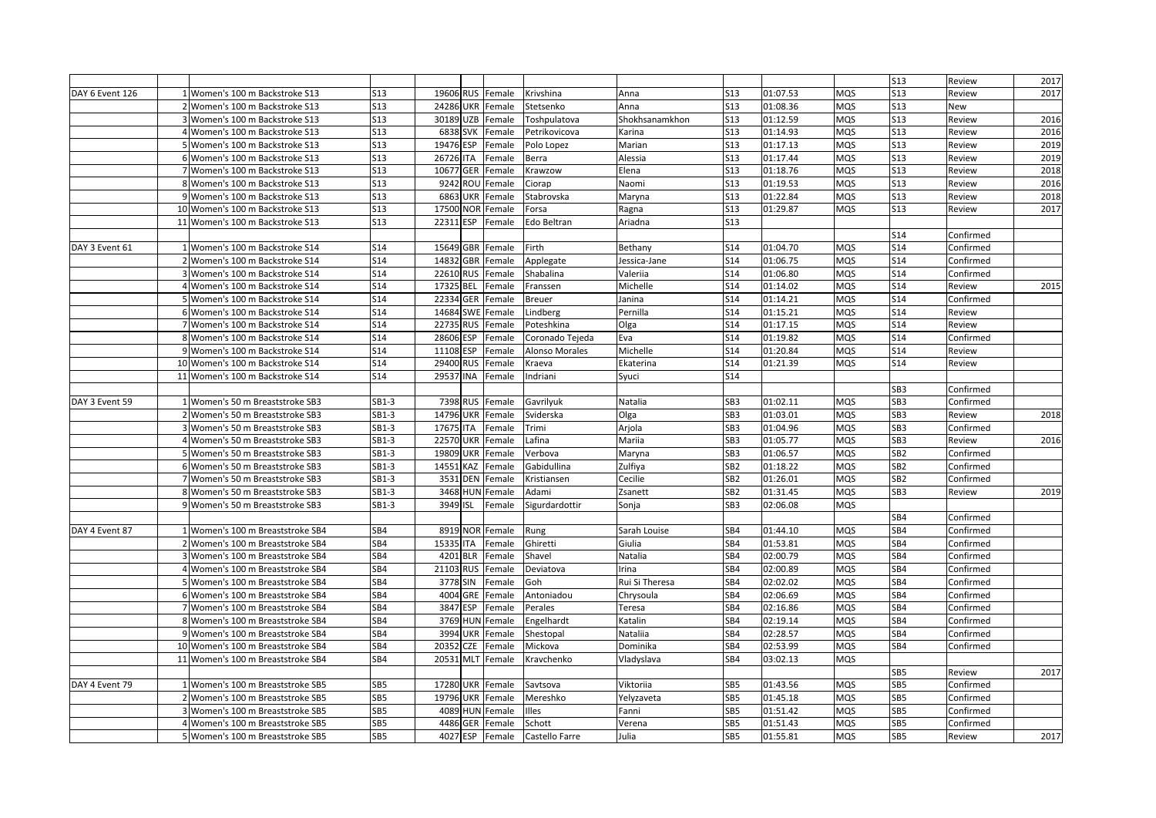|                 |                                   |                 |                     |                   |                 |                |                 |          |            | <b>S13</b>      | Review    | 2017 |
|-----------------|-----------------------------------|-----------------|---------------------|-------------------|-----------------|----------------|-----------------|----------|------------|-----------------|-----------|------|
| DAY 6 Event 126 | 1 Women's 100 m Backstroke S13    | <b>S13</b>      | 19606 RUS           | Female            | Krivshina       | Anna           | <b>S13</b>      | 01:07.53 | <b>MQS</b> | <b>S13</b>      | Review    | 2017 |
|                 | 2 Women's 100 m Backstroke S13    | S13             | 24286<br>UKR        | Female            | Stetsenko       | Anna           | S13             | 01:08.36 | MQS        | <b>S13</b>      | New       |      |
|                 | 3 Women's 100 m Backstroke S13    | <b>S13</b>      | 30189<br><b>UZB</b> | Female            | Toshpulatova    | Shokhsanamkhon | <b>S13</b>      | 01:12.59 | <b>MQS</b> | <b>S13</b>      | Review    | 2016 |
|                 | 4 Women's 100 m Backstroke S13    | <b>S13</b>      | 6838 SVK            | Female            | Petrikovicova   | Karina         | <b>S13</b>      | 01:14.93 | <b>MQS</b> | S13             | Review    | 2016 |
|                 | 5 Women's 100 m Backstroke S13    | <b>S13</b>      | 19476 ESP           | Female            | Polo Lopez      | Marian         | <b>S13</b>      | 01:17.13 | <b>MQS</b> | <b>S13</b>      | Review    | 2019 |
|                 | 6 Women's 100 m Backstroke S13    | <b>S13</b>      | 26726<br><b>ITA</b> | Female            | Berra           | Alessia        | S13             | 01:17.44 | <b>MQS</b> | <b>S13</b>      | Review    | 2019 |
|                 | 7 Women's 100 m Backstroke S13    | S13             | 10677<br>GER        | Female            | Krawzow         | Elena          | <b>S13</b>      | 01:18.76 | MQS        | S13             | Review    | 2018 |
|                 | 8 Women's 100 m Backstroke S13    | <b>S13</b>      | 9242<br>ROU         | Female            | Ciorap          | Naomi          | <b>S13</b>      | 01:19.53 | <b>MQS</b> | <b>S13</b>      | Review    | 2016 |
|                 | 9 Women's 100 m Backstroke S13    | S13             | 6863<br><b>UKR</b>  | Female            | Stabrovska      | Maryna         | S13             | 01:22.84 | <b>MQS</b> | <b>S13</b>      | Review    | 2018 |
|                 | 10 Women's 100 m Backstroke S13   | <b>S13</b>      | 17500<br><b>NOR</b> | Female            | Forsa           | Ragna          | S13             | 01:29.87 | <b>MQS</b> | <b>S13</b>      | Review    | 2017 |
|                 | 11 Women's 100 m Backstroke S13   | S13             | 22311 ESP           | Female            | Edo Beltran     | Ariadna        | S <sub>13</sub> |          |            |                 |           |      |
|                 |                                   |                 |                     |                   |                 |                |                 |          |            | S14             | Confirmed |      |
| DAY 3 Event 61  | 1 Women's 100 m Backstroke S14    | <b>S14</b>      | 15649<br><b>GBR</b> | Female            | Firth           | Bethany        | S14             | 01:04.70 | <b>MQS</b> | S <sub>14</sub> | Confirmed |      |
|                 | 2 Women's 100 m Backstroke S14    | <b>S14</b>      | 14832<br>GBR        | Female            | Applegate       | lessica-Jane   | S14             | 01:06.75 | MQS        | S <sub>14</sub> | Confirmed |      |
|                 | 3 Women's 100 m Backstroke S14    | <b>S14</b>      | 22610<br><b>RUS</b> | Female            | Shabalina       | Valerija       | S <sub>14</sub> | 01:06.80 | MQS        | <b>S14</b>      | Confirmed |      |
|                 | 4 Women's 100 m Backstroke S14    | <b>S14</b>      | 17325<br><b>BEL</b> | Female            | Franssen        | Michelle       | S14             | 01:14.02 | <b>MQS</b> | S14             | Review    | 2015 |
|                 | 5 Women's 100 m Backstroke S14    | <b>S14</b>      | 22334<br>GER        | Female            | <b>Breuer</b>   | Janina         | S14             | 01:14.21 | <b>MQS</b> | S14             | Confirmed |      |
|                 | 6 Women's 100 m Backstroke S14    | <b>S14</b>      | 14684<br><b>SWE</b> | Female            | Lindberg        | Pernilla       | <b>S14</b>      | 01:15.21 | <b>MQS</b> | <b>S14</b>      | Review    |      |
|                 | 7 Women's 100 m Backstroke S14    | <b>S14</b>      | 22735<br><b>RUS</b> | Female            | Poteshkina      | Olga           | <b>S14</b>      | 01:17.15 | <b>MQS</b> | S <sub>14</sub> | Review    |      |
|                 | 8 Women's 100 m Backstroke S14    | <b>S14</b>      | 28606<br><b>ESP</b> | Female            | Coronado Tejeda | Eva            | <b>S14</b>      | 01:19.82 | <b>MQS</b> | <b>S14</b>      | Confirmed |      |
|                 | 9 Women's 100 m Backstroke S14    | S14             | 11108<br><b>ESP</b> | Female            | Alonso Morales  | Michelle       | S14             | 01:20.84 | <b>MQS</b> | S14             | Review    |      |
|                 | 10 Women's 100 m Backstroke S14   | S <sub>14</sub> | 29400<br><b>RUS</b> | Female            | Kraeva          | Ekaterina      | <b>S14</b>      | 01:21.39 | <b>MQS</b> | S <sub>14</sub> | Review    |      |
|                 | 11 Women's 100 m Backstroke S14   | <b>S14</b>      | 29537<br><b>INA</b> | Female            | Indriani        | Syuci          | <b>S14</b>      |          |            |                 |           |      |
|                 |                                   |                 |                     |                   |                 |                |                 |          |            | SB <sub>3</sub> | Confirmed |      |
| DAY 3 Event 59  | 1 Women's 50 m Breaststroke SB3   | SB1-3           | 7398<br><b>RUS</b>  | Female            | Gavrilyuk       | Natalia        | SB <sub>3</sub> | 01:02.11 | <b>MQS</b> | SB <sub>3</sub> | Confirmed |      |
|                 | 2 Women's 50 m Breaststroke SB3   | SB1-3           | 14796 UKR           | Female            | Sviderska       | Olga           | SB <sub>3</sub> | 01:03.01 | <b>MQS</b> | SB <sub>3</sub> | Review    | 2018 |
|                 | 3 Women's 50 m Breaststroke SB3   | SB1-3           | 17675<br><b>ITA</b> | Female            | Trimi           | Arjola         | SB <sub>3</sub> | 01:04.96 | <b>MQS</b> | SB <sub>3</sub> | Confirmed |      |
|                 | 4 Women's 50 m Breaststroke SB3   | SB1-3           | 22570<br><b>UKR</b> | Female            | Lafina          | Mariia         | SB <sub>3</sub> | 01:05.77 | <b>MQS</b> | SB <sub>3</sub> | Review    | 2016 |
|                 | 5 Women's 50 m Breaststroke SB3   | SB1-3           | 19809<br>UKR        | Female            | Verbova         | Maryna         | SB <sub>3</sub> | 01:06.57 | MQS        | SB <sub>2</sub> | Confirmed |      |
|                 | 6 Women's 50 m Breaststroke SB3   | SB1-3           | 14551<br>KAZ        | Female            | Gabidullina     | Zulfiya        | SB <sub>2</sub> | 01:18.22 | MQS        | SB <sub>2</sub> | Confirmed |      |
|                 | 7 Women's 50 m Breaststroke SB3   | SB1-3           | 3531<br><b>DEN</b>  | Female            | Kristiansen     | Cecilie        | SB <sub>2</sub> | 01:26.01 | <b>MQS</b> | SB <sub>2</sub> | Confirmed |      |
|                 | 8 Women's 50 m Breaststroke SB3   | SB1-3           | 3468<br>HUN         | Female            | Adami           | Zsanett        | SB <sub>2</sub> | 01:31.45 | <b>MQS</b> | SB <sub>3</sub> | Review    | 2019 |
|                 | 9 Women's 50 m Breaststroke SB3   | $SB1-3$         | 3949<br>ISL         | Female            | Sigurdardottir  | Sonja          | SB <sub>3</sub> | 02:06.08 | MQS        |                 |           |      |
|                 |                                   |                 |                     |                   |                 |                |                 |          |            | SB4             | Confirmed |      |
| DAY 4 Event 87  | 1 Women's 100 m Breaststroke SB4  | SB4             | 8919 NOR Female     |                   | Rung            | Sarah Louise   | SB4             | 01:44.10 | <b>MQS</b> | SB4             | Confirmed |      |
|                 | 2 Women's 100 m Breaststroke SB4  | SB4             | 15335<br><b>ITA</b> | Female            | Ghiretti        | Giulia         | SB4             | 01:53.81 | <b>MQS</b> | SB4             | Confirmed |      |
|                 | 3 Women's 100 m Breaststroke SB4  | SB4             | 4201 BLR            | Female            | Shavel          | Natalia        | SB4             | 02:00.79 | MQS        | SB4             | Confirmed |      |
|                 | 4 Women's 100 m Breaststroke SB4  | SB4             | 21103 RUS           | Female            | Deviatova       | Irina          | SB4             | 02:00.89 | <b>MQS</b> | SB4             | Confirmed |      |
|                 | 5 Women's 100 m Breaststroke SB4  | SB4             | 3778<br>SIN         | Female            | Goh             | Rui Si Theresa | SB4             | 02:02.02 | <b>MQS</b> | SB4             | Confirmed |      |
|                 | 6 Women's 100 m Breaststroke SB4  | SB4             | 4004 GRE            | Female            | Antoniadou      | Chrysoula      | SB4             | 02:06.69 | <b>MQS</b> | SB4             | Confirmed |      |
|                 | 7 Women's 100 m Breaststroke SB4  | SB4             | 3847<br><b>ESP</b>  | Female            | Perales         | Teresa         | SB4             | 02:16.86 | MQS        | SB4             | Confirmed |      |
|                 | 8 Women's 100 m Breaststroke SB4  | SB4             | 3769 HUN Female     |                   | Engelhardt      | Katalin        | SB4             | 02:19.14 | <b>MQS</b> | SB4             | Confirmed |      |
|                 | 9 Women's 100 m Breaststroke SB4  | SB4             | 3994<br>UKR         | Female            | Shestopal       | Nataliia       | SB4             | 02:28.57 | <b>MQS</b> | SB <sub>4</sub> | Confirmed |      |
|                 | 10 Women's 100 m Breaststroke SB4 | SB4             | <b>CZE</b><br>20352 | Female            | Mickova         | Dominika       | SB4             | 02:53.99 | <b>MQS</b> | SB4             | Confirmed |      |
|                 | 11 Women's 100 m Breaststroke SB4 | SB4             | 20531<br><b>MLT</b> | Female            | Kravchenko      | Vladyslava     | SB4             | 03:02.13 | <b>MQS</b> |                 |           |      |
|                 |                                   |                 |                     |                   |                 |                |                 |          |            | SB <sub>5</sub> | Review    | 2017 |
| DAY 4 Event 79  | 1 Women's 100 m Breaststroke SB5  | SB5             | 17280<br><b>UKR</b> | Female            | Savtsova        | Viktoriia      | SB5             | 01:43.56 | <b>MQS</b> | SB5             | Confirmed |      |
|                 | 2 Women's 100 m Breaststroke SB5  | SB5             | 19796<br><b>UKR</b> | Female            | Mereshko        | Yelyzaveta     | SB5             | 01:45.18 | <b>MQS</b> | SB <sub>5</sub> | Confirmed |      |
|                 | 3 Women's 100 m Breaststroke SB5  | SB5             | 4089                | <b>HUN</b> Female | Illes           | Fanni          | SB5             | 01:51.42 | <b>MQS</b> | SB <sub>5</sub> | Confirmed |      |
|                 | 4 Women's 100 m Breaststroke SB5  | SB5             | 4486<br>GER         | Female            | Schott          | Verena         | SB <sub>5</sub> | 01:51.43 | <b>MQS</b> | SB5             | Confirmed |      |
|                 | 5 Women's 100 m Breaststroke SB5  | SB5             | 4027<br><b>ESP</b>  | Female            | Castello Farre  | Julia          | SB5             | 01:55.81 | <b>MQS</b> | SB5             | Review    | 2017 |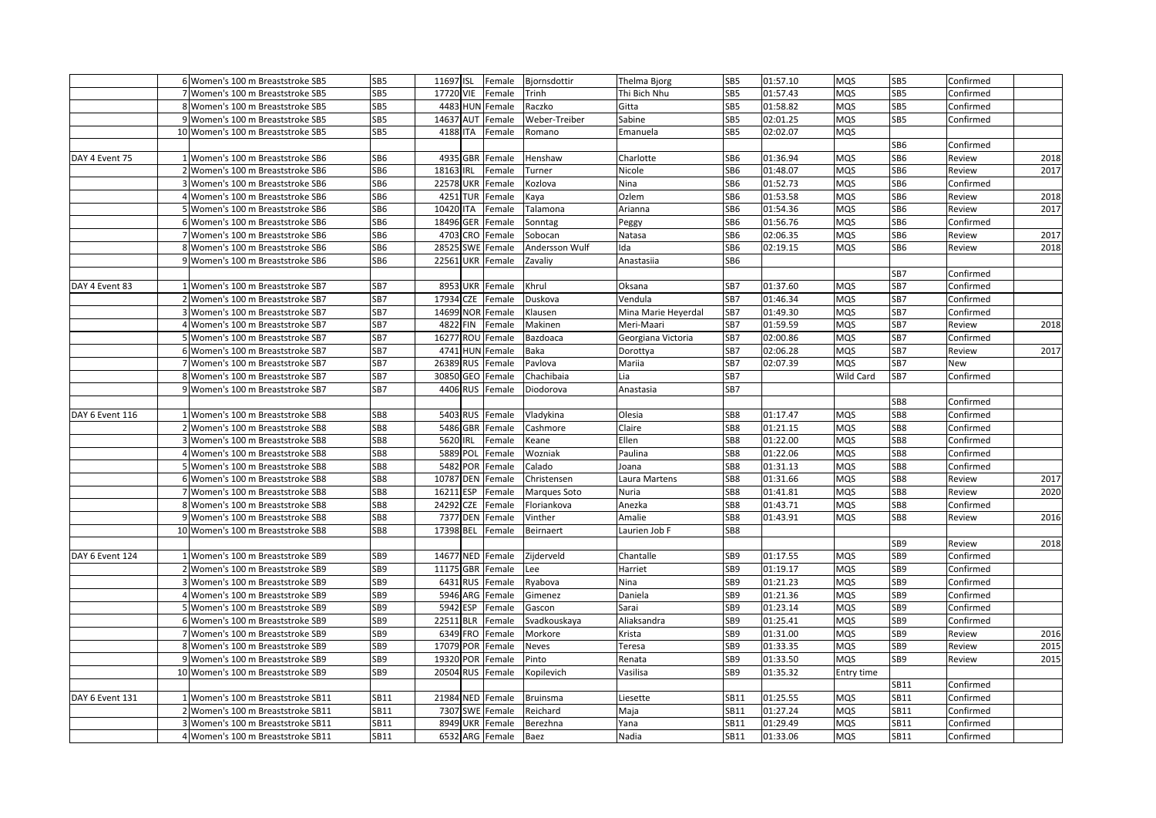|                 | 6 Women's 100 m Breaststroke SB5  | SB <sub>5</sub> | 11697 ISL           | Female | Bjornsdottir   | Thelma Bjorg        | SB <sub>5</sub> | 01:57.10 | <b>MQS</b> | SB5             | Confirmed |      |
|-----------------|-----------------------------------|-----------------|---------------------|--------|----------------|---------------------|-----------------|----------|------------|-----------------|-----------|------|
|                 | 7 Women's 100 m Breaststroke SB5  | SB5             | 17720 VIE           | Female | Trinh          | Thi Bich Nhu        | SB5             | 01:57.43 | <b>MQS</b> | SB <sub>5</sub> | Confirmed |      |
|                 | 8 Women's 100 m Breaststroke SB5  | SB5             | 4483 HUN Female     |        | Raczko         | Gitta               | SB5             | 01:58.82 | <b>MQS</b> | SB5             | Confirmed |      |
|                 | 9 Women's 100 m Breaststroke SB5  | SB5             | 14637 AUT           | Female | Weber-Treiber  | Sabine              | SB5             | 02:01.25 | MQS        | SB5             | Confirmed |      |
|                 | 10 Women's 100 m Breaststroke SB5 | SB <sub>5</sub> | 4188 ITA            | Female | Romano         | Emanuela            | SB <sub>5</sub> | 02:02.07 | <b>MQS</b> |                 |           |      |
|                 |                                   |                 |                     |        |                |                     |                 |          |            | SB6             | Confirmed |      |
| DAY 4 Event 75  | 1 Women's 100 m Breaststroke SB6  | SB6             | 4935 GBR            | Female | Henshaw        | Charlotte           | SB6             | 01:36.94 | MQS        | SB6             | Review    | 2018 |
|                 | 2 Women's 100 m Breaststroke SB6  | SB6             | 18163 IRL           | Female | Turner         | Nicole              | SB6             | 01:48.07 | MQS        | SB6             | Review    | 2017 |
|                 | 3 Women's 100 m Breaststroke SB6  | SB <sub>6</sub> | <b>22578 UKR</b>    | Female | Kozlova        | Nina                | SB6             | 01:52.73 | MQS        | SB6             | Confirmed |      |
|                 | 4 Women's 100 m Breaststroke SB6  | SB6             | 4251 TUR            | Female | Kaya           | Ozlem               | SB6             | 01:53.58 | MQS        | SB6             | Review    | 2018 |
|                 | 5 Women's 100 m Breaststroke SB6  | SB6             | 10420 ITA           | Female | Talamona       | Arianna             | SB6             | 01:54.36 | <b>MQS</b> | SB6             | Review    | 2017 |
|                 | 6 Women's 100 m Breaststroke SB6  | SB <sub>6</sub> | 18496 GER           | Female | Sonntag        | Peggy               | SB6             | 01:56.76 | MQS        | SB6             | Confirmed |      |
|                 | 7 Women's 100 m Breaststroke SB6  | SB6             | 4703 CRO            | Female | Sobocan        | Natasa              | SB6             | 02:06.35 | MQS        | SB6             | Review    | 2017 |
|                 | 8 Women's 100 m Breaststroke SB6  | SB6             | 28525 SWE           | Female | Andersson Wulf | lda                 | SB6             | 02:19.15 | MQS        | SB6             | Review    | 2018 |
|                 | 9 Women's 100 m Breaststroke SB6  | SB6             | 22561 UKR           | Female | Zavaliy        | Anastasiia          | SB6             |          |            |                 |           |      |
|                 |                                   |                 |                     |        |                |                     |                 |          |            | SB7             | Confirmed |      |
| DAY 4 Event 83  | 1 Women's 100 m Breaststroke SB7  | SB7             | 8953 UKR            | Female | Khrul          | Oksana              | SB7             | 01:37.60 | MQS        | SB7             | Confirmed |      |
|                 | 2 Women's 100 m Breaststroke SB7  | SB7             | 17934 CZE           | Female | Duskova        | Vendula             | SB7             | 01:46.34 | <b>MQS</b> | SB7             | Confirmed |      |
|                 | 3 Women's 100 m Breaststroke SB7  | SB7             | 14699 NOR Female    |        | Klausen        | Mina Marie Heyerdal | SB7             | 01:49.30 | <b>MQS</b> | SB7             | Confirmed |      |
|                 | 4 Women's 100 m Breaststroke SB7  | SB7             | 4822 FIN            | Female | Makinen        | Meri-Maari          | SB7             | 01:59.59 | <b>MQS</b> | SB7             | Review    | 2018 |
|                 | 5 Women's 100 m Breaststroke SB7  | SB7             | 16277 ROU Female    |        | Bazdoaca       | Georgiana Victoria  | SB7             | 02:00.86 | <b>MQS</b> | SB7             | Confirmed |      |
|                 | 6 Women's 100 m Breaststroke SB7  | SB7             | 4741 HUN Female     |        | Baka           | Dorottya            | SB7             | 02:06.28 | MQS        | SB7             | Review    | 2017 |
|                 | 7 Women's 100 m Breaststroke SB7  | SB7             | 26389<br><b>RUS</b> | Female | Pavlova        | Mariia              | SB7             | 02:07.39 | MQS        | SB7             | New       |      |
|                 | 8 Women's 100 m Breaststroke SB7  | SB7             | 30850 GEO Female    |        | Chachibaia     | Lia                 | SB7             |          | Wild Card  | SB7             | Confirmed |      |
|                 | 9 Women's 100 m Breaststroke SB7  | SB7             | 4406 RUS            | Female | Diodorova      | Anastasia           | SB7             |          |            |                 |           |      |
|                 |                                   |                 |                     |        |                |                     |                 |          |            | SB8             | Confirmed |      |
| DAY 6 Event 116 | 1 Women's 100 m Breaststroke SB8  | SB8             | 5403 RUS            | Female | Vladykina      | Olesia              | SB8             | 01:17.47 | MQS        | SB8             | Confirmed |      |
|                 | 2 Women's 100 m Breaststroke SB8  | SB8             | 5486 GBR Female     |        | Cashmore       | Claire              | SB8             | 01:21.15 | <b>MQS</b> | SB8             | Confirmed |      |
|                 | 3 Women's 100 m Breaststroke SB8  | SB8             | 5620 IRL            | Female | Keane          | Ellen               | SB8             | 01:22.00 | MQS        | SB8             | Confirmed |      |
|                 | 4 Women's 100 m Breaststroke SB8  | SB8             | 5889 POL            | Female | Wozniak        | Paulina             | SB8             | 01:22.06 | MQS        | SB8             | Confirmed |      |
|                 | 5 Women's 100 m Breaststroke SB8  | SB8             | 5482 POR            | Female | Calado         | Joana               | SB8             | 01:31.13 | MQS        | SB8             | Confirmed |      |
|                 | 6 Women's 100 m Breaststroke SB8  | SB8             | 10787 DEN           | Female | Christensen    | Laura Martens       | SB8             | 01:31.66 | <b>MQS</b> | SB8             | Review    | 2017 |
|                 | 7 Women's 100 m Breaststroke SB8  | SB8             | 16211 ESP           | Female | Marques Soto   | Nuria               | SB8             | 01:41.81 | MQS        | SB8             | Review    | 2020 |
|                 | 8 Women's 100 m Breaststroke SB8  | SB8             | 24292 CZE           | Female | Floriankova    | Anezka              | SB8             | 01:43.71 | MQS        | SB8             | Confirmed |      |
|                 | 9 Women's 100 m Breaststroke SB8  | SB <sub>8</sub> | 7377 DEN            | Female | Vinther        | Amalie              | SB8             | 01:43.91 | MQS        | SB8             | Review    | 2016 |
|                 | 10 Women's 100 m Breaststroke SB8 | SB8             | 17398 BEL           | Female | Beirnaert      | Laurien Job F       | SB8             |          |            |                 |           |      |
|                 |                                   |                 |                     |        |                |                     |                 |          |            | SB9             | Review    | 2018 |
| DAY 6 Event 124 | 1 Women's 100 m Breaststroke SB9  | SB <sub>9</sub> | 14677 NED Female    |        | Zijderveld     | Chantalle           | SB9             | 01:17.55 | MQS        | SB9             | Confirmed |      |
|                 | 2 Women's 100 m Breaststroke SB9  | SB <sub>9</sub> | 11175 GBR Female    |        | Lee            | Harriet             | SB9             | 01:19.17 | <b>MQS</b> | SB <sub>9</sub> | Confirmed |      |
|                 | 3 Women's 100 m Breaststroke SB9  | SB9             | 6431 RUS            | Female | Ryabova        | Nina                | SB <sub>9</sub> | 01:21.23 | <b>MQS</b> | SB9             | Confirmed |      |
|                 | 4 Women's 100 m Breaststroke SB9  | SB <sub>9</sub> | 5946 ARG            | Female | Gimenez        | Daniela             | SB9             | 01:21.36 | <b>MQS</b> | SB <sub>9</sub> | Confirmed |      |
|                 | 5 Women's 100 m Breaststroke SB9  | SB <sub>9</sub> | 5942 ESP            | Female | Gascon         | Sarai               | SB9             | 01:23.14 | <b>MQS</b> | SB9             | Confirmed |      |
|                 | 6 Women's 100 m Breaststroke SB9  | SB9             | 22511 BLR           | Female | Svadkouskaya   | Aliaksandra         | SB9             | 01:25.41 | MQS        | SB9             | Confirmed |      |
|                 | 7 Women's 100 m Breaststroke SB9  | SB9             | 6349 FRO            | Female | Morkore        | Krista              | SB9             | 01:31.00 | MQS        | SB9             | Review    | 2016 |
|                 | 8 Women's 100 m Breaststroke SB9  | SB9             | 17079 POR           | Female | Neves          | Teresa              | SB9             | 01:33.35 | MQS        | SB9             | Review    | 2015 |
|                 | 9 Women's 100 m Breaststroke SB9  | SB9             | 19320 POR           | Female | Pinto          | Renata              | SB9             | 01:33.50 | MQS        | SB9             | Review    | 2015 |
|                 | 10 Women's 100 m Breaststroke SB9 | SB9             | 20504 RUS           | Female | Kopilevich     | Vasilisa            | SB9             | 01:35.32 | Entry time |                 |           |      |
|                 |                                   |                 |                     |        |                |                     |                 |          |            | SB11            | Confirmed |      |
| DAY 6 Event 131 | 1 Women's 100 m Breaststroke SB11 | SB11            | 21984 NED Female    |        | Bruinsma       | Liesette            | SB11            | 01:25.55 | <b>MQS</b> | SB11            | Confirmed |      |
|                 | 2 Women's 100 m Breaststroke SB11 | SB11            | 7307 SWE Female     |        | Reichard       | Maja                | SB11            | 01:27.24 | MQS        | SB11            | Confirmed |      |
|                 | 3 Women's 100 m Breaststroke SB11 | <b>SB11</b>     | 8949 UKR            | Female | Berezhna       | Yana                | SB11            | 01:29.49 | MQS        | SB11            | Confirmed |      |
|                 | 4 Women's 100 m Breaststroke SB11 | SB11            | 6532 ARG Female     |        | Baez           | Nadia               | SB11            | 01:33.06 | MQS        | SB11            | Confirmed |      |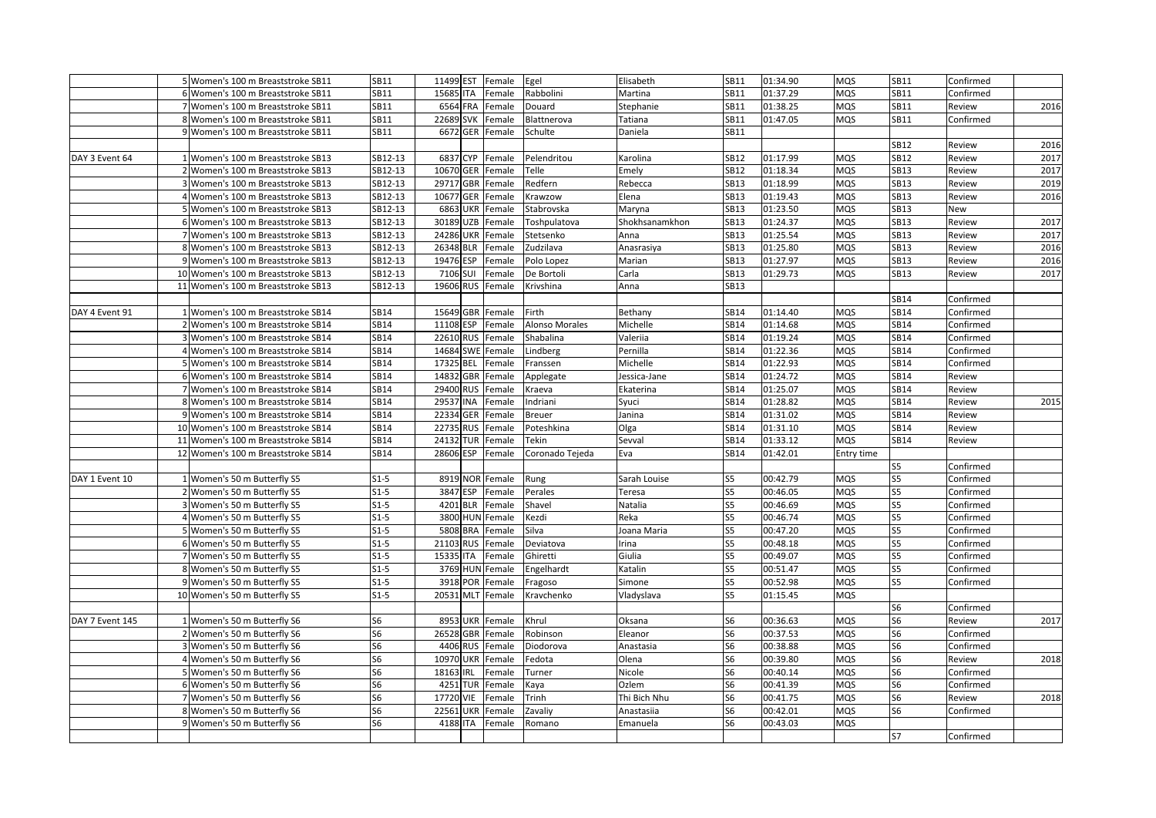|                 | 5 Women's 100 m Breaststroke SB11  | <b>SB11</b>    | 11499 EST        | Female | Egel            | Elisabeth      | SB11           | 01:34.90 | MQS        | SB11           | Confirmed |      |
|-----------------|------------------------------------|----------------|------------------|--------|-----------------|----------------|----------------|----------|------------|----------------|-----------|------|
|                 | 6 Women's 100 m Breaststroke SB11  | SB11           | 15685 ITA        | Female | Rabbolini       | Martina        | SB11           | 01:37.29 | MQS        | SB11           | Confirmed |      |
|                 | 7 Women's 100 m Breaststroke SB11  | SB11           | 6564 FRA         | Female | Douard          | Stephanie      | SB11           | 01:38.25 | MQS        | SB11           | Review    | 2016 |
|                 | 8 Women's 100 m Breaststroke SB11  | SB11           | 22689 SVK        | Female | Blattnerova     | Tatiana        | SB11           | 01:47.05 | MQS        | SB11           | Confirmed |      |
|                 | 9 Women's 100 m Breaststroke SB11  | SB11           | 6672 GER         | Female | Schulte         | Daniela        | SB11           |          |            |                |           |      |
|                 |                                    |                |                  |        |                 |                |                |          |            | <b>SB12</b>    | Review    | 2016 |
| DAY 3 Event 64  | 1 Women's 100 m Breaststroke SB13  | SB12-13        | 6837 CYP         | Female | Pelendritou     | Karolina       | <b>SB12</b>    | 01:17.99 | MQS        | SB12           | Review    | 2017 |
|                 | 2 Women's 100 m Breaststroke SB13  | SB12-13        | 10670 GER        | Female | Telle           | Emely          | SB12           | 01:18.34 | MQS        | SB13           | Review    | 2017 |
|                 | 3 Women's 100 m Breaststroke SB13  | SB12-13        | 29717 GBR        | Female | Redfern         | Rebecca        | <b>SB13</b>    | 01:18.99 | MQS        | <b>SB13</b>    | Review    | 2019 |
|                 | 4 Women's 100 m Breaststroke SB13  | SB12-13        | 10677 GER        | Female | Krawzow         | Elena          | SB13           | 01:19.43 | MQS        | SB13           | Review    | 2016 |
|                 | 5 Women's 100 m Breaststroke SB13  | SB12-13        | <b>6863 UKR</b>  | Female | Stabrovska      | Maryna         | SB13           | 01:23.50 | MQS        | SB13           | New       |      |
|                 | 6 Women's 100 m Breaststroke SB13  | SB12-13        | 30189 UZB        | Female | Toshpulatova    | Shokhsanamkhon | SB13           | 01:24.37 | MQS        | <b>SB13</b>    | Review    | 2017 |
|                 | 7 Women's 100 m Breaststroke SB13  | SB12-13        | 24286 UKR        | Female | Stetsenko       | Anna           | SB13           | 01:25.54 | MQS        | <b>SB13</b>    | Review    | 2017 |
|                 | 8 Women's 100 m Breaststroke SB13  | SB12-13        | 26348 BLR        | Female | Zudzilava       | Anasrasiya     | SB13           | 01:25.80 | MQS        | <b>SB13</b>    | Review    | 2016 |
|                 | 9 Women's 100 m Breaststroke SB13  | SB12-13        | 19476 ESP        | Female | Polo Lopez      | Marian         | SB13           | 01:27.97 | MQS        | SB13           | Review    | 2016 |
|                 | 10 Women's 100 m Breaststroke SB13 | SB12-13        | 7106 SUI         | Female | De Bortoli      | Carla          | <b>SB13</b>    | 01:29.73 | MQS        | SB13           | Review    | 2017 |
|                 | 11 Women's 100 m Breaststroke SB13 | SB12-13        | 19606 RUS        | Female | Krivshina       | Anna           | SB13           |          |            |                |           |      |
|                 |                                    |                |                  |        |                 |                |                |          |            | SB14           | Confirmed |      |
| DAY 4 Event 91  | 1 Women's 100 m Breaststroke SB14  | <b>SB14</b>    | 15649 GBR        | Female | Firth           | Bethany        | SB14           | 01:14.40 | MQS        | SB14           | Confirmed |      |
|                 | 2 Women's 100 m Breaststroke SB14  | <b>SB14</b>    | 11108 ESP        | Female | Alonso Morales  | Michelle       | SB14           | 01:14.68 | MQS        | SB14           | Confirmed |      |
|                 | 3 Women's 100 m Breaststroke SB14  | <b>SB14</b>    | 22610 RUS        | Female | Shabalina       | Valeriia       | SB14           | 01:19.24 | MQS        | SB14           | Confirmed |      |
|                 | 4 Women's 100 m Breaststroke SB14  | SB14           | 14684 SWE        | Female | Lindberg        | Pernilla       | SB14           | 01:22.36 | MQS        | SB14           | Confirmed |      |
|                 | 5 Women's 100 m Breaststroke SB14  | SB14           | 17325 BEL        | Female | Franssen        | Michelle       | SB14           | 01:22.93 | MQS        | <b>SB14</b>    | Confirmed |      |
|                 | 6 Women's 100 m Breaststroke SB14  | SB14           | 14832 GBR        | Female | Applegate       | Jessica-Jane   | SB14           | 01:24.72 | MQS        | SB14           | Review    |      |
|                 | 7 Women's 100 m Breaststroke SB14  | <b>SB14</b>    | 29400 RUS        | Female | Kraeva          | Ekaterina      | <b>SB14</b>    | 01:25.07 | MQS        | SB14           | Review    |      |
|                 | 8 Women's 100 m Breaststroke SB14  | <b>SB14</b>    | 29537 INA        | Female | ndriani         | Syuci          | SB14           | 01:28.82 | MQS        | SB14           | Review    | 2015 |
|                 | 9 Women's 100 m Breaststroke SB14  | <b>SB14</b>    | 22334 GER        | Female | <b>Breuer</b>   | Janina         | SB14           | 01:31.02 | MQS        | SB14           | Review    |      |
|                 | 10 Women's 100 m Breaststroke SB14 | <b>SB14</b>    | 22735 RUS        | Female | Poteshkina      | Olga           | SB14           | 01:31.10 | MQS        | SB14           | Review    |      |
|                 | 11 Women's 100 m Breaststroke SB14 | <b>SB14</b>    | 24132 TUR        | Female | Tekin           | Sevval         | SB14           | 01:33.12 | <b>MQS</b> | SB14           | Review    |      |
|                 | 12 Women's 100 m Breaststroke SB14 | <b>SB14</b>    | 28606 ESP        | Female | Coronado Tejeda | Eva            | SB14           | 01:42.01 | Entry time |                |           |      |
|                 |                                    |                |                  |        |                 |                |                |          |            | S5             | Confirmed |      |
| DAY 1 Event 10  | 1 Women's 50 m Butterfly S5        | $S1-5$         | 8919 NOR         | Female | Rung            | Sarah Louise   | S5             | 00:42.79 | MQS        | S5             | Confirmed |      |
|                 | 2 Women's 50 m Butterfly S5        | $S1-5$         | 3847 ESP         | Female | Perales         | Teresa         | S <sub>5</sub> | 00:46.05 | MQS        | S5             | Confirmed |      |
|                 | 3 Women's 50 m Butterfly S5        | $S1-5$         | 4201 BLR         | Female | Shavel          | Natalia        | S5             | 00:46.69 | MQS        | S5             | Confirmed |      |
|                 | 4 Women's 50 m Butterfly S5        | $S1-5$         | 3800 HUN Female  |        | Kezdi           | Reka           | S5             | 00:46.74 | MQS        | S5             | Confirmed |      |
|                 | 5 Women's 50 m Butterfly S5        | $S1-5$         | 5808 BRA         | Female | Silva           | Joana Maria    | S5             | 00:47.20 | MQS        | S5             | Confirmed |      |
|                 | 6 Women's 50 m Butterfly S5        | $S1-5$         | 21103 RUS        | Female | Deviatova       | Irina          | S5             | 00:48.18 | MQS        | S5             | Confirmed |      |
|                 | 7 Women's 50 m Butterfly S5        | $S1-5$         | 15335 ITA        | Female | Ghiretti        | Giulia         | S5             | 00:49.07 | MQS        | S5             | Confirmed |      |
|                 | 8 Women's 50 m Butterfly S5        | $S1-5$         | 3769 HUN Female  |        | Engelhardt      | Katalin        | S5             | 00:51.47 | MQS        | S5             | Confirmed |      |
|                 | 9 Women's 50 m Butterfly S5        | $S1-5$         | 3918 POR         | Female | Fragoso         | Simone         | S <sub>5</sub> | 00:52.98 | MQS        | S5             | Confirmed |      |
|                 | 10 Women's 50 m Butterfly S5       | $S1-5$         | 20531 MLT        | Female | Kravchenko      | Vladyslava     | S5             | 01:15.45 | MQS        |                |           |      |
|                 |                                    |                |                  |        |                 |                |                |          |            | S6             | Confirmed |      |
| DAY 7 Event 145 | 1 Women's 50 m Butterfly S6        | S <sub>6</sub> | 8953 UKR         | Female | Khrul           | Oksana         | S6             | 00:36.63 | <b>MQS</b> | S6             | Review    | 2017 |
|                 | 2 Women's 50 m Butterfly S6        | S <sub>6</sub> | 26528 GBR Female |        | Robinson        | Eleanor        | S6             | 00:37.53 | MQS        | S <sub>6</sub> | Confirmed |      |
|                 | 3 Women's 50 m Butterfly S6        | S6             | 4406 RUS         | Female | Diodorova       | Anastasia      | S6             | 00:38.88 | MQS        | S6             | Confirmed |      |
|                 | 4 Women's 50 m Butterfly S6        | S <sub>6</sub> | 10970 UKR        | Female | Fedota          | Olena          | S6             | 00:39.80 | MQS        | S6             | Review    | 2018 |
|                 | 5 Women's 50 m Butterfly S6        | S <sub>6</sub> | 18163 IRL        | Female | Turner          | Nicole         | S6             | 00:40.14 | MQS        | S6             | Confirmed |      |
|                 | 6 Women's 50 m Butterfly S6        | S <sub>6</sub> | 4251 TUR         | Female | Kaya            | Ozlem          | S <sub>6</sub> | 00:41.39 | MQS        | S <sub>6</sub> | Confirmed |      |
|                 | 7 Women's 50 m Butterfly S6        | S <sub>6</sub> | 17720 VIE        | Female | Trinh           | Thi Bich Nhu   | S6             | 00:41.75 | MQS        | S <sub>6</sub> | Review    | 2018 |
|                 | 8 Women's 50 m Butterfly S6        | S <sub>6</sub> | <b>22561 UKR</b> | Female | Zavaliy         | Anastasiia     | S6             | 00:42.01 | MQS        | S6             | Confirmed |      |
|                 | 9 Women's 50 m Butterfly S6        | S <sub>6</sub> | 4188 ITA         | Female | Romano          | Emanuela       | S6             | 00:43.03 | MQS        |                |           |      |
|                 |                                    |                |                  |        |                 |                |                |          |            | S7             | Confirmed |      |
|                 |                                    |                |                  |        |                 |                |                |          |            |                |           |      |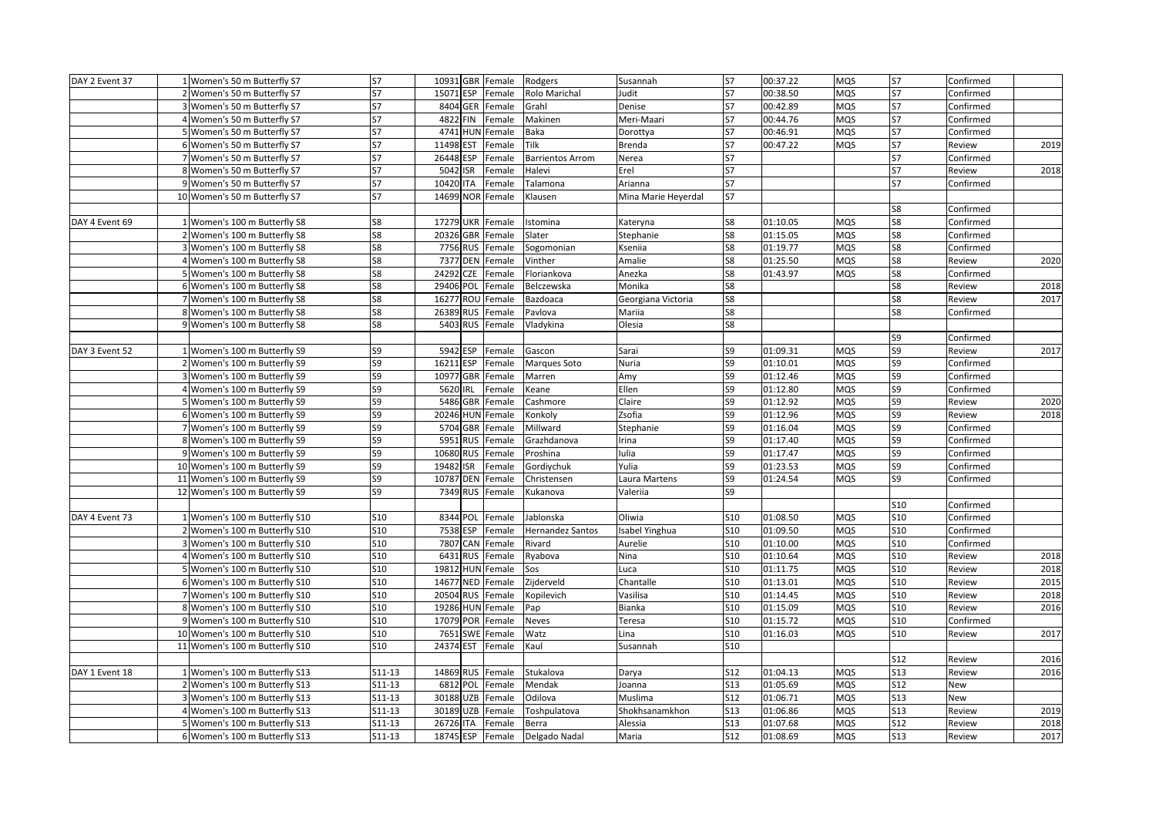| S7<br>15071 ESP<br><b>MOS</b><br><b>S7</b><br>2 Women's 50 m Butterfly S7<br>Rolo Marichal<br>S7<br>00:38.50<br>Confirmed<br>Female<br>Judit<br>00:42.89<br><b>S7</b><br>3 Women's 50 m Butterfly S7<br>S7<br>8404 GER Female<br>Grahl<br><b>S7</b><br>MQS<br>Confirmed<br>Denise<br>00:44.76<br>MQS<br>4 Women's 50 m Butterfly S7<br>S7<br>4822 FIN<br>Female<br>Makinen<br>Meri-Maari<br>S7<br>S7<br>Confirmed<br><b>S7</b><br>4741 HUN Female<br>S7<br>00:46.91<br>MQS<br>5 Women's 50 m Butterfly S7<br>S7<br>Baka<br>Confirmed<br>Dorottya<br>11498 EST<br>Tilk<br>S7<br>00:47.22<br>S7<br>2019<br>6 Women's 50 m Butterfly S7<br>S7<br>Female<br>MQS<br>Review<br>Brenda<br>S7<br>S7<br>26448 ESP<br>S7<br>7 Women's 50 m Butterfly S7<br>Female<br><b>Barrientos Arrom</b><br>Nerea<br>Confirmed<br>8 Women's 50 m Butterfly S7<br>S7<br>S7<br><b>S7</b><br>2018<br>5042<br>ISR<br>Female<br>Halevi<br>Erel<br>Review<br>S7<br><b>S7</b><br>S7<br>10420<br>9 Women's 50 m Butterfly S7<br><b>ITA</b><br>Female<br>Talamona<br>Arianna<br>Confirmed<br><b>S7</b><br><b>S7</b><br>14699 NOR Female<br>10 Women's 50 m Butterfly S7<br>Klausen<br>Mina Marie Heyerdal<br>S8<br>Confirmed<br>17279 UKR Female<br>S8<br>01:10.05<br>S8<br>1 Women's 100 m Butterfly S8<br>S8<br>Istomina<br>MQS<br>Confirmed<br>Kateryna<br>20326 GBR Female<br>S8<br>01:15.05<br>MQS<br>S8<br>2 Women's 100 m Butterfly S8<br>S8<br>Slater<br>Stephanie<br>Confirmed<br>S8<br>S8<br>7756 RUS<br>S8<br>01:19.77<br>MQS<br>3 Women's 100 m Butterfly S8<br>Female<br>Sogomonian<br>Kseniia<br>Confirmed<br>7377 DEN<br>S8<br>2020<br>4 Women's 100 m Butterfly S8<br>S8<br>Amalie<br>S <sub>8</sub><br>01:25.50<br>MQS<br>Review<br>Female<br>Vinther<br>S8<br>S8<br>5 Women's 100 m Butterfly S8<br>S8<br>24292<br><b>CZE</b><br>Female<br>01:43.97<br>MQS<br>Floriankova<br>Anezka<br>Confirmed<br>S8<br>S8<br>S8<br>2018<br>6 Women's 100 m Butterfly S8<br>29406 POL<br>Female<br>Belczewska<br>Monika<br>Review<br>S8<br>16277 ROU Female<br>S8<br>S8<br>2017<br>7 Women's 100 m Butterfly S8<br>Bazdoaca<br>Georgiana Victoria<br>Review<br>S8<br>S8<br>8 Women's 100 m Butterfly S8<br>S8<br>26389 RUS Female<br>Pavlova<br>Confirmed<br>Mariia<br>9 Women's 100 m Butterfly S8<br>S8<br>5403 RUS<br>Vladykina<br>S8<br>Female<br>Olesia<br>S9<br>Confirmed<br>5942 ESP<br>S9<br>2017<br>1 Women's 100 m Butterfly S9<br>S <sub>9</sub><br>S9<br>01:09.31<br>MQS<br>Review<br>DAY 3 Event 52<br>Female<br>Gascon<br>Sarai<br>S9<br>16211 ESP<br>S <sub>9</sub><br>S9<br>2 Women's 100 m Butterfly S9<br>Female<br>Marques Soto<br>Nuria<br>01:10.01<br>MQS<br>Confirmed<br>S <sub>9</sub><br>S <sub>9</sub><br>01:12.46<br>S <sub>9</sub><br>Confirmed<br>3 Women's 100 m Butterfly S9<br>10977 GBR<br>Female<br>Marren<br>Amy<br>MQS<br>S9<br>S9<br>01:12.80<br>S9<br>4 Women's 100 m Butterfly S9<br>5620 IRL<br>MQS<br>Confirmed<br>Female<br>Keane<br>Ellen<br>S <sub>9</sub><br>S9<br>01:12.92<br>S9<br>5 Women's 100 m Butterfly S9<br>5486 GBR Female<br>Claire<br>MQS<br>Review<br>2020<br>Cashmore<br>20246 HUN Female<br>01:12.96<br>MQS<br>S9<br>2018<br>6 Women's 100 m Butterfly S9<br>S9<br>Konkoly<br>Zsofia<br>S9<br>Review<br>S9<br>5704 GBR Female<br>Millward<br>S9<br>01:16.04<br>MQS<br>7 Women's 100 m Butterfly S9<br>S <sub>9</sub><br>Stephanie<br>Confirmed<br>5951<br>01:17.40<br>MQS<br>S9<br>8 Women's 100 m Butterfly S9<br>S <sub>9</sub><br><b>RUS</b><br>Grazhdanova<br>S9<br>Confirmed<br>Female<br>Irina<br>S9<br>10680<br>RUS Female<br>S9<br>01:17.47<br>MQS<br>S9<br>9 Women's 100 m Butterfly S9<br>Proshina<br>Iulia<br>Confirmed<br>01:23.53<br>S <sub>9</sub><br>10 Women's 100 m Butterfly S9<br>S <sub>9</sub><br>19482<br>ISR<br>Female<br>Gordiychuk<br>Yulia<br>S9<br>MQS<br>Confirmed<br>S9<br>10787 DEN Female<br>S9<br>01:24.54<br>MQS<br>S9<br>11 Women's 100 m Butterfly S9<br>Christensen<br>Laura Martens<br>Confirmed<br>12 Women's 100 m Butterfly S9<br>S9<br>7349 RUS Female<br>S9<br>Kukanova<br>Valeriia<br><b>S10</b><br>Confirmed<br>8344 POL Female<br>Oliwia<br>01:08.50<br>S10<br>DAY 4 Event 73<br>1 Women's 100 m Butterfly S10<br>S10<br>Jablonska<br>S10<br>MQS<br>Confirmed<br><b>S10</b><br>01:09.50<br>MQS<br>2 Women's 100 m Butterfly S10<br>7538 ESP<br><b>S10</b><br><b>S10</b><br>Female<br><b>Hernandez Santos</b><br>Isabel Yinghua<br>Confirmed<br>S10<br>7807 CAN Female<br><b>S10</b><br>3 Women's 100 m Butterfly S10<br><b>S10</b><br>01:10.00<br>MQS<br>Rivard<br>Aurelie<br>Confirmed<br>4 Women's 100 m Butterfly S10<br><b>S10</b><br>6431<br>RUS Female<br><b>S10</b><br>01:10.64<br>MQS<br>S10<br>2018<br>Ryabova<br>Nina<br>Review<br>19812 HUN Female<br>2018<br>5 Women's 100 m Butterfly S10<br><b>S10</b><br>Luca<br><b>S10</b><br>01:11.75<br>MQS<br>S10<br>Sos<br>Review<br>S10<br>2015<br>14677 NED Female<br><b>S10</b><br>01:13.01<br>MQS<br><b>S10</b><br>6 Women's 100 m Butterfly S10<br>Zijderveld<br>Chantalle<br>Review<br>2018<br>7 Women's 100 m Butterfly S10<br><b>S10</b><br>20504 RUS Female<br><b>S10</b><br>01:14.45<br>MQS<br><b>S10</b><br>Kopilevich<br>Vasilisa<br>Review<br>S10<br>2016<br>8 Women's 100 m Butterfly S10<br>19286 HUN Female<br>Pap<br>Bianka<br><b>S10</b><br>01:15.09<br>MQS<br><b>S10</b><br>Review<br>9 Women's 100 m Butterfly S10<br><b>S10</b><br>17079 POR Female<br>Neves<br><b>S10</b><br>01:15.72<br>MQS<br><b>S10</b><br>Teresa<br>Confirmed<br>S10<br>7651<br><b>S10</b><br><b>S10</b><br>2017<br>10 Women's 100 m Butterfly S10<br>SWE Female<br>Watz<br>Lina<br>01:16.03<br>MQS<br>Review<br><b>S10</b><br><b>S10</b><br>11 Women's 100 m Butterfly S10<br>24374 EST<br>Female<br>Kaul<br>Susannah<br>2016<br>S12<br>Review<br>S13<br>1 Women's 100 m Butterfly S13<br>S11-13<br>14869 RUS Female<br>Stukalova<br>Darya<br><b>S12</b><br>01:04.13<br>MQS<br>2016<br>DAY 1 Event 18<br>Review<br>S12<br>S11-13<br>6812 POL Female<br>Mendak<br><b>S13</b><br>01:05.69<br>MQS<br>New<br>2 Women's 100 m Butterfly S13<br>Joanna<br>S11-13<br>Odilova<br>S12<br>01:06.71<br><b>S13</b><br>3 Women's 100 m Butterfly S13<br>30188 UZB Female<br>Muslima<br>MQS<br>New<br>2019<br>4 Women's 100 m Butterfly S13<br>S11-13<br>30189 UZB<br>Female<br>Toshpulatova<br>Shokhsanamkhon<br>S13<br>01:06.86<br>MQS<br><b>S13</b><br>Review<br><b>S12</b><br>S11-13<br>26726<br>S13<br>01:07.68<br>MQS<br>2018<br>5 Women's 100 m Butterfly S13<br><b>ITA</b><br>Female<br>Berra<br>Alessia<br>Review<br><b>S12</b><br>S11-13<br>18745 ESP<br>01:08.69<br>MQS<br>S13<br>2017<br>6 Women's 100 m Butterfly S13<br>Female<br>Delgado Nadal<br>Maria<br>Review | DAY 2 Event 37 | 1 Women's 50 m Butterfly S7 | <b>S7</b> | 10931 GBR Female | Rodgers | Susannah | S7 | 00:37.22 | MQS | S7 | Confirmed |  |
|------------------------------------------------------------------------------------------------------------------------------------------------------------------------------------------------------------------------------------------------------------------------------------------------------------------------------------------------------------------------------------------------------------------------------------------------------------------------------------------------------------------------------------------------------------------------------------------------------------------------------------------------------------------------------------------------------------------------------------------------------------------------------------------------------------------------------------------------------------------------------------------------------------------------------------------------------------------------------------------------------------------------------------------------------------------------------------------------------------------------------------------------------------------------------------------------------------------------------------------------------------------------------------------------------------------------------------------------------------------------------------------------------------------------------------------------------------------------------------------------------------------------------------------------------------------------------------------------------------------------------------------------------------------------------------------------------------------------------------------------------------------------------------------------------------------------------------------------------------------------------------------------------------------------------------------------------------------------------------------------------------------------------------------------------------------------------------------------------------------------------------------------------------------------------------------------------------------------------------------------------------------------------------------------------------------------------------------------------------------------------------------------------------------------------------------------------------------------------------------------------------------------------------------------------------------------------------------------------------------------------------------------------------------------------------------------------------------------------------------------------------------------------------------------------------------------------------------------------------------------------------------------------------------------------------------------------------------------------------------------------------------------------------------------------------------------------------------------------------------------------------------------------------------------------------------------------------------------------------------------------------------------------------------------------------------------------------------------------------------------------------------------------------------------------------------------------------------------------------------------------------------------------------------------------------------------------------------------------------------------------------------------------------------------------------------------------------------------------------------------------------------------------------------------------------------------------------------------------------------------------------------------------------------------------------------------------------------------------------------------------------------------------------------------------------------------------------------------------------------------------------------------------------------------------------------------------------------------------------------------------------------------------------------------------------------------------------------------------------------------------------------------------------------------------------------------------------------------------------------------------------------------------------------------------------------------------------------------------------------------------------------------------------------------------------------------------------------------------------------------------------------------------------------------------------------------------------------------------------------------------------------------------------------------------------------------------------------------------------------------------------------------------------------------------------------------------------------------------------------------------------------------------------------------------------------------------------------------------------------------------------------------------------------------------------------------------------------------------------------------------------------------------------------------------------------------------------------------------------------------------------------------------------------------------------------------------------------------------------------------------------------------------------------------------------------------------------------------------------------------------------------------------------------------------------------------------------------------------------------------------------------------------------------------------------------------------------------------------------------------------------------------------------------------------------------------------------------------------------------------------------------------------------------------------------------------------------------------------------------------------------------------------------------------------------------------------------------------------------------------------------------------------------------------------------------------------------------------------------------------------------------------------------------------------------------------------------------------------------------------------------------------------------------------------------------------|----------------|-----------------------------|-----------|------------------|---------|----------|----|----------|-----|----|-----------|--|
|                                                                                                                                                                                                                                                                                                                                                                                                                                                                                                                                                                                                                                                                                                                                                                                                                                                                                                                                                                                                                                                                                                                                                                                                                                                                                                                                                                                                                                                                                                                                                                                                                                                                                                                                                                                                                                                                                                                                                                                                                                                                                                                                                                                                                                                                                                                                                                                                                                                                                                                                                                                                                                                                                                                                                                                                                                                                                                                                                                                                                                                                                                                                                                                                                                                                                                                                                                                                                                                                                                                                                                                                                                                                                                                                                                                                                                                                                                                                                                                                                                                                                                                                                                                                                                                                                                                                                                                                                                                                                                                                                                                                                                                                                                                                                                                                                                                                                                                                                                                                                                                                                                                                                                                                                                                                                                                                                                                                                                                                                                                                                                                                                                                                                                                                                                                                                                                                                                                                                                                                                                                                                                                                                                                                                                                                                                                                                                                                                                                                                                                                                                                                                                                                                                |                |                             |           |                  |         |          |    |          |     |    |           |  |
|                                                                                                                                                                                                                                                                                                                                                                                                                                                                                                                                                                                                                                                                                                                                                                                                                                                                                                                                                                                                                                                                                                                                                                                                                                                                                                                                                                                                                                                                                                                                                                                                                                                                                                                                                                                                                                                                                                                                                                                                                                                                                                                                                                                                                                                                                                                                                                                                                                                                                                                                                                                                                                                                                                                                                                                                                                                                                                                                                                                                                                                                                                                                                                                                                                                                                                                                                                                                                                                                                                                                                                                                                                                                                                                                                                                                                                                                                                                                                                                                                                                                                                                                                                                                                                                                                                                                                                                                                                                                                                                                                                                                                                                                                                                                                                                                                                                                                                                                                                                                                                                                                                                                                                                                                                                                                                                                                                                                                                                                                                                                                                                                                                                                                                                                                                                                                                                                                                                                                                                                                                                                                                                                                                                                                                                                                                                                                                                                                                                                                                                                                                                                                                                                                                |                |                             |           |                  |         |          |    |          |     |    |           |  |
|                                                                                                                                                                                                                                                                                                                                                                                                                                                                                                                                                                                                                                                                                                                                                                                                                                                                                                                                                                                                                                                                                                                                                                                                                                                                                                                                                                                                                                                                                                                                                                                                                                                                                                                                                                                                                                                                                                                                                                                                                                                                                                                                                                                                                                                                                                                                                                                                                                                                                                                                                                                                                                                                                                                                                                                                                                                                                                                                                                                                                                                                                                                                                                                                                                                                                                                                                                                                                                                                                                                                                                                                                                                                                                                                                                                                                                                                                                                                                                                                                                                                                                                                                                                                                                                                                                                                                                                                                                                                                                                                                                                                                                                                                                                                                                                                                                                                                                                                                                                                                                                                                                                                                                                                                                                                                                                                                                                                                                                                                                                                                                                                                                                                                                                                                                                                                                                                                                                                                                                                                                                                                                                                                                                                                                                                                                                                                                                                                                                                                                                                                                                                                                                                                                |                |                             |           |                  |         |          |    |          |     |    |           |  |
|                                                                                                                                                                                                                                                                                                                                                                                                                                                                                                                                                                                                                                                                                                                                                                                                                                                                                                                                                                                                                                                                                                                                                                                                                                                                                                                                                                                                                                                                                                                                                                                                                                                                                                                                                                                                                                                                                                                                                                                                                                                                                                                                                                                                                                                                                                                                                                                                                                                                                                                                                                                                                                                                                                                                                                                                                                                                                                                                                                                                                                                                                                                                                                                                                                                                                                                                                                                                                                                                                                                                                                                                                                                                                                                                                                                                                                                                                                                                                                                                                                                                                                                                                                                                                                                                                                                                                                                                                                                                                                                                                                                                                                                                                                                                                                                                                                                                                                                                                                                                                                                                                                                                                                                                                                                                                                                                                                                                                                                                                                                                                                                                                                                                                                                                                                                                                                                                                                                                                                                                                                                                                                                                                                                                                                                                                                                                                                                                                                                                                                                                                                                                                                                                                                |                |                             |           |                  |         |          |    |          |     |    |           |  |
|                                                                                                                                                                                                                                                                                                                                                                                                                                                                                                                                                                                                                                                                                                                                                                                                                                                                                                                                                                                                                                                                                                                                                                                                                                                                                                                                                                                                                                                                                                                                                                                                                                                                                                                                                                                                                                                                                                                                                                                                                                                                                                                                                                                                                                                                                                                                                                                                                                                                                                                                                                                                                                                                                                                                                                                                                                                                                                                                                                                                                                                                                                                                                                                                                                                                                                                                                                                                                                                                                                                                                                                                                                                                                                                                                                                                                                                                                                                                                                                                                                                                                                                                                                                                                                                                                                                                                                                                                                                                                                                                                                                                                                                                                                                                                                                                                                                                                                                                                                                                                                                                                                                                                                                                                                                                                                                                                                                                                                                                                                                                                                                                                                                                                                                                                                                                                                                                                                                                                                                                                                                                                                                                                                                                                                                                                                                                                                                                                                                                                                                                                                                                                                                                                                |                |                             |           |                  |         |          |    |          |     |    |           |  |
|                                                                                                                                                                                                                                                                                                                                                                                                                                                                                                                                                                                                                                                                                                                                                                                                                                                                                                                                                                                                                                                                                                                                                                                                                                                                                                                                                                                                                                                                                                                                                                                                                                                                                                                                                                                                                                                                                                                                                                                                                                                                                                                                                                                                                                                                                                                                                                                                                                                                                                                                                                                                                                                                                                                                                                                                                                                                                                                                                                                                                                                                                                                                                                                                                                                                                                                                                                                                                                                                                                                                                                                                                                                                                                                                                                                                                                                                                                                                                                                                                                                                                                                                                                                                                                                                                                                                                                                                                                                                                                                                                                                                                                                                                                                                                                                                                                                                                                                                                                                                                                                                                                                                                                                                                                                                                                                                                                                                                                                                                                                                                                                                                                                                                                                                                                                                                                                                                                                                                                                                                                                                                                                                                                                                                                                                                                                                                                                                                                                                                                                                                                                                                                                                                                |                |                             |           |                  |         |          |    |          |     |    |           |  |
|                                                                                                                                                                                                                                                                                                                                                                                                                                                                                                                                                                                                                                                                                                                                                                                                                                                                                                                                                                                                                                                                                                                                                                                                                                                                                                                                                                                                                                                                                                                                                                                                                                                                                                                                                                                                                                                                                                                                                                                                                                                                                                                                                                                                                                                                                                                                                                                                                                                                                                                                                                                                                                                                                                                                                                                                                                                                                                                                                                                                                                                                                                                                                                                                                                                                                                                                                                                                                                                                                                                                                                                                                                                                                                                                                                                                                                                                                                                                                                                                                                                                                                                                                                                                                                                                                                                                                                                                                                                                                                                                                                                                                                                                                                                                                                                                                                                                                                                                                                                                                                                                                                                                                                                                                                                                                                                                                                                                                                                                                                                                                                                                                                                                                                                                                                                                                                                                                                                                                                                                                                                                                                                                                                                                                                                                                                                                                                                                                                                                                                                                                                                                                                                                                                |                |                             |           |                  |         |          |    |          |     |    |           |  |
|                                                                                                                                                                                                                                                                                                                                                                                                                                                                                                                                                                                                                                                                                                                                                                                                                                                                                                                                                                                                                                                                                                                                                                                                                                                                                                                                                                                                                                                                                                                                                                                                                                                                                                                                                                                                                                                                                                                                                                                                                                                                                                                                                                                                                                                                                                                                                                                                                                                                                                                                                                                                                                                                                                                                                                                                                                                                                                                                                                                                                                                                                                                                                                                                                                                                                                                                                                                                                                                                                                                                                                                                                                                                                                                                                                                                                                                                                                                                                                                                                                                                                                                                                                                                                                                                                                                                                                                                                                                                                                                                                                                                                                                                                                                                                                                                                                                                                                                                                                                                                                                                                                                                                                                                                                                                                                                                                                                                                                                                                                                                                                                                                                                                                                                                                                                                                                                                                                                                                                                                                                                                                                                                                                                                                                                                                                                                                                                                                                                                                                                                                                                                                                                                                                |                |                             |           |                  |         |          |    |          |     |    |           |  |
|                                                                                                                                                                                                                                                                                                                                                                                                                                                                                                                                                                                                                                                                                                                                                                                                                                                                                                                                                                                                                                                                                                                                                                                                                                                                                                                                                                                                                                                                                                                                                                                                                                                                                                                                                                                                                                                                                                                                                                                                                                                                                                                                                                                                                                                                                                                                                                                                                                                                                                                                                                                                                                                                                                                                                                                                                                                                                                                                                                                                                                                                                                                                                                                                                                                                                                                                                                                                                                                                                                                                                                                                                                                                                                                                                                                                                                                                                                                                                                                                                                                                                                                                                                                                                                                                                                                                                                                                                                                                                                                                                                                                                                                                                                                                                                                                                                                                                                                                                                                                                                                                                                                                                                                                                                                                                                                                                                                                                                                                                                                                                                                                                                                                                                                                                                                                                                                                                                                                                                                                                                                                                                                                                                                                                                                                                                                                                                                                                                                                                                                                                                                                                                                                                                |                |                             |           |                  |         |          |    |          |     |    |           |  |
|                                                                                                                                                                                                                                                                                                                                                                                                                                                                                                                                                                                                                                                                                                                                                                                                                                                                                                                                                                                                                                                                                                                                                                                                                                                                                                                                                                                                                                                                                                                                                                                                                                                                                                                                                                                                                                                                                                                                                                                                                                                                                                                                                                                                                                                                                                                                                                                                                                                                                                                                                                                                                                                                                                                                                                                                                                                                                                                                                                                                                                                                                                                                                                                                                                                                                                                                                                                                                                                                                                                                                                                                                                                                                                                                                                                                                                                                                                                                                                                                                                                                                                                                                                                                                                                                                                                                                                                                                                                                                                                                                                                                                                                                                                                                                                                                                                                                                                                                                                                                                                                                                                                                                                                                                                                                                                                                                                                                                                                                                                                                                                                                                                                                                                                                                                                                                                                                                                                                                                                                                                                                                                                                                                                                                                                                                                                                                                                                                                                                                                                                                                                                                                                                                                |                |                             |           |                  |         |          |    |          |     |    |           |  |
|                                                                                                                                                                                                                                                                                                                                                                                                                                                                                                                                                                                                                                                                                                                                                                                                                                                                                                                                                                                                                                                                                                                                                                                                                                                                                                                                                                                                                                                                                                                                                                                                                                                                                                                                                                                                                                                                                                                                                                                                                                                                                                                                                                                                                                                                                                                                                                                                                                                                                                                                                                                                                                                                                                                                                                                                                                                                                                                                                                                                                                                                                                                                                                                                                                                                                                                                                                                                                                                                                                                                                                                                                                                                                                                                                                                                                                                                                                                                                                                                                                                                                                                                                                                                                                                                                                                                                                                                                                                                                                                                                                                                                                                                                                                                                                                                                                                                                                                                                                                                                                                                                                                                                                                                                                                                                                                                                                                                                                                                                                                                                                                                                                                                                                                                                                                                                                                                                                                                                                                                                                                                                                                                                                                                                                                                                                                                                                                                                                                                                                                                                                                                                                                                                                | DAY 4 Event 69 |                             |           |                  |         |          |    |          |     |    |           |  |
|                                                                                                                                                                                                                                                                                                                                                                                                                                                                                                                                                                                                                                                                                                                                                                                                                                                                                                                                                                                                                                                                                                                                                                                                                                                                                                                                                                                                                                                                                                                                                                                                                                                                                                                                                                                                                                                                                                                                                                                                                                                                                                                                                                                                                                                                                                                                                                                                                                                                                                                                                                                                                                                                                                                                                                                                                                                                                                                                                                                                                                                                                                                                                                                                                                                                                                                                                                                                                                                                                                                                                                                                                                                                                                                                                                                                                                                                                                                                                                                                                                                                                                                                                                                                                                                                                                                                                                                                                                                                                                                                                                                                                                                                                                                                                                                                                                                                                                                                                                                                                                                                                                                                                                                                                                                                                                                                                                                                                                                                                                                                                                                                                                                                                                                                                                                                                                                                                                                                                                                                                                                                                                                                                                                                                                                                                                                                                                                                                                                                                                                                                                                                                                                                                                |                |                             |           |                  |         |          |    |          |     |    |           |  |
|                                                                                                                                                                                                                                                                                                                                                                                                                                                                                                                                                                                                                                                                                                                                                                                                                                                                                                                                                                                                                                                                                                                                                                                                                                                                                                                                                                                                                                                                                                                                                                                                                                                                                                                                                                                                                                                                                                                                                                                                                                                                                                                                                                                                                                                                                                                                                                                                                                                                                                                                                                                                                                                                                                                                                                                                                                                                                                                                                                                                                                                                                                                                                                                                                                                                                                                                                                                                                                                                                                                                                                                                                                                                                                                                                                                                                                                                                                                                                                                                                                                                                                                                                                                                                                                                                                                                                                                                                                                                                                                                                                                                                                                                                                                                                                                                                                                                                                                                                                                                                                                                                                                                                                                                                                                                                                                                                                                                                                                                                                                                                                                                                                                                                                                                                                                                                                                                                                                                                                                                                                                                                                                                                                                                                                                                                                                                                                                                                                                                                                                                                                                                                                                                                                |                |                             |           |                  |         |          |    |          |     |    |           |  |
|                                                                                                                                                                                                                                                                                                                                                                                                                                                                                                                                                                                                                                                                                                                                                                                                                                                                                                                                                                                                                                                                                                                                                                                                                                                                                                                                                                                                                                                                                                                                                                                                                                                                                                                                                                                                                                                                                                                                                                                                                                                                                                                                                                                                                                                                                                                                                                                                                                                                                                                                                                                                                                                                                                                                                                                                                                                                                                                                                                                                                                                                                                                                                                                                                                                                                                                                                                                                                                                                                                                                                                                                                                                                                                                                                                                                                                                                                                                                                                                                                                                                                                                                                                                                                                                                                                                                                                                                                                                                                                                                                                                                                                                                                                                                                                                                                                                                                                                                                                                                                                                                                                                                                                                                                                                                                                                                                                                                                                                                                                                                                                                                                                                                                                                                                                                                                                                                                                                                                                                                                                                                                                                                                                                                                                                                                                                                                                                                                                                                                                                                                                                                                                                                                                |                |                             |           |                  |         |          |    |          |     |    |           |  |
|                                                                                                                                                                                                                                                                                                                                                                                                                                                                                                                                                                                                                                                                                                                                                                                                                                                                                                                                                                                                                                                                                                                                                                                                                                                                                                                                                                                                                                                                                                                                                                                                                                                                                                                                                                                                                                                                                                                                                                                                                                                                                                                                                                                                                                                                                                                                                                                                                                                                                                                                                                                                                                                                                                                                                                                                                                                                                                                                                                                                                                                                                                                                                                                                                                                                                                                                                                                                                                                                                                                                                                                                                                                                                                                                                                                                                                                                                                                                                                                                                                                                                                                                                                                                                                                                                                                                                                                                                                                                                                                                                                                                                                                                                                                                                                                                                                                                                                                                                                                                                                                                                                                                                                                                                                                                                                                                                                                                                                                                                                                                                                                                                                                                                                                                                                                                                                                                                                                                                                                                                                                                                                                                                                                                                                                                                                                                                                                                                                                                                                                                                                                                                                                                                                |                |                             |           |                  |         |          |    |          |     |    |           |  |
|                                                                                                                                                                                                                                                                                                                                                                                                                                                                                                                                                                                                                                                                                                                                                                                                                                                                                                                                                                                                                                                                                                                                                                                                                                                                                                                                                                                                                                                                                                                                                                                                                                                                                                                                                                                                                                                                                                                                                                                                                                                                                                                                                                                                                                                                                                                                                                                                                                                                                                                                                                                                                                                                                                                                                                                                                                                                                                                                                                                                                                                                                                                                                                                                                                                                                                                                                                                                                                                                                                                                                                                                                                                                                                                                                                                                                                                                                                                                                                                                                                                                                                                                                                                                                                                                                                                                                                                                                                                                                                                                                                                                                                                                                                                                                                                                                                                                                                                                                                                                                                                                                                                                                                                                                                                                                                                                                                                                                                                                                                                                                                                                                                                                                                                                                                                                                                                                                                                                                                                                                                                                                                                                                                                                                                                                                                                                                                                                                                                                                                                                                                                                                                                                                                |                |                             |           |                  |         |          |    |          |     |    |           |  |
|                                                                                                                                                                                                                                                                                                                                                                                                                                                                                                                                                                                                                                                                                                                                                                                                                                                                                                                                                                                                                                                                                                                                                                                                                                                                                                                                                                                                                                                                                                                                                                                                                                                                                                                                                                                                                                                                                                                                                                                                                                                                                                                                                                                                                                                                                                                                                                                                                                                                                                                                                                                                                                                                                                                                                                                                                                                                                                                                                                                                                                                                                                                                                                                                                                                                                                                                                                                                                                                                                                                                                                                                                                                                                                                                                                                                                                                                                                                                                                                                                                                                                                                                                                                                                                                                                                                                                                                                                                                                                                                                                                                                                                                                                                                                                                                                                                                                                                                                                                                                                                                                                                                                                                                                                                                                                                                                                                                                                                                                                                                                                                                                                                                                                                                                                                                                                                                                                                                                                                                                                                                                                                                                                                                                                                                                                                                                                                                                                                                                                                                                                                                                                                                                                                |                |                             |           |                  |         |          |    |          |     |    |           |  |
|                                                                                                                                                                                                                                                                                                                                                                                                                                                                                                                                                                                                                                                                                                                                                                                                                                                                                                                                                                                                                                                                                                                                                                                                                                                                                                                                                                                                                                                                                                                                                                                                                                                                                                                                                                                                                                                                                                                                                                                                                                                                                                                                                                                                                                                                                                                                                                                                                                                                                                                                                                                                                                                                                                                                                                                                                                                                                                                                                                                                                                                                                                                                                                                                                                                                                                                                                                                                                                                                                                                                                                                                                                                                                                                                                                                                                                                                                                                                                                                                                                                                                                                                                                                                                                                                                                                                                                                                                                                                                                                                                                                                                                                                                                                                                                                                                                                                                                                                                                                                                                                                                                                                                                                                                                                                                                                                                                                                                                                                                                                                                                                                                                                                                                                                                                                                                                                                                                                                                                                                                                                                                                                                                                                                                                                                                                                                                                                                                                                                                                                                                                                                                                                                                                |                |                             |           |                  |         |          |    |          |     |    |           |  |
|                                                                                                                                                                                                                                                                                                                                                                                                                                                                                                                                                                                                                                                                                                                                                                                                                                                                                                                                                                                                                                                                                                                                                                                                                                                                                                                                                                                                                                                                                                                                                                                                                                                                                                                                                                                                                                                                                                                                                                                                                                                                                                                                                                                                                                                                                                                                                                                                                                                                                                                                                                                                                                                                                                                                                                                                                                                                                                                                                                                                                                                                                                                                                                                                                                                                                                                                                                                                                                                                                                                                                                                                                                                                                                                                                                                                                                                                                                                                                                                                                                                                                                                                                                                                                                                                                                                                                                                                                                                                                                                                                                                                                                                                                                                                                                                                                                                                                                                                                                                                                                                                                                                                                                                                                                                                                                                                                                                                                                                                                                                                                                                                                                                                                                                                                                                                                                                                                                                                                                                                                                                                                                                                                                                                                                                                                                                                                                                                                                                                                                                                                                                                                                                                                                |                |                             |           |                  |         |          |    |          |     |    |           |  |
|                                                                                                                                                                                                                                                                                                                                                                                                                                                                                                                                                                                                                                                                                                                                                                                                                                                                                                                                                                                                                                                                                                                                                                                                                                                                                                                                                                                                                                                                                                                                                                                                                                                                                                                                                                                                                                                                                                                                                                                                                                                                                                                                                                                                                                                                                                                                                                                                                                                                                                                                                                                                                                                                                                                                                                                                                                                                                                                                                                                                                                                                                                                                                                                                                                                                                                                                                                                                                                                                                                                                                                                                                                                                                                                                                                                                                                                                                                                                                                                                                                                                                                                                                                                                                                                                                                                                                                                                                                                                                                                                                                                                                                                                                                                                                                                                                                                                                                                                                                                                                                                                                                                                                                                                                                                                                                                                                                                                                                                                                                                                                                                                                                                                                                                                                                                                                                                                                                                                                                                                                                                                                                                                                                                                                                                                                                                                                                                                                                                                                                                                                                                                                                                                                                |                |                             |           |                  |         |          |    |          |     |    |           |  |
|                                                                                                                                                                                                                                                                                                                                                                                                                                                                                                                                                                                                                                                                                                                                                                                                                                                                                                                                                                                                                                                                                                                                                                                                                                                                                                                                                                                                                                                                                                                                                                                                                                                                                                                                                                                                                                                                                                                                                                                                                                                                                                                                                                                                                                                                                                                                                                                                                                                                                                                                                                                                                                                                                                                                                                                                                                                                                                                                                                                                                                                                                                                                                                                                                                                                                                                                                                                                                                                                                                                                                                                                                                                                                                                                                                                                                                                                                                                                                                                                                                                                                                                                                                                                                                                                                                                                                                                                                                                                                                                                                                                                                                                                                                                                                                                                                                                                                                                                                                                                                                                                                                                                                                                                                                                                                                                                                                                                                                                                                                                                                                                                                                                                                                                                                                                                                                                                                                                                                                                                                                                                                                                                                                                                                                                                                                                                                                                                                                                                                                                                                                                                                                                                                                |                |                             |           |                  |         |          |    |          |     |    |           |  |
|                                                                                                                                                                                                                                                                                                                                                                                                                                                                                                                                                                                                                                                                                                                                                                                                                                                                                                                                                                                                                                                                                                                                                                                                                                                                                                                                                                                                                                                                                                                                                                                                                                                                                                                                                                                                                                                                                                                                                                                                                                                                                                                                                                                                                                                                                                                                                                                                                                                                                                                                                                                                                                                                                                                                                                                                                                                                                                                                                                                                                                                                                                                                                                                                                                                                                                                                                                                                                                                                                                                                                                                                                                                                                                                                                                                                                                                                                                                                                                                                                                                                                                                                                                                                                                                                                                                                                                                                                                                                                                                                                                                                                                                                                                                                                                                                                                                                                                                                                                                                                                                                                                                                                                                                                                                                                                                                                                                                                                                                                                                                                                                                                                                                                                                                                                                                                                                                                                                                                                                                                                                                                                                                                                                                                                                                                                                                                                                                                                                                                                                                                                                                                                                                                                |                |                             |           |                  |         |          |    |          |     |    |           |  |
|                                                                                                                                                                                                                                                                                                                                                                                                                                                                                                                                                                                                                                                                                                                                                                                                                                                                                                                                                                                                                                                                                                                                                                                                                                                                                                                                                                                                                                                                                                                                                                                                                                                                                                                                                                                                                                                                                                                                                                                                                                                                                                                                                                                                                                                                                                                                                                                                                                                                                                                                                                                                                                                                                                                                                                                                                                                                                                                                                                                                                                                                                                                                                                                                                                                                                                                                                                                                                                                                                                                                                                                                                                                                                                                                                                                                                                                                                                                                                                                                                                                                                                                                                                                                                                                                                                                                                                                                                                                                                                                                                                                                                                                                                                                                                                                                                                                                                                                                                                                                                                                                                                                                                                                                                                                                                                                                                                                                                                                                                                                                                                                                                                                                                                                                                                                                                                                                                                                                                                                                                                                                                                                                                                                                                                                                                                                                                                                                                                                                                                                                                                                                                                                                                                |                |                             |           |                  |         |          |    |          |     |    |           |  |
|                                                                                                                                                                                                                                                                                                                                                                                                                                                                                                                                                                                                                                                                                                                                                                                                                                                                                                                                                                                                                                                                                                                                                                                                                                                                                                                                                                                                                                                                                                                                                                                                                                                                                                                                                                                                                                                                                                                                                                                                                                                                                                                                                                                                                                                                                                                                                                                                                                                                                                                                                                                                                                                                                                                                                                                                                                                                                                                                                                                                                                                                                                                                                                                                                                                                                                                                                                                                                                                                                                                                                                                                                                                                                                                                                                                                                                                                                                                                                                                                                                                                                                                                                                                                                                                                                                                                                                                                                                                                                                                                                                                                                                                                                                                                                                                                                                                                                                                                                                                                                                                                                                                                                                                                                                                                                                                                                                                                                                                                                                                                                                                                                                                                                                                                                                                                                                                                                                                                                                                                                                                                                                                                                                                                                                                                                                                                                                                                                                                                                                                                                                                                                                                                                                |                |                             |           |                  |         |          |    |          |     |    |           |  |
|                                                                                                                                                                                                                                                                                                                                                                                                                                                                                                                                                                                                                                                                                                                                                                                                                                                                                                                                                                                                                                                                                                                                                                                                                                                                                                                                                                                                                                                                                                                                                                                                                                                                                                                                                                                                                                                                                                                                                                                                                                                                                                                                                                                                                                                                                                                                                                                                                                                                                                                                                                                                                                                                                                                                                                                                                                                                                                                                                                                                                                                                                                                                                                                                                                                                                                                                                                                                                                                                                                                                                                                                                                                                                                                                                                                                                                                                                                                                                                                                                                                                                                                                                                                                                                                                                                                                                                                                                                                                                                                                                                                                                                                                                                                                                                                                                                                                                                                                                                                                                                                                                                                                                                                                                                                                                                                                                                                                                                                                                                                                                                                                                                                                                                                                                                                                                                                                                                                                                                                                                                                                                                                                                                                                                                                                                                                                                                                                                                                                                                                                                                                                                                                                                                |                |                             |           |                  |         |          |    |          |     |    |           |  |
|                                                                                                                                                                                                                                                                                                                                                                                                                                                                                                                                                                                                                                                                                                                                                                                                                                                                                                                                                                                                                                                                                                                                                                                                                                                                                                                                                                                                                                                                                                                                                                                                                                                                                                                                                                                                                                                                                                                                                                                                                                                                                                                                                                                                                                                                                                                                                                                                                                                                                                                                                                                                                                                                                                                                                                                                                                                                                                                                                                                                                                                                                                                                                                                                                                                                                                                                                                                                                                                                                                                                                                                                                                                                                                                                                                                                                                                                                                                                                                                                                                                                                                                                                                                                                                                                                                                                                                                                                                                                                                                                                                                                                                                                                                                                                                                                                                                                                                                                                                                                                                                                                                                                                                                                                                                                                                                                                                                                                                                                                                                                                                                                                                                                                                                                                                                                                                                                                                                                                                                                                                                                                                                                                                                                                                                                                                                                                                                                                                                                                                                                                                                                                                                                                                |                |                             |           |                  |         |          |    |          |     |    |           |  |
|                                                                                                                                                                                                                                                                                                                                                                                                                                                                                                                                                                                                                                                                                                                                                                                                                                                                                                                                                                                                                                                                                                                                                                                                                                                                                                                                                                                                                                                                                                                                                                                                                                                                                                                                                                                                                                                                                                                                                                                                                                                                                                                                                                                                                                                                                                                                                                                                                                                                                                                                                                                                                                                                                                                                                                                                                                                                                                                                                                                                                                                                                                                                                                                                                                                                                                                                                                                                                                                                                                                                                                                                                                                                                                                                                                                                                                                                                                                                                                                                                                                                                                                                                                                                                                                                                                                                                                                                                                                                                                                                                                                                                                                                                                                                                                                                                                                                                                                                                                                                                                                                                                                                                                                                                                                                                                                                                                                                                                                                                                                                                                                                                                                                                                                                                                                                                                                                                                                                                                                                                                                                                                                                                                                                                                                                                                                                                                                                                                                                                                                                                                                                                                                                                                |                |                             |           |                  |         |          |    |          |     |    |           |  |
|                                                                                                                                                                                                                                                                                                                                                                                                                                                                                                                                                                                                                                                                                                                                                                                                                                                                                                                                                                                                                                                                                                                                                                                                                                                                                                                                                                                                                                                                                                                                                                                                                                                                                                                                                                                                                                                                                                                                                                                                                                                                                                                                                                                                                                                                                                                                                                                                                                                                                                                                                                                                                                                                                                                                                                                                                                                                                                                                                                                                                                                                                                                                                                                                                                                                                                                                                                                                                                                                                                                                                                                                                                                                                                                                                                                                                                                                                                                                                                                                                                                                                                                                                                                                                                                                                                                                                                                                                                                                                                                                                                                                                                                                                                                                                                                                                                                                                                                                                                                                                                                                                                                                                                                                                                                                                                                                                                                                                                                                                                                                                                                                                                                                                                                                                                                                                                                                                                                                                                                                                                                                                                                                                                                                                                                                                                                                                                                                                                                                                                                                                                                                                                                                                                |                |                             |           |                  |         |          |    |          |     |    |           |  |
|                                                                                                                                                                                                                                                                                                                                                                                                                                                                                                                                                                                                                                                                                                                                                                                                                                                                                                                                                                                                                                                                                                                                                                                                                                                                                                                                                                                                                                                                                                                                                                                                                                                                                                                                                                                                                                                                                                                                                                                                                                                                                                                                                                                                                                                                                                                                                                                                                                                                                                                                                                                                                                                                                                                                                                                                                                                                                                                                                                                                                                                                                                                                                                                                                                                                                                                                                                                                                                                                                                                                                                                                                                                                                                                                                                                                                                                                                                                                                                                                                                                                                                                                                                                                                                                                                                                                                                                                                                                                                                                                                                                                                                                                                                                                                                                                                                                                                                                                                                                                                                                                                                                                                                                                                                                                                                                                                                                                                                                                                                                                                                                                                                                                                                                                                                                                                                                                                                                                                                                                                                                                                                                                                                                                                                                                                                                                                                                                                                                                                                                                                                                                                                                                                                |                |                             |           |                  |         |          |    |          |     |    |           |  |
|                                                                                                                                                                                                                                                                                                                                                                                                                                                                                                                                                                                                                                                                                                                                                                                                                                                                                                                                                                                                                                                                                                                                                                                                                                                                                                                                                                                                                                                                                                                                                                                                                                                                                                                                                                                                                                                                                                                                                                                                                                                                                                                                                                                                                                                                                                                                                                                                                                                                                                                                                                                                                                                                                                                                                                                                                                                                                                                                                                                                                                                                                                                                                                                                                                                                                                                                                                                                                                                                                                                                                                                                                                                                                                                                                                                                                                                                                                                                                                                                                                                                                                                                                                                                                                                                                                                                                                                                                                                                                                                                                                                                                                                                                                                                                                                                                                                                                                                                                                                                                                                                                                                                                                                                                                                                                                                                                                                                                                                                                                                                                                                                                                                                                                                                                                                                                                                                                                                                                                                                                                                                                                                                                                                                                                                                                                                                                                                                                                                                                                                                                                                                                                                                                                |                |                             |           |                  |         |          |    |          |     |    |           |  |
|                                                                                                                                                                                                                                                                                                                                                                                                                                                                                                                                                                                                                                                                                                                                                                                                                                                                                                                                                                                                                                                                                                                                                                                                                                                                                                                                                                                                                                                                                                                                                                                                                                                                                                                                                                                                                                                                                                                                                                                                                                                                                                                                                                                                                                                                                                                                                                                                                                                                                                                                                                                                                                                                                                                                                                                                                                                                                                                                                                                                                                                                                                                                                                                                                                                                                                                                                                                                                                                                                                                                                                                                                                                                                                                                                                                                                                                                                                                                                                                                                                                                                                                                                                                                                                                                                                                                                                                                                                                                                                                                                                                                                                                                                                                                                                                                                                                                                                                                                                                                                                                                                                                                                                                                                                                                                                                                                                                                                                                                                                                                                                                                                                                                                                                                                                                                                                                                                                                                                                                                                                                                                                                                                                                                                                                                                                                                                                                                                                                                                                                                                                                                                                                                                                |                |                             |           |                  |         |          |    |          |     |    |           |  |
|                                                                                                                                                                                                                                                                                                                                                                                                                                                                                                                                                                                                                                                                                                                                                                                                                                                                                                                                                                                                                                                                                                                                                                                                                                                                                                                                                                                                                                                                                                                                                                                                                                                                                                                                                                                                                                                                                                                                                                                                                                                                                                                                                                                                                                                                                                                                                                                                                                                                                                                                                                                                                                                                                                                                                                                                                                                                                                                                                                                                                                                                                                                                                                                                                                                                                                                                                                                                                                                                                                                                                                                                                                                                                                                                                                                                                                                                                                                                                                                                                                                                                                                                                                                                                                                                                                                                                                                                                                                                                                                                                                                                                                                                                                                                                                                                                                                                                                                                                                                                                                                                                                                                                                                                                                                                                                                                                                                                                                                                                                                                                                                                                                                                                                                                                                                                                                                                                                                                                                                                                                                                                                                                                                                                                                                                                                                                                                                                                                                                                                                                                                                                                                                                                                |                |                             |           |                  |         |          |    |          |     |    |           |  |
|                                                                                                                                                                                                                                                                                                                                                                                                                                                                                                                                                                                                                                                                                                                                                                                                                                                                                                                                                                                                                                                                                                                                                                                                                                                                                                                                                                                                                                                                                                                                                                                                                                                                                                                                                                                                                                                                                                                                                                                                                                                                                                                                                                                                                                                                                                                                                                                                                                                                                                                                                                                                                                                                                                                                                                                                                                                                                                                                                                                                                                                                                                                                                                                                                                                                                                                                                                                                                                                                                                                                                                                                                                                                                                                                                                                                                                                                                                                                                                                                                                                                                                                                                                                                                                                                                                                                                                                                                                                                                                                                                                                                                                                                                                                                                                                                                                                                                                                                                                                                                                                                                                                                                                                                                                                                                                                                                                                                                                                                                                                                                                                                                                                                                                                                                                                                                                                                                                                                                                                                                                                                                                                                                                                                                                                                                                                                                                                                                                                                                                                                                                                                                                                                                                |                |                             |           |                  |         |          |    |          |     |    |           |  |
|                                                                                                                                                                                                                                                                                                                                                                                                                                                                                                                                                                                                                                                                                                                                                                                                                                                                                                                                                                                                                                                                                                                                                                                                                                                                                                                                                                                                                                                                                                                                                                                                                                                                                                                                                                                                                                                                                                                                                                                                                                                                                                                                                                                                                                                                                                                                                                                                                                                                                                                                                                                                                                                                                                                                                                                                                                                                                                                                                                                                                                                                                                                                                                                                                                                                                                                                                                                                                                                                                                                                                                                                                                                                                                                                                                                                                                                                                                                                                                                                                                                                                                                                                                                                                                                                                                                                                                                                                                                                                                                                                                                                                                                                                                                                                                                                                                                                                                                                                                                                                                                                                                                                                                                                                                                                                                                                                                                                                                                                                                                                                                                                                                                                                                                                                                                                                                                                                                                                                                                                                                                                                                                                                                                                                                                                                                                                                                                                                                                                                                                                                                                                                                                                                                |                |                             |           |                  |         |          |    |          |     |    |           |  |
|                                                                                                                                                                                                                                                                                                                                                                                                                                                                                                                                                                                                                                                                                                                                                                                                                                                                                                                                                                                                                                                                                                                                                                                                                                                                                                                                                                                                                                                                                                                                                                                                                                                                                                                                                                                                                                                                                                                                                                                                                                                                                                                                                                                                                                                                                                                                                                                                                                                                                                                                                                                                                                                                                                                                                                                                                                                                                                                                                                                                                                                                                                                                                                                                                                                                                                                                                                                                                                                                                                                                                                                                                                                                                                                                                                                                                                                                                                                                                                                                                                                                                                                                                                                                                                                                                                                                                                                                                                                                                                                                                                                                                                                                                                                                                                                                                                                                                                                                                                                                                                                                                                                                                                                                                                                                                                                                                                                                                                                                                                                                                                                                                                                                                                                                                                                                                                                                                                                                                                                                                                                                                                                                                                                                                                                                                                                                                                                                                                                                                                                                                                                                                                                                                                |                |                             |           |                  |         |          |    |          |     |    |           |  |
|                                                                                                                                                                                                                                                                                                                                                                                                                                                                                                                                                                                                                                                                                                                                                                                                                                                                                                                                                                                                                                                                                                                                                                                                                                                                                                                                                                                                                                                                                                                                                                                                                                                                                                                                                                                                                                                                                                                                                                                                                                                                                                                                                                                                                                                                                                                                                                                                                                                                                                                                                                                                                                                                                                                                                                                                                                                                                                                                                                                                                                                                                                                                                                                                                                                                                                                                                                                                                                                                                                                                                                                                                                                                                                                                                                                                                                                                                                                                                                                                                                                                                                                                                                                                                                                                                                                                                                                                                                                                                                                                                                                                                                                                                                                                                                                                                                                                                                                                                                                                                                                                                                                                                                                                                                                                                                                                                                                                                                                                                                                                                                                                                                                                                                                                                                                                                                                                                                                                                                                                                                                                                                                                                                                                                                                                                                                                                                                                                                                                                                                                                                                                                                                                                                |                |                             |           |                  |         |          |    |          |     |    |           |  |
|                                                                                                                                                                                                                                                                                                                                                                                                                                                                                                                                                                                                                                                                                                                                                                                                                                                                                                                                                                                                                                                                                                                                                                                                                                                                                                                                                                                                                                                                                                                                                                                                                                                                                                                                                                                                                                                                                                                                                                                                                                                                                                                                                                                                                                                                                                                                                                                                                                                                                                                                                                                                                                                                                                                                                                                                                                                                                                                                                                                                                                                                                                                                                                                                                                                                                                                                                                                                                                                                                                                                                                                                                                                                                                                                                                                                                                                                                                                                                                                                                                                                                                                                                                                                                                                                                                                                                                                                                                                                                                                                                                                                                                                                                                                                                                                                                                                                                                                                                                                                                                                                                                                                                                                                                                                                                                                                                                                                                                                                                                                                                                                                                                                                                                                                                                                                                                                                                                                                                                                                                                                                                                                                                                                                                                                                                                                                                                                                                                                                                                                                                                                                                                                                                                |                |                             |           |                  |         |          |    |          |     |    |           |  |
|                                                                                                                                                                                                                                                                                                                                                                                                                                                                                                                                                                                                                                                                                                                                                                                                                                                                                                                                                                                                                                                                                                                                                                                                                                                                                                                                                                                                                                                                                                                                                                                                                                                                                                                                                                                                                                                                                                                                                                                                                                                                                                                                                                                                                                                                                                                                                                                                                                                                                                                                                                                                                                                                                                                                                                                                                                                                                                                                                                                                                                                                                                                                                                                                                                                                                                                                                                                                                                                                                                                                                                                                                                                                                                                                                                                                                                                                                                                                                                                                                                                                                                                                                                                                                                                                                                                                                                                                                                                                                                                                                                                                                                                                                                                                                                                                                                                                                                                                                                                                                                                                                                                                                                                                                                                                                                                                                                                                                                                                                                                                                                                                                                                                                                                                                                                                                                                                                                                                                                                                                                                                                                                                                                                                                                                                                                                                                                                                                                                                                                                                                                                                                                                                                                |                |                             |           |                  |         |          |    |          |     |    |           |  |
|                                                                                                                                                                                                                                                                                                                                                                                                                                                                                                                                                                                                                                                                                                                                                                                                                                                                                                                                                                                                                                                                                                                                                                                                                                                                                                                                                                                                                                                                                                                                                                                                                                                                                                                                                                                                                                                                                                                                                                                                                                                                                                                                                                                                                                                                                                                                                                                                                                                                                                                                                                                                                                                                                                                                                                                                                                                                                                                                                                                                                                                                                                                                                                                                                                                                                                                                                                                                                                                                                                                                                                                                                                                                                                                                                                                                                                                                                                                                                                                                                                                                                                                                                                                                                                                                                                                                                                                                                                                                                                                                                                                                                                                                                                                                                                                                                                                                                                                                                                                                                                                                                                                                                                                                                                                                                                                                                                                                                                                                                                                                                                                                                                                                                                                                                                                                                                                                                                                                                                                                                                                                                                                                                                                                                                                                                                                                                                                                                                                                                                                                                                                                                                                                                                |                |                             |           |                  |         |          |    |          |     |    |           |  |
|                                                                                                                                                                                                                                                                                                                                                                                                                                                                                                                                                                                                                                                                                                                                                                                                                                                                                                                                                                                                                                                                                                                                                                                                                                                                                                                                                                                                                                                                                                                                                                                                                                                                                                                                                                                                                                                                                                                                                                                                                                                                                                                                                                                                                                                                                                                                                                                                                                                                                                                                                                                                                                                                                                                                                                                                                                                                                                                                                                                                                                                                                                                                                                                                                                                                                                                                                                                                                                                                                                                                                                                                                                                                                                                                                                                                                                                                                                                                                                                                                                                                                                                                                                                                                                                                                                                                                                                                                                                                                                                                                                                                                                                                                                                                                                                                                                                                                                                                                                                                                                                                                                                                                                                                                                                                                                                                                                                                                                                                                                                                                                                                                                                                                                                                                                                                                                                                                                                                                                                                                                                                                                                                                                                                                                                                                                                                                                                                                                                                                                                                                                                                                                                                                                |                |                             |           |                  |         |          |    |          |     |    |           |  |
|                                                                                                                                                                                                                                                                                                                                                                                                                                                                                                                                                                                                                                                                                                                                                                                                                                                                                                                                                                                                                                                                                                                                                                                                                                                                                                                                                                                                                                                                                                                                                                                                                                                                                                                                                                                                                                                                                                                                                                                                                                                                                                                                                                                                                                                                                                                                                                                                                                                                                                                                                                                                                                                                                                                                                                                                                                                                                                                                                                                                                                                                                                                                                                                                                                                                                                                                                                                                                                                                                                                                                                                                                                                                                                                                                                                                                                                                                                                                                                                                                                                                                                                                                                                                                                                                                                                                                                                                                                                                                                                                                                                                                                                                                                                                                                                                                                                                                                                                                                                                                                                                                                                                                                                                                                                                                                                                                                                                                                                                                                                                                                                                                                                                                                                                                                                                                                                                                                                                                                                                                                                                                                                                                                                                                                                                                                                                                                                                                                                                                                                                                                                                                                                                                                |                |                             |           |                  |         |          |    |          |     |    |           |  |
|                                                                                                                                                                                                                                                                                                                                                                                                                                                                                                                                                                                                                                                                                                                                                                                                                                                                                                                                                                                                                                                                                                                                                                                                                                                                                                                                                                                                                                                                                                                                                                                                                                                                                                                                                                                                                                                                                                                                                                                                                                                                                                                                                                                                                                                                                                                                                                                                                                                                                                                                                                                                                                                                                                                                                                                                                                                                                                                                                                                                                                                                                                                                                                                                                                                                                                                                                                                                                                                                                                                                                                                                                                                                                                                                                                                                                                                                                                                                                                                                                                                                                                                                                                                                                                                                                                                                                                                                                                                                                                                                                                                                                                                                                                                                                                                                                                                                                                                                                                                                                                                                                                                                                                                                                                                                                                                                                                                                                                                                                                                                                                                                                                                                                                                                                                                                                                                                                                                                                                                                                                                                                                                                                                                                                                                                                                                                                                                                                                                                                                                                                                                                                                                                                                |                |                             |           |                  |         |          |    |          |     |    |           |  |
|                                                                                                                                                                                                                                                                                                                                                                                                                                                                                                                                                                                                                                                                                                                                                                                                                                                                                                                                                                                                                                                                                                                                                                                                                                                                                                                                                                                                                                                                                                                                                                                                                                                                                                                                                                                                                                                                                                                                                                                                                                                                                                                                                                                                                                                                                                                                                                                                                                                                                                                                                                                                                                                                                                                                                                                                                                                                                                                                                                                                                                                                                                                                                                                                                                                                                                                                                                                                                                                                                                                                                                                                                                                                                                                                                                                                                                                                                                                                                                                                                                                                                                                                                                                                                                                                                                                                                                                                                                                                                                                                                                                                                                                                                                                                                                                                                                                                                                                                                                                                                                                                                                                                                                                                                                                                                                                                                                                                                                                                                                                                                                                                                                                                                                                                                                                                                                                                                                                                                                                                                                                                                                                                                                                                                                                                                                                                                                                                                                                                                                                                                                                                                                                                                                |                |                             |           |                  |         |          |    |          |     |    |           |  |
|                                                                                                                                                                                                                                                                                                                                                                                                                                                                                                                                                                                                                                                                                                                                                                                                                                                                                                                                                                                                                                                                                                                                                                                                                                                                                                                                                                                                                                                                                                                                                                                                                                                                                                                                                                                                                                                                                                                                                                                                                                                                                                                                                                                                                                                                                                                                                                                                                                                                                                                                                                                                                                                                                                                                                                                                                                                                                                                                                                                                                                                                                                                                                                                                                                                                                                                                                                                                                                                                                                                                                                                                                                                                                                                                                                                                                                                                                                                                                                                                                                                                                                                                                                                                                                                                                                                                                                                                                                                                                                                                                                                                                                                                                                                                                                                                                                                                                                                                                                                                                                                                                                                                                                                                                                                                                                                                                                                                                                                                                                                                                                                                                                                                                                                                                                                                                                                                                                                                                                                                                                                                                                                                                                                                                                                                                                                                                                                                                                                                                                                                                                                                                                                                                                |                |                             |           |                  |         |          |    |          |     |    |           |  |
|                                                                                                                                                                                                                                                                                                                                                                                                                                                                                                                                                                                                                                                                                                                                                                                                                                                                                                                                                                                                                                                                                                                                                                                                                                                                                                                                                                                                                                                                                                                                                                                                                                                                                                                                                                                                                                                                                                                                                                                                                                                                                                                                                                                                                                                                                                                                                                                                                                                                                                                                                                                                                                                                                                                                                                                                                                                                                                                                                                                                                                                                                                                                                                                                                                                                                                                                                                                                                                                                                                                                                                                                                                                                                                                                                                                                                                                                                                                                                                                                                                                                                                                                                                                                                                                                                                                                                                                                                                                                                                                                                                                                                                                                                                                                                                                                                                                                                                                                                                                                                                                                                                                                                                                                                                                                                                                                                                                                                                                                                                                                                                                                                                                                                                                                                                                                                                                                                                                                                                                                                                                                                                                                                                                                                                                                                                                                                                                                                                                                                                                                                                                                                                                                                                |                |                             |           |                  |         |          |    |          |     |    |           |  |
|                                                                                                                                                                                                                                                                                                                                                                                                                                                                                                                                                                                                                                                                                                                                                                                                                                                                                                                                                                                                                                                                                                                                                                                                                                                                                                                                                                                                                                                                                                                                                                                                                                                                                                                                                                                                                                                                                                                                                                                                                                                                                                                                                                                                                                                                                                                                                                                                                                                                                                                                                                                                                                                                                                                                                                                                                                                                                                                                                                                                                                                                                                                                                                                                                                                                                                                                                                                                                                                                                                                                                                                                                                                                                                                                                                                                                                                                                                                                                                                                                                                                                                                                                                                                                                                                                                                                                                                                                                                                                                                                                                                                                                                                                                                                                                                                                                                                                                                                                                                                                                                                                                                                                                                                                                                                                                                                                                                                                                                                                                                                                                                                                                                                                                                                                                                                                                                                                                                                                                                                                                                                                                                                                                                                                                                                                                                                                                                                                                                                                                                                                                                                                                                                                                |                |                             |           |                  |         |          |    |          |     |    |           |  |
|                                                                                                                                                                                                                                                                                                                                                                                                                                                                                                                                                                                                                                                                                                                                                                                                                                                                                                                                                                                                                                                                                                                                                                                                                                                                                                                                                                                                                                                                                                                                                                                                                                                                                                                                                                                                                                                                                                                                                                                                                                                                                                                                                                                                                                                                                                                                                                                                                                                                                                                                                                                                                                                                                                                                                                                                                                                                                                                                                                                                                                                                                                                                                                                                                                                                                                                                                                                                                                                                                                                                                                                                                                                                                                                                                                                                                                                                                                                                                                                                                                                                                                                                                                                                                                                                                                                                                                                                                                                                                                                                                                                                                                                                                                                                                                                                                                                                                                                                                                                                                                                                                                                                                                                                                                                                                                                                                                                                                                                                                                                                                                                                                                                                                                                                                                                                                                                                                                                                                                                                                                                                                                                                                                                                                                                                                                                                                                                                                                                                                                                                                                                                                                                                                                |                |                             |           |                  |         |          |    |          |     |    |           |  |
|                                                                                                                                                                                                                                                                                                                                                                                                                                                                                                                                                                                                                                                                                                                                                                                                                                                                                                                                                                                                                                                                                                                                                                                                                                                                                                                                                                                                                                                                                                                                                                                                                                                                                                                                                                                                                                                                                                                                                                                                                                                                                                                                                                                                                                                                                                                                                                                                                                                                                                                                                                                                                                                                                                                                                                                                                                                                                                                                                                                                                                                                                                                                                                                                                                                                                                                                                                                                                                                                                                                                                                                                                                                                                                                                                                                                                                                                                                                                                                                                                                                                                                                                                                                                                                                                                                                                                                                                                                                                                                                                                                                                                                                                                                                                                                                                                                                                                                                                                                                                                                                                                                                                                                                                                                                                                                                                                                                                                                                                                                                                                                                                                                                                                                                                                                                                                                                                                                                                                                                                                                                                                                                                                                                                                                                                                                                                                                                                                                                                                                                                                                                                                                                                                                |                |                             |           |                  |         |          |    |          |     |    |           |  |
|                                                                                                                                                                                                                                                                                                                                                                                                                                                                                                                                                                                                                                                                                                                                                                                                                                                                                                                                                                                                                                                                                                                                                                                                                                                                                                                                                                                                                                                                                                                                                                                                                                                                                                                                                                                                                                                                                                                                                                                                                                                                                                                                                                                                                                                                                                                                                                                                                                                                                                                                                                                                                                                                                                                                                                                                                                                                                                                                                                                                                                                                                                                                                                                                                                                                                                                                                                                                                                                                                                                                                                                                                                                                                                                                                                                                                                                                                                                                                                                                                                                                                                                                                                                                                                                                                                                                                                                                                                                                                                                                                                                                                                                                                                                                                                                                                                                                                                                                                                                                                                                                                                                                                                                                                                                                                                                                                                                                                                                                                                                                                                                                                                                                                                                                                                                                                                                                                                                                                                                                                                                                                                                                                                                                                                                                                                                                                                                                                                                                                                                                                                                                                                                                                                |                |                             |           |                  |         |          |    |          |     |    |           |  |
|                                                                                                                                                                                                                                                                                                                                                                                                                                                                                                                                                                                                                                                                                                                                                                                                                                                                                                                                                                                                                                                                                                                                                                                                                                                                                                                                                                                                                                                                                                                                                                                                                                                                                                                                                                                                                                                                                                                                                                                                                                                                                                                                                                                                                                                                                                                                                                                                                                                                                                                                                                                                                                                                                                                                                                                                                                                                                                                                                                                                                                                                                                                                                                                                                                                                                                                                                                                                                                                                                                                                                                                                                                                                                                                                                                                                                                                                                                                                                                                                                                                                                                                                                                                                                                                                                                                                                                                                                                                                                                                                                                                                                                                                                                                                                                                                                                                                                                                                                                                                                                                                                                                                                                                                                                                                                                                                                                                                                                                                                                                                                                                                                                                                                                                                                                                                                                                                                                                                                                                                                                                                                                                                                                                                                                                                                                                                                                                                                                                                                                                                                                                                                                                                                                |                |                             |           |                  |         |          |    |          |     |    |           |  |
|                                                                                                                                                                                                                                                                                                                                                                                                                                                                                                                                                                                                                                                                                                                                                                                                                                                                                                                                                                                                                                                                                                                                                                                                                                                                                                                                                                                                                                                                                                                                                                                                                                                                                                                                                                                                                                                                                                                                                                                                                                                                                                                                                                                                                                                                                                                                                                                                                                                                                                                                                                                                                                                                                                                                                                                                                                                                                                                                                                                                                                                                                                                                                                                                                                                                                                                                                                                                                                                                                                                                                                                                                                                                                                                                                                                                                                                                                                                                                                                                                                                                                                                                                                                                                                                                                                                                                                                                                                                                                                                                                                                                                                                                                                                                                                                                                                                                                                                                                                                                                                                                                                                                                                                                                                                                                                                                                                                                                                                                                                                                                                                                                                                                                                                                                                                                                                                                                                                                                                                                                                                                                                                                                                                                                                                                                                                                                                                                                                                                                                                                                                                                                                                                                                |                |                             |           |                  |         |          |    |          |     |    |           |  |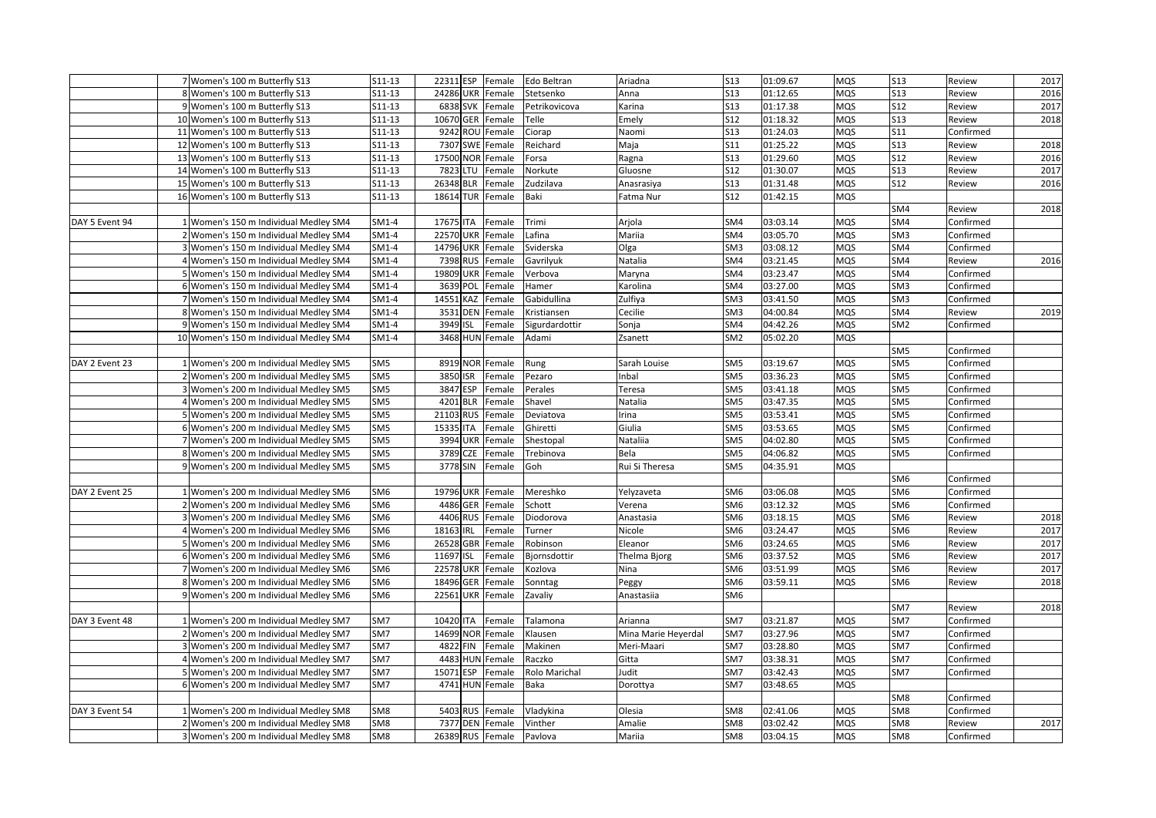|                | 7 Women's 100 m Butterfly S13          | S11-13          | 22311 ESP        | Female | Edo Beltran    | Ariadna             | <b>S13</b>      | 01:09.67 | <b>MQS</b> | <b>S13</b>      | Review    | 2017 |
|----------------|----------------------------------------|-----------------|------------------|--------|----------------|---------------------|-----------------|----------|------------|-----------------|-----------|------|
|                | 8 Women's 100 m Butterfly S13          | S11-13          | 24286 UKR        | Female | Stetsenko      | Anna                | <b>S13</b>      | 01:12.65 | MQS        | <b>S13</b>      | Review    | 2016 |
|                | 9 Women's 100 m Butterfly S13          | S11-13          | 6838 SVK         | Female | Petrikovicova  | Karina              | S <sub>13</sub> | 01:17.38 | MQS        | S12             | Review    | 2017 |
|                | 10 Women's 100 m Butterfly S13         | S11-13          | 10670 GER        | Female | Telle          | Emely               | S12             | 01:18.32 | MQS        | <b>S13</b>      | Review    | 2018 |
|                | 11 Women's 100 m Butterfly S13         | S11-13          | 9242 ROU         | Female | Ciorap         | Naomi               | <b>S13</b>      | 01:24.03 | MQS        | <b>S11</b>      | Confirmed |      |
|                | 12 Women's 100 m Butterfly S13         | $S11-13$        | 7307 SWE         | Female | Reichard       | Maja                | S11             | 01:25.22 | MQS        | S13             | Review    | 2018 |
|                | 13 Women's 100 m Butterfly S13         | S11-13          | 17500 NOR        | Female | Forsa          | Ragna               | <b>S13</b>      | 01:29.60 | MQS        | S12             | Review    | 2016 |
|                | 14 Women's 100 m Butterfly S13         | S11-13          | 7823 LTU         | Female | Norkute        | Gluosne             | <b>S12</b>      | 01:30.07 | MQS        | <b>S13</b>      | Review    | 2017 |
|                | 15 Women's 100 m Butterfly S13         | S11-13          | 26348 BLR        | Female | Zudzilava      | Anasrasiya          | S13             | 01:31.48 | <b>MQS</b> | S12             | Review    | 2016 |
|                | 16 Women's 100 m Butterfly S13         | $S11-13$        | 18614 TUR        | Female | Baki           | Fatma Nur           | S <sub>12</sub> | 01:42.15 | MQS        |                 |           |      |
|                |                                        |                 |                  |        |                |                     |                 |          |            | SM4             | Review    | 2018 |
| DAY 5 Event 94 | 1 Women's 150 m Individual Medley SM4  | SM1-4           | 17675 ITA        | Female | Trimi          | Arjola              | SM4             | 03:03.14 | MQS        | SM4             | Confirmed |      |
|                | 2 Women's 150 m Individual Medley SM4  | SM1-4           | <b>22570 UKR</b> | Female | Lafina         | Mariia              | SM4             | 03:05.70 | MQS        | SM <sub>3</sub> | Confirmed |      |
|                | 3 Women's 150 m Individual Medley SM4  | $SM1-4$         | 14796 UKR        | Female | Sviderska      | Olga                | SM <sub>3</sub> | 03:08.12 | MQS        | SM4             | Confirmed |      |
|                | 4 Women's 150 m Individual Medley SM4  | $SM1-4$         | 7398 RUS         | Female | Gavrilyuk      | Natalia             | SM4             | 03:21.45 | MQS        | SM4             | Review    | 2016 |
|                | 5 Women's 150 m Individual Medley SM4  | SM1-4           | 19809 UKR        | Female | Verbova        | Maryna              | SM4             | 03:23.47 | MQS        | SM4             | Confirmed |      |
|                | 6 Women's 150 m Individual Medley SM4  | SM1-4           | 3639 POL         | Female | Hamer          | Karolina            | SM4             | 03:27.00 | MQS        | SM <sub>3</sub> | Confirmed |      |
|                | 7 Women's 150 m Individual Medley SM4  | SM1-4           | 14551 KAZ        | Female | Gabidullina    | Zulfiya             | SM <sub>3</sub> | 03:41.50 | MQS        | SM <sub>3</sub> | Confirmed |      |
|                | 8 Women's 150 m Individual Medley SM4  | SM1-4           | 3531 DEN         | Female | Kristiansen    | Cecilie             | SM <sub>3</sub> | 04:00.84 | MQS        | SM4             | Review    | 2019 |
|                | 9 Women's 150 m Individual Medley SM4  | SM1-4           | 3949 ISL         | Female | Sigurdardottir | Sonja               | SM4             | 04:42.26 | MQS        | SM <sub>2</sub> | Confirmed |      |
|                | 10 Women's 150 m Individual Medley SM4 | SM1-4           | 3468 HUN Female  |        | Adami          | Zsanett             | SM <sub>2</sub> | 05:02.20 | MQS        |                 |           |      |
|                |                                        |                 |                  |        |                |                     |                 |          |            | SM <sub>5</sub> | Confirmed |      |
| DAY 2 Event 23 | 1 Women's 200 m Individual Medley SM5  | SM <sub>5</sub> | 8919 NOR         | Female | Rung           | Sarah Louise        | SM <sub>5</sub> | 03:19.67 | MQS        | SM <sub>5</sub> | Confirmed |      |
|                | 2 Women's 200 m Individual Medley SM5  | SM <sub>5</sub> | 3850 ISR         | Female | Pezaro         | Inbal               | SM <sub>5</sub> | 03:36.23 | MQS        | SM <sub>5</sub> | Confirmed |      |
|                | 3 Women's 200 m Individual Medley SM5  | SM <sub>5</sub> | 3847 ESP         | Female | Perales        | Teresa              | SM <sub>5</sub> | 03:41.18 | MQS        | SM <sub>5</sub> | Confirmed |      |
|                | 4 Women's 200 m Individual Medley SM5  | SM <sub>5</sub> | 4201 BLR         | Female | Shavel         | Natalia             | SM <sub>5</sub> | 03:47.35 | MQS        | SM <sub>5</sub> | Confirmed |      |
|                | 5 Women's 200 m Individual Medley SM5  | SM <sub>5</sub> | 21103 RUS        | Female | Deviatova      | Irina               | SM <sub>5</sub> | 03:53.41 | MQS        | SM <sub>5</sub> | Confirmed |      |
|                | 6 Women's 200 m Individual Medley SM5  | SM <sub>5</sub> | 15335 ITA        | Female | Ghiretti       | Giulia              | SM <sub>5</sub> | 03:53.65 | MQS        | SM <sub>5</sub> | Confirmed |      |
|                | 7 Women's 200 m Individual Medley SM5  | SM <sub>5</sub> | 3994 UKR         | Female | Shestopal      | Nataliia            | SM <sub>5</sub> | 04:02.80 | MQS        | SM <sub>5</sub> | Confirmed |      |
|                | 8 Women's 200 m Individual Medley SM5  | SM <sub>5</sub> | 3789 CZE         | Female | Trebinova      | Bela                | SM <sub>5</sub> | 04:06.82 | MQS        | SM <sub>5</sub> | Confirmed |      |
|                | 9 Women's 200 m Individual Medley SM5  | SM <sub>5</sub> | 3778 SIN         | Female | Goh            | Rui Si Theresa      | SM <sub>5</sub> | 04:35.91 | MQS        |                 |           |      |
|                |                                        |                 |                  |        |                |                     |                 |          |            | SM <sub>6</sub> | Confirmed |      |
| DAY 2 Event 25 | 1 Women's 200 m Individual Medley SM6  | SM <sub>6</sub> | 19796 UKR        | Female | Mereshko       | Yelyzaveta          | SM <sub>6</sub> | 03:06.08 | MQS        | SM <sub>6</sub> | Confirmed |      |
|                | 2 Women's 200 m Individual Medley SM6  | SM <sub>6</sub> | 4486 GER         | Female | Schott         | Verena              | SM <sub>6</sub> | 03:12.32 | MQS        | SM <sub>6</sub> | Confirmed |      |
|                | 3 Women's 200 m Individual Medley SM6  | SM <sub>6</sub> | 4406 RUS         | Female | Diodorova      | Anastasia           | SM <sub>6</sub> | 03:18.15 | MQS        | SM <sub>6</sub> | Review    | 2018 |
|                | 4 Women's 200 m Individual Medley SM6  | SM <sub>6</sub> | 18163 IRL        | Female | Turner         | Nicole              | SM <sub>6</sub> | 03:24.47 | MQS        | SM <sub>6</sub> | Review    | 2017 |
|                | 5 Women's 200 m Individual Medley SM6  | SM <sub>6</sub> | 26528 GBR        | Female | Robinson       | Eleanor             | SM <sub>6</sub> | 03:24.65 | MQS        | SM <sub>6</sub> | Review    | 2017 |
|                | 6 Women's 200 m Individual Medley SM6  | SM <sub>6</sub> | 11697 ISL        | Female | Bjornsdottir   | Thelma Bjorg        | SM <sub>6</sub> | 03:37.52 | MQS        | SM <sub>6</sub> | Review    | 2017 |
|                | 7 Women's 200 m Individual Medley SM6  | SM <sub>6</sub> | <b>22578 UKR</b> | Female | Kozlova        | Nina                | SM <sub>6</sub> | 03:51.99 | MQS        | SM <sub>6</sub> | Review    | 2017 |
|                | 8 Women's 200 m Individual Medley SM6  | SM <sub>6</sub> | 18496 GER        | Female | Sonntag        | Peggy               | SM <sub>6</sub> | 03:59.11 | MQS        | SM <sub>6</sub> | Review    | 2018 |
|                | 9 Women's 200 m Individual Medley SM6  | SM <sub>6</sub> | <b>22561 UKR</b> | Female | Zavaliy        | Anastasiia          | SM <sub>6</sub> |          |            |                 |           |      |
|                |                                        |                 |                  |        |                |                     |                 |          |            | SM7             | Review    | 2018 |
| DAY 3 Event 48 | 1 Women's 200 m Individual Medley SM7  | SM7             | 10420 ITA        | Female | Talamona       | Arianna             | SM7             | 03:21.87 | MQS        | SM7             | Confirmed |      |
|                | 2 Women's 200 m Individual Medley SM7  | SM7             | 14699 NOR Female |        | Klausen        | Mina Marie Heyerdal | SM7             | 03:27.96 | MQS        | SM7             | Confirmed |      |
|                | 3 Women's 200 m Individual Medley SM7  | SM7             | 4822 FIN         | Female | Makinen        | Meri-Maari          | SM7             | 03:28.80 | MQS        | SM7             | Confirmed |      |
|                | 4 Women's 200 m Individual Medley SM7  | SM7             | 4483 HUN         | Female | Raczko         | Gitta               | SM7             | 03:38.31 | MQS        | SM7             | Confirmed |      |
|                | 5 Women's 200 m Individual Medley SM7  | SM7             | 15071 ESP        | Female | Rolo Marichal  | Judit               | SM7             | 03:42.43 | MQS        | SM7             | Confirmed |      |
|                | 6 Women's 200 m Individual Medley SM7  | SM7             | 4741 HUN Female  |        | Baka           | Dorottya            | SM7             | 03:48.65 | <b>MQS</b> |                 |           |      |
|                |                                        |                 |                  |        |                |                     |                 |          |            | SM <sub>8</sub> | Confirmed |      |
| DAY 3 Event 54 | 1 Women's 200 m Individual Medley SM8  | SM8             | 5403 RUS Female  |        | Vladykina      | Olesia              | SM8             | 02:41.06 | <b>MQS</b> | SM8             | Confirmed |      |
|                | 2 Women's 200 m Individual Medley SM8  | SM8             | 7377 DEN Female  |        | Vinther        | Amalie              | SM <sub>8</sub> | 03:02.42 | MQS        | SM8             | Review    | 2017 |
|                | 3 Women's 200 m Individual Medley SM8  | SM <sub>8</sub> | 26389 RUS Female |        | Pavlova        | Mariia              | SM <sub>8</sub> | 03:04.15 | MQS        | SM8             | Confirmed |      |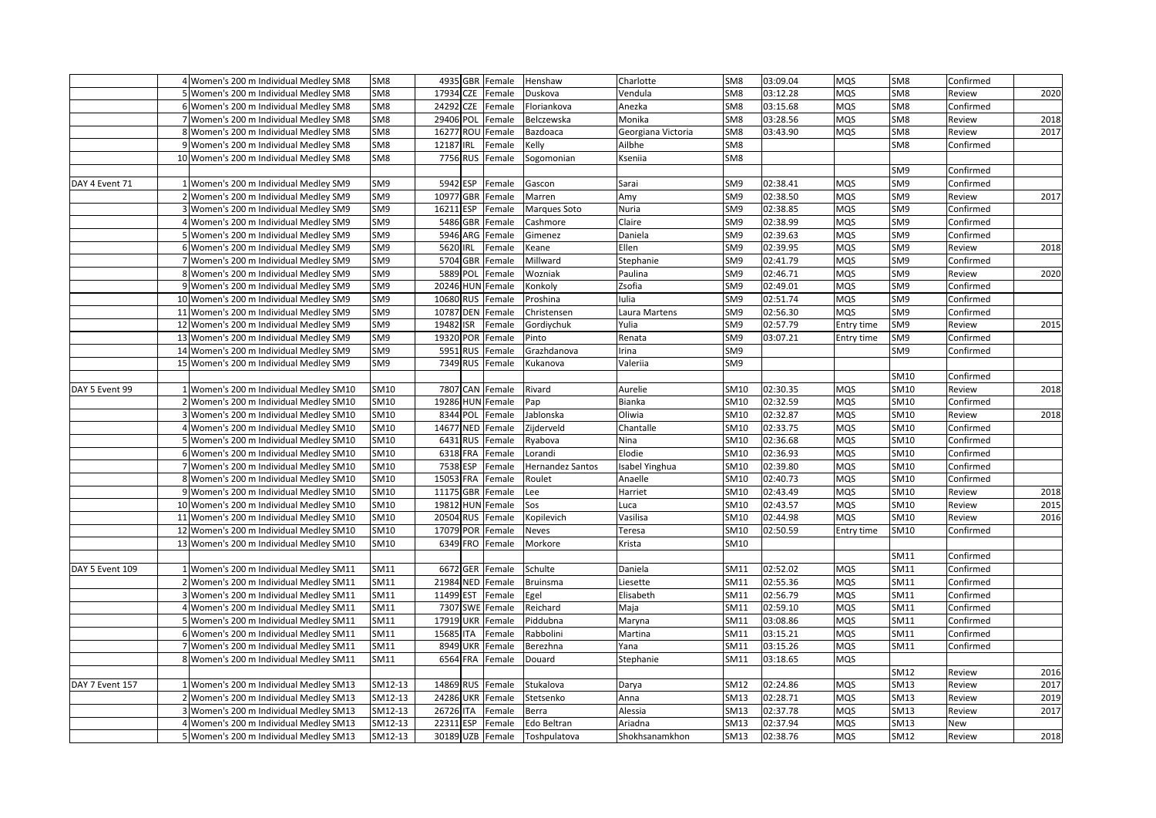|                 |                                         | SM <sub>8</sub> | 4935 GBR Female     |        |                  | Charlotte          | SM <sub>8</sub> | 03:09.04 | <b>MQS</b> | SM8             |           |      |
|-----------------|-----------------------------------------|-----------------|---------------------|--------|------------------|--------------------|-----------------|----------|------------|-----------------|-----------|------|
|                 | 4 Women's 200 m Individual Medley SM8   |                 |                     |        | Henshaw          |                    |                 |          |            |                 | Confirmed |      |
|                 | 5 Women's 200 m Individual Medley SM8   | SM <sub>8</sub> | 17934 CZE           | Female | Duskova          | Vendula            | SM8             | 03:12.28 | <b>MQS</b> | SM8             | Review    | 2020 |
|                 | 6 Women's 200 m Individual Medley SM8   | SM <sub>8</sub> | 24292<br><b>CZE</b> | Female | Floriankova      | Anezka             | SM <sub>8</sub> | 03:15.68 | <b>MQS</b> | SM <sub>8</sub> | Confirmed |      |
|                 | 7 Women's 200 m Individual Medley SM8   | SM8             | 29406 POL           | Female | Belczewska       | Monika             | SM <sub>8</sub> | 03:28.56 | <b>MQS</b> | SM8             | Review    | 2018 |
|                 | 8 Women's 200 m Individual Medley SM8   | SM8             | 16277 ROU Female    |        | Bazdoaca         | Georgiana Victoria | SM <sub>8</sub> | 03:43.90 | MQS        | SM8             | Review    | 2017 |
|                 | 9 Women's 200 m Individual Medley SM8   | SM8             | 12187 IRL           | Female | Kelly            | Ailbhe             | SM <sub>8</sub> |          |            | SM8             | Confirmed |      |
|                 | 10 Women's 200 m Individual Medley SM8  | SM8             | 7756 RUS            | Female | Sogomonian       | Kseniia            | SM <sub>8</sub> |          |            |                 |           |      |
|                 |                                         |                 |                     |        |                  |                    |                 |          |            | SM <sub>9</sub> | Confirmed |      |
| DAY 4 Event 71  | 1 Women's 200 m Individual Medley SM9   | SM9             | 5942 ESP            | Female | Gascon           | Sarai              | SM <sub>9</sub> | 02:38.41 | MQS        | SM <sub>9</sub> | Confirmed |      |
|                 | 2 Women's 200 m Individual Medley SM9   | SM9             | 10977 GBR           | Female | Marren           | Amy                | SM <sub>9</sub> | 02:38.50 | <b>MQS</b> | SM9             | Review    | 2017 |
|                 | 3 Women's 200 m Individual Medley SM9   | SM9             | 16211 ESP           | Female | Marques Soto     | Nuria              | SM <sub>9</sub> | 02:38.85 | <b>MQS</b> | SM9             | Confirmed |      |
|                 | 4 Women's 200 m Individual Medley SM9   | SM <sub>9</sub> | 5486 GBR            | Female | Cashmore         | Claire             | SM <sub>9</sub> | 02:38.99 | <b>MQS</b> | SM9             | Confirmed |      |
|                 | 5 Women's 200 m Individual Medley SM9   | SM9             | 5946 ARG            | Female | Gimenez          | Daniela            | SM9             | 02:39.63 | <b>MQS</b> | SM9             | Confirmed |      |
|                 | 6 Women's 200 m Individual Medley SM9   | SM9             | 5620 IRL            | Female | Keane            | Ellen              | SM9             | 02:39.95 | <b>MQS</b> | SM9             | Review    | 2018 |
|                 | 7 Women's 200 m Individual Medley SM9   | SM9             | 5704 GBR            | Female | Millward         | Stephanie          | SM <sub>9</sub> | 02:41.79 | <b>MQS</b> | SM9             | Confirmed |      |
|                 | 8 Women's 200 m Individual Medley SM9   | SM <sub>9</sub> | 5889<br>POL         | Female | Wozniak          | Paulina            | SM <sub>9</sub> | 02:46.71 | MQS        | SM <sub>9</sub> | Review    | 2020 |
|                 | 9 Women's 200 m Individual Medley SM9   | SM9             | 20246 HUN Female    |        | Konkoly          | Zsofia             | SM <sub>9</sub> | 02:49.01 | <b>MQS</b> | SM9             | Confirmed |      |
|                 | 10 Women's 200 m Individual Medley SM9  | SM9             | 10680 RUS           | Female | Proshina         | Iulia              | SM9             | 02:51.74 | <b>MQS</b> | SM9             | Confirmed |      |
|                 | 11 Women's 200 m Individual Medley SM9  | SM9             | 10787 DEN Female    |        | Christensen      | Laura Martens      | SM <sub>9</sub> | 02:56.30 | <b>MQS</b> | SM <sub>9</sub> | Confirmed |      |
|                 | 12 Women's 200 m Individual Medley SM9  | SM9             | 19482 ISR           | Female | Gordiychuk       | Yulia              | SM9             | 02:57.79 | Entry time | SM9             | Review    | 2015 |
|                 | 13 Women's 200 m Individual Medley SM9  | SM9             | 19320 POR           | Female | Pinto            | Renata             | SM9             | 03:07.21 | Entry time | SM9             | Confirmed |      |
|                 | 14 Women's 200 m Individual Medley SM9  | SM9             | 5951 RUS            | Female | Grazhdanova      | rina               | SM9             |          |            | SM9             | Confirmed |      |
|                 | 15 Women's 200 m Individual Medley SM9  | SM9             | 7349 RUS            | Female | Kukanova         | Valeriia           | SM <sub>9</sub> |          |            |                 |           |      |
|                 |                                         |                 |                     |        |                  |                    |                 |          |            | SM10            | Confirmed |      |
| DAY 5 Event 99  | 1 Women's 200 m Individual Medley SM10  | SM10            | 7807 CAN Female     |        | Rivard           | Aurelie            | SM10            | 02:30.35 | <b>MQS</b> | SM10            | Review    | 2018 |
|                 | Women's 200 m Individual Medley SM10    | SM10            | 19286 HUN Female    |        | Pap              | Bianka             | SM10            | 02:32.59 | <b>MQS</b> | SM10            | Confirmed |      |
|                 | Women's 200 m Individual Medley SM10    | SM10            | 8344 POL            | Female | Jablonska        | Oliwia             | SM10            | 02:32.87 | <b>MQS</b> | SM10            | Review    | 2018 |
|                 | 4 Women's 200 m Individual Medley SM10  | SM10            | 14677 NED           | Female | Zijderveld       | Chantalle          | SM10            | 02:33.75 | <b>MQS</b> | SM10            | Confirmed |      |
|                 | 5 Women's 200 m Individual Medley SM10  | SM10            | 6431 RUS Female     |        | Ryabova          | Nina               | SM10            | 02:36.68 | <b>MQS</b> | SM10            | Confirmed |      |
|                 | 6 Women's 200 m Individual Medley SM10  | SM10            | 6318 FRA            | Female | Lorandi          | Elodie             | SM10            | 02:36.93 | MQS        | SM10            | Confirmed |      |
|                 | 7 Women's 200 m Individual Medley SM10  | SM10            | 7538 ESP            | Female | Hernandez Santos | sabel Yinghua      | SM10            | 02:39.80 | MQS        | SM10            | Confirmed |      |
|                 | 8 Women's 200 m Individual Medley SM10  | SM10            | 15053 FRA           | Female | Roulet           | Anaelle            | SM10            | 02:40.73 | <b>MQS</b> | SM10            | Confirmed |      |
|                 | 9 Women's 200 m Individual Medley SM10  | SM10            | 11175 GBR           | Female | Lee              | Harriet            | SM10            | 02:43.49 | <b>MQS</b> | SM10            | Review    | 2018 |
|                 | 10 Women's 200 m Individual Medley SM10 | SM10            | 19812 HUN Female    |        | Sos              | Luca               | SM10            | 02:43.57 | <b>MQS</b> | SM10            | Review    | 2015 |
|                 | 11 Women's 200 m Individual Medley SM10 | SM10            | 20504 RUS           | Female | Kopilevich       | Vasilisa           | SM10            | 02:44.98 | <b>MQS</b> | SM10            | Review    | 2016 |
|                 | 12 Women's 200 m Individual Medley SM10 | SM10            | 17079 POR           | Female | <b>Neves</b>     | Teresa             | SM10            | 02:50.59 | Entry time | SM10            | Confirmed |      |
|                 | 13 Women's 200 m Individual Medley SM10 | SM10            | 6349 FRO Female     |        | Morkore          | Krista             | SM10            |          |            |                 |           |      |
|                 |                                         |                 |                     |        |                  |                    |                 |          |            | SM11            | Confirmed |      |
| DAY 5 Event 109 | 1 Women's 200 m Individual Medley SM11  | SM11            | 6672 GER            | Female | Schulte          | Daniela            | SM11            | 02:52.02 | <b>MQS</b> | SM11            | Confirmed |      |
|                 | 2 Women's 200 m Individual Medley SM11  | SM11            | 21984 NED           | Female | Bruinsma         | Liesette           | SM11            | 02:55.36 | <b>MQS</b> | SM11            | Confirmed |      |
|                 | 3 Women's 200 m Individual Medley SM11  | SM11            | 11499 EST           | Female | Egel             | Elisabeth          | SM11            | 02:56.79 | <b>MQS</b> | SM11            | Confirmed |      |
|                 | 4 Women's 200 m Individual Medley SM11  | SM11            | 7307 SWE            | Female | Reichard         | Maja               | SM11            | 02:59.10 | <b>MQS</b> | SM11            | Confirmed |      |
|                 | 5 Women's 200 m Individual Medley SM11  | SM11            | 17919 UKR           | Female | Piddubna         | Maryna             | SM11            | 03:08.86 | <b>MQS</b> | SM11            | Confirmed |      |
|                 | 6 Women's 200 m Individual Medley SM11  | SM11            | 15685 ITA           | Female | Rabbolini        | Martina            | SM11            | 03:15.21 | <b>MQS</b> | SM11            | Confirmed |      |
|                 | 7 Women's 200 m Individual Medley SM11  | SM11            | 8949 UKR            | Female | Berezhna         | Yana               | SM11            | 03:15.26 | <b>MQS</b> | SM11            | Confirmed |      |
|                 | 8 Women's 200 m Individual Medley SM11  | SM11            | 6564 FRA            | Female | Douard           | Stephanie          | SM11            | 03:18.65 | MQS        |                 |           |      |
|                 |                                         |                 |                     |        |                  |                    |                 |          |            | SM12            | Review    | 2016 |
| DAY 7 Event 157 | 1 Women's 200 m Individual Medley SM13  | SM12-13         | 14869 RUS           | Female | Stukalova        | Darya              | SM12            | 02:24.86 | <b>MQS</b> | SM13            | Review    | 2017 |
|                 | 2 Women's 200 m Individual Medley SM13  | SM12-13         | 24286 UKR           | Female | Stetsenko        | Anna               | SM13            | 02:28.71 | <b>MQS</b> | SM13            | Review    | 2019 |
|                 | 3 Women's 200 m Individual Medley SM13  | SM12-13         | 26726 ITA           | Female | Berra            | Alessia            | SM13            | 02:37.78 | <b>MQS</b> | SM13            | Review    | 2017 |
|                 | 4 Women's 200 m Individual Medley SM13  | SM12-13         | 22311 ESP           | Female | Edo Beltran      | Ariadna            | SM13            | 02:37.94 | <b>MQS</b> | SM13            | New       |      |
|                 | 5 Women's 200 m Individual Medley SM13  | SM12-13         | 30189 UZB Female    |        | Toshpulatova     | Shokhsanamkhon     | SM13            | 02:38.76 | <b>MQS</b> | SM12            | Review    | 2018 |
|                 |                                         |                 |                     |        |                  |                    |                 |          |            |                 |           |      |